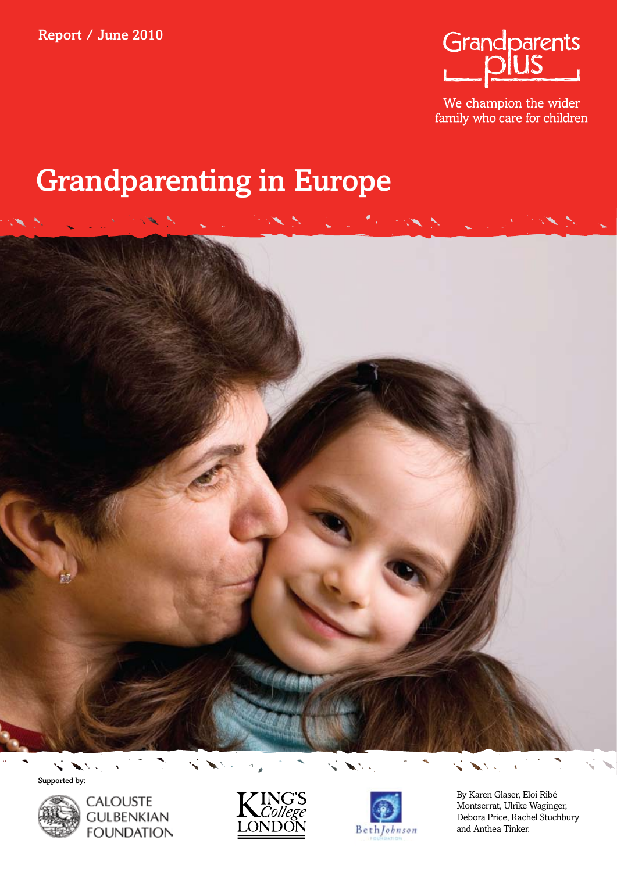

We champion the wider family who care for children

# Grandparenting in Europe









By Karen Glaser, Eloi Ribé Montserrat, Ulrike Waginger, Debora Price, Rachel Stuchbury and Anthea Tinker.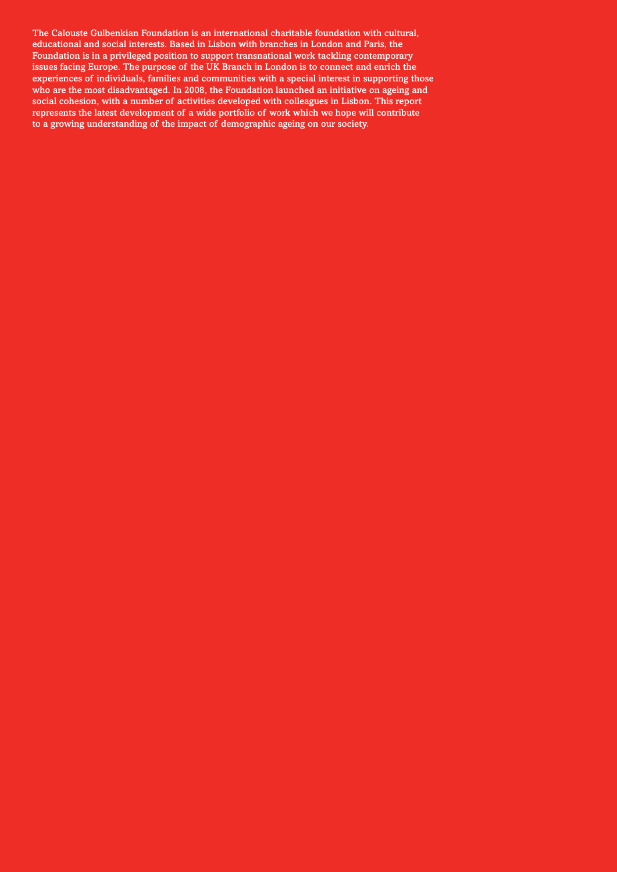The Calouste Gulbenkian Foundation is an international charitable foundation with cultural, educational and social interests. Based in Lisbon with branches in London and Paris, the Foundation is in a privileged position to support transnational work tackling contemporary issues facing Europe. The purpose of the UK Branch in London is to connect and enrich the experiences of individuals, families and communities with a special interest in supporting those who are the most disadvantaged. In 2008, the Foundation launched an initiative on ageing and social cohesion, with a number of activities developed with colleagues in Lisbon. This report represents the latest development of a wide portfolio of work which we hope will contribute to a growing understanding of the impact of demographic ageing on our society.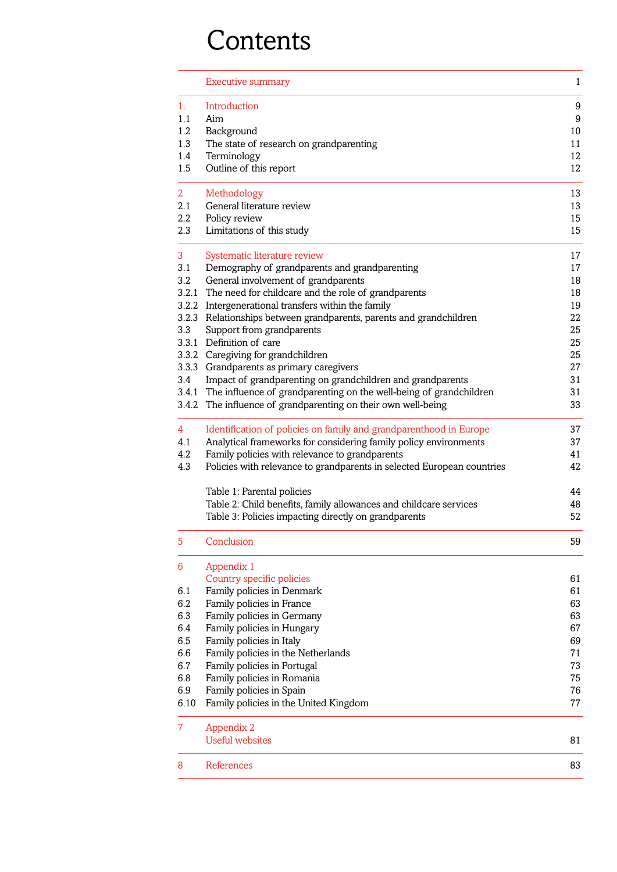# **Contents**

| Introduction<br>1.<br>1.1<br>Aim                                              | 9<br>9 |
|-------------------------------------------------------------------------------|--------|
|                                                                               |        |
|                                                                               |        |
| $1.2\phantom{0}$<br>Background                                                | 10     |
| 1.3<br>The state of research on grandparenting                                | 11     |
| 1.4<br>Terminology                                                            | 12     |
| Outline of this report<br>1.5                                                 | 12     |
| 2 <sup>1</sup><br>Methodology                                                 | 13     |
| General literature review<br>2.1                                              | 13     |
| $2.2\,$<br>Policy review                                                      | 15     |
| 2.3<br>Limitations of this study                                              | 15     |
| 3<br>Systematic literature review                                             | 17     |
| Demography of grandparents and grandparenting<br>3.1                          | 17     |
| 3.2<br>General involvement of grandparents                                    | 18     |
| 3.2.1 The need for childcare and the role of grandparents                     | 18     |
| 3.2.2 Intergenerational transfers within the family                           | 19     |
| 3.2.3 Relationships between grandparents, parents and grandchildren           | 22     |
| 3.3<br>Support from grandparents                                              | 25     |
| 3.3.1 Definition of care                                                      | 25     |
| 3.3.2 Caregiving for grandchildren                                            | 25     |
| 3.3.3 Grandparents as primary caregivers                                      | 27     |
| Impact of grandparenting on grandchildren and grandparents<br>3.4             | 31     |
| 3.4.1 The influence of grandparenting on the well-being of grandchildren      | 31     |
| 3.4.2 The influence of grandparenting on their own well-being                 | 33     |
| Identification of policies on family and grandparenthood in Europe<br>4       | 37     |
| Analytical frameworks for considering family policy environments<br>4.1       | 37     |
| 4.2<br>Family policies with relevance to grandparents                         | 41     |
| 4.3<br>Policies with relevance to grandparents in selected European countries | 42     |
| Table 1: Parental policies                                                    | 44     |
| Table 2: Child benefits, family allowances and childcare services             | 48     |
| Table 3: Policies impacting directly on grandparents                          | 52     |
| Conclusion<br>5                                                               | 59     |
| 6<br>Appendix 1                                                               |        |
| Country specific policies                                                     | 61     |
| Family policies in Denmark<br>6.1                                             | 61     |
| 6.2<br>Family policies in France                                              | 63     |
| 6.3<br>Family policies in Germany                                             | 63     |
| Family policies in Hungary<br>6.4                                             | 67     |
| 6.5<br>Family policies in Italy                                               | 69     |
| 6.6<br>Family policies in the Netherlands                                     | 71     |
| 6.7<br>Family policies in Portugal                                            | 73     |
| 6.8<br>Family policies in Romania                                             | 75     |
| 6.9<br>Family policies in Spain                                               | 76     |
| 6.10<br>Family policies in the United Kingdom                                 | 77     |
| $\overline{7}$<br>Appendix 2                                                  |        |
| <b>Useful websites</b>                                                        | 81     |
| 8<br>References                                                               | 83     |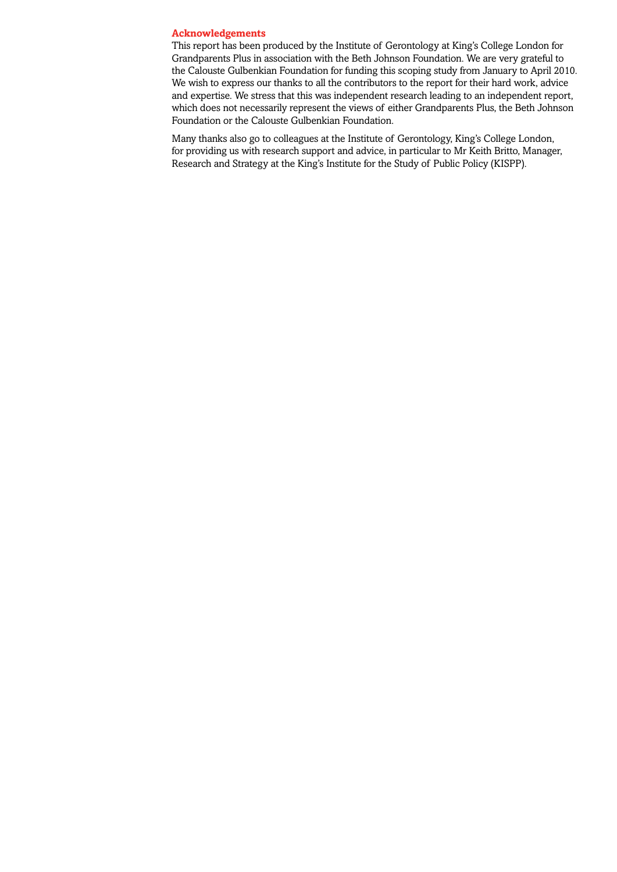### **Acknowledgements**

This report has been produced by the Institute of Gerontology at King's College London for Grandparents Plus in association with the Beth Johnson Foundation. We are very grateful to the Calouste Gulbenkian Foundation for funding this scoping study from January to April 2010. We wish to express our thanks to all the contributors to the report for their hard work, advice and expertise. We stress that this was independent research leading to an independent report, which does not necessarily represent the views of either Grandparents Plus, the Beth Johnson Foundation or the Calouste Gulbenkian Foundation.

Many thanks also go to colleagues at the Institute of Gerontology, King's College London, for providing us with research support and advice, in particular to Mr Keith Britto, Manager, Research and Strategy at the King's Institute for the Study of Public Policy (KISPP).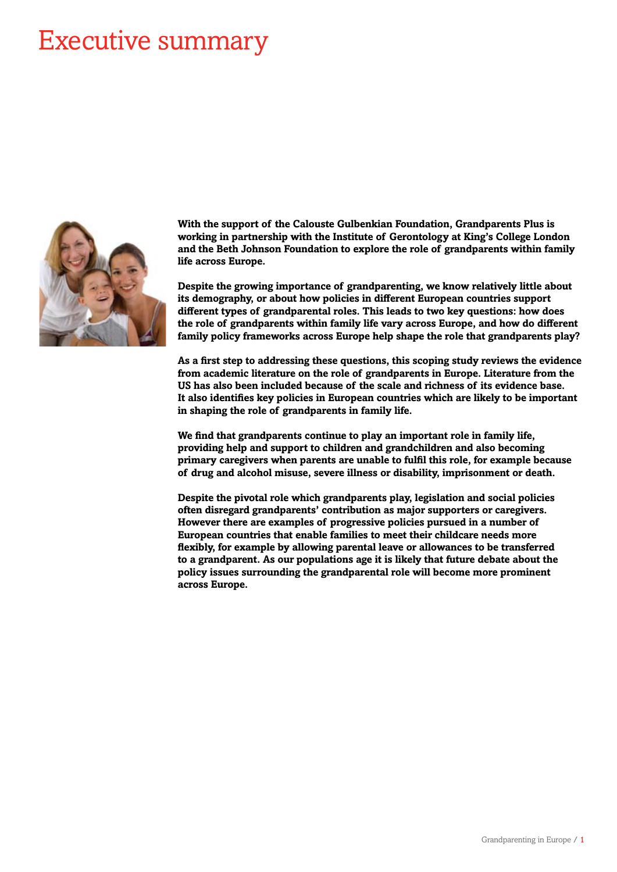# Executive summary



**With the support of the Calouste Gulbenkian Foundation, Grandparents Plus is working in partnership with the Institute of Gerontology at King's College London and the Beth Johnson Foundation to explore the role of grandparents within family life across Europe.**

**Despite the growing importance of grandparenting, we know relatively little about its demography, or about how policies in different European countries support different types of grandparental roles. This leads to two key questions: how does the role of grandparents within family life vary across Europe, and how do different family policy frameworks across Europe help shape the role that grandparents play?**

**As a first step to addressing these questions, this scoping study reviews the evidence from academic literature on the role of grandparents in Europe. Literature from the US has also been included because of the scale and richness of its evidence base. It also identifies key policies in European countries which are likely to be important in shaping the role of grandparents in family life.**

**We find that grandparents continue to play an important role in family life, providing help and support to children and grandchildren and also becoming primary caregivers when parents are unable to fulfil this role, for example because of drug and alcohol misuse, severe illness or disability, imprisonment or death.** 

**Despite the pivotal role which grandparents play, legislation and social policies often disregard grandparents' contribution as major supporters or caregivers. However there are examples of progressive policies pursued in a number of European countries that enable families to meet their childcare needs more flexibly, for example by allowing parental leave or allowances to be transferred to a grandparent. As our populations age it is likely that future debate about the policy issues surrounding the grandparental role will become more prominent across Europe.**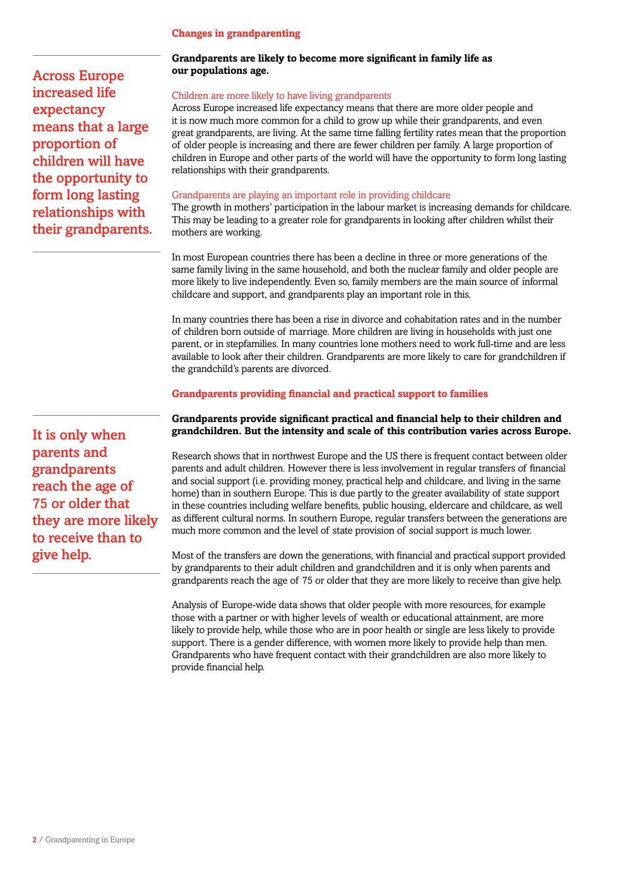# **Changes in grandparenting**

Across Europe increased life expectancy means that a large proportion of children will have the opportunity to form long lasting relationships with their grandparents.

It is only when parents and grandparents reach the age of 75 or older that they are more likely to receive than to give help.

# **Grandparents are likely to become more significant in family life as our populations age.**

# Children are more likely to have living grandparents

Across Europe increased life expectancy means that there are more older people and it is now much more common for a child to grow up while their grandparents, and even great grandparents, are living. At the same time falling fertility rates mean that the proportion of older people is increasing and there are fewer children per family. A large proportion of children in Europe and other parts of the world will have the opportunity to form long lasting relationships with their grandparents.

# Grandparents are playing an important role in providing childcare

The growth in mothers' participation in the labour market is increasing demands for childcare. This may be leading to a greater role for grandparents in looking after children whilst their mothers are working.

In most European countries there has been a decline in three or more generations of the same family living in the same household, and both the nuclear family and older people are more likely to live independently. Even so, family members are the main source of informal childcare and support, and grandparents play an important role in this.

In many countries there has been a rise in divorce and cohabitation rates and in the number of children born outside of marriage. More children are living in households with just one parent, or in stepfamilies. In many countries lone mothers need to work full-time and are less available to look after their children. Grandparents are more likely to care for grandchildren if the grandchild's parents are divorced.

# **Grandparents providing financial and practical support to families**

# **Grandparents provide significant practical and financial help to their children and grandchildren. But the intensity and scale of this contribution varies across Europe.**

Research shows that in northwest Europe and the US there is frequent contact between older parents and adult children. However there is less involvement in regular transfers of financial and social support (i.e. providing money, practical help and childcare, and living in the same home) than in southern Europe. This is due partly to the greater availability of state support in these countries including welfare benefits, public housing, eldercare and childcare, as well as different cultural norms. In southern Europe, regular transfers between the generations are much more common and the level of state provision of social support is much lower.

Most of the transfers are down the generations, with financial and practical support provided by grandparents to their adult children and grandchildren and it is only when parents and grandparents reach the age of 75 or older that they are more likely to receive than give help.

Analysis of Europe-wide data shows that older people with more resources, for example those with a partner or with higher levels of wealth or educational attainment, are more likely to provide help, while those who are in poor health or single are less likely to provide support. There is a gender difference, with women more likely to provide help than men. Grandparents who have frequent contact with their grandchildren are also more likely to provide financial help.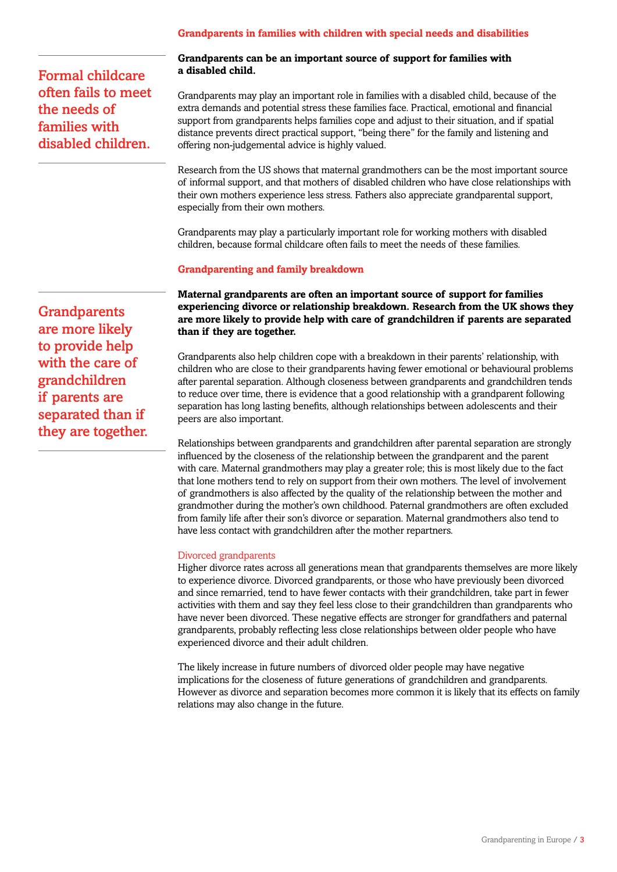# **Grandparents in families with children with special needs and disabilities**

Formal childcare often fails to meet the needs of families with disabled children.

### **Grandparents can be an important source of support for families with a disabled child.**

Grandparents may play an important role in families with a disabled child, because of the extra demands and potential stress these families face. Practical, emotional and financial support from grandparents helps families cope and adjust to their situation, and if spatial distance prevents direct practical support, "being there" for the family and listening and offering non-judgemental advice is highly valued.

Research from the US shows that maternal grandmothers can be the most important source of informal support, and that mothers of disabled children who have close relationships with their own mothers experience less stress. Fathers also appreciate grandparental support, especially from their own mothers.

Grandparents may play a particularly important role for working mothers with disabled children, because formal childcare often fails to meet the needs of these families.

# **Grandparenting and family breakdown**

**Maternal grandparents are often an important source of support for families experiencing divorce or relationship breakdown. Research from the UK shows they are more likely to provide help with care of grandchildren if parents are separated than if they are together.** 

Grandparents also help children cope with a breakdown in their parents' relationship, with children who are close to their grandparents having fewer emotional or behavioural problems after parental separation. Although closeness between grandparents and grandchildren tends to reduce over time, there is evidence that a good relationship with a grandparent following separation has long lasting benefits, although relationships between adolescents and their peers are also important.

Relationships between grandparents and grandchildren after parental separation are strongly influenced by the closeness of the relationship between the grandparent and the parent with care. Maternal grandmothers may play a greater role; this is most likely due to the fact that lone mothers tend to rely on support from their own mothers. The level of involvement of grandmothers is also affected by the quality of the relationship between the mother and grandmother during the mother's own childhood. Paternal grandmothers are often excluded from family life after their son's divorce or separation. Maternal grandmothers also tend to have less contact with grandchildren after the mother repartners.

### Divorced grandparents

Higher divorce rates across all generations mean that grandparents themselves are more likely to experience divorce. Divorced grandparents, or those who have previously been divorced and since remarried, tend to have fewer contacts with their grandchildren, take part in fewer activities with them and say they feel less close to their grandchildren than grandparents who have never been divorced. These negative effects are stronger for grandfathers and paternal grandparents, probably reflecting less close relationships between older people who have experienced divorce and their adult children.

The likely increase in future numbers of divorced older people may have negative implications for the closeness of future generations of grandchildren and grandparents. However as divorce and separation becomes more common it is likely that its effects on family relations may also change in the future.

**Grandparents** are more likely to provide help with the care of grandchildren if parents are separated than if they are together.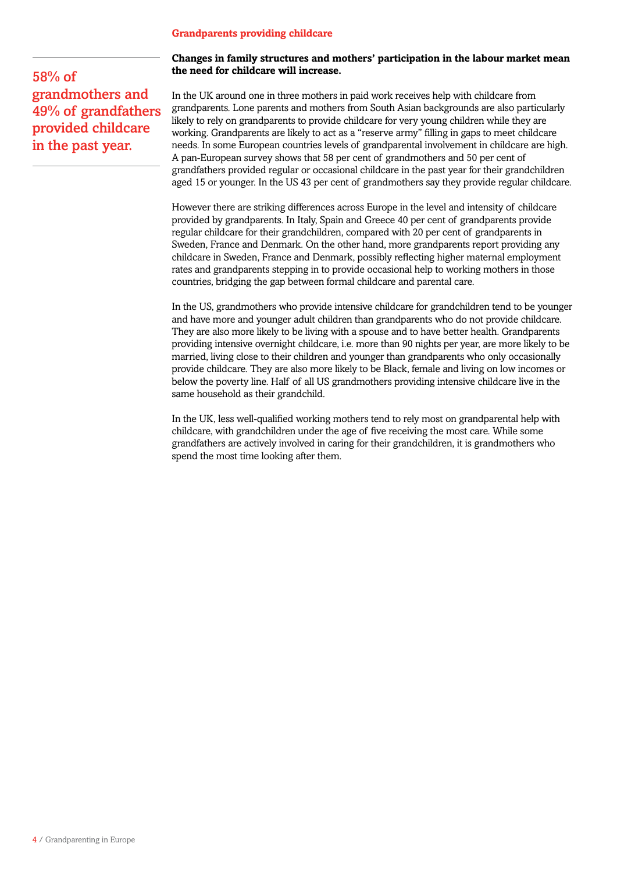# **Grandparents providing childcare**

58% of grandmothers and 49% of grandfathers provided childcare in the past year.

# **Changes in family structures and mothers' participation in the labour market mean the need for childcare will increase.**

In the UK around one in three mothers in paid work receives help with childcare from grandparents. Lone parents and mothers from South Asian backgrounds are also particularly likely to rely on grandparents to provide childcare for very young children while they are working. Grandparents are likely to act as a "reserve army" filling in gaps to meet childcare needs. In some European countries levels of grandparental involvement in childcare are high. A pan-European survey shows that 58 per cent of grandmothers and 50 per cent of grandfathers provided regular or occasional childcare in the past year for their grandchildren aged 15 or younger. In the US 43 per cent of grandmothers say they provide regular childcare.

However there are striking differences across Europe in the level and intensity of childcare provided by grandparents. In Italy, Spain and Greece 40 per cent of grandparents provide regular childcare for their grandchildren, compared with 20 per cent of grandparents in Sweden, France and Denmark. On the other hand, more grandparents report providing any childcare in Sweden, France and Denmark, possibly reflecting higher maternal employment rates and grandparents stepping in to provide occasional help to working mothers in those countries, bridging the gap between formal childcare and parental care.

In the US, grandmothers who provide intensive childcare for grandchildren tend to be younger and have more and younger adult children than grandparents who do not provide childcare. They are also more likely to be living with a spouse and to have better health. Grandparents providing intensive overnight childcare, i.e. more than 90 nights per year, are more likely to be married, living close to their children and younger than grandparents who only occasionally provide childcare. They are also more likely to be Black, female and living on low incomes or below the poverty line. Half of all US grandmothers providing intensive childcare live in the same household as their grandchild.

In the UK, less well-qualified working mothers tend to rely most on grandparental help with childcare, with grandchildren under the age of five receiving the most care. While some grandfathers are actively involved in caring for their grandchildren, it is grandmothers who spend the most time looking after them.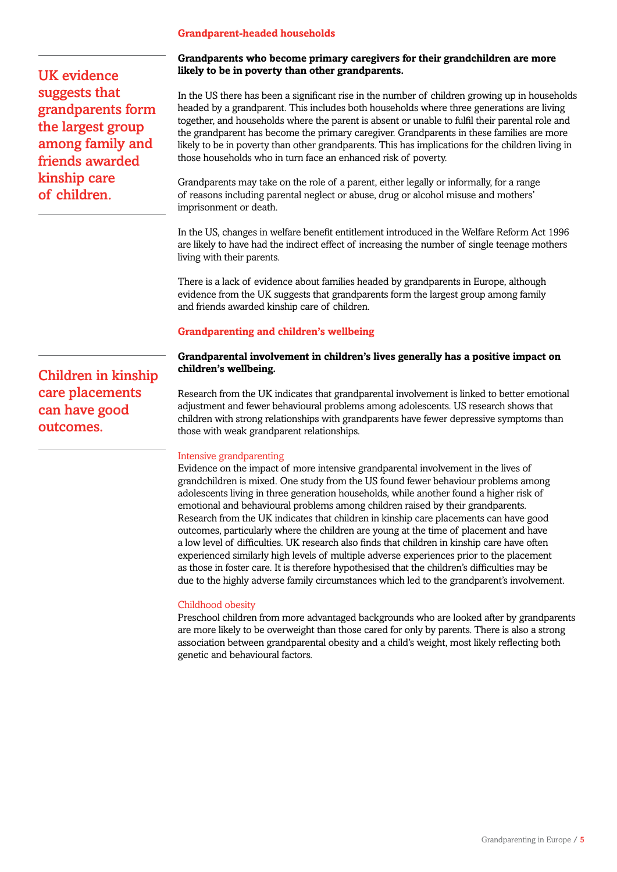### **Grandparent-headed households**

UK evidence suggests that grandparents form the largest group among family and friends awarded kinship care of children.

### **Grandparents who become primary caregivers for their grandchildren are more likely to be in poverty than other grandparents.**

In the US there has been a significant rise in the number of children growing up in households headed by a grandparent. This includes both households where three generations are living together, and households where the parent is absent or unable to fulfil their parental role and the grandparent has become the primary caregiver. Grandparents in these families are more likely to be in poverty than other grandparents. This has implications for the children living in those households who in turn face an enhanced risk of poverty.

Grandparents may take on the role of a parent, either legally or informally, for a range of reasons including parental neglect or abuse, drug or alcohol misuse and mothers' imprisonment or death.

In the US, changes in welfare benefit entitlement introduced in the Welfare Reform Act 1996 are likely to have had the indirect effect of increasing the number of single teenage mothers living with their parents.

There is a lack of evidence about families headed by grandparents in Europe, although evidence from the UK suggests that grandparents form the largest group among family and friends awarded kinship care of children.

## **Grandparenting and children's wellbeing**

# **Grandparental involvement in children's lives generally has a positive impact on children's wellbeing.**

Research from the UK indicates that grandparental involvement is linked to better emotional adjustment and fewer behavioural problems among adolescents. US research shows that children with strong relationships with grandparents have fewer depressive symptoms than those with weak grandparent relationships.

### Intensive grandparenting

Evidence on the impact of more intensive grandparental involvement in the lives of grandchildren is mixed. One study from the US found fewer behaviour problems among adolescents living in three generation households, while another found a higher risk of emotional and behavioural problems among children raised by their grandparents. Research from the UK indicates that children in kinship care placements can have good outcomes, particularly where the children are young at the time of placement and have a low level of difficulties. UK research also finds that children in kinship care have often experienced similarly high levels of multiple adverse experiences prior to the placement as those in foster care. It is therefore hypothesised that the children's difficulties may be due to the highly adverse family circumstances which led to the grandparent's involvement.

### Childhood obesity

Preschool children from more advantaged backgrounds who are looked after by grandparents are more likely to be overweight than those cared for only by parents. There is also a strong association between grandparental obesity and a child's weight, most likely reflecting both genetic and behavioural factors.

Children in kinship care placements can have good outcomes.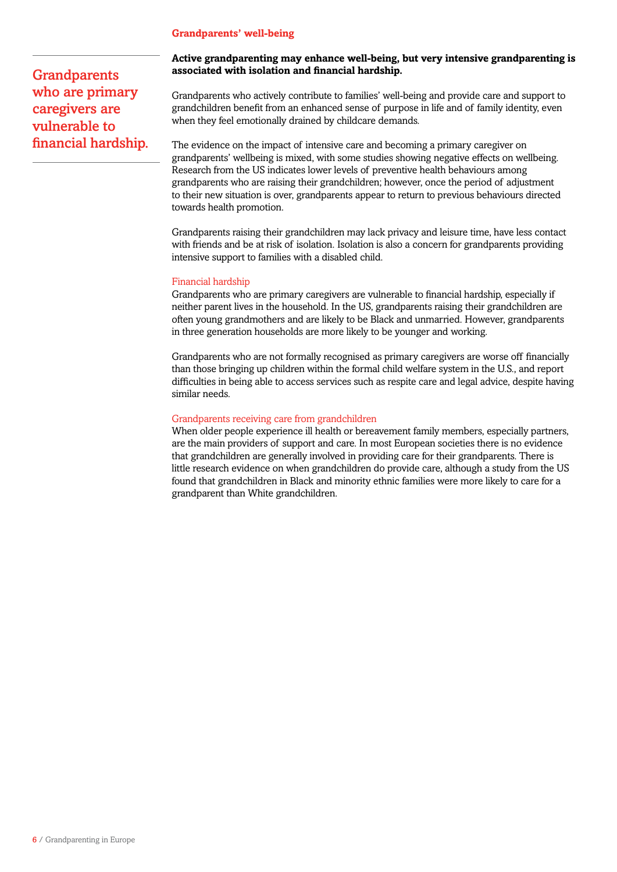# **Grandparents' well-being**

**Grandparents** who are primary caregivers are vulnerable to financial hardship.

# **Active grandparenting may enhance well-being, but very intensive grandparenting is associated with isolation and financial hardship.**

Grandparents who actively contribute to families' well-being and provide care and support to grandchildren benefit from an enhanced sense of purpose in life and of family identity, even when they feel emotionally drained by childcare demands.

The evidence on the impact of intensive care and becoming a primary caregiver on grandparents' wellbeing is mixed, with some studies showing negative effects on wellbeing. Research from the US indicates lower levels of preventive health behaviours among grandparents who are raising their grandchildren; however, once the period of adjustment to their new situation is over, grandparents appear to return to previous behaviours directed towards health promotion.

Grandparents raising their grandchildren may lack privacy and leisure time, have less contact with friends and be at risk of isolation. Isolation is also a concern for grandparents providing intensive support to families with a disabled child.

### Financial hardship

Grandparents who are primary caregivers are vulnerable to financial hardship, especially if neither parent lives in the household. In the US, grandparents raising their grandchildren are often young grandmothers and are likely to be Black and unmarried. However, grandparents in three generation households are more likely to be younger and working.

Grandparents who are not formally recognised as primary caregivers are worse off financially than those bringing up children within the formal child welfare system in the U.S., and report difficulties in being able to access services such as respite care and legal advice, despite having similar needs.

### Grandparents receiving care from grandchildren

When older people experience ill health or bereavement family members, especially partners, are the main providers of support and care. In most European societies there is no evidence that grandchildren are generally involved in providing care for their grandparents. There is little research evidence on when grandchildren do provide care, although a study from the US found that grandchildren in Black and minority ethnic families were more likely to care for a grandparent than White grandchildren.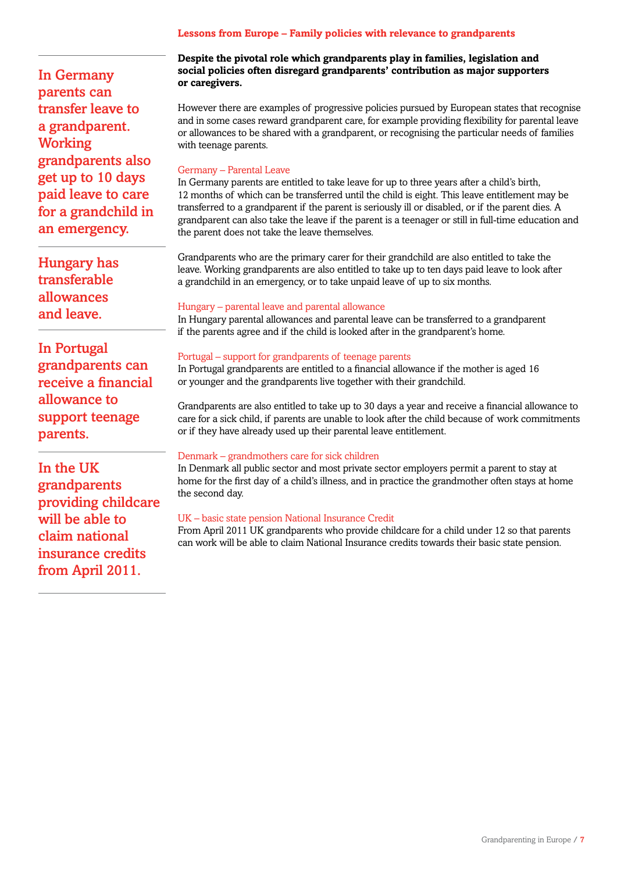# **Lessons from Europe – Family policies with relevance to grandparents**

In Germany parents can transfer leave to a grandparent. **Working** grandparents also get up to 10 days paid leave to care for a grandchild in an emergency.

Hungary has transferable allowances and leave.

In Portugal grandparents can receive a financial allowance to support teenage parents.

In the UK grandparents providing childcare will be able to claim national insurance credits from April 2011.

# **Despite the pivotal role which grandparents play in families, legislation and social policies often disregard grandparents' contribution as major supporters or caregivers.**

However there are examples of progressive policies pursued by European states that recognise and in some cases reward grandparent care, for example providing flexibility for parental leave or allowances to be shared with a grandparent, or recognising the particular needs of families with teenage parents.

# Germany – Parental Leave

In Germany parents are entitled to take leave for up to three years after a child's birth, 12 months of which can be transferred until the child is eight. This leave entitlement may be transferred to a grandparent if the parent is seriously ill or disabled, or if the parent dies. A grandparent can also take the leave if the parent is a teenager or still in full-time education and the parent does not take the leave themselves.

Grandparents who are the primary carer for their grandchild are also entitled to take the leave. Working grandparents are also entitled to take up to ten days paid leave to look after a grandchild in an emergency, or to take unpaid leave of up to six months.

## Hungary – parental leave and parental allowance

In Hungary parental allowances and parental leave can be transferred to a grandparent if the parents agree and if the child is looked after in the grandparent's home.

## Portugal – support for grandparents of teenage parents

In Portugal grandparents are entitled to a financial allowance if the mother is aged 16 or younger and the grandparents live together with their grandchild.

Grandparents are also entitled to take up to 30 days a year and receive a financial allowance to care for a sick child, if parents are unable to look after the child because of work commitments or if they have already used up their parental leave entitlement.

# Denmark – grandmothers care for sick children

In Denmark all public sector and most private sector employers permit a parent to stay at home for the first day of a child's illness, and in practice the grandmother often stays at home the second day.

# UK – basic state pension National Insurance Credit

From April 2011 UK grandparents who provide childcare for a child under 12 so that parents can work will be able to claim National Insurance credits towards their basic state pension.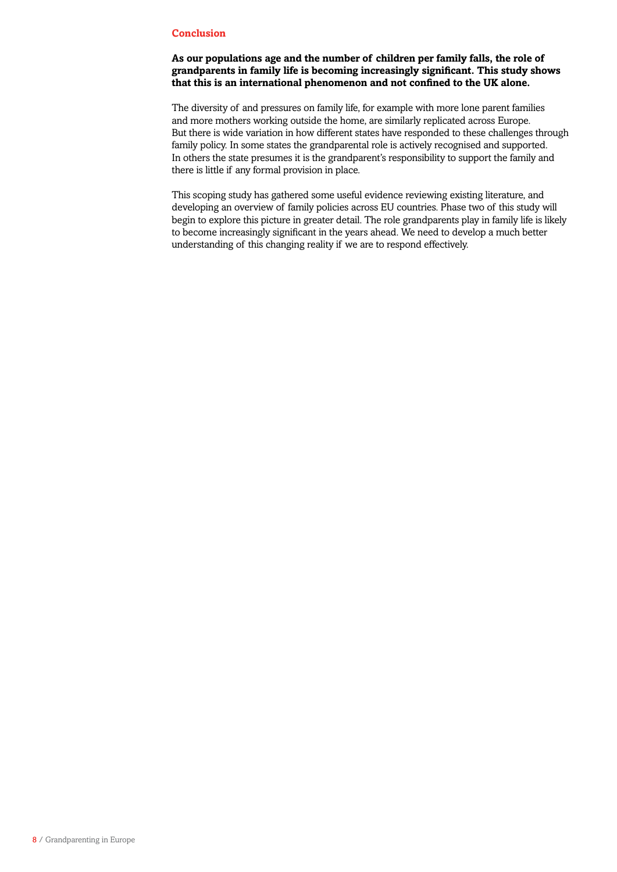# **Conclusion**

# **As our populations age and the number of children per family falls, the role of grandparents in family life is becoming increasingly significant. This study shows that this is an international phenomenon and not confined to the UK alone.**

The diversity of and pressures on family life, for example with more lone parent families and more mothers working outside the home, are similarly replicated across Europe. But there is wide variation in how different states have responded to these challenges through family policy. In some states the grandparental role is actively recognised and supported. In others the state presumes it is the grandparent's responsibility to support the family and there is little if any formal provision in place.

This scoping study has gathered some useful evidence reviewing existing literature, and developing an overview of family policies across EU countries. Phase two of this study will begin to explore this picture in greater detail. The role grandparents play in family life is likely to become increasingly significant in the years ahead. We need to develop a much better understanding of this changing reality if we are to respond effectively.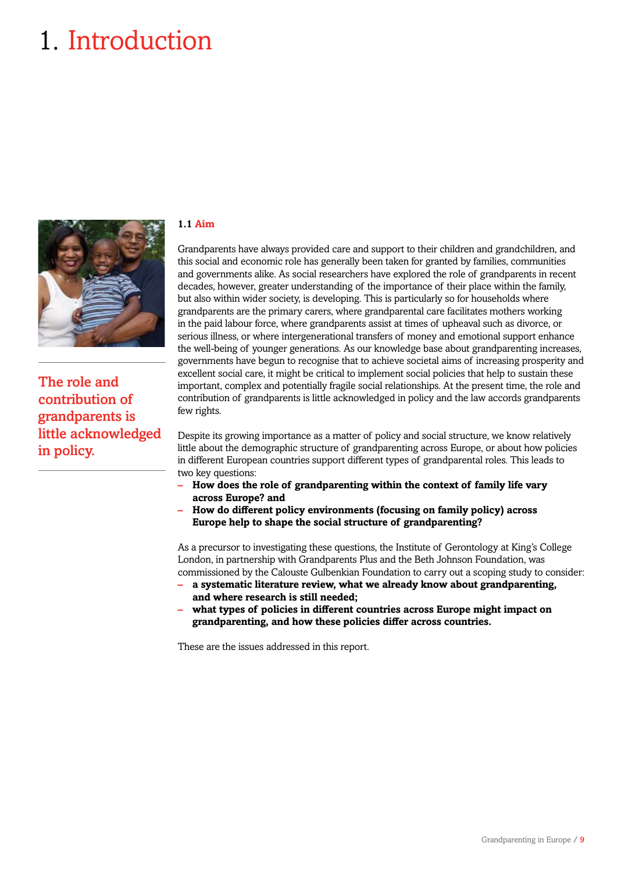# 1. Introduction



The role and contribution of grandparents is little acknowledged in policy.

# **1.1 Aim**

Grandparents have always provided care and support to their children and grandchildren, and this social and economic role has generally been taken for granted by families, communities and governments alike. As social researchers have explored the role of grandparents in recent decades, however, greater understanding of the importance of their place within the family, but also within wider society, is developing. This is particularly so for households where grandparents are the primary carers, where grandparental care facilitates mothers working in the paid labour force, where grandparents assist at times of upheaval such as divorce, or serious illness, or where intergenerational transfers of money and emotional support enhance the well-being of younger generations. As our knowledge base about grandparenting increases, governments have begun to recognise that to achieve societal aims of increasing prosperity and excellent social care, it might be critical to implement social policies that help to sustain these important, complex and potentially fragile social relationships. At the present time, the role and contribution of grandparents is little acknowledged in policy and the law accords grandparents few rights.

Despite its growing importance as a matter of policy and social structure, we know relatively little about the demographic structure of grandparenting across Europe, or about how policies in different European countries support different types of grandparental roles. This leads to two key questions:

- **– How does the role of grandparenting within the context of family life vary across Europe? and**
- **– How do different policy environments (focusing on family policy) across Europe help to shape the social structure of grandparenting?**

As a precursor to investigating these questions, the Institute of Gerontology at King's College London, in partnership with Grandparents Plus and the Beth Johnson Foundation, was commissioned by the Calouste Gulbenkian Foundation to carry out a scoping study to consider:

- **– a systematic literature review, what we already know about grandparenting, and where research is still needed;**
- **– what types of policies in different countries across Europe might impact on grandparenting, and how these policies differ across countries.**

These are the issues addressed in this report.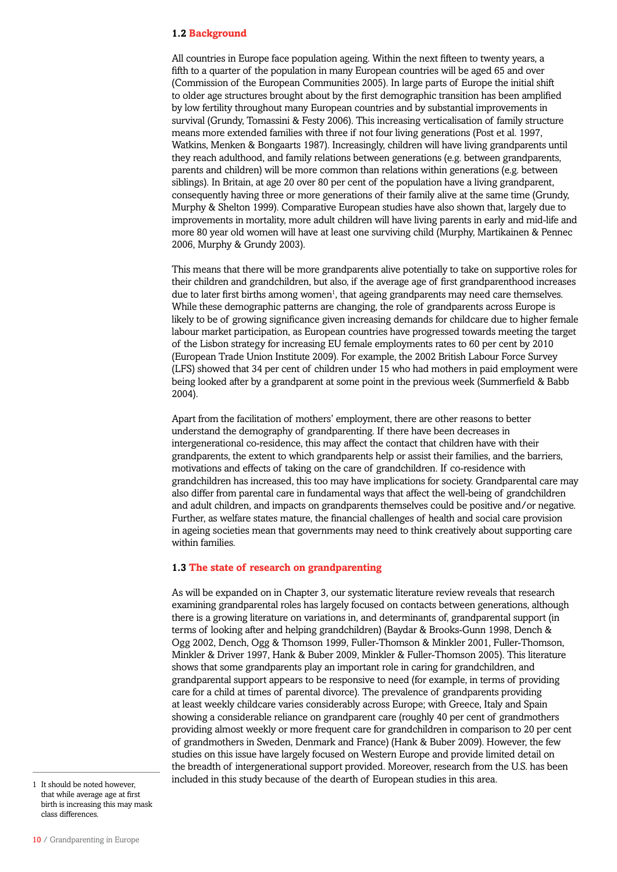### **1.2 Background**

All countries in Europe face population ageing. Within the next fifteen to twenty years, a fifth to a quarter of the population in many European countries will be aged 65 and over (Commission of the European Communities 2005). In large parts of Europe the initial shift to older age structures brought about by the first demographic transition has been amplified by low fertility throughout many European countries and by substantial improvements in survival (Grundy, Tomassini & Festy 2006). This increasing verticalisation of family structure means more extended families with three if not four living generations (Post et al. 1997, Watkins, Menken & Bongaarts 1987). Increasingly, children will have living grandparents until they reach adulthood, and family relations between generations (e.g. between grandparents, parents and children) will be more common than relations within generations (e.g. between siblings). In Britain, at age 20 over 80 per cent of the population have a living grandparent, consequently having three or more generations of their family alive at the same time (Grundy, Murphy & Shelton 1999). Comparative European studies have also shown that, largely due to improvements in mortality, more adult children will have living parents in early and mid-life and more 80 year old women will have at least one surviving child (Murphy, Martikainen & Pennec 2006, Murphy & Grundy 2003).

This means that there will be more grandparents alive potentially to take on supportive roles for their children and grandchildren, but also, if the average age of first grandparenthood increases due to later first births among women<sup>1</sup>, that ageing grandparents may need care themselves. While these demographic patterns are changing, the role of grandparents across Europe is likely to be of growing significance given increasing demands for childcare due to higher female labour market participation, as European countries have progressed towards meeting the target of the Lisbon strategy for increasing EU female employments rates to 60 per cent by 2010 (European Trade Union Institute 2009). For example, the 2002 British Labour Force Survey (LFS) showed that 34 per cent of children under 15 who had mothers in paid employment were being looked after by a grandparent at some point in the previous week (Summerfield & Babb 2004).

Apart from the facilitation of mothers' employment, there are other reasons to better understand the demography of grandparenting. If there have been decreases in intergenerational co-residence, this may affect the contact that children have with their grandparents, the extent to which grandparents help or assist their families, and the barriers, motivations and effects of taking on the care of grandchildren. If co-residence with grandchildren has increased, this too may have implications for society. Grandparental care may also differ from parental care in fundamental ways that affect the well-being of grandchildren and adult children, and impacts on grandparents themselves could be positive and/or negative. Further, as welfare states mature, the financial challenges of health and social care provision in ageing societies mean that governments may need to think creatively about supporting care within families.

### **1.3 The state of research on grandparenting**

As will be expanded on in Chapter 3, our systematic literature review reveals that research examining grandparental roles has largely focused on contacts between generations, although there is a growing literature on variations in, and determinants of, grandparental support (in terms of looking after and helping grandchildren) (Baydar & Brooks-Gunn 1998, Dench & Ogg 2002, Dench, Ogg & Thomson 1999, Fuller-Thomson & Minkler 2001, Fuller-Thomson, Minkler & Driver 1997, Hank & Buber 2009, Minkler & Fuller-Thomson 2005). This literature shows that some grandparents play an important role in caring for grandchildren, and grandparental support appears to be responsive to need (for example, in terms of providing care for a child at times of parental divorce). The prevalence of grandparents providing at least weekly childcare varies considerably across Europe; with Greece, Italy and Spain showing a considerable reliance on grandparent care (roughly 40 per cent of grandmothers providing almost weekly or more frequent care for grandchildren in comparison to 20 per cent of grandmothers in Sweden, Denmark and France) (Hank & Buber 2009). However, the few studies on this issue have largely focused on Western Europe and provide limited detail on the breadth of intergenerational support provided. Moreover, research from the U.S. has been included in this study because of the dearth of European studies in this area. 1 It should be noted however,

that while average age at first birth is increasing this may mask class differences.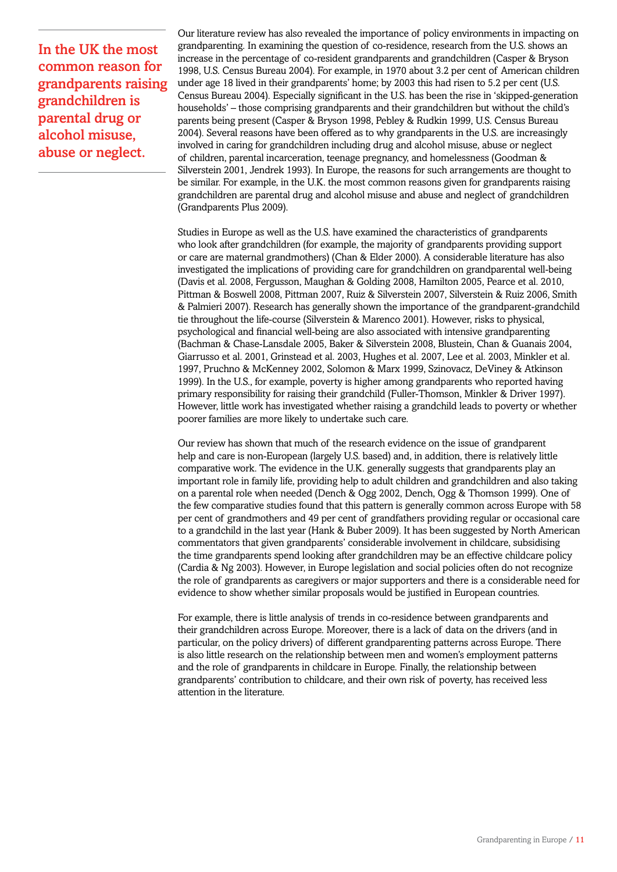In the UK the most common reason for grandparents raising grandchildren is parental drug or alcohol misuse, abuse or neglect.

Our literature review has also revealed the importance of policy environments in impacting on grandparenting. In examining the question of co-residence, research from the U.S. shows an increase in the percentage of co-resident grandparents and grandchildren (Casper & Bryson 1998, U.S. Census Bureau 2004). For example, in 1970 about 3.2 per cent of American children under age 18 lived in their grandparents' home; by 2003 this had risen to 5.2 per cent (U.S. Census Bureau 2004). Especially significant in the U.S. has been the rise in 'skipped-generation households' – those comprising grandparents and their grandchildren but without the child's parents being present (Casper & Bryson 1998, Pebley & Rudkin 1999, U.S. Census Bureau 2004). Several reasons have been offered as to why grandparents in the U.S. are increasingly involved in caring for grandchildren including drug and alcohol misuse, abuse or neglect of children, parental incarceration, teenage pregnancy, and homelessness (Goodman & Silverstein 2001, Jendrek 1993). In Europe, the reasons for such arrangements are thought to be similar. For example, in the U.K. the most common reasons given for grandparents raising grandchildren are parental drug and alcohol misuse and abuse and neglect of grandchildren (Grandparents Plus 2009).

Studies in Europe as well as the U.S. have examined the characteristics of grandparents who look after grandchildren (for example, the majority of grandparents providing support or care are maternal grandmothers) (Chan & Elder 2000). A considerable literature has also investigated the implications of providing care for grandchildren on grandparental well-being (Davis et al. 2008, Fergusson, Maughan & Golding 2008, Hamilton 2005, Pearce et al. 2010, Pittman & Boswell 2008, Pittman 2007, Ruiz & Silverstein 2007, Silverstein & Ruiz 2006, Smith & Palmieri 2007). Research has generally shown the importance of the grandparent-grandchild tie throughout the life-course (Silverstein & Marenco 2001). However, risks to physical, psychological and financial well-being are also associated with intensive grandparenting (Bachman & Chase-Lansdale 2005, Baker & Silverstein 2008, Blustein, Chan & Guanais 2004, Giarrusso et al. 2001, Grinstead et al. 2003, Hughes et al. 2007, Lee et al. 2003, Minkler et al. 1997, Pruchno & McKenney 2002, Solomon & Marx 1999, Szinovacz, DeViney & Atkinson 1999). In the U.S., for example, poverty is higher among grandparents who reported having primary responsibility for raising their grandchild (Fuller-Thomson, Minkler & Driver 1997). However, little work has investigated whether raising a grandchild leads to poverty or whether poorer families are more likely to undertake such care.

Our review has shown that much of the research evidence on the issue of grandparent help and care is non-European (largely U.S. based) and, in addition, there is relatively little comparative work. The evidence in the U.K. generally suggests that grandparents play an important role in family life, providing help to adult children and grandchildren and also taking on a parental role when needed (Dench & Ogg 2002, Dench, Ogg & Thomson 1999). One of the few comparative studies found that this pattern is generally common across Europe with 58 per cent of grandmothers and 49 per cent of grandfathers providing regular or occasional care to a grandchild in the last year (Hank & Buber 2009). It has been suggested by North American commentators that given grandparents' considerable involvement in childcare, subsidising the time grandparents spend looking after grandchildren may be an effective childcare policy (Cardia & Ng 2003). However, in Europe legislation and social policies often do not recognize the role of grandparents as caregivers or major supporters and there is a considerable need for evidence to show whether similar proposals would be justified in European countries.

For example, there is little analysis of trends in co-residence between grandparents and their grandchildren across Europe. Moreover, there is a lack of data on the drivers (and in particular, on the policy drivers) of different grandparenting patterns across Europe. There is also little research on the relationship between men and women's employment patterns and the role of grandparents in childcare in Europe. Finally, the relationship between grandparents' contribution to childcare, and their own risk of poverty, has received less attention in the literature.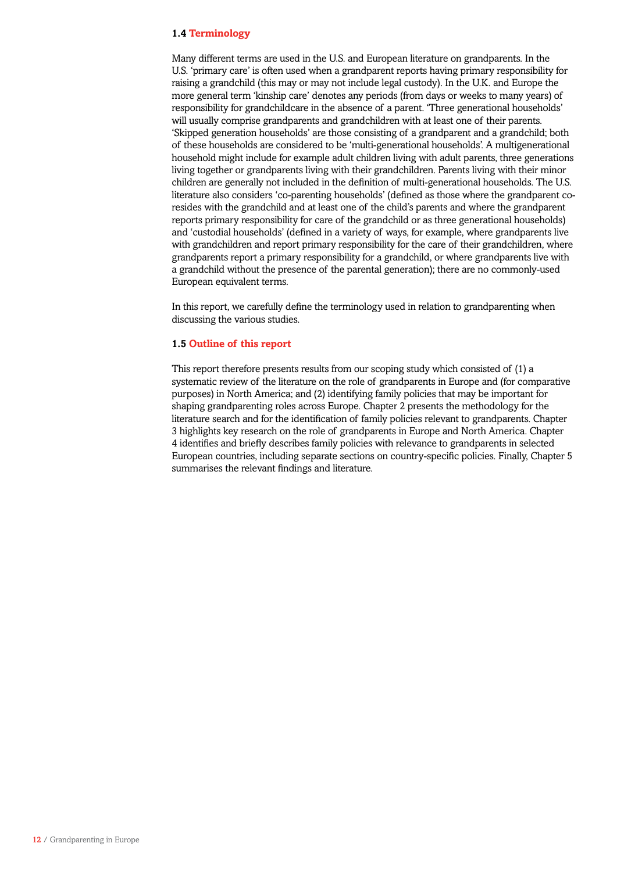# **1.4 Terminology**

Many different terms are used in the U.S. and European literature on grandparents. In the U.S. 'primary care' is often used when a grandparent reports having primary responsibility for raising a grandchild (this may or may not include legal custody). In the U.K. and Europe the more general term 'kinship care' denotes any periods (from days or weeks to many years) of responsibility for grandchildcare in the absence of a parent. 'Three generational households' will usually comprise grandparents and grandchildren with at least one of their parents. 'Skipped generation households' are those consisting of a grandparent and a grandchild; both of these households are considered to be 'multi-generational households'. A multigenerational household might include for example adult children living with adult parents, three generations living together or grandparents living with their grandchildren. Parents living with their minor children are generally not included in the definition of multi-generational households. The U.S. literature also considers 'co-parenting households' (defined as those where the grandparent coresides with the grandchild and at least one of the child's parents and where the grandparent reports primary responsibility for care of the grandchild or as three generational households) and 'custodial households' (defined in a variety of ways, for example, where grandparents live with grandchildren and report primary responsibility for the care of their grandchildren, where grandparents report a primary responsibility for a grandchild, or where grandparents live with a grandchild without the presence of the parental generation); there are no commonly-used European equivalent terms.

In this report, we carefully define the terminology used in relation to grandparenting when discussing the various studies.

### **1.5 Outline of this report**

This report therefore presents results from our scoping study which consisted of (1) a systematic review of the literature on the role of grandparents in Europe and (for comparative purposes) in North America; and (2) identifying family policies that may be important for shaping grandparenting roles across Europe. Chapter 2 presents the methodology for the literature search and for the identification of family policies relevant to grandparents. Chapter 3 highlights key research on the role of grandparents in Europe and North America. Chapter 4 identifies and briefly describes family policies with relevance to grandparents in selected European countries, including separate sections on country-specific policies. Finally, Chapter 5 summarises the relevant findings and literature.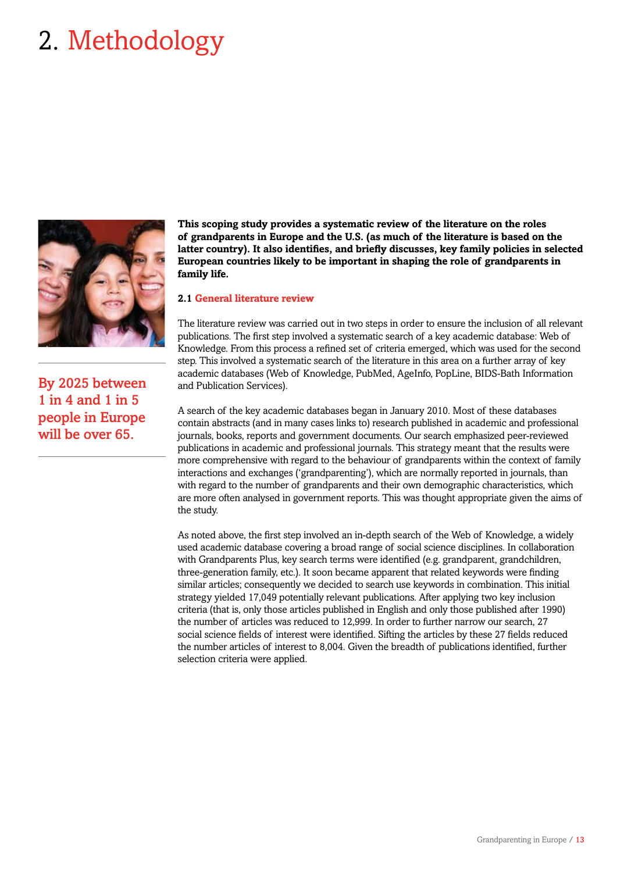# 2. Methodology



By 2025 between 1 in 4 and 1 in 5 people in Europe will be over 65.

**This scoping study provides a systematic review of the literature on the roles of grandparents in Europe and the U.S. (as much of the literature is based on the latter country). It also identifies, and briefly discusses, key family policies in selected European countries likely to be important in shaping the role of grandparents in family life.**

## **2.1 General literature review**

The literature review was carried out in two steps in order to ensure the inclusion of all relevant publications. The first step involved a systematic search of a key academic database: Web of Knowledge. From this process a refined set of criteria emerged, which was used for the second step. This involved a systematic search of the literature in this area on a further array of key academic databases (Web of Knowledge, PubMed, AgeInfo, PopLine, BIDS-Bath Information and Publication Services).

A search of the key academic databases began in January 2010. Most of these databases contain abstracts (and in many cases links to) research published in academic and professional journals, books, reports and government documents. Our search emphasized peer-reviewed publications in academic and professional journals. This strategy meant that the results were more comprehensive with regard to the behaviour of grandparents within the context of family interactions and exchanges ('grandparenting'), which are normally reported in journals, than with regard to the number of grandparents and their own demographic characteristics, which are more often analysed in government reports. This was thought appropriate given the aims of the study.

As noted above, the first step involved an in-depth search of the Web of Knowledge, a widely used academic database covering a broad range of social science disciplines. In collaboration with Grandparents Plus, key search terms were identified (e.g. grandparent, grandchildren, three-generation family, etc.). It soon became apparent that related keywords were finding similar articles; consequently we decided to search use keywords in combination. This initial strategy yielded 17,049 potentially relevant publications. After applying two key inclusion criteria (that is, only those articles published in English and only those published after 1990) the number of articles was reduced to 12,999. In order to further narrow our search, 27 social science fields of interest were identified. Sifting the articles by these 27 fields reduced the number articles of interest to 8,004. Given the breadth of publications identified, further selection criteria were applied.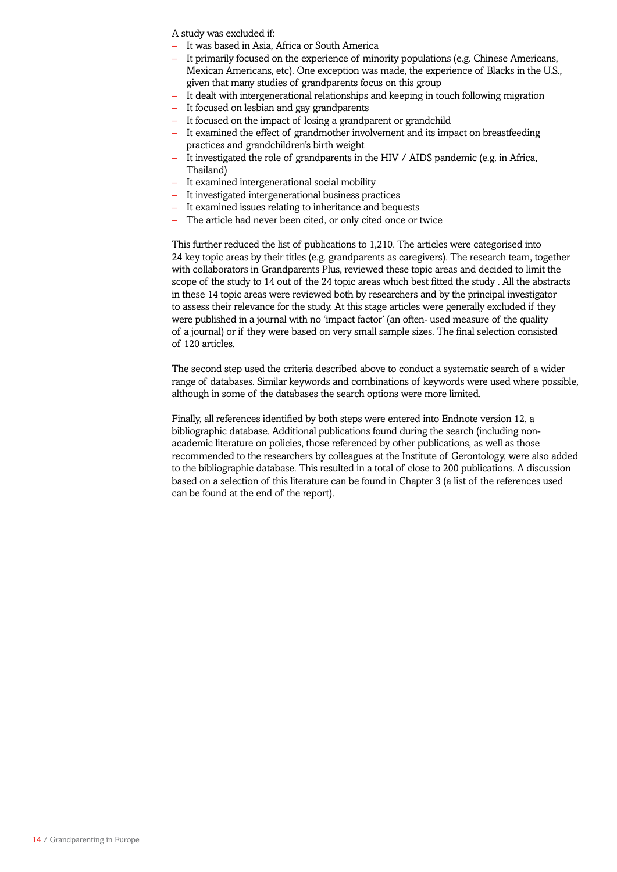A study was excluded if:

- It was based in Asia. Africa or South America
- It primarily focused on the experience of minority populations (e.g. Chinese Americans, Mexican Americans, etc). One exception was made, the experience of Blacks in the U.S., given that many studies of grandparents focus on this group
- It dealt with intergenerational relationships and keeping in touch following migration
- It focused on lesbian and gay grandparents
- It focused on the impact of losing a grandparent or grandchild
- It examined the effect of grandmother involvement and its impact on breastfeeding practices and grandchildren's birth weight
- It investigated the role of grandparents in the HIV / AIDS pandemic (e.g. in Africa, Thailand)
- It examined intergenerational social mobility
- It investigated intergenerational business practices
- It examined issues relating to inheritance and bequests
- The article had never been cited, or only cited once or twice

This further reduced the list of publications to 1,210. The articles were categorised into 24 key topic areas by their titles (e.g. grandparents as caregivers). The research team, together with collaborators in Grandparents Plus, reviewed these topic areas and decided to limit the scope of the study to 14 out of the 24 topic areas which best fitted the study . All the abstracts in these 14 topic areas were reviewed both by researchers and by the principal investigator to assess their relevance for the study. At this stage articles were generally excluded if they were published in a journal with no 'impact factor' (an often- used measure of the quality of a journal) or if they were based on very small sample sizes. The final selection consisted of 120 articles.

The second step used the criteria described above to conduct a systematic search of a wider range of databases. Similar keywords and combinations of keywords were used where possible, although in some of the databases the search options were more limited.

Finally, all references identified by both steps were entered into Endnote version 12, a bibliographic database. Additional publications found during the search (including nonacademic literature on policies, those referenced by other publications, as well as those recommended to the researchers by colleagues at the Institute of Gerontology, were also added to the bibliographic database. This resulted in a total of close to 200 publications. A discussion based on a selection of this literature can be found in Chapter 3 (a list of the references used can be found at the end of the report).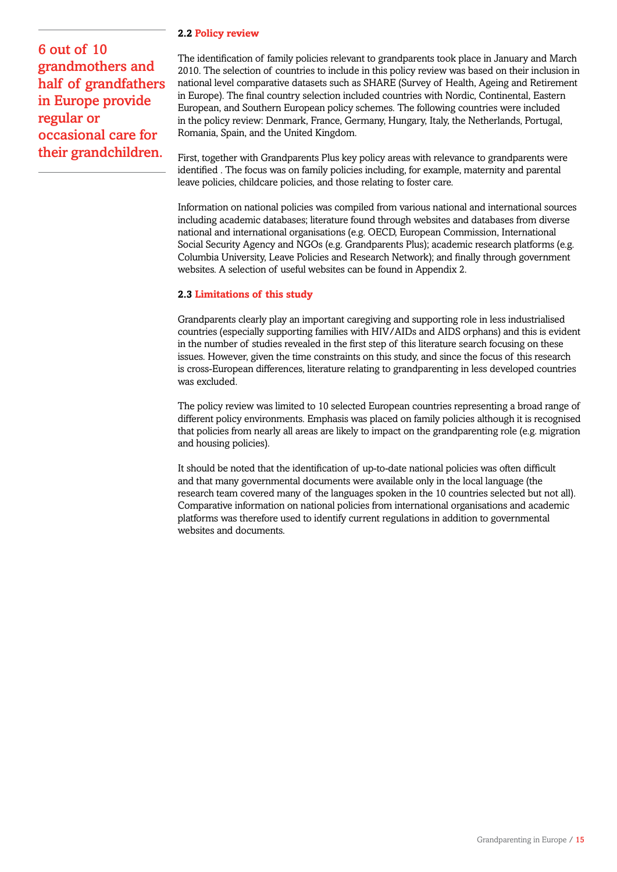# 6 out of 10 grandmothers and half of grandfathers in Europe provide regular or occasional care for their grandchildren.

# **2.2 Policy review**

The identification of family policies relevant to grandparents took place in January and March 2010. The selection of countries to include in this policy review was based on their inclusion in national level comparative datasets such as SHARE (Survey of Health, Ageing and Retirement in Europe). The final country selection included countries with Nordic, Continental, Eastern European, and Southern European policy schemes. The following countries were included in the policy review: Denmark, France, Germany, Hungary, Italy, the Netherlands, Portugal, Romania, Spain, and the United Kingdom.

First, together with Grandparents Plus key policy areas with relevance to grandparents were identified . The focus was on family policies including, for example, maternity and parental leave policies, childcare policies, and those relating to foster care.

Information on national policies was compiled from various national and international sources including academic databases; literature found through websites and databases from diverse national and international organisations (e.g. OECD, European Commission, International Social Security Agency and NGOs (e.g. Grandparents Plus); academic research platforms (e.g. Columbia University, Leave Policies and Research Network); and finally through government websites. A selection of useful websites can be found in Appendix 2.

# **2.3 Limitations of this study**

Grandparents clearly play an important caregiving and supporting role in less industrialised countries (especially supporting families with HIV/AIDs and AIDS orphans) and this is evident in the number of studies revealed in the first step of this literature search focusing on these issues. However, given the time constraints on this study, and since the focus of this research is cross-European differences, literature relating to grandparenting in less developed countries was excluded.

The policy review was limited to 10 selected European countries representing a broad range of different policy environments. Emphasis was placed on family policies although it is recognised that policies from nearly all areas are likely to impact on the grandparenting role (e.g. migration and housing policies).

It should be noted that the identification of up-to-date national policies was often difficult and that many governmental documents were available only in the local language (the research team covered many of the languages spoken in the 10 countries selected but not all). Comparative information on national policies from international organisations and academic platforms was therefore used to identify current regulations in addition to governmental websites and documents.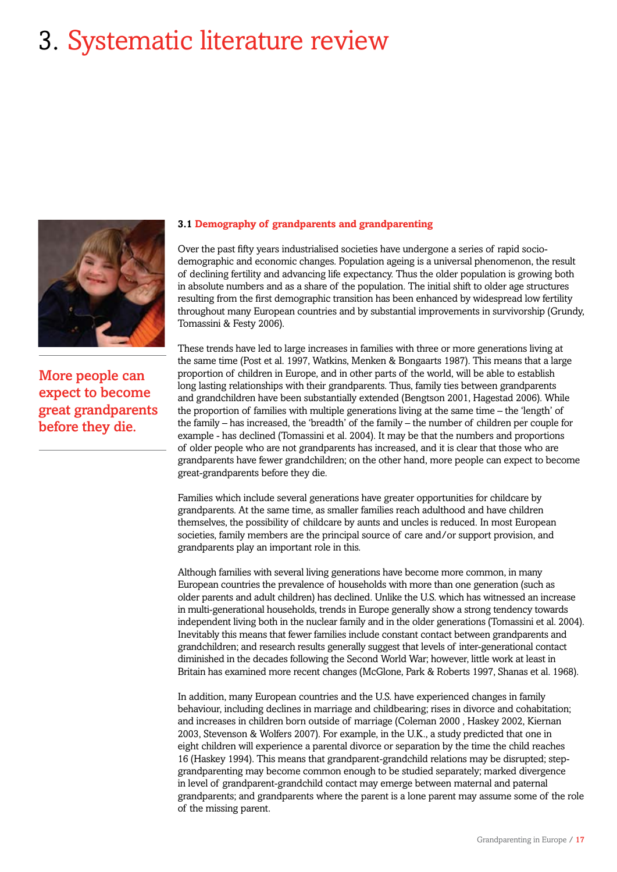# 3. Systematic literature review



More people can expect to become great grandparents before they die.

## **3.1 Demography of grandparents and grandparenting**

Over the past fifty years industrialised societies have undergone a series of rapid sociodemographic and economic changes. Population ageing is a universal phenomenon, the result of declining fertility and advancing life expectancy. Thus the older population is growing both in absolute numbers and as a share of the population. The initial shift to older age structures resulting from the first demographic transition has been enhanced by widespread low fertility throughout many European countries and by substantial improvements in survivorship (Grundy, Tomassini & Festy 2006).

These trends have led to large increases in families with three or more generations living at the same time (Post et al. 1997, Watkins, Menken & Bongaarts 1987). This means that a large proportion of children in Europe, and in other parts of the world, will be able to establish long lasting relationships with their grandparents. Thus, family ties between grandparents and grandchildren have been substantially extended (Bengtson 2001, Hagestad 2006). While the proportion of families with multiple generations living at the same time – the 'length' of the family – has increased, the 'breadth' of the family – the number of children per couple for example - has declined (Tomassini et al. 2004). It may be that the numbers and proportions of older people who are not grandparents has increased, and it is clear that those who are grandparents have fewer grandchildren; on the other hand, more people can expect to become great-grandparents before they die.

Families which include several generations have greater opportunities for childcare by grandparents. At the same time, as smaller families reach adulthood and have children themselves, the possibility of childcare by aunts and uncles is reduced. In most European societies, family members are the principal source of care and/or support provision, and grandparents play an important role in this.

Although families with several living generations have become more common, in many European countries the prevalence of households with more than one generation (such as older parents and adult children) has declined. Unlike the U.S. which has witnessed an increase in multi-generational households, trends in Europe generally show a strong tendency towards independent living both in the nuclear family and in the older generations (Tomassini et al. 2004). Inevitably this means that fewer families include constant contact between grandparents and grandchildren; and research results generally suggest that levels of inter-generational contact diminished in the decades following the Second World War; however, little work at least in Britain has examined more recent changes (McGlone, Park & Roberts 1997, Shanas et al. 1968).

In addition, many European countries and the U.S. have experienced changes in family behaviour, including declines in marriage and childbearing; rises in divorce and cohabitation; and increases in children born outside of marriage (Coleman 2000 , Haskey 2002, Kiernan 2003, Stevenson & Wolfers 2007). For example, in the U.K., a study predicted that one in eight children will experience a parental divorce or separation by the time the child reaches 16 (Haskey 1994). This means that grandparent-grandchild relations may be disrupted; stepgrandparenting may become common enough to be studied separately; marked divergence in level of grandparent-grandchild contact may emerge between maternal and paternal grandparents; and grandparents where the parent is a lone parent may assume some of the role of the missing parent.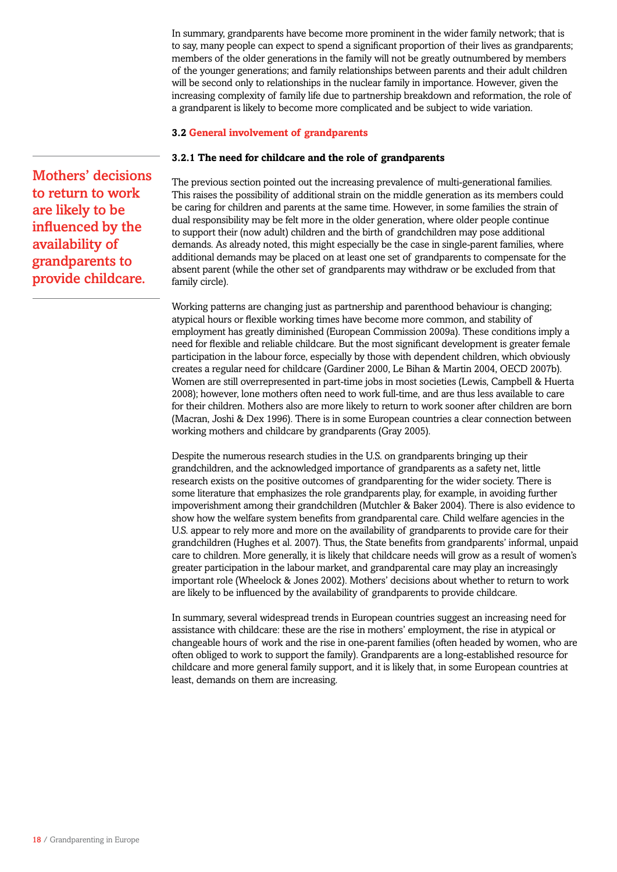In summary, grandparents have become more prominent in the wider family network; that is to say, many people can expect to spend a significant proportion of their lives as grandparents; members of the older generations in the family will not be greatly outnumbered by members of the younger generations; and family relationships between parents and their adult children will be second only to relationships in the nuclear family in importance. However, given the increasing complexity of family life due to partnership breakdown and reformation, the role of a grandparent is likely to become more complicated and be subject to wide variation.

# **3.2 General involvement of grandparents**

## **3.2.1 The need for childcare and the role of grandparents**

The previous section pointed out the increasing prevalence of multi-generational families. This raises the possibility of additional strain on the middle generation as its members could be caring for children and parents at the same time. However, in some families the strain of dual responsibility may be felt more in the older generation, where older people continue to support their (now adult) children and the birth of grandchildren may pose additional demands. As already noted, this might especially be the case in single-parent families, where additional demands may be placed on at least one set of grandparents to compensate for the absent parent (while the other set of grandparents may withdraw or be excluded from that family circle).

Working patterns are changing just as partnership and parenthood behaviour is changing; atypical hours or flexible working times have become more common, and stability of employment has greatly diminished (European Commission 2009a). These conditions imply a need for flexible and reliable childcare. But the most significant development is greater female participation in the labour force, especially by those with dependent children, which obviously creates a regular need for childcare (Gardiner 2000, Le Bihan & Martin 2004, OECD 2007b). Women are still overrepresented in part-time jobs in most societies (Lewis, Campbell & Huerta 2008); however, lone mothers often need to work full-time, and are thus less available to care for their children. Mothers also are more likely to return to work sooner after children are born (Macran, Joshi & Dex 1996). There is in some European countries a clear connection between working mothers and childcare by grandparents (Gray 2005).

Despite the numerous research studies in the U.S. on grandparents bringing up their grandchildren, and the acknowledged importance of grandparents as a safety net, little research exists on the positive outcomes of grandparenting for the wider society. There is some literature that emphasizes the role grandparents play, for example, in avoiding further impoverishment among their grandchildren (Mutchler & Baker 2004). There is also evidence to show how the welfare system benefits from grandparental care. Child welfare agencies in the U.S. appear to rely more and more on the availability of grandparents to provide care for their grandchildren (Hughes et al. 2007). Thus, the State benefits from grandparents' informal, unpaid care to children. More generally, it is likely that childcare needs will grow as a result of women's greater participation in the labour market, and grandparental care may play an increasingly important role (Wheelock & Jones 2002). Mothers' decisions about whether to return to work are likely to be influenced by the availability of grandparents to provide childcare.

In summary, several widespread trends in European countries suggest an increasing need for assistance with childcare: these are the rise in mothers' employment, the rise in atypical or changeable hours of work and the rise in one-parent families (often headed by women, who are often obliged to work to support the family). Grandparents are a long-established resource for childcare and more general family support, and it is likely that, in some European countries at least, demands on them are increasing.

Mothers' decisions to return to work are likely to be influenced by the availability of grandparents to provide childcare.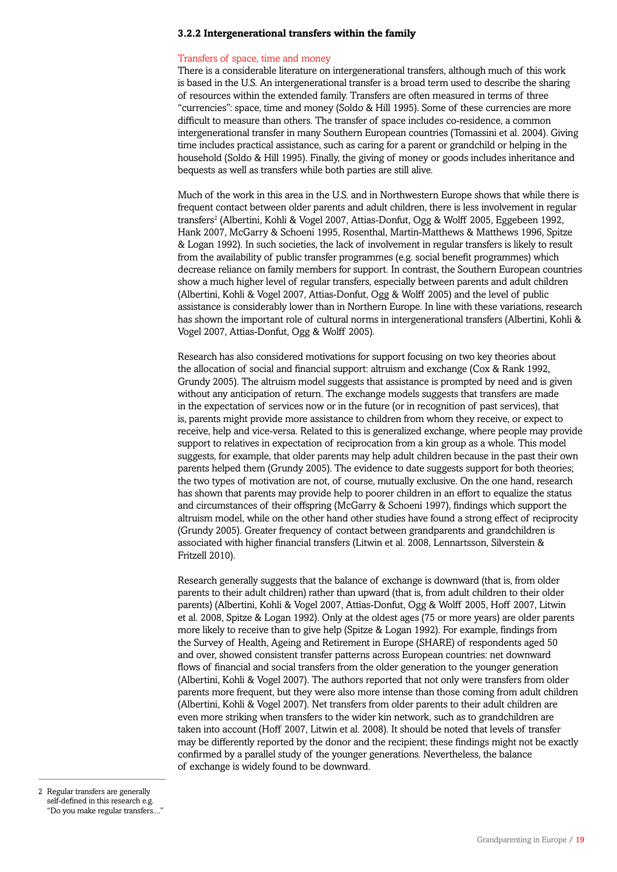### **3.2.2 Intergenerational transfers within the family**

### Transfers of space, time and money

There is a considerable literature on intergenerational transfers, although much of this work is based in the U.S. An intergenerational transfer is a broad term used to describe the sharing of resources within the extended family. Transfers are often measured in terms of three "currencies": space, time and money (Soldo & Hill 1995). Some of these currencies are more difficult to measure than others. The transfer of space includes co-residence, a common intergenerational transfer in many Southern European countries (Tomassini et al. 2004). Giving time includes practical assistance, such as caring for a parent or grandchild or helping in the household (Soldo & Hill 1995). Finally, the giving of money or goods includes inheritance and bequests as well as transfers while both parties are still alive.

Much of the work in this area in the U.S. and in Northwestern Europe shows that while there is frequent contact between older parents and adult children, there is less involvement in regular transfers<sup>2</sup> (Albertini, Kohli & Vogel 2007, Attias-Donfut, Ogg & Wolff 2005, Eggebeen 1992, Hank 2007, McGarry & Schoeni 1995, Rosenthal, Martin-Matthews & Matthews 1996, Spitze & Logan 1992). In such societies, the lack of involvement in regular transfers is likely to result from the availability of public transfer programmes (e.g. social benefit programmes) which decrease reliance on family members for support. In contrast, the Southern European countries show a much higher level of regular transfers, especially between parents and adult children (Albertini, Kohli & Vogel 2007, Attias-Donfut, Ogg & Wolff 2005) and the level of public assistance is considerably lower than in Northern Europe. In line with these variations, research has shown the important role of cultural norms in intergenerational transfers (Albertini, Kohli & Vogel 2007, Attias-Donfut, Ogg & Wolff 2005).

Research has also considered motivations for support focusing on two key theories about the allocation of social and financial support: altruism and exchange (Cox & Rank 1992, Grundy 2005). The altruism model suggests that assistance is prompted by need and is given without any anticipation of return. The exchange models suggests that transfers are made in the expectation of services now or in the future (or in recognition of past services), that is, parents might provide more assistance to children from whom they receive, or expect to receive, help and vice-versa. Related to this is generalized exchange, where people may provide support to relatives in expectation of reciprocation from a kin group as a whole. This model suggests, for example, that older parents may help adult children because in the past their own parents helped them (Grundy 2005). The evidence to date suggests support for both theories; the two types of motivation are not, of course, mutually exclusive. On the one hand, research has shown that parents may provide help to poorer children in an effort to equalize the status and circumstances of their offspring (McGarry & Schoeni 1997), findings which support the altruism model, while on the other hand other studies have found a strong effect of reciprocity (Grundy 2005). Greater frequency of contact between grandparents and grandchildren is associated with higher financial transfers (Litwin et al. 2008, Lennartsson, Silverstein & Fritzell 2010).

Research generally suggests that the balance of exchange is downward (that is, from older parents to their adult children) rather than upward (that is, from adult children to their older parents) (Albertini, Kohli & Vogel 2007, Attias-Donfut, Ogg & Wolff 2005, Hoff 2007, Litwin et al. 2008, Spitze & Logan 1992). Only at the oldest ages (75 or more years) are older parents more likely to receive than to give help (Spitze & Logan 1992). For example, findings from the Survey of Health, Ageing and Retirement in Europe (SHARE) of respondents aged 50 and over, showed consistent transfer patterns across European countries: net downward flows of financial and social transfers from the older generation to the younger generation (Albertini, Kohli & Vogel 2007). The authors reported that not only were transfers from older parents more frequent, but they were also more intense than those coming from adult children (Albertini, Kohli & Vogel 2007). Net transfers from older parents to their adult children are even more striking when transfers to the wider kin network, such as to grandchildren are taken into account (Hoff 2007, Litwin et al. 2008). It should be noted that levels of transfer may be differently reported by the donor and the recipient; these findings might not be exactly confirmed by a parallel study of the younger generations. Nevertheless, the balance of exchange is widely found to be downward.

2 Regular transfers are generally self-defined in this research e.g. "Do you make regular transfers...."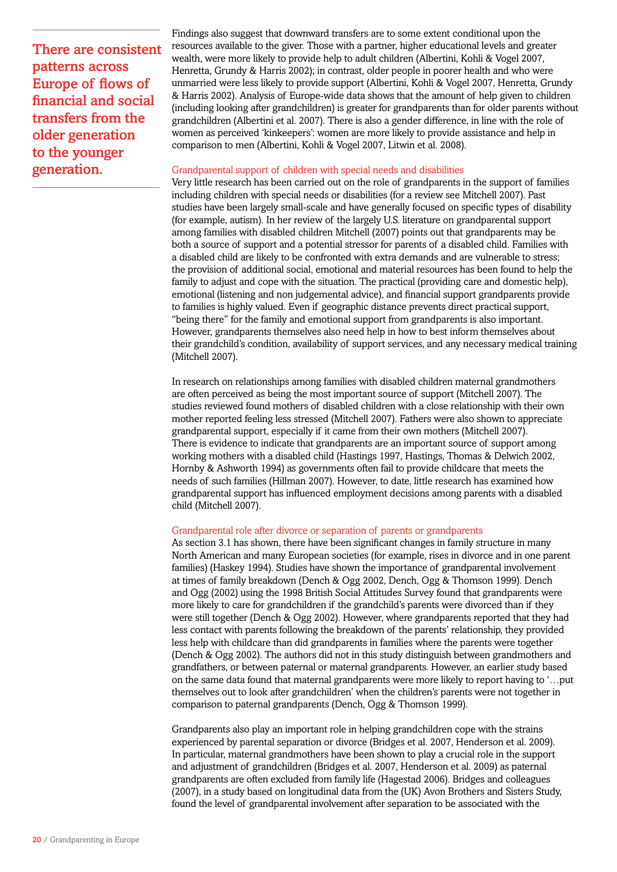There are consistent patterns across Europe of flows of financial and social transfers from the older generation to the younger generation.

Findings also suggest that downward transfers are to some extent conditional upon the resources available to the giver. Those with a partner, higher educational levels and greater wealth, were more likely to provide help to adult children (Albertini, Kohli & Vogel 2007, Henretta, Grundy & Harris 2002); in contrast, older people in poorer health and who were unmarried were less likely to provide support (Albertini, Kohli & Vogel 2007, Henretta, Grundy & Harris 2002). Analysis of Europe-wide data shows that the amount of help given to children (including looking after grandchildren) is greater for grandparents than for older parents without grandchildren (Albertini et al. 2007). There is also a gender difference, in line with the role of women as perceived 'kinkeepers': women are more likely to provide assistance and help in comparison to men (Albertini, Kohli & Vogel 2007, Litwin et al. 2008).

### Grandparental support of children with special needs and disabilities

Very little research has been carried out on the role of grandparents in the support of families including children with special needs or disabilities (for a review see Mitchell 2007). Past studies have been largely small-scale and have generally focused on specific types of disability (for example, autism). In her review of the largely U.S. literature on grandparental support among families with disabled children Mitchell (2007) points out that grandparents may be both a source of support and a potential stressor for parents of a disabled child. Families with a disabled child are likely to be confronted with extra demands and are vulnerable to stress; the provision of additional social, emotional and material resources has been found to help the family to adjust and cope with the situation. The practical (providing care and domestic help), emotional (listening and non judgemental advice), and financial support grandparents provide to families is highly valued. Even if geographic distance prevents direct practical support, "being there" for the family and emotional support from grandparents is also important. However, grandparents themselves also need help in how to best inform themselves about their grandchild's condition, availability of support services, and any necessary medical training (Mitchell 2007).

In research on relationships among families with disabled children maternal grandmothers are often perceived as being the most important source of support (Mitchell 2007). The studies reviewed found mothers of disabled children with a close relationship with their own mother reported feeling less stressed (Mitchell 2007). Fathers were also shown to appreciate grandparental support, especially if it came from their own mothers (Mitchell 2007). There is evidence to indicate that grandparents are an important source of support among working mothers with a disabled child (Hastings 1997, Hastings, Thomas & Delwich 2002, Hornby & Ashworth 1994) as governments often fail to provide childcare that meets the needs of such families (Hillman 2007). However, to date, little research has examined how grandparental support has influenced employment decisions among parents with a disabled child (Mitchell 2007).

### Grandparental role after divorce or separation of parents or grandparents

As section 3.1 has shown, there have been significant changes in family structure in many North American and many European societies (for example, rises in divorce and in one parent families) (Haskey 1994). Studies have shown the importance of grandparental involvement at times of family breakdown (Dench & Ogg 2002, Dench, Ogg & Thomson 1999). Dench and Ogg (2002) using the 1998 British Social Attitudes Survey found that grandparents were more likely to care for grandchildren if the grandchild's parents were divorced than if they were still together (Dench & Ogg 2002). However, where grandparents reported that they had less contact with parents following the breakdown of the parents' relationship, they provided less help with childcare than did grandparents in families where the parents were together (Dench & Ogg 2002). The authors did not in this study distinguish between grandmothers and grandfathers, or between paternal or maternal grandparents. However, an earlier study based on the same data found that maternal grandparents were more likely to report having to '…put themselves out to look after grandchildren' when the children's parents were not together in comparison to paternal grandparents (Dench, Ogg & Thomson 1999).

Grandparents also play an important role in helping grandchildren cope with the strains experienced by parental separation or divorce (Bridges et al. 2007, Henderson et al. 2009). In particular, maternal grandmothers have been shown to play a crucial role in the support and adjustment of grandchildren (Bridges et al. 2007, Henderson et al. 2009) as paternal grandparents are often excluded from family life (Hagestad 2006). Bridges and colleagues (2007), in a study based on longitudinal data from the (UK) Avon Brothers and Sisters Study, found the level of grandparental involvement after separation to be associated with the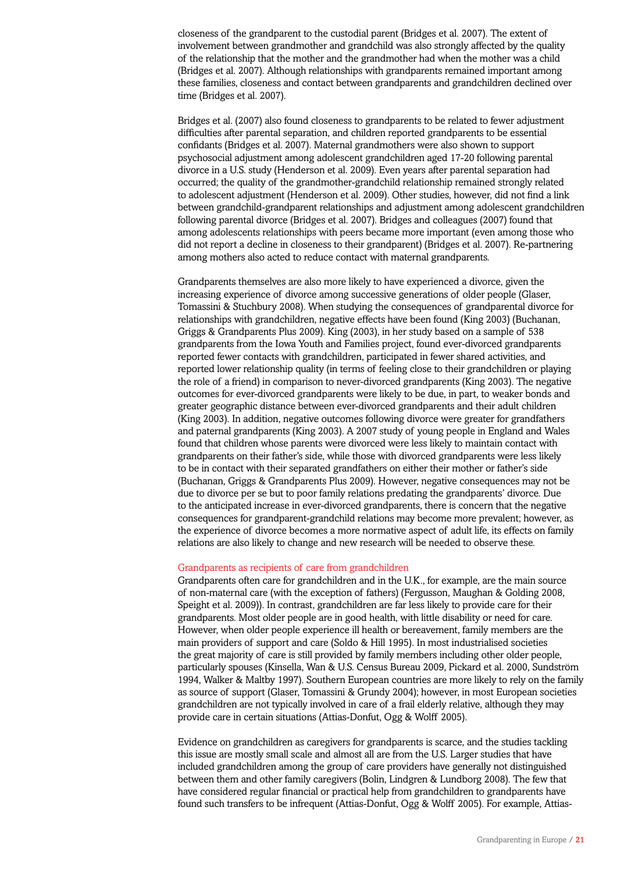closeness of the grandparent to the custodial parent (Bridges et al. 2007). The extent of involvement between grandmother and grandchild was also strongly affected by the quality of the relationship that the mother and the grandmother had when the mother was a child (Bridges et al. 2007). Although relationships with grandparents remained important among these families, closeness and contact between grandparents and grandchildren declined over time (Bridges et al. 2007).

Bridges et al. (2007) also found closeness to grandparents to be related to fewer adjustment difficulties after parental separation, and children reported grandparents to be essential confidants (Bridges et al. 2007). Maternal grandmothers were also shown to support psychosocial adjustment among adolescent grandchildren aged 17-20 following parental divorce in a U.S. study (Henderson et al. 2009). Even years after parental separation had occurred; the quality of the grandmother-grandchild relationship remained strongly related to adolescent adjustment (Henderson et al. 2009). Other studies, however, did not find a link between grandchild-grandparent relationships and adjustment among adolescent grandchildren following parental divorce (Bridges et al. 2007). Bridges and colleagues (2007) found that among adolescents relationships with peers became more important (even among those who did not report a decline in closeness to their grandparent) (Bridges et al. 2007). Re-partnering among mothers also acted to reduce contact with maternal grandparents.

Grandparents themselves are also more likely to have experienced a divorce, given the increasing experience of divorce among successive generations of older people (Glaser, Tomassini & Stuchbury 2008). When studying the consequences of grandparental divorce for relationships with grandchildren, negative effects have been found (King 2003) (Buchanan, Griggs & Grandparents Plus 2009). King (2003), in her study based on a sample of 538 grandparents from the Iowa Youth and Families project, found ever-divorced grandparents reported fewer contacts with grandchildren, participated in fewer shared activities, and reported lower relationship quality (in terms of feeling close to their grandchildren or playing the role of a friend) in comparison to never-divorced grandparents (King 2003). The negative outcomes for ever-divorced grandparents were likely to be due, in part, to weaker bonds and greater geographic distance between ever-divorced grandparents and their adult children (King 2003). In addition, negative outcomes following divorce were greater for grandfathers and paternal grandparents (King 2003). A 2007 study of young people in England and Wales found that children whose parents were divorced were less likely to maintain contact with grandparents on their father's side, while those with divorced grandparents were less likely to be in contact with their separated grandfathers on either their mother or father's side (Buchanan, Griggs & Grandparents Plus 2009). However, negative consequences may not be due to divorce per se but to poor family relations predating the grandparents' divorce. Due to the anticipated increase in ever-divorced grandparents, there is concern that the negative consequences for grandparent-grandchild relations may become more prevalent; however, as the experience of divorce becomes a more normative aspect of adult life, its effects on family relations are also likely to change and new research will be needed to observe these.

#### Grandparents as recipients of care from grandchildren

Grandparents often care for grandchildren and in the U.K., for example, are the main source of non-maternal care (with the exception of fathers) (Fergusson, Maughan & Golding 2008, Speight et al. 2009)). In contrast, grandchildren are far less likely to provide care for their grandparents. Most older people are in good health, with little disability or need for care. However, when older people experience ill health or bereavement, family members are the main providers of support and care (Soldo & Hill 1995). In most industrialised societies the great majority of care is still provided by family members including other older people, particularly spouses (Kinsella, Wan & U.S. Census Bureau 2009, Pickard et al. 2000, Sundström 1994, Walker & Maltby 1997). Southern European countries are more likely to rely on the family as source of support (Glaser, Tomassini & Grundy 2004); however, in most European societies grandchildren are not typically involved in care of a frail elderly relative, although they may provide care in certain situations (Attias-Donfut, Ogg & Wolff 2005).

Evidence on grandchildren as caregivers for grandparents is scarce, and the studies tackling this issue are mostly small scale and almost all are from the U.S. Larger studies that have included grandchildren among the group of care providers have generally not distinguished between them and other family caregivers (Bolin, Lindgren & Lundborg 2008). The few that have considered regular financial or practical help from grandchildren to grandparents have found such transfers to be infrequent (Attias-Donfut, Ogg & Wolff 2005). For example, Attias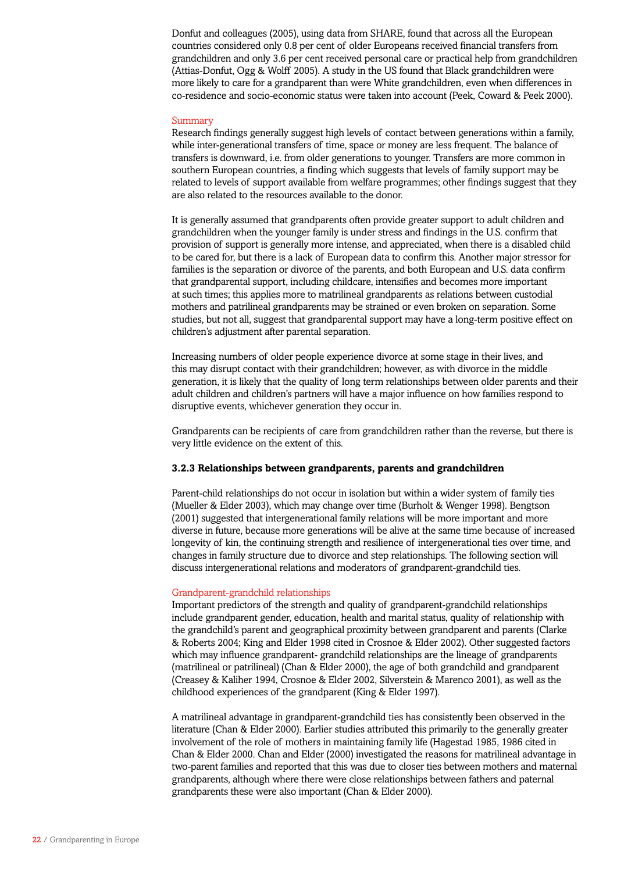Donfut and colleagues (2005), using data from SHARE, found that across all the European countries considered only 0.8 per cent of older Europeans received financial transfers from grandchildren and only 3.6 per cent received personal care or practical help from grandchildren (Attias-Donfut, Ogg & Wolff 2005). A study in the US found that Black grandchildren were more likely to care for a grandparent than were White grandchildren, even when differences in co-residence and socio-economic status were taken into account (Peek, Coward & Peek 2000).

### Summary

Research findings generally suggest high levels of contact between generations within a family, while inter-generational transfers of time, space or money are less frequent. The balance of transfers is downward, i.e. from older generations to younger. Transfers are more common in southern European countries, a finding which suggests that levels of family support may be related to levels of support available from welfare programmes; other findings suggest that they are also related to the resources available to the donor.

It is generally assumed that grandparents often provide greater support to adult children and grandchildren when the younger family is under stress and findings in the U.S. confirm that provision of support is generally more intense, and appreciated, when there is a disabled child to be cared for, but there is a lack of European data to confirm this. Another major stressor for families is the separation or divorce of the parents, and both European and U.S. data confirm that grandparental support, including childcare, intensifies and becomes more important at such times; this applies more to matrilineal grandparents as relations between custodial mothers and patrilineal grandparents may be strained or even broken on separation. Some studies, but not all, suggest that grandparental support may have a long-term positive effect on children's adjustment after parental separation.

Increasing numbers of older people experience divorce at some stage in their lives, and this may disrupt contact with their grandchildren; however, as with divorce in the middle generation, it is likely that the quality of long term relationships between older parents and their adult children and children's partners will have a major influence on how families respond to disruptive events, whichever generation they occur in.

Grandparents can be recipients of care from grandchildren rather than the reverse, but there is very little evidence on the extent of this.

## **3.2.3 Relationships between grandparents, parents and grandchildren**

Parent-child relationships do not occur in isolation but within a wider system of family ties (Mueller & Elder 2003), which may change over time (Burholt & Wenger 1998). Bengtson (2001) suggested that intergenerational family relations will be more important and more diverse in future, because more generations will be alive at the same time because of increased longevity of kin, the continuing strength and resilience of intergenerational ties over time, and changes in family structure due to divorce and step relationships. The following section will discuss intergenerational relations and moderators of grandparent-grandchild ties.

#### Grandparent-grandchild relationships

Important predictors of the strength and quality of grandparent-grandchild relationships include grandparent gender, education, health and marital status, quality of relationship with the grandchild's parent and geographical proximity between grandparent and parents (Clarke & Roberts 2004; King and Elder 1998 cited in Crosnoe & Elder 2002). Other suggested factors which may influence grandparent- grandchild relationships are the lineage of grandparents (matrilineal or patrilineal) (Chan & Elder 2000), the age of both grandchild and grandparent (Creasey & Kaliher 1994, Crosnoe & Elder 2002, Silverstein & Marenco 2001), as well as the childhood experiences of the grandparent (King & Elder 1997).

A matrilineal advantage in grandparent-grandchild ties has consistently been observed in the literature (Chan & Elder 2000). Earlier studies attributed this primarily to the generally greater involvement of the role of mothers in maintaining family life (Hagestad 1985, 1986 cited in Chan & Elder 2000. Chan and Elder (2000) investigated the reasons for matrilineal advantage in two-parent families and reported that this was due to closer ties between mothers and maternal grandparents, although where there were close relationships between fathers and paternal grandparents these were also important (Chan & Elder 2000).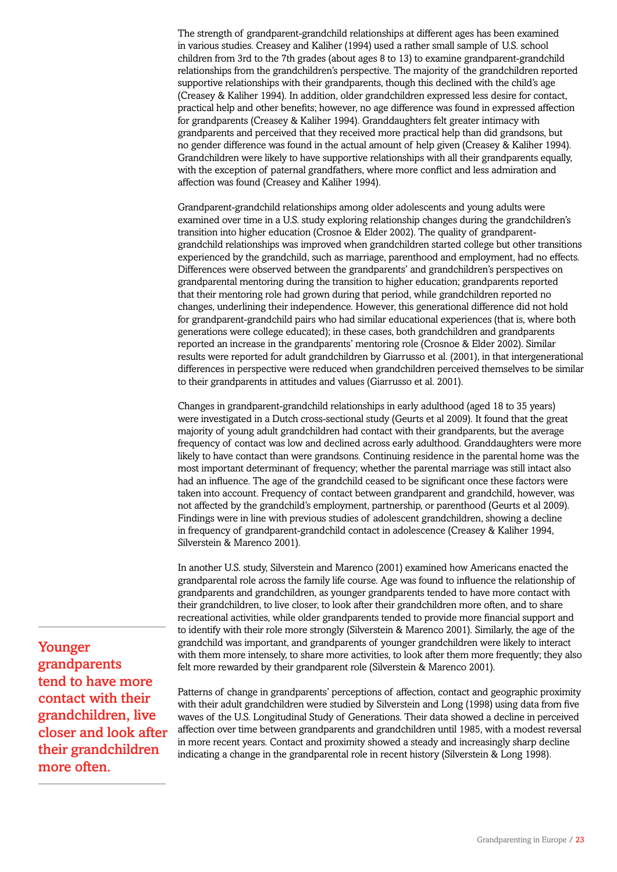The strength of grandparent-grandchild relationships at different ages has been examined in various studies. Creasey and Kaliher (1994) used a rather small sample of U.S. school children from 3rd to the 7th grades (about ages 8 to 13) to examine grandparent-grandchild relationships from the grandchildren's perspective. The majority of the grandchildren reported supportive relationships with their grandparents, though this declined with the child's age (Creasey & Kaliher 1994). In addition, older grandchildren expressed less desire for contact, practical help and other benefits; however, no age difference was found in expressed affection for grandparents (Creasey & Kaliher 1994). Granddaughters felt greater intimacy with grandparents and perceived that they received more practical help than did grandsons, but no gender difference was found in the actual amount of help given (Creasey & Kaliher 1994). Grandchildren were likely to have supportive relationships with all their grandparents equally, with the exception of paternal grandfathers, where more conflict and less admiration and affection was found (Creasey and Kaliher 1994).

Grandparent-grandchild relationships among older adolescents and young adults were examined over time in a U.S. study exploring relationship changes during the grandchildren's transition into higher education (Crosnoe & Elder 2002). The quality of grandparentgrandchild relationships was improved when grandchildren started college but other transitions experienced by the grandchild, such as marriage, parenthood and employment, had no effects. Differences were observed between the grandparents' and grandchildren's perspectives on grandparental mentoring during the transition to higher education; grandparents reported that their mentoring role had grown during that period, while grandchildren reported no changes, underlining their independence. However, this generational difference did not hold for grandparent-grandchild pairs who had similar educational experiences (that is, where both generations were college educated); in these cases, both grandchildren and grandparents reported an increase in the grandparents' mentoring role (Crosnoe & Elder 2002). Similar results were reported for adult grandchildren by Giarrusso et al. (2001), in that intergenerational differences in perspective were reduced when grandchildren perceived themselves to be similar to their grandparents in attitudes and values (Giarrusso et al. 2001).

Changes in grandparent-grandchild relationships in early adulthood (aged 18 to 35 years) were investigated in a Dutch cross-sectional study (Geurts et al 2009). It found that the great majority of young adult grandchildren had contact with their grandparents, but the average frequency of contact was low and declined across early adulthood. Granddaughters were more likely to have contact than were grandsons. Continuing residence in the parental home was the most important determinant of frequency; whether the parental marriage was still intact also had an influence. The age of the grandchild ceased to be significant once these factors were taken into account. Frequency of contact between grandparent and grandchild, however, was not affected by the grandchild's employment, partnership, or parenthood (Geurts et al 2009). Findings were in line with previous studies of adolescent grandchildren, showing a decline in frequency of grandparent-grandchild contact in adolescence (Creasey & Kaliher 1994, Silverstein & Marenco 2001).

In another U.S. study, Silverstein and Marenco (2001) examined how Americans enacted the grandparental role across the family life course. Age was found to influence the relationship of grandparents and grandchildren, as younger grandparents tended to have more contact with their grandchildren, to live closer, to look after their grandchildren more often, and to share recreational activities, while older grandparents tended to provide more financial support and to identify with their role more strongly (Silverstein & Marenco 2001). Similarly, the age of the grandchild was important, and grandparents of younger grandchildren were likely to interact with them more intensely, to share more activities, to look after them more frequently; they also felt more rewarded by their grandparent role (Silverstein & Marenco 2001).

Patterns of change in grandparents' perceptions of affection, contact and geographic proximity with their adult grandchildren were studied by Silverstein and Long (1998) using data from five waves of the U.S. Longitudinal Study of Generations. Their data showed a decline in perceived affection over time between grandparents and grandchildren until 1985, with a modest reversal in more recent years. Contact and proximity showed a steady and increasingly sharp decline indicating a change in the grandparental role in recent history (Silverstein & Long 1998).

Younger grandparents tend to have more contact with their grandchildren, live closer and look after their grandchildren more often.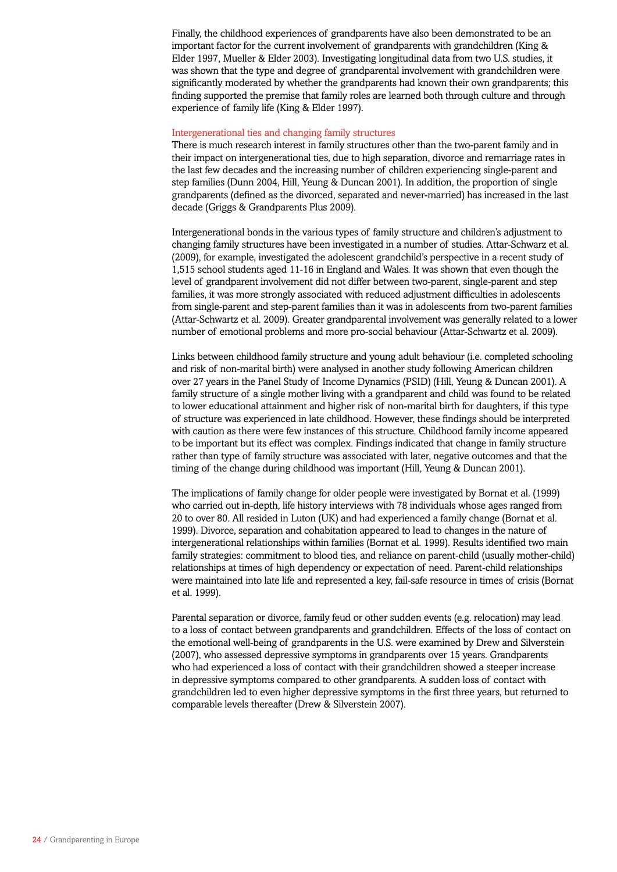Finally, the childhood experiences of grandparents have also been demonstrated to be an important factor for the current involvement of grandparents with grandchildren (King & Elder 1997, Mueller & Elder 2003). Investigating longitudinal data from two U.S. studies, it was shown that the type and degree of grandparental involvement with grandchildren were significantly moderated by whether the grandparents had known their own grandparents; this finding supported the premise that family roles are learned both through culture and through experience of family life (King & Elder 1997).

### Intergenerational ties and changing family structures

There is much research interest in family structures other than the two-parent family and in their impact on intergenerational ties, due to high separation, divorce and remarriage rates in the last few decades and the increasing number of children experiencing single-parent and step families (Dunn 2004, Hill, Yeung & Duncan 2001). In addition, the proportion of single grandparents (defined as the divorced, separated and never-married) has increased in the last decade (Griggs & Grandparents Plus 2009).

Intergenerational bonds in the various types of family structure and children's adjustment to changing family structures have been investigated in a number of studies. Attar-Schwarz et al. (2009), for example, investigated the adolescent grandchild's perspective in a recent study of 1,515 school students aged 11-16 in England and Wales. It was shown that even though the level of grandparent involvement did not differ between two-parent, single-parent and step families, it was more strongly associated with reduced adjustment difficulties in adolescents from single-parent and step-parent families than it was in adolescents from two-parent families (Attar-Schwartz et al. 2009). Greater grandparental involvement was generally related to a lower number of emotional problems and more pro-social behaviour (Attar-Schwartz et al. 2009).

Links between childhood family structure and young adult behaviour (i.e. completed schooling and risk of non-marital birth) were analysed in another study following American children over 27 years in the Panel Study of Income Dynamics (PSID) (Hill, Yeung & Duncan 2001). A family structure of a single mother living with a grandparent and child was found to be related to lower educational attainment and higher risk of non-marital birth for daughters, if this type of structure was experienced in late childhood. However, these findings should be interpreted with caution as there were few instances of this structure. Childhood family income appeared to be important but its effect was complex. Findings indicated that change in family structure rather than type of family structure was associated with later, negative outcomes and that the timing of the change during childhood was important (Hill, Yeung & Duncan 2001).

The implications of family change for older people were investigated by Bornat et al. (1999) who carried out in-depth, life history interviews with 78 individuals whose ages ranged from 20 to over 80. All resided in Luton (UK) and had experienced a family change (Bornat et al. 1999). Divorce, separation and cohabitation appeared to lead to changes in the nature of intergenerational relationships within families (Bornat et al. 1999). Results identified two main family strategies: commitment to blood ties, and reliance on parent-child (usually mother-child) relationships at times of high dependency or expectation of need. Parent-child relationships were maintained into late life and represented a key, fail-safe resource in times of crisis (Bornat et al. 1999).

Parental separation or divorce, family feud or other sudden events (e.g. relocation) may lead to a loss of contact between grandparents and grandchildren. Effects of the loss of contact on the emotional well-being of grandparents in the U.S. were examined by Drew and Silverstein (2007), who assessed depressive symptoms in grandparents over 15 years. Grandparents who had experienced a loss of contact with their grandchildren showed a steeper increase in depressive symptoms compared to other grandparents. A sudden loss of contact with grandchildren led to even higher depressive symptoms in the first three years, but returned to comparable levels thereafter (Drew & Silverstein 2007).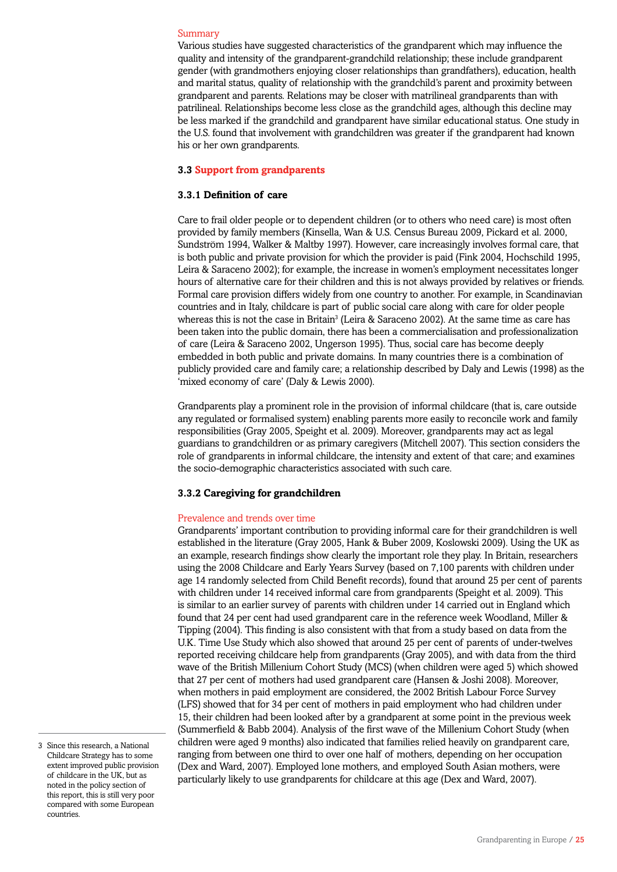### Summary

Various studies have suggested characteristics of the grandparent which may influence the quality and intensity of the grandparent-grandchild relationship; these include grandparent gender (with grandmothers enjoying closer relationships than grandfathers), education, health and marital status, quality of relationship with the grandchild's parent and proximity between grandparent and parents. Relations may be closer with matrilineal grandparents than with patrilineal. Relationships become less close as the grandchild ages, although this decline may be less marked if the grandchild and grandparent have similar educational status. One study in the U.S. found that involvement with grandchildren was greater if the grandparent had known his or her own grandparents.

### **3.3 Support from grandparents**

### **3.3.1 Definition of care**

Care to frail older people or to dependent children (or to others who need care) is most often provided by family members (Kinsella, Wan & U.S. Census Bureau 2009, Pickard et al. 2000, Sundström 1994, Walker & Maltby 1997). However, care increasingly involves formal care, that is both public and private provision for which the provider is paid (Fink 2004, Hochschild 1995, Leira & Saraceno 2002); for example, the increase in women's employment necessitates longer hours of alternative care for their children and this is not always provided by relatives or friends. Formal care provision differs widely from one country to another. For example, in Scandinavian countries and in Italy, childcare is part of public social care along with care for older people whereas this is not the case in Britain<sup>3</sup> (Leira & Saraceno 2002). At the same time as care has been taken into the public domain, there has been a commercialisation and professionalization of care (Leira & Saraceno 2002, Ungerson 1995). Thus, social care has become deeply embedded in both public and private domains. In many countries there is a combination of publicly provided care and family care; a relationship described by Daly and Lewis (1998) as the 'mixed economy of care' (Daly & Lewis 2000).

Grandparents play a prominent role in the provision of informal childcare (that is, care outside any regulated or formalised system) enabling parents more easily to reconcile work and family responsibilities (Gray 2005, Speight et al. 2009). Moreover, grandparents may act as legal guardians to grandchildren or as primary caregivers (Mitchell 2007). This section considers the role of grandparents in informal childcare, the intensity and extent of that care; and examines the socio-demographic characteristics associated with such care.

### **3.3.2 Caregiving for grandchildren**

### Prevalence and trends over time

Grandparents' important contribution to providing informal care for their grandchildren is well established in the literature (Gray 2005, Hank & Buber 2009, Koslowski 2009). Using the UK as an example, research findings show clearly the important role they play. In Britain, researchers using the 2008 Childcare and Early Years Survey (based on 7,100 parents with children under age 14 randomly selected from Child Benefit records), found that around 25 per cent of parents with children under 14 received informal care from grandparents (Speight et al. 2009). This is similar to an earlier survey of parents with children under 14 carried out in England which found that 24 per cent had used grandparent care in the reference week Woodland, Miller & Tipping (2004). This finding is also consistent with that from a study based on data from the U.K. Time Use Study which also showed that around 25 per cent of parents of under-twelves reported receiving childcare help from grandparents (Gray 2005), and with data from the third wave of the British Millenium Cohort Study (MCS) (when children were aged 5) which showed that 27 per cent of mothers had used grandparent care (Hansen & Joshi 2008). Moreover, when mothers in paid employment are considered, the 2002 British Labour Force Survey (LFS) showed that for 34 per cent of mothers in paid employment who had children under 15, their children had been looked after by a grandparent at some point in the previous week (Summerfield & Babb 2004). Analysis of the first wave of the Millenium Cohort Study (when children were aged 9 months) also indicated that families relied heavily on grandparent care, ranging from between one third to over one half of mothers, depending on her occupation (Dex and Ward, 2007). Employed lone mothers, and employed South Asian mothers, were particularly likely to use grandparents for childcare at this age (Dex and Ward, 2007).

<sup>3</sup> Since this research, a National Childcare Strategy has to some extent improved public provision of childcare in the UK, but as noted in the policy section of this report, this is still very poor compared with some European countries.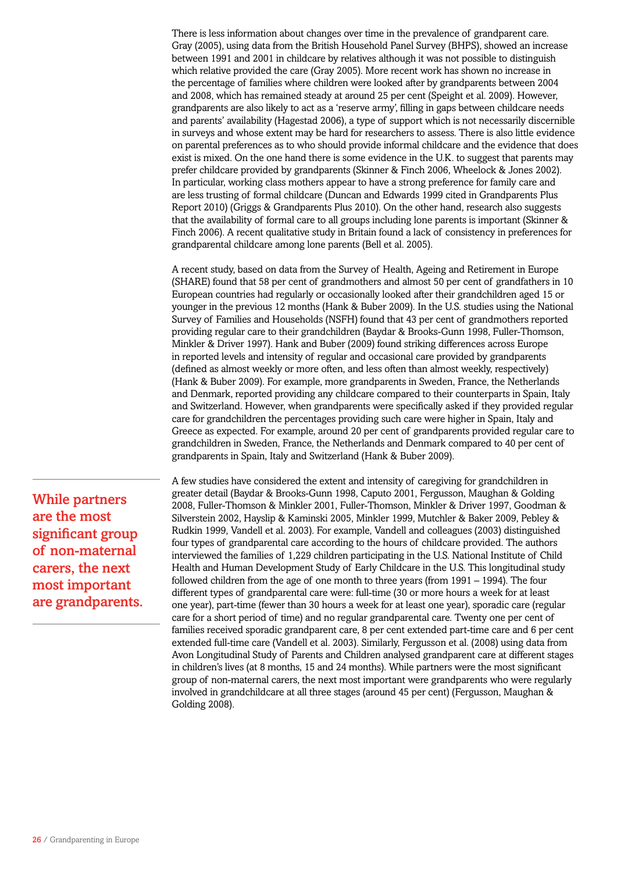There is less information about changes over time in the prevalence of grandparent care. Gray (2005), using data from the British Household Panel Survey (BHPS), showed an increase between 1991 and 2001 in childcare by relatives although it was not possible to distinguish which relative provided the care (Gray 2005). More recent work has shown no increase in the percentage of families where children were looked after by grandparents between 2004 and 2008, which has remained steady at around 25 per cent (Speight et al. 2009). However, grandparents are also likely to act as a 'reserve army', filling in gaps between childcare needs and parents' availability (Hagestad 2006), a type of support which is not necessarily discernible in surveys and whose extent may be hard for researchers to assess. There is also little evidence on parental preferences as to who should provide informal childcare and the evidence that does exist is mixed. On the one hand there is some evidence in the U.K. to suggest that parents may prefer childcare provided by grandparents (Skinner & Finch 2006, Wheelock & Jones 2002). In particular, working class mothers appear to have a strong preference for family care and are less trusting of formal childcare (Duncan and Edwards 1999 cited in Grandparents Plus Report 2010) (Griggs & Grandparents Plus 2010). On the other hand, research also suggests that the availability of formal care to all groups including lone parents is important (Skinner & Finch 2006). A recent qualitative study in Britain found a lack of consistency in preferences for grandparental childcare among lone parents (Bell et al. 2005).

A recent study, based on data from the Survey of Health, Ageing and Retirement in Europe (SHARE) found that 58 per cent of grandmothers and almost 50 per cent of grandfathers in 10 European countries had regularly or occasionally looked after their grandchildren aged 15 or younger in the previous 12 months (Hank & Buber 2009). In the U.S. studies using the National Survey of Families and Households (NSFH) found that 43 per cent of grandmothers reported providing regular care to their grandchildren (Baydar & Brooks-Gunn 1998, Fuller-Thomson, Minkler & Driver 1997). Hank and Buber (2009) found striking differences across Europe in reported levels and intensity of regular and occasional care provided by grandparents (defined as almost weekly or more often, and less often than almost weekly, respectively) (Hank & Buber 2009). For example, more grandparents in Sweden, France, the Netherlands and Denmark, reported providing any childcare compared to their counterparts in Spain, Italy and Switzerland. However, when grandparents were specifically asked if they provided regular care for grandchildren the percentages providing such care were higher in Spain, Italy and Greece as expected. For example, around 20 per cent of grandparents provided regular care to grandchildren in Sweden, France, the Netherlands and Denmark compared to 40 per cent of grandparents in Spain, Italy and Switzerland (Hank & Buber 2009).

A few studies have considered the extent and intensity of caregiving for grandchildren in greater detail (Baydar & Brooks-Gunn 1998, Caputo 2001, Fergusson, Maughan & Golding 2008, Fuller-Thomson & Minkler 2001, Fuller-Thomson, Minkler & Driver 1997, Goodman & Silverstein 2002, Hayslip & Kaminski 2005, Minkler 1999, Mutchler & Baker 2009, Pebley & Rudkin 1999, Vandell et al. 2003). For example, Vandell and colleagues (2003) distinguished four types of grandparental care according to the hours of childcare provided. The authors interviewed the families of 1,229 children participating in the U.S. National Institute of Child Health and Human Development Study of Early Childcare in the U.S. This longitudinal study followed children from the age of one month to three years (from 1991 – 1994). The four different types of grandparental care were: full-time (30 or more hours a week for at least one year), part-time (fewer than 30 hours a week for at least one year), sporadic care (regular care for a short period of time) and no regular grandparental care. Twenty one per cent of families received sporadic grandparent care, 8 per cent extended part-time care and 6 per cent extended full-time care (Vandell et al. 2003). Similarly, Fergusson et al. (2008) using data from Avon Longitudinal Study of Parents and Children analysed grandparent care at different stages in children's lives (at 8 months, 15 and 24 months). While partners were the most significant group of non-maternal carers, the next most important were grandparents who were regularly involved in grandchildcare at all three stages (around 45 per cent) (Fergusson, Maughan & Golding 2008).

While partners are the most significant group of non-maternal carers, the next most important are grandparents.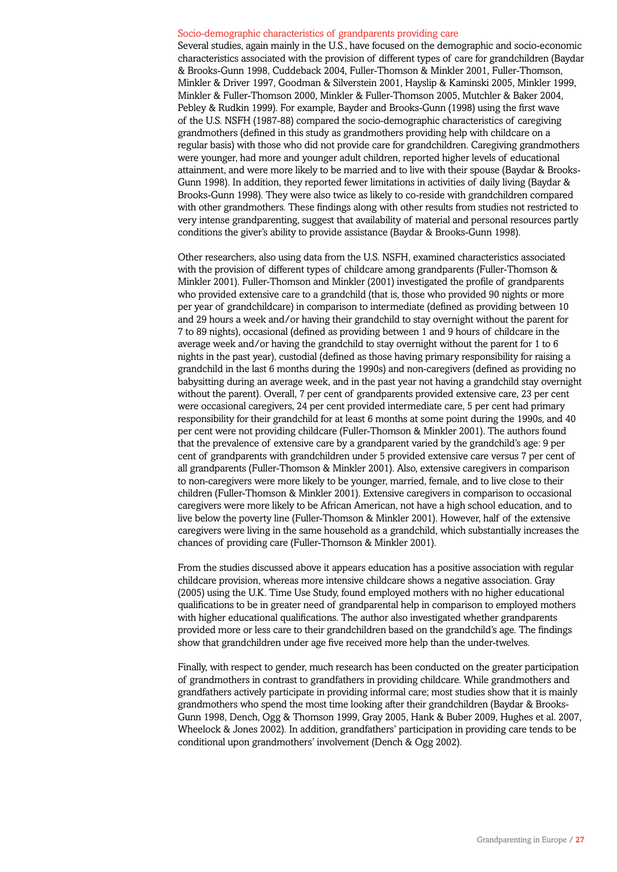#### Socio-demographic characteristics of grandparents providing care

Several studies, again mainly in the U.S., have focused on the demographic and socio-economic characteristics associated with the provision of different types of care for grandchildren (Baydar & Brooks-Gunn 1998, Cuddeback 2004, Fuller-Thomson & Minkler 2001, Fuller-Thomson, Minkler & Driver 1997, Goodman & Silverstein 2001, Hayslip & Kaminski 2005, Minkler 1999, Minkler & Fuller-Thomson 2000, Minkler & Fuller-Thomson 2005, Mutchler & Baker 2004, Pebley & Rudkin 1999). For example, Bayder and Brooks-Gunn (1998) using the first wave of the U.S. NSFH (1987-88) compared the socio-demographic characteristics of caregiving grandmothers (defined in this study as grandmothers providing help with childcare on a regular basis) with those who did not provide care for grandchildren. Caregiving grandmothers were younger, had more and younger adult children, reported higher levels of educational attainment, and were more likely to be married and to live with their spouse (Baydar & Brooks-Gunn 1998). In addition, they reported fewer limitations in activities of daily living (Baydar & Brooks-Gunn 1998). They were also twice as likely to co-reside with grandchildren compared with other grandmothers. These findings along with other results from studies not restricted to very intense grandparenting, suggest that availability of material and personal resources partly conditions the giver's ability to provide assistance (Baydar & Brooks-Gunn 1998).

Other researchers, also using data from the U.S. NSFH, examined characteristics associated with the provision of different types of childcare among grandparents (Fuller-Thomson & Minkler 2001). Fuller-Thomson and Minkler (2001) investigated the profile of grandparents who provided extensive care to a grandchild (that is, those who provided 90 nights or more per year of grandchildcare) in comparison to intermediate (defined as providing between 10 and 29 hours a week and/or having their grandchild to stay overnight without the parent for 7 to 89 nights), occasional (defined as providing between 1 and 9 hours of childcare in the average week and/or having the grandchild to stay overnight without the parent for 1 to 6 nights in the past year), custodial (defined as those having primary responsibility for raising a grandchild in the last 6 months during the 1990s) and non-caregivers (defined as providing no babysitting during an average week, and in the past year not having a grandchild stay overnight without the parent). Overall, 7 per cent of grandparents provided extensive care, 23 per cent were occasional caregivers, 24 per cent provided intermediate care, 5 per cent had primary responsibility for their grandchild for at least 6 months at some point during the 1990s, and 40 per cent were not providing childcare (Fuller-Thomson & Minkler 2001). The authors found that the prevalence of extensive care by a grandparent varied by the grandchild's age: 9 per cent of grandparents with grandchildren under 5 provided extensive care versus 7 per cent of all grandparents (Fuller-Thomson & Minkler 2001). Also, extensive caregivers in comparison to non-caregivers were more likely to be younger, married, female, and to live close to their children (Fuller-Thomson & Minkler 2001). Extensive caregivers in comparison to occasional caregivers were more likely to be African American, not have a high school education, and to live below the poverty line (Fuller-Thomson & Minkler 2001). However, half of the extensive caregivers were living in the same household as a grandchild, which substantially increases the chances of providing care (Fuller-Thomson & Minkler 2001).

From the studies discussed above it appears education has a positive association with regular childcare provision, whereas more intensive childcare shows a negative association. Gray (2005) using the U.K. Time Use Study, found employed mothers with no higher educational qualifications to be in greater need of grandparental help in comparison to employed mothers with higher educational qualifications. The author also investigated whether grandparents provided more or less care to their grandchildren based on the grandchild's age. The findings show that grandchildren under age five received more help than the under-twelves.

Finally, with respect to gender, much research has been conducted on the greater participation of grandmothers in contrast to grandfathers in providing childcare. While grandmothers and grandfathers actively participate in providing informal care; most studies show that it is mainly grandmothers who spend the most time looking after their grandchildren (Baydar & Brooks-Gunn 1998, Dench, Ogg & Thomson 1999, Gray 2005, Hank & Buber 2009, Hughes et al. 2007, Wheelock & Jones 2002). In addition, grandfathers' participation in providing care tends to be conditional upon grandmothers' involvement (Dench & Ogg 2002).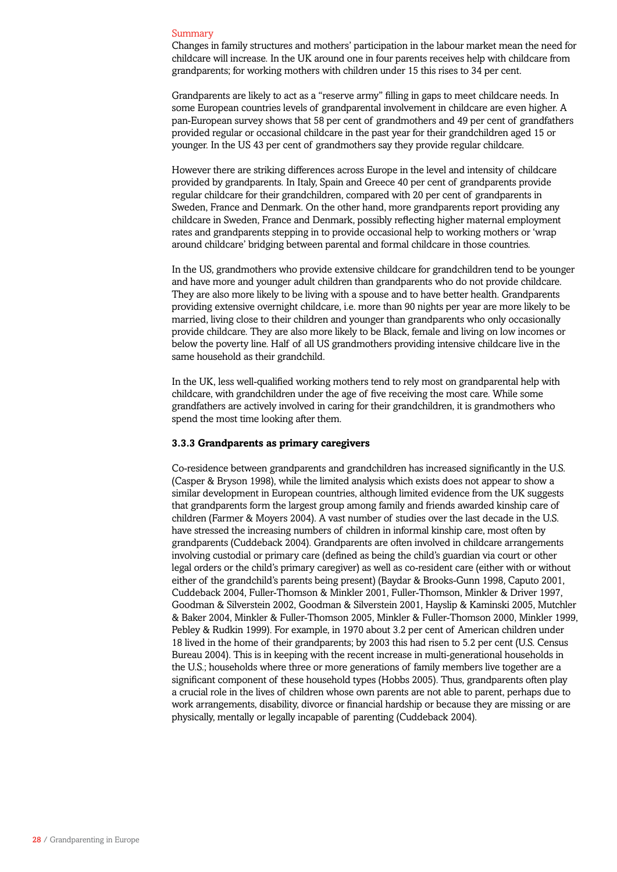#### Summary

Changes in family structures and mothers' participation in the labour market mean the need for childcare will increase. In the UK around one in four parents receives help with childcare from grandparents; for working mothers with children under 15 this rises to 34 per cent.

Grandparents are likely to act as a "reserve army" filling in gaps to meet childcare needs. In some European countries levels of grandparental involvement in childcare are even higher. A pan-European survey shows that 58 per cent of grandmothers and 49 per cent of grandfathers provided regular or occasional childcare in the past year for their grandchildren aged 15 or younger. In the US 43 per cent of grandmothers say they provide regular childcare.

However there are striking differences across Europe in the level and intensity of childcare provided by grandparents. In Italy, Spain and Greece 40 per cent of grandparents provide regular childcare for their grandchildren, compared with 20 per cent of grandparents in Sweden, France and Denmark. On the other hand, more grandparents report providing any childcare in Sweden, France and Denmark, possibly reflecting higher maternal employment rates and grandparents stepping in to provide occasional help to working mothers or 'wrap around childcare' bridging between parental and formal childcare in those countries.

In the US, grandmothers who provide extensive childcare for grandchildren tend to be younger and have more and younger adult children than grandparents who do not provide childcare. They are also more likely to be living with a spouse and to have better health. Grandparents providing extensive overnight childcare, i.e. more than 90 nights per year are more likely to be married, living close to their children and younger than grandparents who only occasionally provide childcare. They are also more likely to be Black, female and living on low incomes or below the poverty line. Half of all US grandmothers providing intensive childcare live in the same household as their grandchild.

In the UK, less well-qualified working mothers tend to rely most on grandparental help with childcare, with grandchildren under the age of five receiving the most care. While some grandfathers are actively involved in caring for their grandchildren, it is grandmothers who spend the most time looking after them.

### **3.3.3 Grandparents as primary caregivers**

Co-residence between grandparents and grandchildren has increased significantly in the U.S. (Casper & Bryson 1998), while the limited analysis which exists does not appear to show a similar development in European countries, although limited evidence from the UK suggests that grandparents form the largest group among family and friends awarded kinship care of children (Farmer & Moyers 2004). A vast number of studies over the last decade in the U.S. have stressed the increasing numbers of children in informal kinship care, most often by grandparents (Cuddeback 2004). Grandparents are often involved in childcare arrangements involving custodial or primary care (defined as being the child's guardian via court or other legal orders or the child's primary caregiver) as well as co-resident care (either with or without either of the grandchild's parents being present) (Baydar & Brooks-Gunn 1998, Caputo 2001, Cuddeback 2004, Fuller-Thomson & Minkler 2001, Fuller-Thomson, Minkler & Driver 1997, Goodman & Silverstein 2002, Goodman & Silverstein 2001, Hayslip & Kaminski 2005, Mutchler & Baker 2004, Minkler & Fuller-Thomson 2005, Minkler & Fuller-Thomson 2000, Minkler 1999, Pebley & Rudkin 1999). For example, in 1970 about 3.2 per cent of American children under 18 lived in the home of their grandparents; by 2003 this had risen to 5.2 per cent (U.S. Census Bureau 2004). This is in keeping with the recent increase in multi-generational households in the U.S.; households where three or more generations of family members live together are a significant component of these household types (Hobbs 2005). Thus, grandparents often play a crucial role in the lives of children whose own parents are not able to parent, perhaps due to work arrangements, disability, divorce or financial hardship or because they are missing or are physically, mentally or legally incapable of parenting (Cuddeback 2004).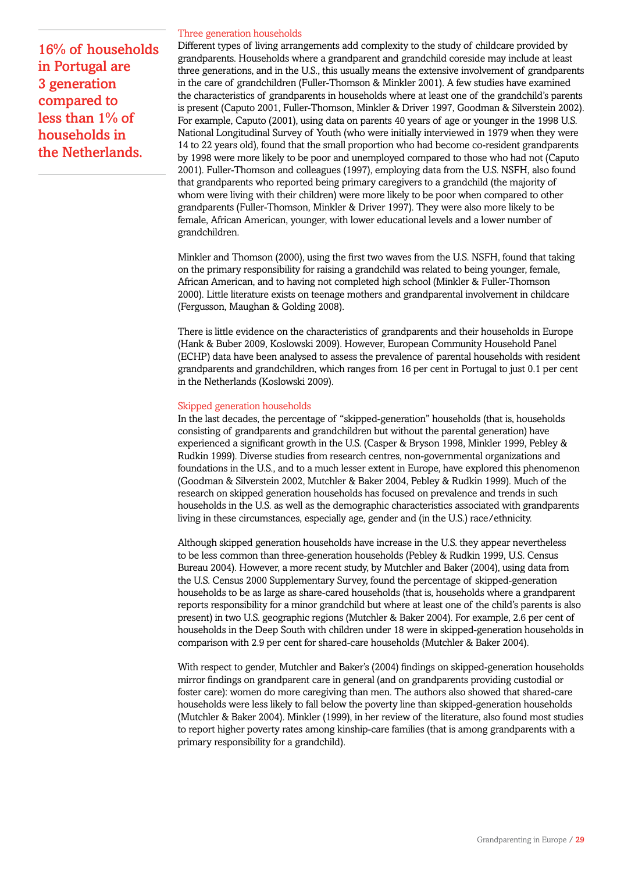16% of households in Portugal are 3 generation compared to less than 1% of households in the Netherlands.

### Three generation households

Different types of living arrangements add complexity to the study of childcare provided by grandparents. Households where a grandparent and grandchild coreside may include at least three generations, and in the U.S., this usually means the extensive involvement of grandparents in the care of grandchildren (Fuller-Thomson & Minkler 2001). A few studies have examined the characteristics of grandparents in households where at least one of the grandchild's parents is present (Caputo 2001, Fuller-Thomson, Minkler & Driver 1997, Goodman & Silverstein 2002). For example, Caputo (2001), using data on parents 40 years of age or younger in the 1998 U.S. National Longitudinal Survey of Youth (who were initially interviewed in 1979 when they were 14 to 22 years old), found that the small proportion who had become co-resident grandparents by 1998 were more likely to be poor and unemployed compared to those who had not (Caputo 2001). Fuller-Thomson and colleagues (1997), employing data from the U.S. NSFH, also found that grandparents who reported being primary caregivers to a grandchild (the majority of whom were living with their children) were more likely to be poor when compared to other grandparents (Fuller-Thomson, Minkler & Driver 1997). They were also more likely to be female, African American, younger, with lower educational levels and a lower number of grandchildren.

Minkler and Thomson (2000), using the first two waves from the U.S. NSFH, found that taking on the primary responsibility for raising a grandchild was related to being younger, female, African American, and to having not completed high school (Minkler & Fuller-Thomson 2000). Little literature exists on teenage mothers and grandparental involvement in childcare (Fergusson, Maughan & Golding 2008).

There is little evidence on the characteristics of grandparents and their households in Europe (Hank & Buber 2009, Koslowski 2009). However, European Community Household Panel (ECHP) data have been analysed to assess the prevalence of parental households with resident grandparents and grandchildren, which ranges from 16 per cent in Portugal to just 0.1 per cent in the Netherlands (Koslowski 2009).

### Skipped generation households

In the last decades, the percentage of "skipped-generation" households (that is, households consisting of grandparents and grandchildren but without the parental generation) have experienced a significant growth in the U.S. (Casper & Bryson 1998, Minkler 1999, Pebley & Rudkin 1999). Diverse studies from research centres, non-governmental organizations and foundations in the U.S., and to a much lesser extent in Europe, have explored this phenomenon (Goodman & Silverstein 2002, Mutchler & Baker 2004, Pebley & Rudkin 1999). Much of the research on skipped generation households has focused on prevalence and trends in such households in the U.S. as well as the demographic characteristics associated with grandparents living in these circumstances, especially age, gender and (in the U.S.) race/ethnicity.

Although skipped generation households have increase in the U.S. they appear nevertheless to be less common than three-generation households (Pebley & Rudkin 1999, U.S. Census Bureau 2004). However, a more recent study, by Mutchler and Baker (2004), using data from the U.S. Census 2000 Supplementary Survey, found the percentage of skipped-generation households to be as large as share-cared households (that is, households where a grandparent reports responsibility for a minor grandchild but where at least one of the child's parents is also present) in two U.S. geographic regions (Mutchler & Baker 2004). For example, 2.6 per cent of households in the Deep South with children under 18 were in skipped-generation households in comparison with 2.9 per cent for shared-care households (Mutchler & Baker 2004).

With respect to gender, Mutchler and Baker's (2004) findings on skipped-generation households mirror findings on grandparent care in general (and on grandparents providing custodial or foster care): women do more caregiving than men. The authors also showed that shared-care households were less likely to fall below the poverty line than skipped-generation households (Mutchler & Baker 2004). Minkler (1999), in her review of the literature, also found most studies to report higher poverty rates among kinship-care families (that is among grandparents with a primary responsibility for a grandchild).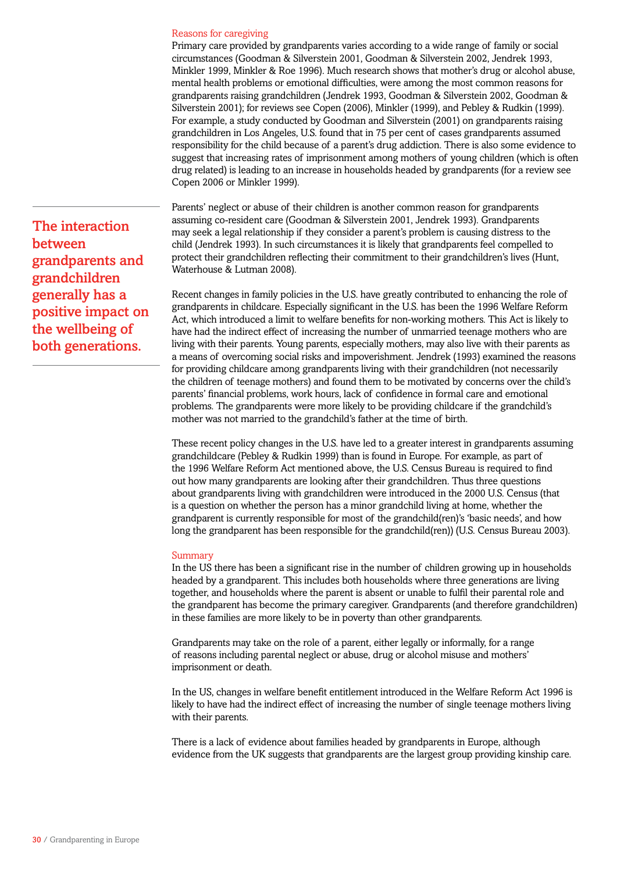#### Reasons for caregiving

Primary care provided by grandparents varies according to a wide range of family or social circumstances (Goodman & Silverstein 2001, Goodman & Silverstein 2002, Jendrek 1993, Minkler 1999, Minkler & Roe 1996). Much research shows that mother's drug or alcohol abuse, mental health problems or emotional difficulties, were among the most common reasons for grandparents raising grandchildren (Jendrek 1993, Goodman & Silverstein 2002, Goodman & Silverstein 2001); for reviews see Copen (2006), Minkler (1999), and Pebley & Rudkin (1999). For example, a study conducted by Goodman and Silverstein (2001) on grandparents raising grandchildren in Los Angeles, U.S. found that in 75 per cent of cases grandparents assumed responsibility for the child because of a parent's drug addiction. There is also some evidence to suggest that increasing rates of imprisonment among mothers of young children (which is often drug related) is leading to an increase in households headed by grandparents (for a review see Copen 2006 or Minkler 1999).

Parents' neglect or abuse of their children is another common reason for grandparents assuming co-resident care (Goodman & Silverstein 2001, Jendrek 1993). Grandparents may seek a legal relationship if they consider a parent's problem is causing distress to the child (Jendrek 1993). In such circumstances it is likely that grandparents feel compelled to protect their grandchildren reflecting their commitment to their grandchildren's lives (Hunt, Waterhouse & Lutman 2008).

Recent changes in family policies in the U.S. have greatly contributed to enhancing the role of grandparents in childcare. Especially significant in the U.S. has been the 1996 Welfare Reform Act, which introduced a limit to welfare benefits for non-working mothers. This Act is likely to have had the indirect effect of increasing the number of unmarried teenage mothers who are living with their parents. Young parents, especially mothers, may also live with their parents as a means of overcoming social risks and impoverishment. Jendrek (1993) examined the reasons for providing childcare among grandparents living with their grandchildren (not necessarily the children of teenage mothers) and found them to be motivated by concerns over the child's parents' financial problems, work hours, lack of confidence in formal care and emotional problems. The grandparents were more likely to be providing childcare if the grandchild's mother was not married to the grandchild's father at the time of birth.

These recent policy changes in the U.S. have led to a greater interest in grandparents assuming grandchildcare (Pebley & Rudkin 1999) than is found in Europe. For example, as part of the 1996 Welfare Reform Act mentioned above, the U.S. Census Bureau is required to find out how many grandparents are looking after their grandchildren. Thus three questions about grandparents living with grandchildren were introduced in the 2000 U.S. Census (that is a question on whether the person has a minor grandchild living at home, whether the grandparent is currently responsible for most of the grandchild(ren)'s 'basic needs', and how long the grandparent has been responsible for the grandchild(ren)) (U.S. Census Bureau 2003).

#### Summary

In the US there has been a significant rise in the number of children growing up in households headed by a grandparent. This includes both households where three generations are living together, and households where the parent is absent or unable to fulfil their parental role and the grandparent has become the primary caregiver. Grandparents (and therefore grandchildren) in these families are more likely to be in poverty than other grandparents.

Grandparents may take on the role of a parent, either legally or informally, for a range of reasons including parental neglect or abuse, drug or alcohol misuse and mothers' imprisonment or death.

In the US, changes in welfare benefit entitlement introduced in the Welfare Reform Act 1996 is likely to have had the indirect effect of increasing the number of single teenage mothers living with their parents.

There is a lack of evidence about families headed by grandparents in Europe, although evidence from the UK suggests that grandparents are the largest group providing kinship care.

The interaction between grandparents and grandchildren generally has a positive impact on the wellbeing of both generations.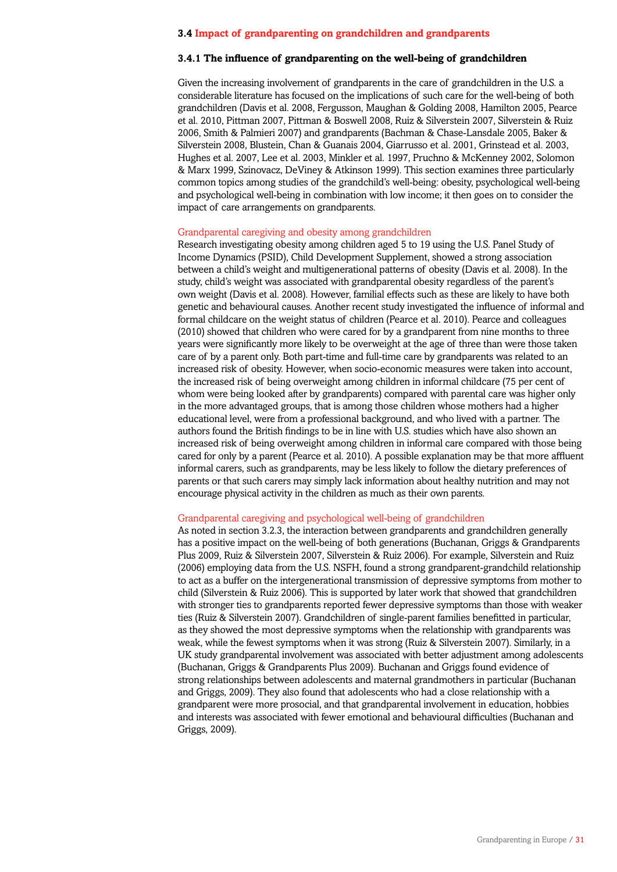### **3.4 Impact of grandparenting on grandchildren and grandparents**

### **3.4.1 The influence of grandparenting on the well-being of grandchildren**

Given the increasing involvement of grandparents in the care of grandchildren in the U.S. a considerable literature has focused on the implications of such care for the well-being of both grandchildren (Davis et al. 2008, Fergusson, Maughan & Golding 2008, Hamilton 2005, Pearce et al. 2010, Pittman 2007, Pittman & Boswell 2008, Ruiz & Silverstein 2007, Silverstein & Ruiz 2006, Smith & Palmieri 2007) and grandparents (Bachman & Chase-Lansdale 2005, Baker & Silverstein 2008, Blustein, Chan & Guanais 2004, Giarrusso et al. 2001, Grinstead et al. 2003, Hughes et al. 2007, Lee et al. 2003, Minkler et al. 1997, Pruchno & McKenney 2002, Solomon & Marx 1999, Szinovacz, DeViney & Atkinson 1999). This section examines three particularly common topics among studies of the grandchild's well-being: obesity, psychological well-being and psychological well-being in combination with low income; it then goes on to consider the impact of care arrangements on grandparents.

### Grandparental caregiving and obesity among grandchildren

Research investigating obesity among children aged 5 to 19 using the U.S. Panel Study of Income Dynamics (PSID), Child Development Supplement, showed a strong association between a child's weight and multigenerational patterns of obesity (Davis et al. 2008). In the study, child's weight was associated with grandparental obesity regardless of the parent's own weight (Davis et al. 2008). However, familial effects such as these are likely to have both genetic and behavioural causes. Another recent study investigated the influence of informal and formal childcare on the weight status of children (Pearce et al. 2010). Pearce and colleagues (2010) showed that children who were cared for by a grandparent from nine months to three years were significantly more likely to be overweight at the age of three than were those taken care of by a parent only. Both part-time and full-time care by grandparents was related to an increased risk of obesity. However, when socio-economic measures were taken into account, the increased risk of being overweight among children in informal childcare (75 per cent of whom were being looked after by grandparents) compared with parental care was higher only in the more advantaged groups, that is among those children whose mothers had a higher educational level, were from a professional background, and who lived with a partner. The authors found the British findings to be in line with U.S. studies which have also shown an increased risk of being overweight among children in informal care compared with those being cared for only by a parent (Pearce et al. 2010). A possible explanation may be that more affluent informal carers, such as grandparents, may be less likely to follow the dietary preferences of parents or that such carers may simply lack information about healthy nutrition and may not encourage physical activity in the children as much as their own parents.

### Grandparental caregiving and psychological well-being of grandchildren

As noted in section 3.2.3, the interaction between grandparents and grandchildren generally has a positive impact on the well-being of both generations (Buchanan, Griggs & Grandparents Plus 2009, Ruiz & Silverstein 2007, Silverstein & Ruiz 2006). For example, Silverstein and Ruiz (2006) employing data from the U.S. NSFH, found a strong grandparent-grandchild relationship to act as a buffer on the intergenerational transmission of depressive symptoms from mother to child (Silverstein & Ruiz 2006). This is supported by later work that showed that grandchildren with stronger ties to grandparents reported fewer depressive symptoms than those with weaker ties (Ruiz & Silverstein 2007). Grandchildren of single-parent families benefitted in particular, as they showed the most depressive symptoms when the relationship with grandparents was weak, while the fewest symptoms when it was strong (Ruiz & Silverstein 2007). Similarly, in a UK study grandparental involvement was associated with better adjustment among adolescents (Buchanan, Griggs & Grandparents Plus 2009). Buchanan and Griggs found evidence of strong relationships between adolescents and maternal grandmothers in particular (Buchanan and Griggs, 2009). They also found that adolescents who had a close relationship with a grandparent were more prosocial, and that grandparental involvement in education, hobbies and interests was associated with fewer emotional and behavioural difficulties (Buchanan and Griggs, 2009).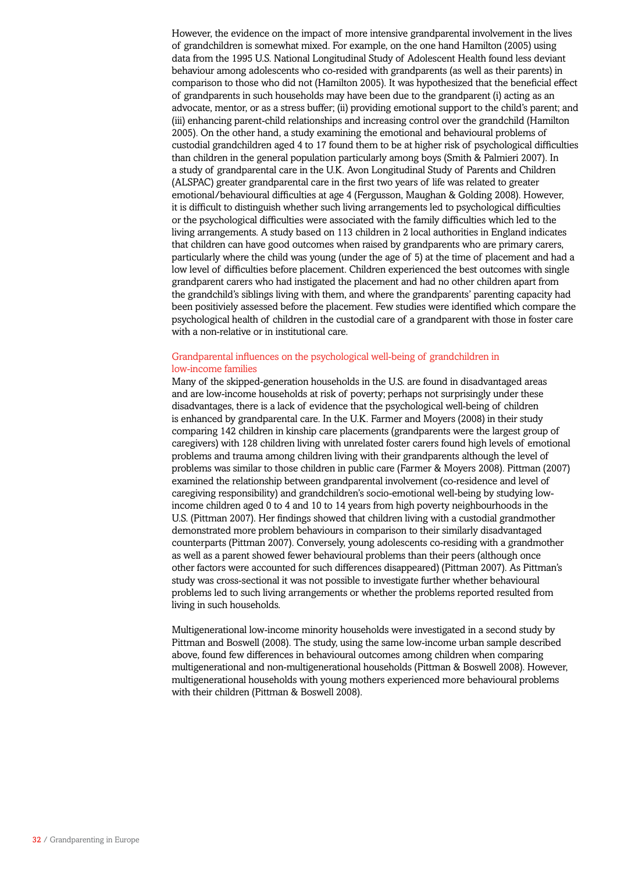However, the evidence on the impact of more intensive grandparental involvement in the lives of grandchildren is somewhat mixed. For example, on the one hand Hamilton (2005) using data from the 1995 U.S. National Longitudinal Study of Adolescent Health found less deviant behaviour among adolescents who co-resided with grandparents (as well as their parents) in comparison to those who did not (Hamilton 2005). It was hypothesized that the beneficial effect of grandparents in such households may have been due to the grandparent (i) acting as an advocate, mentor, or as a stress buffer; (ii) providing emotional support to the child's parent; and (iii) enhancing parent-child relationships and increasing control over the grandchild (Hamilton 2005). On the other hand, a study examining the emotional and behavioural problems of custodial grandchildren aged 4 to 17 found them to be at higher risk of psychological difficulties than children in the general population particularly among boys (Smith & Palmieri 2007). In a study of grandparental care in the U.K. Avon Longitudinal Study of Parents and Children (ALSPAC) greater grandparental care in the first two years of life was related to greater emotional/behavioural difficulties at age 4 (Fergusson, Maughan & Golding 2008). However, it is difficult to distinguish whether such living arrangements led to psychological difficulties or the psychological difficulties were associated with the family difficulties which led to the living arrangements. A study based on 113 children in 2 local authorities in England indicates that children can have good outcomes when raised by grandparents who are primary carers, particularly where the child was young (under the age of 5) at the time of placement and had a low level of difficulties before placement. Children experienced the best outcomes with single grandparent carers who had instigated the placement and had no other children apart from the grandchild's siblings living with them, and where the grandparents' parenting capacity had been positiviely assessed before the placement. Few studies were identified which compare the psychological health of children in the custodial care of a grandparent with those in foster care with a non-relative or in institutional care.

# Grandparental influences on the psychological well-being of grandchildren in low-income families

Many of the skipped-generation households in the U.S. are found in disadvantaged areas and are low-income households at risk of poverty; perhaps not surprisingly under these disadvantages, there is a lack of evidence that the psychological well-being of children is enhanced by grandparental care. In the U.K. Farmer and Moyers (2008) in their study comparing 142 children in kinship care placements (grandparents were the largest group of caregivers) with 128 children living with unrelated foster carers found high levels of emotional problems and trauma among children living with their grandparents although the level of problems was similar to those children in public care (Farmer & Moyers 2008). Pittman (2007) examined the relationship between grandparental involvement (co-residence and level of caregiving responsibility) and grandchildren's socio-emotional well-being by studying lowincome children aged 0 to 4 and 10 to 14 years from high poverty neighbourhoods in the U.S. (Pittman 2007). Her findings showed that children living with a custodial grandmother demonstrated more problem behaviours in comparison to their similarly disadvantaged counterparts (Pittman 2007). Conversely, young adolescents co-residing with a grandmother as well as a parent showed fewer behavioural problems than their peers (although once other factors were accounted for such differences disappeared) (Pittman 2007). As Pittman's study was cross-sectional it was not possible to investigate further whether behavioural problems led to such living arrangements or whether the problems reported resulted from living in such households.

Multigenerational low-income minority households were investigated in a second study by Pittman and Boswell (2008). The study, using the same low-income urban sample described above, found few differences in behavioural outcomes among children when comparing multigenerational and non-multigenerational households (Pittman & Boswell 2008). However, multigenerational households with young mothers experienced more behavioural problems with their children (Pittman & Boswell 2008).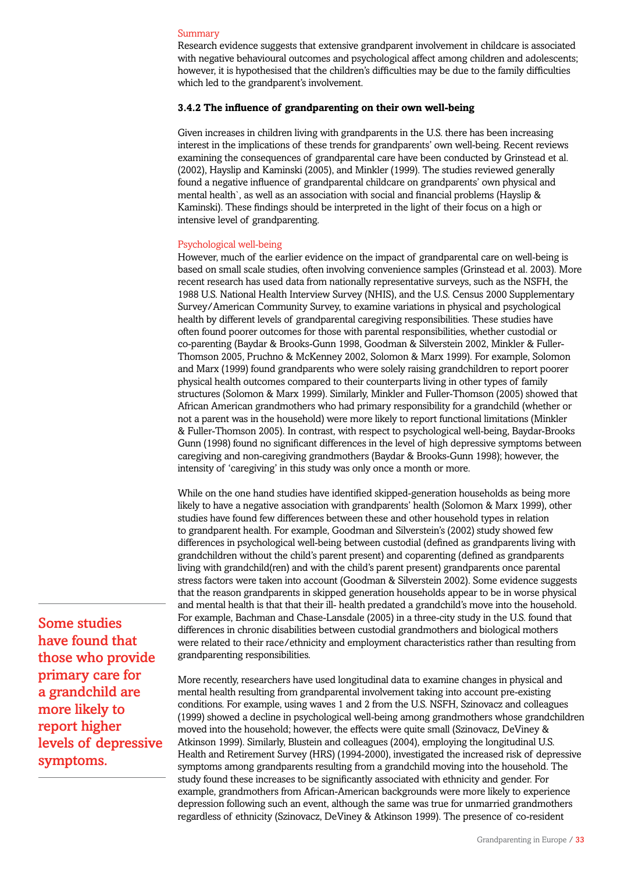### Summary

Research evidence suggests that extensive grandparent involvement in childcare is associated with negative behavioural outcomes and psychological affect among children and adolescents; however, it is hypothesised that the children's difficulties may be due to the family difficulties which led to the grandparent's involvement.

# **3.4.2 The influence of grandparenting on their own well-being**

Given increases in children living with grandparents in the U.S. there has been increasing interest in the implications of these trends for grandparents' own well-being. Recent reviews examining the consequences of grandparental care have been conducted by Grinstead et al. (2002), Hayslip and Kaminski (2005), and Minkler (1999). The studies reviewed generally found a negative influence of grandparental childcare on grandparents' own physical and mental health`, as well as an association with social and financial problems (Hayslip & Kaminski). These findings should be interpreted in the light of their focus on a high or intensive level of grandparenting.

### Psychological well-being

However, much of the earlier evidence on the impact of grandparental care on well-being is based on small scale studies, often involving convenience samples (Grinstead et al. 2003). More recent research has used data from nationally representative surveys, such as the NSFH, the 1988 U.S. National Health Interview Survey (NHIS), and the U.S. Census 2000 Supplementary Survey/American Community Survey, to examine variations in physical and psychological health by different levels of grandparental caregiving responsibilities. These studies have often found poorer outcomes for those with parental responsibilities, whether custodial or co-parenting (Baydar & Brooks-Gunn 1998, Goodman & Silverstein 2002, Minkler & Fuller-Thomson 2005, Pruchno & McKenney 2002, Solomon & Marx 1999). For example, Solomon and Marx (1999) found grandparents who were solely raising grandchildren to report poorer physical health outcomes compared to their counterparts living in other types of family structures (Solomon & Marx 1999). Similarly, Minkler and Fuller-Thomson (2005) showed that African American grandmothers who had primary responsibility for a grandchild (whether or not a parent was in the household) were more likely to report functional limitations (Minkler & Fuller-Thomson 2005). In contrast, with respect to psychological well-being, Baydar-Brooks Gunn (1998) found no significant differences in the level of high depressive symptoms between caregiving and non-caregiving grandmothers (Baydar & Brooks-Gunn 1998); however, the intensity of 'caregiving' in this study was only once a month or more.

While on the one hand studies have identified skipped-generation households as being more likely to have a negative association with grandparents' health (Solomon & Marx 1999), other studies have found few differences between these and other household types in relation to grandparent health. For example, Goodman and Silverstein's (2002) study showed few differences in psychological well-being between custodial (defined as grandparents living with grandchildren without the child's parent present) and coparenting (defined as grandparents living with grandchild(ren) and with the child's parent present) grandparents once parental stress factors were taken into account (Goodman & Silverstein 2002). Some evidence suggests that the reason grandparents in skipped generation households appear to be in worse physical and mental health is that that their ill- health predated a grandchild's move into the household. For example, Bachman and Chase-Lansdale (2005) in a three-city study in the U.S. found that differences in chronic disabilities between custodial grandmothers and biological mothers were related to their race/ethnicity and employment characteristics rather than resulting from grandparenting responsibilities.

More recently, researchers have used longitudinal data to examine changes in physical and mental health resulting from grandparental involvement taking into account pre-existing conditions. For example, using waves 1 and 2 from the U.S. NSFH, Szinovacz and colleagues (1999) showed a decline in psychological well-being among grandmothers whose grandchildren moved into the household; however, the effects were quite small (Szinovacz, DeViney & Atkinson 1999). Similarly, Blustein and colleagues (2004), employing the longitudinal U.S. Health and Retirement Survey (HRS) (1994-2000), investigated the increased risk of depressive symptoms among grandparents resulting from a grandchild moving into the household. The study found these increases to be significantly associated with ethnicity and gender. For example, grandmothers from African-American backgrounds were more likely to experience depression following such an event, although the same was true for unmarried grandmothers regardless of ethnicity (Szinovacz, DeViney & Atkinson 1999). The presence of co-resident

Some studies have found that those who provide primary care for a grandchild are more likely to report higher levels of depressive symptoms.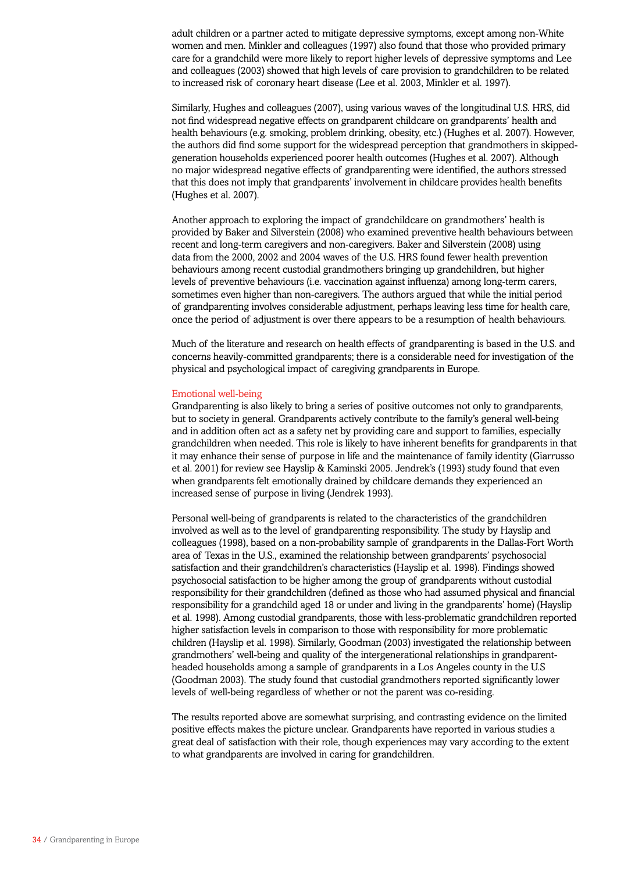adult children or a partner acted to mitigate depressive symptoms, except among non-White women and men. Minkler and colleagues (1997) also found that those who provided primary care for a grandchild were more likely to report higher levels of depressive symptoms and Lee and colleagues (2003) showed that high levels of care provision to grandchildren to be related to increased risk of coronary heart disease (Lee et al. 2003, Minkler et al. 1997).

Similarly, Hughes and colleagues (2007), using various waves of the longitudinal U.S. HRS, did not find widespread negative effects on grandparent childcare on grandparents' health and health behaviours (e.g. smoking, problem drinking, obesity, etc.) (Hughes et al. 2007). However, the authors did find some support for the widespread perception that grandmothers in skippedgeneration households experienced poorer health outcomes (Hughes et al. 2007). Although no major widespread negative effects of grandparenting were identified, the authors stressed that this does not imply that grandparents' involvement in childcare provides health benefits (Hughes et al. 2007).

Another approach to exploring the impact of grandchildcare on grandmothers' health is provided by Baker and Silverstein (2008) who examined preventive health behaviours between recent and long-term caregivers and non-caregivers. Baker and Silverstein (2008) using data from the 2000, 2002 and 2004 waves of the U.S. HRS found fewer health prevention behaviours among recent custodial grandmothers bringing up grandchildren, but higher levels of preventive behaviours (i.e. vaccination against influenza) among long-term carers, sometimes even higher than non-caregivers. The authors argued that while the initial period of grandparenting involves considerable adjustment, perhaps leaving less time for health care, once the period of adjustment is over there appears to be a resumption of health behaviours.

Much of the literature and research on health effects of grandparenting is based in the U.S. and concerns heavily-committed grandparents; there is a considerable need for investigation of the physical and psychological impact of caregiving grandparents in Europe.

#### Emotional well-being

Grandparenting is also likely to bring a series of positive outcomes not only to grandparents, but to society in general. Grandparents actively contribute to the family's general well-being and in addition often act as a safety net by providing care and support to families, especially grandchildren when needed. This role is likely to have inherent benefits for grandparents in that it may enhance their sense of purpose in life and the maintenance of family identity (Giarrusso et al. 2001) for review see Hayslip & Kaminski 2005. Jendrek's (1993) study found that even when grandparents felt emotionally drained by childcare demands they experienced an increased sense of purpose in living (Jendrek 1993).

Personal well-being of grandparents is related to the characteristics of the grandchildren involved as well as to the level of grandparenting responsibility. The study by Hayslip and colleagues (1998), based on a non-probability sample of grandparents in the Dallas-Fort Worth area of Texas in the U.S., examined the relationship between grandparents' psychosocial satisfaction and their grandchildren's characteristics (Hayslip et al. 1998). Findings showed psychosocial satisfaction to be higher among the group of grandparents without custodial responsibility for their grandchildren (defined as those who had assumed physical and financial responsibility for a grandchild aged 18 or under and living in the grandparents' home) (Hayslip et al. 1998). Among custodial grandparents, those with less-problematic grandchildren reported higher satisfaction levels in comparison to those with responsibility for more problematic children (Hayslip et al. 1998). Similarly, Goodman (2003) investigated the relationship between grandmothers' well-being and quality of the intergenerational relationships in grandparentheaded households among a sample of grandparents in a Los Angeles county in the U.S (Goodman 2003). The study found that custodial grandmothers reported significantly lower levels of well-being regardless of whether or not the parent was co-residing.

The results reported above are somewhat surprising, and contrasting evidence on the limited positive effects makes the picture unclear. Grandparents have reported in various studies a great deal of satisfaction with their role, though experiences may vary according to the extent to what grandparents are involved in caring for grandchildren.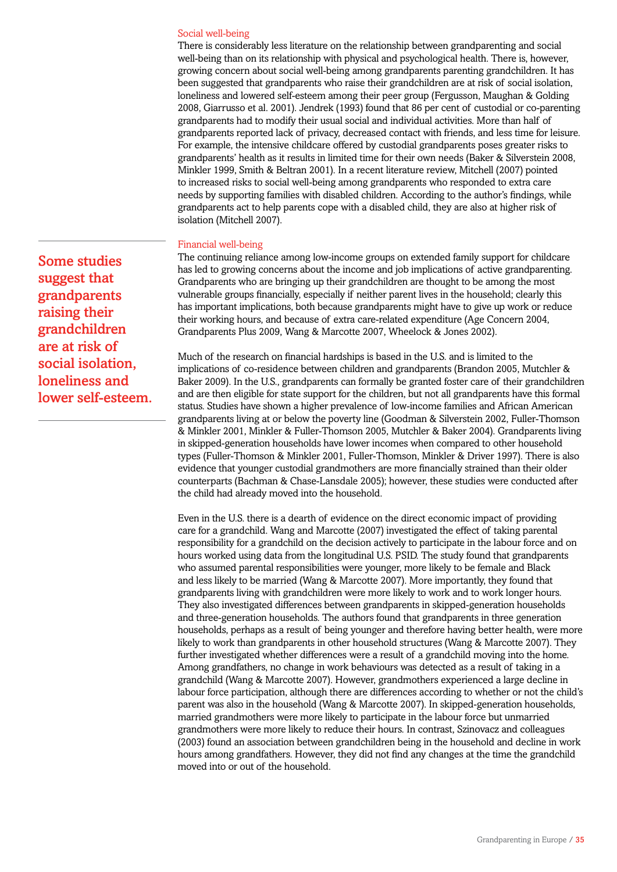#### Social well-being

There is considerably less literature on the relationship between grandparenting and social well-being than on its relationship with physical and psychological health. There is, however, growing concern about social well-being among grandparents parenting grandchildren. It has been suggested that grandparents who raise their grandchildren are at risk of social isolation, loneliness and lowered self-esteem among their peer group (Fergusson, Maughan & Golding 2008, Giarrusso et al. 2001). Jendrek (1993) found that 86 per cent of custodial or co-parenting grandparents had to modify their usual social and individual activities. More than half of grandparents reported lack of privacy, decreased contact with friends, and less time for leisure. For example, the intensive childcare offered by custodial grandparents poses greater risks to grandparents' health as it results in limited time for their own needs (Baker & Silverstein 2008, Minkler 1999, Smith & Beltran 2001). In a recent literature review, Mitchell (2007) pointed to increased risks to social well-being among grandparents who responded to extra care needs by supporting families with disabled children. According to the author's findings, while grandparents act to help parents cope with a disabled child, they are also at higher risk of isolation (Mitchell 2007).

### Financial well-being

The continuing reliance among low-income groups on extended family support for childcare has led to growing concerns about the income and job implications of active grandparenting. Grandparents who are bringing up their grandchildren are thought to be among the most vulnerable groups financially, especially if neither parent lives in the household; clearly this has important implications, both because grandparents might have to give up work or reduce their working hours, and because of extra care-related expenditure (Age Concern 2004, Grandparents Plus 2009, Wang & Marcotte 2007, Wheelock & Jones 2002).

Much of the research on financial hardships is based in the U.S. and is limited to the implications of co-residence between children and grandparents (Brandon 2005, Mutchler & Baker 2009). In the U.S., grandparents can formally be granted foster care of their grandchildren and are then eligible for state support for the children, but not all grandparents have this formal status. Studies have shown a higher prevalence of low-income families and African American grandparents living at or below the poverty line (Goodman & Silverstein 2002, Fuller-Thomson & Minkler 2001, Minkler & Fuller-Thomson 2005, Mutchler & Baker 2004). Grandparents living in skipped-generation households have lower incomes when compared to other household types (Fuller-Thomson & Minkler 2001, Fuller-Thomson, Minkler & Driver 1997). There is also evidence that younger custodial grandmothers are more financially strained than their older counterparts (Bachman & Chase-Lansdale 2005); however, these studies were conducted after the child had already moved into the household.

Even in the U.S. there is a dearth of evidence on the direct economic impact of providing care for a grandchild. Wang and Marcotte (2007) investigated the effect of taking parental responsibility for a grandchild on the decision actively to participate in the labour force and on hours worked using data from the longitudinal U.S. PSID. The study found that grandparents who assumed parental responsibilities were younger, more likely to be female and Black and less likely to be married (Wang & Marcotte 2007). More importantly, they found that grandparents living with grandchildren were more likely to work and to work longer hours. They also investigated differences between grandparents in skipped-generation households and three-generation households. The authors found that grandparents in three generation households, perhaps as a result of being younger and therefore having better health, were more likely to work than grandparents in other household structures (Wang & Marcotte 2007). They further investigated whether differences were a result of a grandchild moving into the home. Among grandfathers, no change in work behaviours was detected as a result of taking in a grandchild (Wang & Marcotte 2007). However, grandmothers experienced a large decline in labour force participation, although there are differences according to whether or not the child's parent was also in the household (Wang & Marcotte 2007). In skipped-generation households, married grandmothers were more likely to participate in the labour force but unmarried grandmothers were more likely to reduce their hours. In contrast, Szinovacz and colleagues (2003) found an association between grandchildren being in the household and decline in work hours among grandfathers. However, they did not find any changes at the time the grandchild moved into or out of the household.

Some studies suggest that grandparents raising their grandchildren are at risk of social isolation, loneliness and lower self-esteem.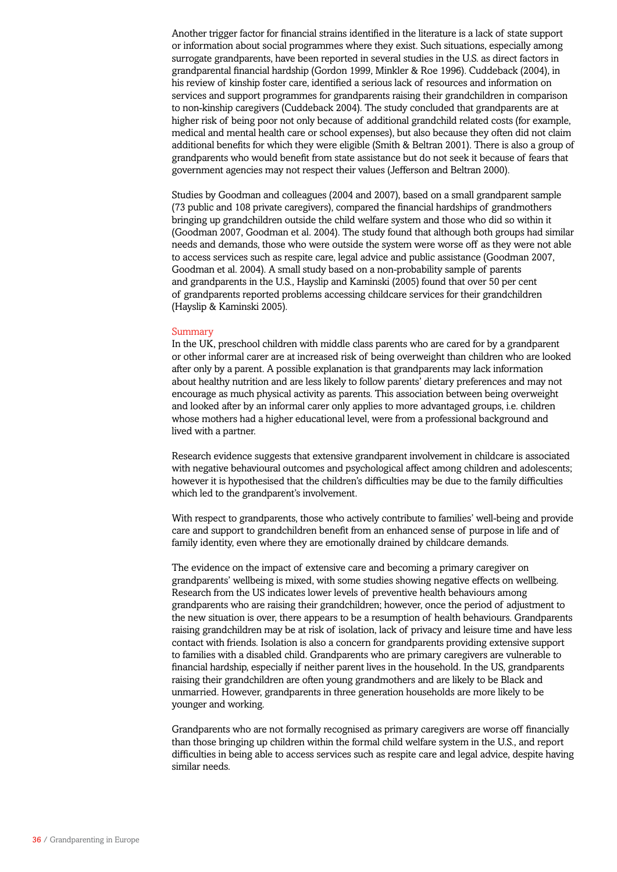Another trigger factor for financial strains identified in the literature is a lack of state support or information about social programmes where they exist. Such situations, especially among surrogate grandparents, have been reported in several studies in the U.S. as direct factors in grandparental financial hardship (Gordon 1999, Minkler & Roe 1996). Cuddeback (2004), in his review of kinship foster care, identified a serious lack of resources and information on services and support programmes for grandparents raising their grandchildren in comparison to non-kinship caregivers (Cuddeback 2004). The study concluded that grandparents are at higher risk of being poor not only because of additional grandchild related costs (for example, medical and mental health care or school expenses), but also because they often did not claim additional benefits for which they were eligible (Smith & Beltran 2001). There is also a group of grandparents who would benefit from state assistance but do not seek it because of fears that government agencies may not respect their values (Jefferson and Beltran 2000).

Studies by Goodman and colleagues (2004 and 2007), based on a small grandparent sample (73 public and 108 private caregivers), compared the financial hardships of grandmothers bringing up grandchildren outside the child welfare system and those who did so within it (Goodman 2007, Goodman et al. 2004). The study found that although both groups had similar needs and demands, those who were outside the system were worse off as they were not able to access services such as respite care, legal advice and public assistance (Goodman 2007, Goodman et al. 2004). A small study based on a non-probability sample of parents and grandparents in the U.S., Hayslip and Kaminski (2005) found that over 50 per cent of grandparents reported problems accessing childcare services for their grandchildren (Hayslip & Kaminski 2005).

#### Summary

In the UK, preschool children with middle class parents who are cared for by a grandparent or other informal carer are at increased risk of being overweight than children who are looked after only by a parent. A possible explanation is that grandparents may lack information about healthy nutrition and are less likely to follow parents' dietary preferences and may not encourage as much physical activity as parents. This association between being overweight and looked after by an informal carer only applies to more advantaged groups, i.e. children whose mothers had a higher educational level, were from a professional background and lived with a partner.

Research evidence suggests that extensive grandparent involvement in childcare is associated with negative behavioural outcomes and psychological affect among children and adolescents; however it is hypothesised that the children's difficulties may be due to the family difficulties which led to the grandparent's involvement.

With respect to grandparents, those who actively contribute to families' well-being and provide care and support to grandchildren benefit from an enhanced sense of purpose in life and of family identity, even where they are emotionally drained by childcare demands.

The evidence on the impact of extensive care and becoming a primary caregiver on grandparents' wellbeing is mixed, with some studies showing negative effects on wellbeing. Research from the US indicates lower levels of preventive health behaviours among grandparents who are raising their grandchildren; however, once the period of adjustment to the new situation is over, there appears to be a resumption of health behaviours. Grandparents raising grandchildren may be at risk of isolation, lack of privacy and leisure time and have less contact with friends. Isolation is also a concern for grandparents providing extensive support to families with a disabled child. Grandparents who are primary caregivers are vulnerable to financial hardship, especially if neither parent lives in the household. In the US, grandparents raising their grandchildren are often young grandmothers and are likely to be Black and unmarried. However, grandparents in three generation households are more likely to be younger and working.

Grandparents who are not formally recognised as primary caregivers are worse off financially than those bringing up children within the formal child welfare system in the U.S., and report difficulties in being able to access services such as respite care and legal advice, despite having similar needs.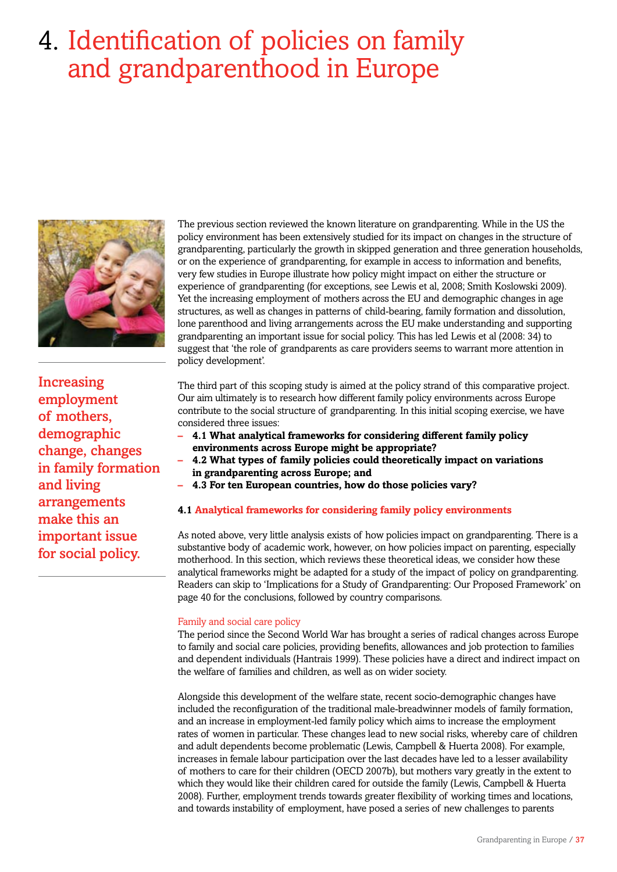# 4. Identification of policies on family and grandparenthood in Europe



Increasing employment of mothers, demographic change, changes in family formation and living arrangements make this an important issue for social policy.

The previous section reviewed the known literature on grandparenting. While in the US the policy environment has been extensively studied for its impact on changes in the structure of grandparenting, particularly the growth in skipped generation and three generation households, or on the experience of grandparenting, for example in access to information and benefits, very few studies in Europe illustrate how policy might impact on either the structure or experience of grandparenting (for exceptions, see Lewis et al, 2008; Smith Koslowski 2009). Yet the increasing employment of mothers across the EU and demographic changes in age structures, as well as changes in patterns of child-bearing, family formation and dissolution, lone parenthood and living arrangements across the EU make understanding and supporting grandparenting an important issue for social policy. This has led Lewis et al (2008: 34) to suggest that 'the role of grandparents as care providers seems to warrant more attention in policy development'.

The third part of this scoping study is aimed at the policy strand of this comparative project. Our aim ultimately is to research how different family policy environments across Europe contribute to the social structure of grandparenting. In this initial scoping exercise, we have considered three issues:

- **– 4.1 What analytical frameworks for considering different family policy environments across Europe might be appropriate?**
- **– 4.2 What types of family policies could theoretically impact on variations in grandparenting across Europe; and**
- **– 4.3 For ten European countries, how do those policies vary?**

# **4.1 Analytical frameworks for considering family policy environments**

As noted above, very little analysis exists of how policies impact on grandparenting. There is a substantive body of academic work, however, on how policies impact on parenting, especially motherhood. In this section, which reviews these theoretical ideas, we consider how these analytical frameworks might be adapted for a study of the impact of policy on grandparenting. Readers can skip to 'Implications for a Study of Grandparenting: Our Proposed Framework' on page 40 for the conclusions, followed by country comparisons.

# Family and social care policy

The period since the Second World War has brought a series of radical changes across Europe to family and social care policies, providing benefits, allowances and job protection to families and dependent individuals (Hantrais 1999). These policies have a direct and indirect impact on the welfare of families and children, as well as on wider society.

Alongside this development of the welfare state, recent socio-demographic changes have included the reconfiguration of the traditional male-breadwinner models of family formation, and an increase in employment-led family policy which aims to increase the employment rates of women in particular. These changes lead to new social risks, whereby care of children and adult dependents become problematic (Lewis, Campbell & Huerta 2008). For example, increases in female labour participation over the last decades have led to a lesser availability of mothers to care for their children (OECD 2007b), but mothers vary greatly in the extent to which they would like their children cared for outside the family (Lewis, Campbell & Huerta 2008). Further, employment trends towards greater flexibility of working times and locations, and towards instability of employment, have posed a series of new challenges to parents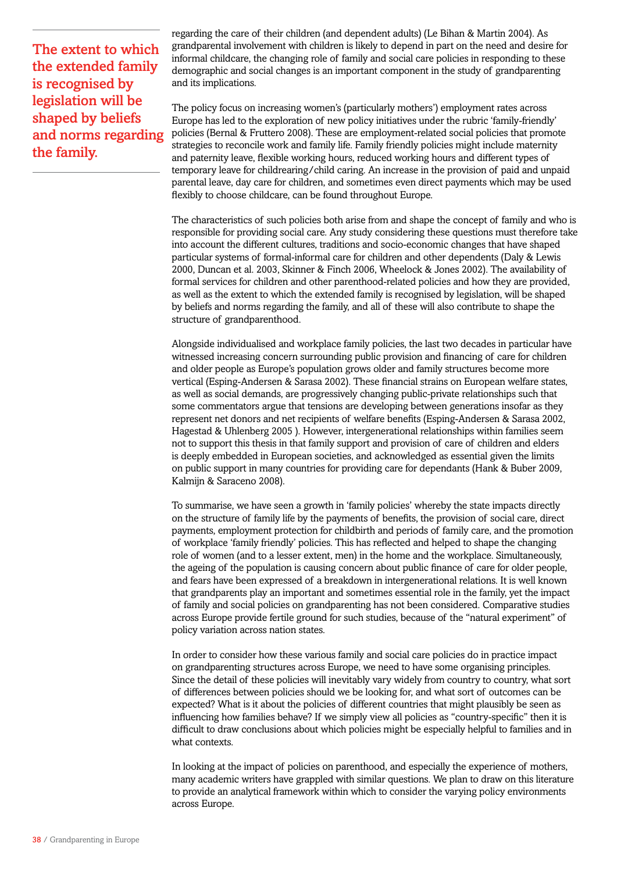The extent to which the extended family is recognised by legislation will be shaped by beliefs and norms regarding the family.

regarding the care of their children (and dependent adults) (Le Bihan & Martin 2004). As grandparental involvement with children is likely to depend in part on the need and desire for informal childcare, the changing role of family and social care policies in responding to these demographic and social changes is an important component in the study of grandparenting and its implications.

The policy focus on increasing women's (particularly mothers') employment rates across Europe has led to the exploration of new policy initiatives under the rubric 'family-friendly' policies (Bernal & Fruttero 2008). These are employment-related social policies that promote strategies to reconcile work and family life. Family friendly policies might include maternity and paternity leave, flexible working hours, reduced working hours and different types of temporary leave for childrearing/child caring. An increase in the provision of paid and unpaid parental leave, day care for children, and sometimes even direct payments which may be used flexibly to choose childcare, can be found throughout Europe.

The characteristics of such policies both arise from and shape the concept of family and who is responsible for providing social care. Any study considering these questions must therefore take into account the different cultures, traditions and socio-economic changes that have shaped particular systems of formal-informal care for children and other dependents (Daly & Lewis 2000, Duncan et al. 2003, Skinner & Finch 2006, Wheelock & Jones 2002). The availability of formal services for children and other parenthood-related policies and how they are provided, as well as the extent to which the extended family is recognised by legislation, will be shaped by beliefs and norms regarding the family, and all of these will also contribute to shape the structure of grandparenthood.

Alongside individualised and workplace family policies, the last two decades in particular have witnessed increasing concern surrounding public provision and financing of care for children and older people as Europe's population grows older and family structures become more vertical (Esping-Andersen & Sarasa 2002). These financial strains on European welfare states, as well as social demands, are progressively changing public-private relationships such that some commentators argue that tensions are developing between generations insofar as they represent net donors and net recipients of welfare benefits (Esping-Andersen & Sarasa 2002, Hagestad & Uhlenberg 2005 ). However, intergenerational relationships within families seem not to support this thesis in that family support and provision of care of children and elders is deeply embedded in European societies, and acknowledged as essential given the limits on public support in many countries for providing care for dependants (Hank & Buber 2009, Kalmijn & Saraceno 2008).

To summarise, we have seen a growth in 'family policies' whereby the state impacts directly on the structure of family life by the payments of benefits, the provision of social care, direct payments, employment protection for childbirth and periods of family care, and the promotion of workplace 'family friendly' policies. This has reflected and helped to shape the changing role of women (and to a lesser extent, men) in the home and the workplace. Simultaneously, the ageing of the population is causing concern about public finance of care for older people, and fears have been expressed of a breakdown in intergenerational relations. It is well known that grandparents play an important and sometimes essential role in the family, yet the impact of family and social policies on grandparenting has not been considered. Comparative studies across Europe provide fertile ground for such studies, because of the "natural experiment" of policy variation across nation states.

In order to consider how these various family and social care policies do in practice impact on grandparenting structures across Europe, we need to have some organising principles. Since the detail of these policies will inevitably vary widely from country to country, what sort of differences between policies should we be looking for, and what sort of outcomes can be expected? What is it about the policies of different countries that might plausibly be seen as influencing how families behave? If we simply view all policies as "country-specific" then it is difficult to draw conclusions about which policies might be especially helpful to families and in what contexts.

In looking at the impact of policies on parenthood, and especially the experience of mothers, many academic writers have grappled with similar questions. We plan to draw on this literature to provide an analytical framework within which to consider the varying policy environments across Europe.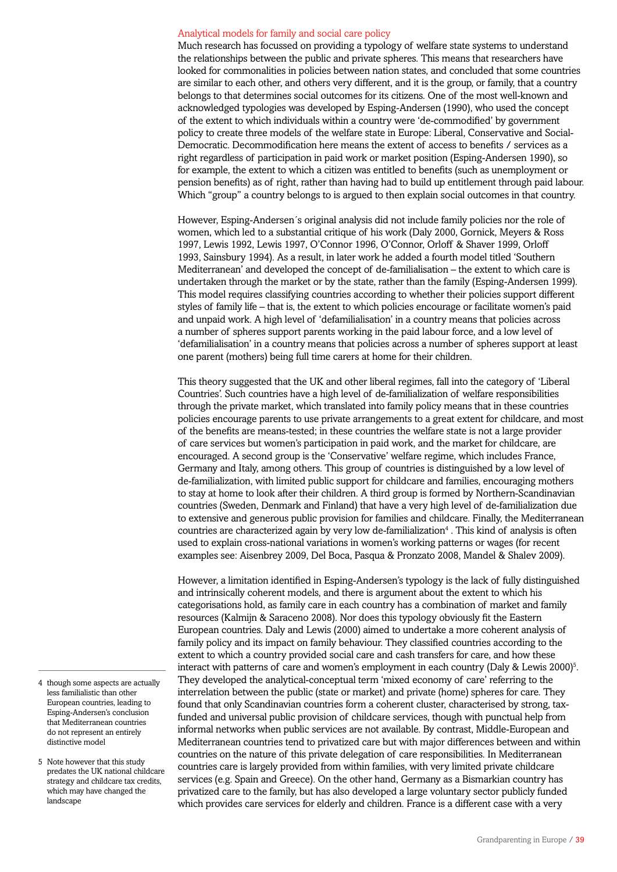#### Analytical models for family and social care policy

Much research has focussed on providing a typology of welfare state systems to understand the relationships between the public and private spheres. This means that researchers have looked for commonalities in policies between nation states, and concluded that some countries are similar to each other, and others very different, and it is the group, or family, that a country belongs to that determines social outcomes for its citizens. One of the most well-known and acknowledged typologies was developed by Esping-Andersen (1990), who used the concept of the extent to which individuals within a country were 'de-commodified' by government policy to create three models of the welfare state in Europe: Liberal, Conservative and Social-Democratic. Decommodification here means the extent of access to benefits / services as a right regardless of participation in paid work or market position (Esping-Andersen 1990), so for example, the extent to which a citizen was entitled to benefits (such as unemployment or pension benefits) as of right, rather than having had to build up entitlement through paid labour. Which "group" a country belongs to is argued to then explain social outcomes in that country.

However, Esping-Andersen´s original analysis did not include family policies nor the role of women, which led to a substantial critique of his work (Daly 2000, Gornick, Meyers & Ross 1997, Lewis 1992, Lewis 1997, O'Connor 1996, O'Connor, Orloff & Shaver 1999, Orloff 1993, Sainsbury 1994). As a result, in later work he added a fourth model titled 'Southern Mediterranean' and developed the concept of de-familialisation – the extent to which care is undertaken through the market or by the state, rather than the family (Esping-Andersen 1999). This model requires classifying countries according to whether their policies support different styles of family life – that is, the extent to which policies encourage or facilitate women's paid and unpaid work. A high level of 'defamilialisation' in a country means that policies across a number of spheres support parents working in the paid labour force, and a low level of 'defamilialisation' in a country means that policies across a number of spheres support at least one parent (mothers) being full time carers at home for their children.

This theory suggested that the UK and other liberal regimes, fall into the category of 'Liberal Countries'. Such countries have a high level of de-familialization of welfare responsibilities through the private market, which translated into family policy means that in these countries policies encourage parents to use private arrangements to a great extent for childcare, and most of the benefits are means-tested; in these countries the welfare state is not a large provider of care services but women's participation in paid work, and the market for childcare, are encouraged. A second group is the 'Conservative' welfare regime, which includes France, Germany and Italy, among others. This group of countries is distinguished by a low level of de-familialization, with limited public support for childcare and families, encouraging mothers to stay at home to look after their children. A third group is formed by Northern-Scandinavian countries (Sweden, Denmark and Finland) that have a very high level of de-familialization due to extensive and generous public provision for families and childcare. Finally, the Mediterranean countries are characterized again by very low de-familialization<sup>4</sup>. This kind of analysis is often used to explain cross-national variations in women's working patterns or wages (for recent examples see: Aisenbrey 2009, Del Boca, Pasqua & Pronzato 2008, Mandel & Shalev 2009).

However, a limitation identified in Esping-Andersen's typology is the lack of fully distinguished and intrinsically coherent models, and there is argument about the extent to which his categorisations hold, as family care in each country has a combination of market and family resources (Kalmijn & Saraceno 2008). Nor does this typology obviously fit the Eastern European countries. Daly and Lewis (2000) aimed to undertake a more coherent analysis of family policy and its impact on family behaviour. They classified countries according to the extent to which a country provided social care and cash transfers for care, and how these interact with patterns of care and women's employment in each country (Daly  $\&$  Lewis 2000)<sup>5</sup>. They developed the analytical-conceptual term 'mixed economy of care' referring to the interrelation between the public (state or market) and private (home) spheres for care. They found that only Scandinavian countries form a coherent cluster, characterised by strong, taxfunded and universal public provision of childcare services, though with punctual help from informal networks when public services are not available. By contrast, Middle-European and Mediterranean countries tend to privatized care but with major differences between and within countries on the nature of this private delegation of care responsibilities. In Mediterranean countries care is largely provided from within families, with very limited private childcare services (e.g. Spain and Greece). On the other hand, Germany as a Bismarkian country has privatized care to the family, but has also developed a large voluntary sector publicly funded which provides care services for elderly and children. France is a different case with a very

- 4 though some aspects are actually less familialistic than other European countries, leading to Esping-Andersen's conclusion that Mediterranean countries do not represent an entirely distinctive model
- 5 Note however that this study predates the UK national childcare strategy and childcare tax credits, which may have changed the landscape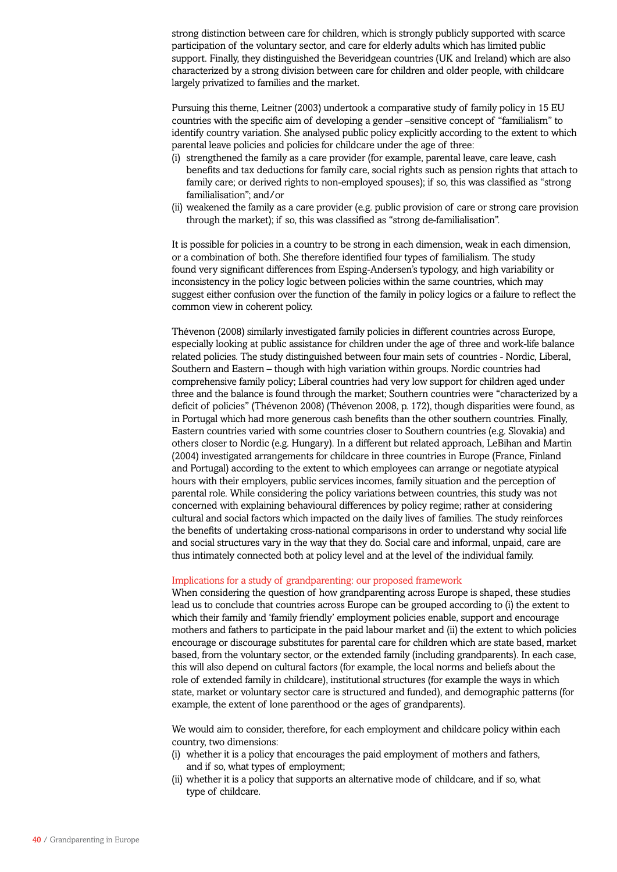strong distinction between care for children, which is strongly publicly supported with scarce participation of the voluntary sector, and care for elderly adults which has limited public support. Finally, they distinguished the Beveridgean countries (UK and Ireland) which are also characterized by a strong division between care for children and older people, with childcare largely privatized to families and the market.

Pursuing this theme, Leitner (2003) undertook a comparative study of family policy in 15 EU countries with the specific aim of developing a gender –sensitive concept of "familialism" to identify country variation. She analysed public policy explicitly according to the extent to which parental leave policies and policies for childcare under the age of three:

- (i) strengthened the family as a care provider (for example, parental leave, care leave, cash benefits and tax deductions for family care, social rights such as pension rights that attach to family care; or derived rights to non-employed spouses); if so, this was classified as "strong familialisation"; and/or
- (ii) weakened the family as a care provider (e.g. public provision of care or strong care provision through the market); if so, this was classified as "strong de-familialisation".

It is possible for policies in a country to be strong in each dimension, weak in each dimension, or a combination of both. She therefore identified four types of familialism. The study found very significant differences from Esping-Andersen's typology, and high variability or inconsistency in the policy logic between policies within the same countries, which may suggest either confusion over the function of the family in policy logics or a failure to reflect the common view in coherent policy.

Thévenon (2008) similarly investigated family policies in different countries across Europe, especially looking at public assistance for children under the age of three and work-life balance related policies. The study distinguished between four main sets of countries - Nordic, Liberal, Southern and Eastern – though with high variation within groups. Nordic countries had comprehensive family policy; Liberal countries had very low support for children aged under three and the balance is found through the market; Southern countries were "characterized by a deficit of policies" (Thévenon 2008) (Thévenon 2008, p. 172), though disparities were found, as in Portugal which had more generous cash benefits than the other southern countries. Finally, Eastern countries varied with some countries closer to Southern countries (e.g. Slovakia) and others closer to Nordic (e.g. Hungary). In a different but related approach, LeBihan and Martin (2004) investigated arrangements for childcare in three countries in Europe (France, Finland and Portugal) according to the extent to which employees can arrange or negotiate atypical hours with their employers, public services incomes, family situation and the perception of parental role. While considering the policy variations between countries, this study was not concerned with explaining behavioural differences by policy regime; rather at considering cultural and social factors which impacted on the daily lives of families. The study reinforces the benefits of undertaking cross-national comparisons in order to understand why social life and social structures vary in the way that they do. Social care and informal, unpaid, care are thus intimately connected both at policy level and at the level of the individual family.

#### Implications for a study of grandparenting: our proposed framework

When considering the question of how grandparenting across Europe is shaped, these studies lead us to conclude that countries across Europe can be grouped according to (i) the extent to which their family and 'family friendly' employment policies enable, support and encourage mothers and fathers to participate in the paid labour market and (ii) the extent to which policies encourage or discourage substitutes for parental care for children which are state based, market based, from the voluntary sector, or the extended family (including grandparents). In each case, this will also depend on cultural factors (for example, the local norms and beliefs about the role of extended family in childcare), institutional structures (for example the ways in which state, market or voluntary sector care is structured and funded), and demographic patterns (for example, the extent of lone parenthood or the ages of grandparents).

We would aim to consider, therefore, for each employment and childcare policy within each country, two dimensions:

- (i) whether it is a policy that encourages the paid employment of mothers and fathers, and if so, what types of employment;
- (ii) whether it is a policy that supports an alternative mode of childcare, and if so, what type of childcare.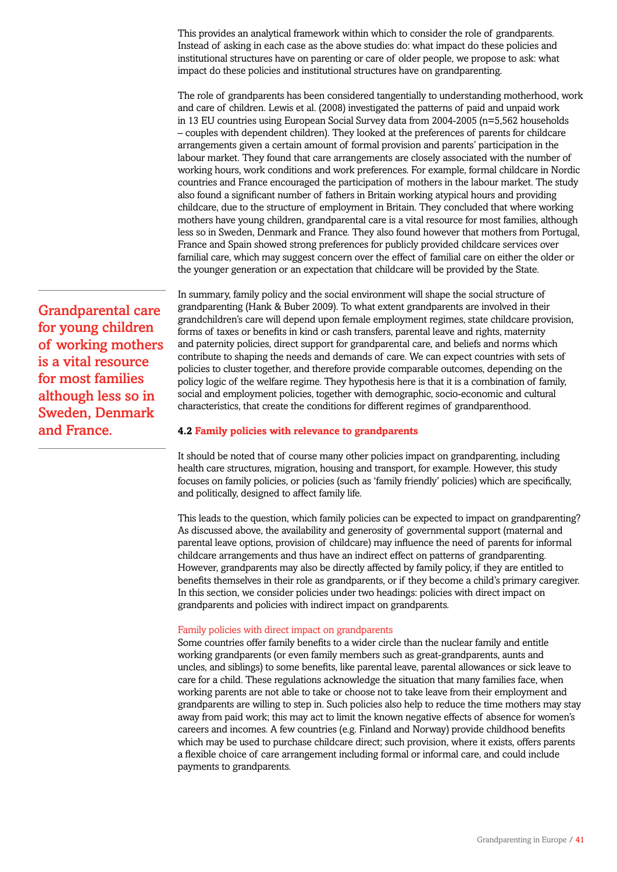This provides an analytical framework within which to consider the role of grandparents. Instead of asking in each case as the above studies do: what impact do these policies and institutional structures have on parenting or care of older people, we propose to ask: what impact do these policies and institutional structures have on grandparenting.

The role of grandparents has been considered tangentially to understanding motherhood, work and care of children. Lewis et al. (2008) investigated the patterns of paid and unpaid work in 13 EU countries using European Social Survey data from 2004-2005 (n=5,562 households – couples with dependent children). They looked at the preferences of parents for childcare arrangements given a certain amount of formal provision and parents' participation in the labour market. They found that care arrangements are closely associated with the number of working hours, work conditions and work preferences. For example, formal childcare in Nordic countries and France encouraged the participation of mothers in the labour market. The study also found a significant number of fathers in Britain working atypical hours and providing childcare, due to the structure of employment in Britain. They concluded that where working mothers have young children, grandparental care is a vital resource for most families, although less so in Sweden, Denmark and France. They also found however that mothers from Portugal, France and Spain showed strong preferences for publicly provided childcare services over familial care, which may suggest concern over the effect of familial care on either the older or the younger generation or an expectation that childcare will be provided by the State.

In summary, family policy and the social environment will shape the social structure of grandparenting (Hank & Buber 2009). To what extent grandparents are involved in their grandchildren's care will depend upon female employment regimes, state childcare provision, forms of taxes or benefits in kind or cash transfers, parental leave and rights, maternity and paternity policies, direct support for grandparental care, and beliefs and norms which contribute to shaping the needs and demands of care. We can expect countries with sets of policies to cluster together, and therefore provide comparable outcomes, depending on the policy logic of the welfare regime. They hypothesis here is that it is a combination of family, social and employment policies, together with demographic, socio-economic and cultural characteristics, that create the conditions for different regimes of grandparenthood.

# **4.2 Family policies with relevance to grandparents**

It should be noted that of course many other policies impact on grandparenting, including health care structures, migration, housing and transport, for example. However, this study focuses on family policies, or policies (such as 'family friendly' policies) which are specifically, and politically, designed to affect family life.

This leads to the question, which family policies can be expected to impact on grandparenting? As discussed above, the availability and generosity of governmental support (maternal and parental leave options, provision of childcare) may influence the need of parents for informal childcare arrangements and thus have an indirect effect on patterns of grandparenting. However, grandparents may also be directly affected by family policy, if they are entitled to benefits themselves in their role as grandparents, or if they become a child's primary caregiver. In this section, we consider policies under two headings: policies with direct impact on grandparents and policies with indirect impact on grandparents.

### Family policies with direct impact on grandparents

Some countries offer family benefits to a wider circle than the nuclear family and entitle working grandparents (or even family members such as great-grandparents, aunts and uncles, and siblings) to some benefits, like parental leave, parental allowances or sick leave to care for a child. These regulations acknowledge the situation that many families face, when working parents are not able to take or choose not to take leave from their employment and grandparents are willing to step in. Such policies also help to reduce the time mothers may stay away from paid work; this may act to limit the known negative effects of absence for women's careers and incomes. A few countries (e.g. Finland and Norway) provide childhood benefits which may be used to purchase childcare direct; such provision, where it exists, offers parents a flexible choice of care arrangement including formal or informal care, and could include payments to grandparents.

Grandparental care for young children of working mothers is a vital resource for most families although less so in Sweden, Denmark and France.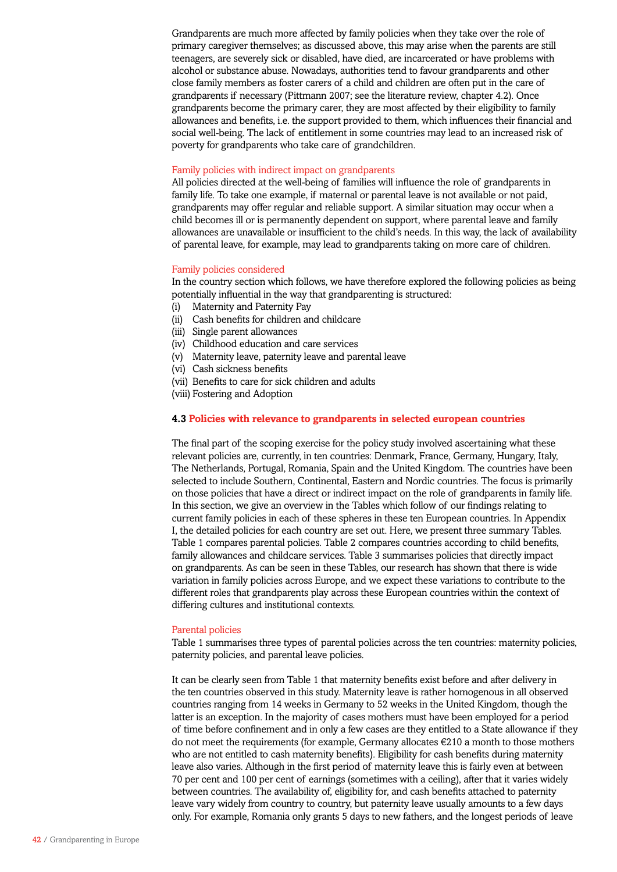Grandparents are much more affected by family policies when they take over the role of primary caregiver themselves; as discussed above, this may arise when the parents are still teenagers, are severely sick or disabled, have died, are incarcerated or have problems with alcohol or substance abuse. Nowadays, authorities tend to favour grandparents and other close family members as foster carers of a child and children are often put in the care of grandparents if necessary (Pittmann 2007; see the literature review, chapter 4.2). Once grandparents become the primary carer, they are most affected by their eligibility to family allowances and benefits, i.e. the support provided to them, which influences their financial and social well-being. The lack of entitlement in some countries may lead to an increased risk of poverty for grandparents who take care of grandchildren.

#### Family policies with indirect impact on grandparents

All policies directed at the well-being of families will influence the role of grandparents in family life. To take one example, if maternal or parental leave is not available or not paid, grandparents may offer regular and reliable support. A similar situation may occur when a child becomes ill or is permanently dependent on support, where parental leave and family allowances are unavailable or insufficient to the child's needs. In this way, the lack of availability of parental leave, for example, may lead to grandparents taking on more care of children.

### Family policies considered

In the country section which follows, we have therefore explored the following policies as being potentially influential in the way that grandparenting is structured:

- (i) Maternity and Paternity Pay
- (ii) Cash benefits for children and childcare
- (iii) Single parent allowances
- (iv) Childhood education and care services
- (v) Maternity leave, paternity leave and parental leave
- (vi) Cash sickness benefits
- (vii) Benefits to care for sick children and adults
- (viii) Fostering and Adoption

### **4.3 Policies with relevance to grandparents in selected european countries**

The final part of the scoping exercise for the policy study involved ascertaining what these relevant policies are, currently, in ten countries: Denmark, France, Germany, Hungary, Italy, The Netherlands, Portugal, Romania, Spain and the United Kingdom. The countries have been selected to include Southern, Continental, Eastern and Nordic countries. The focus is primarily on those policies that have a direct or indirect impact on the role of grandparents in family life. In this section, we give an overview in the Tables which follow of our findings relating to current family policies in each of these spheres in these ten European countries. In Appendix I, the detailed policies for each country are set out. Here, we present three summary Tables. Table 1 compares parental policies. Table 2 compares countries according to child benefits, family allowances and childcare services. Table 3 summarises policies that directly impact on grandparents. As can be seen in these Tables, our research has shown that there is wide variation in family policies across Europe, and we expect these variations to contribute to the different roles that grandparents play across these European countries within the context of differing cultures and institutional contexts.

#### Parental policies

Table 1 summarises three types of parental policies across the ten countries: maternity policies, paternity policies, and parental leave policies.

It can be clearly seen from Table 1 that maternity benefits exist before and after delivery in the ten countries observed in this study. Maternity leave is rather homogenous in all observed countries ranging from 14 weeks in Germany to 52 weeks in the United Kingdom, though the latter is an exception. In the majority of cases mothers must have been employed for a period of time before confinement and in only a few cases are they entitled to a State allowance if they do not meet the requirements (for example, Germany allocates  $\epsilon$ 210 a month to those mothers who are not entitled to cash maternity benefits). Eligibility for cash benefits during maternity leave also varies. Although in the first period of maternity leave this is fairly even at between 70 per cent and 100 per cent of earnings (sometimes with a ceiling), after that it varies widely between countries. The availability of, eligibility for, and cash benefits attached to paternity leave vary widely from country to country, but paternity leave usually amounts to a few days only. For example, Romania only grants 5 days to new fathers, and the longest periods of leave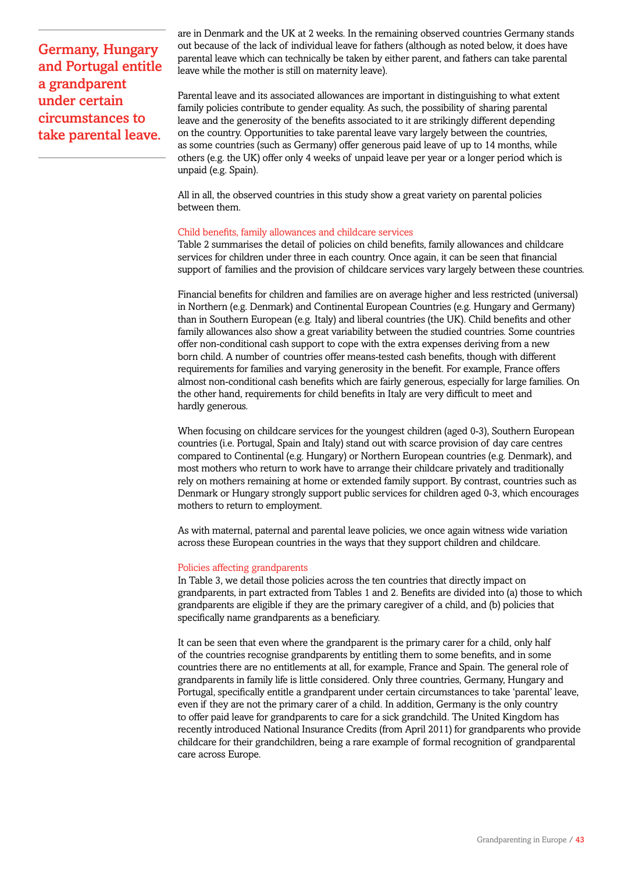Germany, Hungary and Portugal entitle a grandparent under certain circumstances to take parental leave.

are in Denmark and the UK at 2 weeks. In the remaining observed countries Germany stands out because of the lack of individual leave for fathers (although as noted below, it does have parental leave which can technically be taken by either parent, and fathers can take parental leave while the mother is still on maternity leave).

Parental leave and its associated allowances are important in distinguishing to what extent family policies contribute to gender equality. As such, the possibility of sharing parental leave and the generosity of the benefits associated to it are strikingly different depending on the country. Opportunities to take parental leave vary largely between the countries, as some countries (such as Germany) offer generous paid leave of up to 14 months, while others (e.g. the UK) offer only 4 weeks of unpaid leave per year or a longer period which is unpaid (e.g. Spain).

All in all, the observed countries in this study show a great variety on parental policies between them.

### Child benefits, family allowances and childcare services

Table 2 summarises the detail of policies on child benefits, family allowances and childcare services for children under three in each country. Once again, it can be seen that financial support of families and the provision of childcare services vary largely between these countries.

Financial benefits for children and families are on average higher and less restricted (universal) in Northern (e.g. Denmark) and Continental European Countries (e.g. Hungary and Germany) than in Southern European (e.g. Italy) and liberal countries (the UK). Child benefits and other family allowances also show a great variability between the studied countries. Some countries offer non-conditional cash support to cope with the extra expenses deriving from a new born child. A number of countries offer means-tested cash benefits, though with different requirements for families and varying generosity in the benefit. For example, France offers almost non-conditional cash benefits which are fairly generous, especially for large families. On the other hand, requirements for child benefits in Italy are very difficult to meet and hardly generous.

When focusing on childcare services for the youngest children (aged 0-3), Southern European countries (i.e. Portugal, Spain and Italy) stand out with scarce provision of day care centres compared to Continental (e.g. Hungary) or Northern European countries (e.g. Denmark), and most mothers who return to work have to arrange their childcare privately and traditionally rely on mothers remaining at home or extended family support. By contrast, countries such as Denmark or Hungary strongly support public services for children aged 0-3, which encourages mothers to return to employment.

As with maternal, paternal and parental leave policies, we once again witness wide variation across these European countries in the ways that they support children and childcare.

#### Policies affecting grandparents

In Table 3, we detail those policies across the ten countries that directly impact on grandparents, in part extracted from Tables 1 and 2. Benefits are divided into (a) those to which grandparents are eligible if they are the primary caregiver of a child, and (b) policies that specifically name grandparents as a beneficiary.

It can be seen that even where the grandparent is the primary carer for a child, only half of the countries recognise grandparents by entitling them to some benefits, and in some countries there are no entitlements at all, for example, France and Spain. The general role of grandparents in family life is little considered. Only three countries, Germany, Hungary and Portugal, specifically entitle a grandparent under certain circumstances to take 'parental' leave, even if they are not the primary carer of a child. In addition, Germany is the only country to offer paid leave for grandparents to care for a sick grandchild. The United Kingdom has recently introduced National Insurance Credits (from April 2011) for grandparents who provide childcare for their grandchildren, being a rare example of formal recognition of grandparental care across Europe.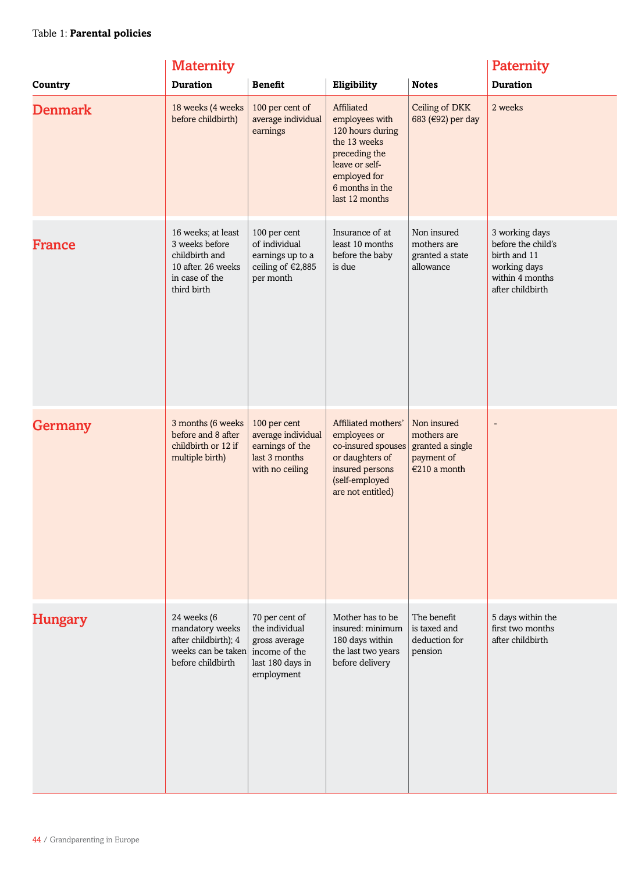|                | <b>Maternity</b>                                                                                              |                                                                                                      |                                                                                                                                                          |                                                                              |                                                                                                             |
|----------------|---------------------------------------------------------------------------------------------------------------|------------------------------------------------------------------------------------------------------|----------------------------------------------------------------------------------------------------------------------------------------------------------|------------------------------------------------------------------------------|-------------------------------------------------------------------------------------------------------------|
| Country        | <b>Duration</b>                                                                                               | <b>Benefit</b>                                                                                       | Eligibility                                                                                                                                              | <b>Notes</b>                                                                 | <b>Duration</b>                                                                                             |
| <b>Denmark</b> | 18 weeks (4 weeks<br>before childbirth)                                                                       | 100 per cent of<br>average individual<br>earnings                                                    | Affiliated<br>employees with<br>120 hours during<br>the 13 weeks<br>preceding the<br>leave or self-<br>employed for<br>6 months in the<br>last 12 months | Ceiling of DKK<br>683 (€92) per day                                          | 2 weeks                                                                                                     |
| France         | 16 weeks; at least<br>3 weeks before<br>childbirth and<br>10 after, 26 weeks<br>in case of the<br>third birth | 100 per cent<br>of individual<br>earnings up to a<br>ceiling of €2,885<br>per month                  | Insurance of at<br>least 10 months<br>before the baby<br>is due                                                                                          | Non insured<br>mothers are<br>granted a state<br>allowance                   | 3 working days<br>before the child's<br>birth and 11<br>working days<br>within 4 months<br>after childbirth |
| Germany        | 3 months (6 weeks<br>before and 8 after<br>childbirth or 12 if<br>multiple birth)                             | 100 per cent<br>average individual<br>earnings of the<br>last 3 months<br>with no ceiling            | Affiliated mothers'<br>employees or<br>co-insured spouses<br>or daughters of<br>insured persons<br>(self-employed<br>are not entitled)                   | Non insured<br>mothers are<br>granted a single<br>payment of<br>€210 a month |                                                                                                             |
| <b>Hungary</b> | 24 weeks (6<br>mandatory weeks<br>after childbirth); 4<br>weeks can be taken<br>before childbirth             | 70 per cent of<br>the individual<br>gross average<br>income of the<br>last 180 days in<br>employment | Mother has to be<br>insured: minimum<br>180 days within<br>the last two years<br>before delivery                                                         | The benefit<br>is taxed and<br>deduction for<br>pension                      | 5 days within the<br>first two months<br>after childbirth                                                   |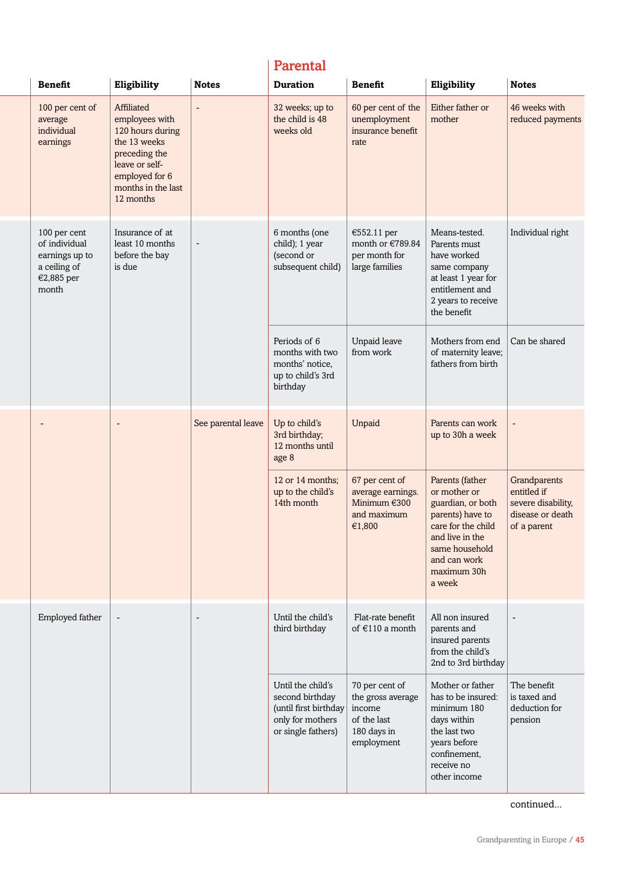# Parental

| <b>Benefit</b>                                                                         | Eligibility                                                                                                                                              | <b>Notes</b>             | <b>Duration</b>                                                                                         | <b>Benefit</b>                                                                            | Eligibility                                                                                                                                                                  | <b>Notes</b>                                                                         |                                                                                                                                             |                  |
|----------------------------------------------------------------------------------------|----------------------------------------------------------------------------------------------------------------------------------------------------------|--------------------------|---------------------------------------------------------------------------------------------------------|-------------------------------------------------------------------------------------------|------------------------------------------------------------------------------------------------------------------------------------------------------------------------------|--------------------------------------------------------------------------------------|---------------------------------------------------------------------------------------------------------------------------------------------|------------------|
| 100 per cent of<br>average<br>individual<br>earnings                                   | Affiliated<br>employees with<br>120 hours during<br>the 13 weeks<br>preceding the<br>leave or self-<br>employed for 6<br>months in the last<br>12 months | $\overline{\phantom{a}}$ | 32 weeks; up to<br>the child is 48<br>weeks old                                                         | 60 per cent of the<br>unemployment<br>insurance benefit<br>rate                           | Either father or<br>mother                                                                                                                                                   | 46 weeks with<br>reduced payments                                                    |                                                                                                                                             |                  |
| 100 per cent<br>of individual<br>earnings up to<br>a ceiling of<br>€2,885 per<br>month | Insurance of at<br>least 10 months<br>before the bay<br>is due                                                                                           |                          |                                                                                                         |                                                                                           | 6 months (one<br>child); 1 year<br>(second or<br>subsequent child)                                                                                                           | €552.11 per<br>month or €789.84<br>per month for<br>large families                   | Means-tested.<br>Parents must<br>have worked<br>same company<br>at least 1 year for<br>entitlement and<br>2 years to receive<br>the benefit | Individual right |
|                                                                                        |                                                                                                                                                          |                          | Periods of 6<br>months with two<br>months' notice,<br>up to child's 3rd<br>birthday                     | Unpaid leave<br>from work                                                                 | Mothers from end<br>of maternity leave;<br>fathers from birth                                                                                                                | Can be shared                                                                        |                                                                                                                                             |                  |
|                                                                                        | -                                                                                                                                                        | See parental leave       | Up to child's<br>3rd birthday;<br>12 months until<br>age 8                                              | Unpaid                                                                                    | Parents can work<br>up to 30h a week                                                                                                                                         | -                                                                                    |                                                                                                                                             |                  |
|                                                                                        |                                                                                                                                                          |                          | 12 or 14 months;<br>up to the child's<br>14th month                                                     | 67 per cent of<br>average earnings.<br>Minimum $€300$<br>and maximum<br>€1,800            | Parents (father<br>or mother or<br>guardian, or both<br>parents) have to<br>care for the child<br>and live in the<br>same household<br>and can work<br>maximum 30h<br>a week | Grandparents<br>entitled if<br>severe disability,<br>disease or death<br>of a parent |                                                                                                                                             |                  |
| Employed father                                                                        | $\overline{\phantom{a}}$                                                                                                                                 | $\overline{\phantom{a}}$ | Until the child's<br>third birthday                                                                     | Flat-rate benefit<br>of $€110$ a month                                                    | All non insured<br>parents and<br>insured parents<br>from the child's<br>2nd to 3rd birthday                                                                                 | $\overline{a}$                                                                       |                                                                                                                                             |                  |
|                                                                                        |                                                                                                                                                          |                          | Until the child's<br>second birthday<br>(until first birthday<br>only for mothers<br>or single fathers) | 70 per cent of<br>the gross average<br>income<br>of the last<br>180 days in<br>employment | Mother or father<br>has to be insured:<br>minimum 180<br>days within<br>the last two<br>years before<br>confinement,<br>receive no<br>other income                           | The benefit<br>is taxed and<br>deduction for<br>pension                              |                                                                                                                                             |                  |

continued...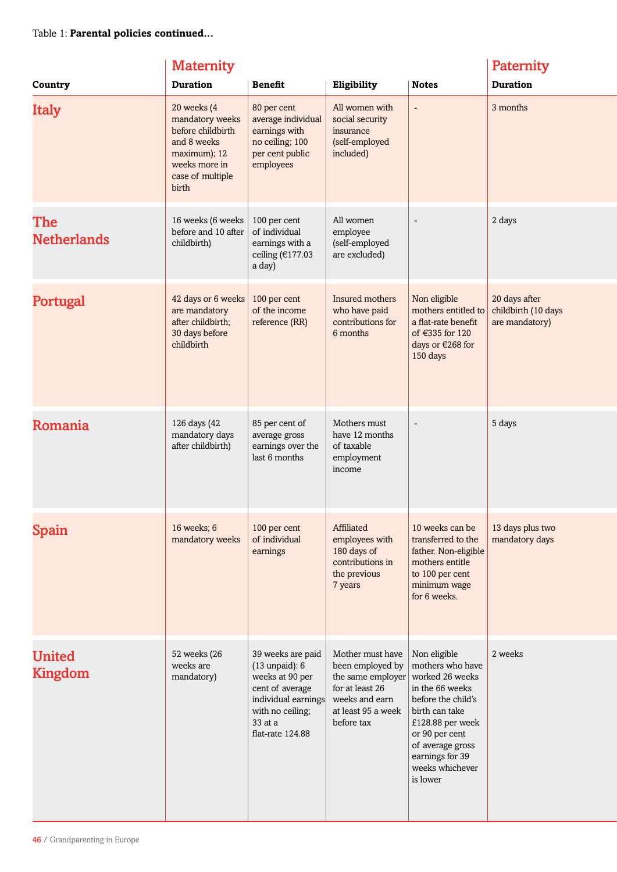|                                 | <b>Paternity</b>                                                                                                                 |                                                                                                                                                         |                                                                                                                                    |                                                                                                                                                                                                                            |                                                        |
|---------------------------------|----------------------------------------------------------------------------------------------------------------------------------|---------------------------------------------------------------------------------------------------------------------------------------------------------|------------------------------------------------------------------------------------------------------------------------------------|----------------------------------------------------------------------------------------------------------------------------------------------------------------------------------------------------------------------------|--------------------------------------------------------|
| Country                         | <b>Duration</b>                                                                                                                  | <b>Benefit</b>                                                                                                                                          | Eligibility                                                                                                                        | <b>Notes</b>                                                                                                                                                                                                               | <b>Duration</b>                                        |
| <b>Italy</b>                    | 20 weeks (4<br>mandatory weeks<br>before childbirth<br>and 8 weeks<br>maximum); 12<br>weeks more in<br>case of multiple<br>birth | 80 per cent<br>average individual<br>earnings with<br>no ceiling; 100<br>per cent public<br>employees                                                   | All women with<br>social security<br>insurance<br>(self-employed<br>included)                                                      | $\overline{\phantom{a}}$                                                                                                                                                                                                   | 3 months                                               |
| The<br><b>Netherlands</b>       | 16 weeks (6 weeks<br>before and 10 after<br>childbirth)                                                                          | 100 per cent<br>of individual<br>earnings with a<br>ceiling (€177.03<br>a day)                                                                          | All women<br>employee<br>(self-employed<br>are excluded)                                                                           | $\overline{\phantom{a}}$                                                                                                                                                                                                   | 2 days                                                 |
| Portugal                        | 42 days or 6 weeks<br>are mandatory<br>after childbirth;<br>30 days before<br>childbirth                                         | 100 per cent<br>of the income<br>reference (RR)                                                                                                         | Insured mothers<br>who have paid<br>contributions for<br>6 months                                                                  | Non eligible<br>mothers entitled to<br>a flat-rate benefit<br>of $\epsilon$ 335 for 120<br>days or €268 for<br>150 days                                                                                                    | 20 days after<br>childbirth (10 days<br>are mandatory) |
| Romania                         | 126 days (42<br>mandatory days<br>after childbirth)                                                                              | 85 per cent of<br>average gross<br>earnings over the<br>last 6 months                                                                                   | Mothers must<br>have 12 months<br>of taxable<br>employment<br>income                                                               |                                                                                                                                                                                                                            | 5 days                                                 |
| Spain                           | 16 weeks; 6<br>mandatory weeks                                                                                                   | 100 per cent<br>of individual<br>earnings                                                                                                               | Affiliated<br>employees with<br>180 days of<br>contributions in<br>the previous<br>7 years                                         | 10 weeks can be<br>transferred to the<br>father. Non-eligible<br>mothers entitle<br>to 100 per cent<br>minimum wage<br>for 6 weeks.                                                                                        | 13 days plus two<br>mandatory days                     |
| <b>United</b><br><b>Kingdom</b> | 52 weeks (26<br>weeks are<br>mandatory)                                                                                          | 39 weeks are paid<br>$(13$ unpaid): $6$<br>weeks at 90 per<br>cent of average<br>individual earnings<br>with no ceiling;<br>33 at a<br>flat-rate 124.88 | Mother must have<br>been employed by<br>the same employer<br>for at least 26<br>weeks and earn<br>at least 95 a week<br>before tax | Non eligible<br>mothers who have<br>worked 26 weeks<br>in the 66 weeks<br>before the child's<br>birth can take<br>£128.88 per week<br>or 90 per cent<br>of average gross<br>earnings for 39<br>weeks whichever<br>is lower | 2 weeks                                                |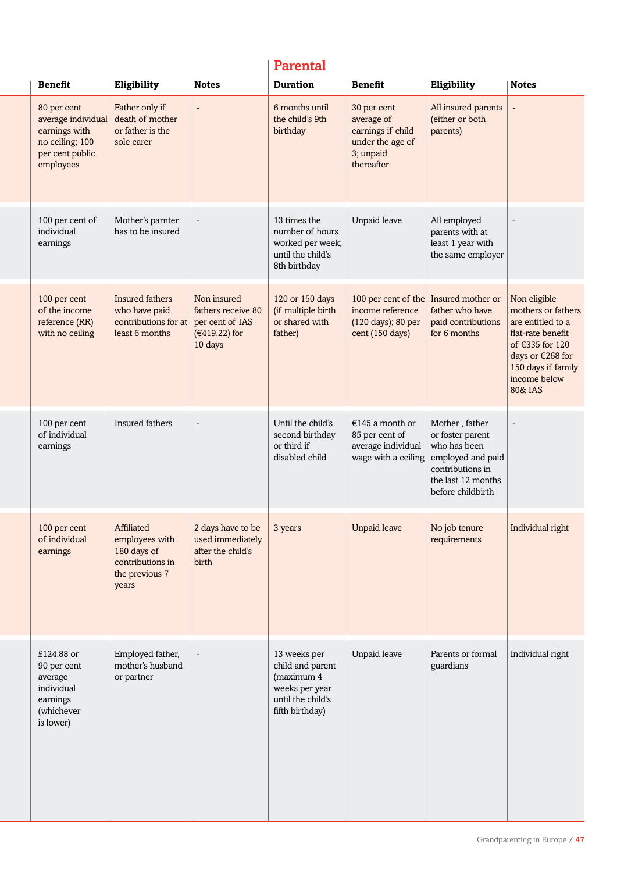# Parental

| <b>Benefit</b>                                                                                        | Eligibility                                                                                | <b>Notes</b>                                                                     | <b>Duration</b>                                                                                          | <b>Benefit</b>                                                                                | Eligibility                                                                                                                            | <b>Notes</b>                                                                                                                                                         |
|-------------------------------------------------------------------------------------------------------|--------------------------------------------------------------------------------------------|----------------------------------------------------------------------------------|----------------------------------------------------------------------------------------------------------|-----------------------------------------------------------------------------------------------|----------------------------------------------------------------------------------------------------------------------------------------|----------------------------------------------------------------------------------------------------------------------------------------------------------------------|
| 80 per cent<br>average individual<br>earnings with<br>no ceiling; 100<br>per cent public<br>employees | Father only if<br>death of mother<br>or father is the<br>sole carer                        | $\blacksquare$                                                                   | 6 months until<br>the child's 9th<br>birthday                                                            | 30 per cent<br>average of<br>earnings if child<br>under the age of<br>3; unpaid<br>thereafter | All insured parents<br>(either or both<br>parents)                                                                                     | $\overline{\phantom{a}}$                                                                                                                                             |
| 100 per cent of<br>individual<br>earnings                                                             | Mother's parnter<br>has to be insured                                                      | $\overline{\phantom{a}}$                                                         | 13 times the<br>number of hours<br>worked per week;<br>until the child's<br>8th birthday                 | Unpaid leave                                                                                  | All employed<br>parents with at<br>least 1 year with<br>the same employer                                                              | $\overline{a}$                                                                                                                                                       |
| 100 per cent<br>of the income<br>reference (RR)<br>with no ceiling                                    | Insured fathers<br>who have paid<br>contributions for at<br>least 6 months                 | Non insured<br>fathers receive 80<br>per cent of IAS<br>(€419.22) for<br>10 days | 120 or 150 days<br>(if multiple birth<br>or shared with<br>father)                                       | 100 per cent of the<br>income reference<br>(120 days); 80 per<br>cent (150 days)              | Insured mother or<br>father who have<br>paid contributions<br>for 6 months                                                             | Non eligible<br>mothers or fathers<br>are entitled to a<br>flat-rate benefit<br>of €335 for 120<br>days or €268 for<br>150 days if family<br>income below<br>80& IAS |
| 100 per cent<br>of individual<br>earnings                                                             | Insured fathers                                                                            | $\overline{\phantom{a}}$                                                         | Until the child's<br>second birthday<br>or third if<br>disabled child                                    | €145 a month or<br>85 per cent of<br>average individual<br>wage with a ceiling                | Mother, father<br>or foster parent<br>who has been<br>employed and paid<br>contributions in<br>the last 12 months<br>before childbirth | $\overline{\phantom{a}}$                                                                                                                                             |
| 100 per cent<br>of individual<br>earnings                                                             | Affiliated<br>employees with<br>180 days of<br>contributions in<br>the previous 7<br>years | 2 days have to be<br>used immediately<br>after the child's<br>birth              | 3 years                                                                                                  | <b>Unpaid leave</b>                                                                           | No job tenure<br>requirements                                                                                                          | Individual right                                                                                                                                                     |
| £124.88 or<br>90 per cent<br>average<br>individual<br>earnings<br>(whichever<br>is lower)             | Employed father,<br>mother's husband<br>or partner                                         | $\overline{\phantom{a}}$                                                         | 13 weeks per<br>child and parent<br>(maximum 4<br>weeks per year<br>until the child's<br>fifth birthday) | Unpaid leave                                                                                  | Parents or formal<br>guardians                                                                                                         | Individual right                                                                                                                                                     |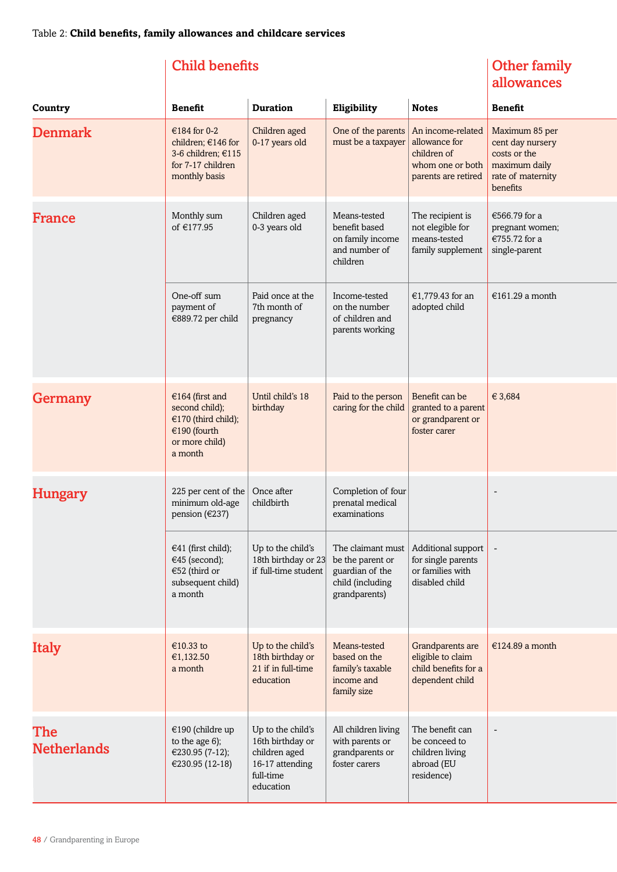# Child benefits

# Other family allowances

| Country                   | <b>Benefit</b>                                                                                        | <b>Duration</b>                                                                                     | Eligibility                                                                    | <b>Notes</b>                                                                                       | <b>Benefit</b>                                                                                       |
|---------------------------|-------------------------------------------------------------------------------------------------------|-----------------------------------------------------------------------------------------------------|--------------------------------------------------------------------------------|----------------------------------------------------------------------------------------------------|------------------------------------------------------------------------------------------------------|
| <b>Denmark</b>            | €184 for 0-2<br>children; €146 for<br>3-6 children; €115<br>for 7-17 children<br>monthly basis        | Children aged<br>0-17 years old                                                                     | One of the parents<br>must be a taxpayer                                       | An income-related<br>allowance for<br>children of<br>whom one or both<br>parents are retired       | Maximum 85 per<br>cent day nursery<br>costs or the<br>maximum daily<br>rate of maternity<br>benefits |
| France                    | Monthly sum<br>of €177.95                                                                             | Children aged<br>0-3 years old                                                                      | Means-tested<br>benefit based<br>on family income<br>and number of<br>children | The recipient is<br>not elegible for<br>means-tested<br>family supplement                          | €566.79 for a<br>pregnant women;<br>€755.72 for a<br>single-parent                                   |
|                           | One-off sum<br>payment of<br>€889.72 per child                                                        | Paid once at the<br>7th month of<br>pregnancy                                                       | Income-tested<br>on the number<br>of children and<br>parents working           | €1,779.43 for an<br>adopted child                                                                  | €161.29 a month                                                                                      |
| Germany                   | €164 (first and<br>second child);<br>€170 (third child);<br>€190 (fourth<br>or more child)<br>a month | Until child's 18<br>birthday                                                                        | Paid to the person<br>caring for the child                                     | Benefit can be<br>granted to a parent<br>or grandparent or<br>foster carer                         | € 3,684                                                                                              |
| <b>Hungary</b>            | 225 per cent of the<br>minimum old-age<br>pension (€237)                                              | Once after<br>childbirth                                                                            | Completion of four<br>prenatal medical<br>examinations                         |                                                                                                    | $\overline{\phantom{a}}$                                                                             |
|                           | €41 (first child);<br>€45 (second);<br>€52 (third or<br>subsequent child)<br>a month                  | Up to the child's<br>18th birthday or 23 be the parent or<br>if full-time student                   | guardian of the<br>child (including<br>grandparents)                           | The claimant must   Additional support<br>for single parents<br>or families with<br>disabled child |                                                                                                      |
| <b>Italy</b>              | €10.33 to<br>€1,132.50<br>a month                                                                     | Up to the child's<br>18th birthday or<br>21 if in full-time<br>education                            | Means-tested<br>based on the<br>family's taxable<br>income and<br>family size  | Grandparents are<br>eligible to claim<br>child benefits for a<br>dependent child                   | €124.89 a month                                                                                      |
| The<br><b>Netherlands</b> | €190 (childre up<br>to the age 6);<br>€230.95 (7-12);<br>€230.95 (12-18)                              | Up to the child's<br>16th birthday or<br>children aged<br>16-17 attending<br>full-time<br>education | All children living<br>with parents or<br>grandparents or<br>foster carers     | The benefit can<br>be conceed to<br>children living<br>abroad (EU<br>residence)                    |                                                                                                      |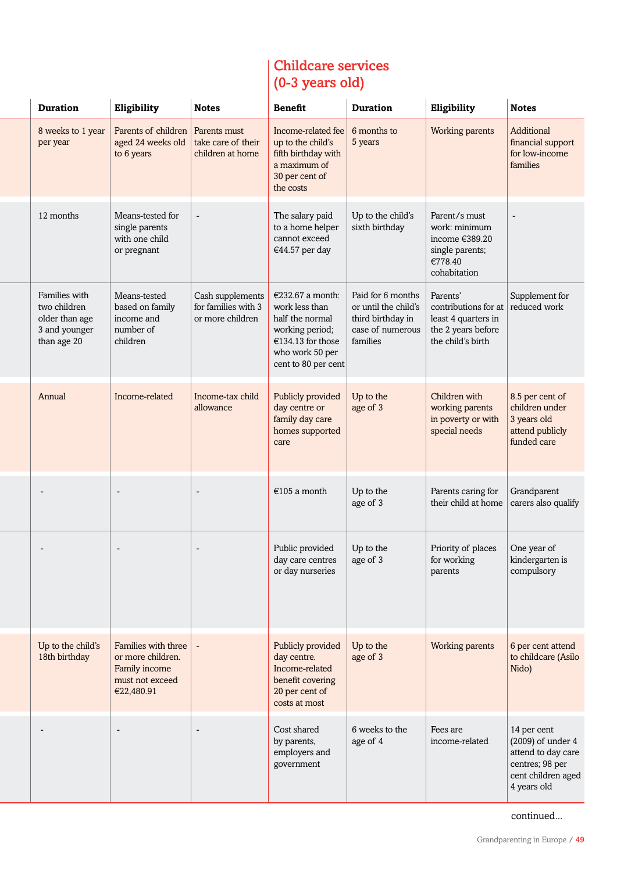# Childcare services (0-3 years old)

| <b>Duration</b>                                                                 | Eligibility                                                                                | <b>Notes</b>                                                | <b>Benefit</b>                                                                                                                          | <b>Duration</b>                                                                                | Eligibility                                                                                        | <b>Notes</b>                                                                                                       |
|---------------------------------------------------------------------------------|--------------------------------------------------------------------------------------------|-------------------------------------------------------------|-----------------------------------------------------------------------------------------------------------------------------------------|------------------------------------------------------------------------------------------------|----------------------------------------------------------------------------------------------------|--------------------------------------------------------------------------------------------------------------------|
| 8 weeks to 1 year<br>per year                                                   | Parents of children<br>aged 24 weeks old<br>to 6 years                                     | Parents must<br>take care of their<br>children at home      | Income-related fee<br>up to the child's<br>fifth birthday with<br>a maximum of<br>30 per cent of<br>the costs                           | 6 months to<br>5 years                                                                         | Working parents                                                                                    | Additional<br>financial support<br>for low-income<br>families                                                      |
| 12 months                                                                       | Means-tested for<br>single parents<br>with one child<br>or pregnant                        | $\overline{\phantom{a}}$                                    | The salary paid<br>to a home helper<br>cannot exceed<br>€44.57 per day                                                                  | Up to the child's<br>sixth birthday                                                            | Parent/s must<br>work: minimum<br>income €389.20<br>single parents;<br>€778.40<br>cohabitation     | $\overline{\phantom{a}}$                                                                                           |
| Families with<br>two children<br>older than age<br>3 and younger<br>than age 20 | Means-tested<br>based on family<br>income and<br>number of<br>children                     | Cash supplements<br>for families with 3<br>or more children | €232.67 a month:<br>work less than<br>half the normal<br>working period;<br>€134.13 for those<br>who work 50 per<br>cent to 80 per cent | Paid for 6 months<br>or until the child's<br>third birthday in<br>case of numerous<br>families | Parents'<br>contributions for at<br>least 4 quarters in<br>the 2 years before<br>the child's birth | Supplement for<br>reduced work                                                                                     |
| Annual                                                                          | Income-related                                                                             | Income-tax child<br>allowance                               | Publicly provided<br>day centre or<br>family day care<br>homes supported<br>care                                                        | Up to the<br>age of 3                                                                          | Children with<br>working parents<br>in poverty or with<br>special needs                            | 8.5 per cent of<br>children under<br>3 years old<br>attend publicly<br>funded care                                 |
|                                                                                 |                                                                                            | $\overline{\phantom{a}}$                                    | €105 a month                                                                                                                            | Up to the<br>age of 3                                                                          | Parents caring for<br>their child at home                                                          | Grandparent<br>carers also qualify                                                                                 |
|                                                                                 |                                                                                            | $\overline{\phantom{a}}$                                    | Public provided<br>day care centres<br>or day nurseries                                                                                 | Up to the<br>age of 3                                                                          | Priority of places<br>for working<br>parents                                                       | One year of<br>kindergarten is<br>compulsory                                                                       |
| Up to the child's<br>18th birthday                                              | Families with three<br>or more children.<br>Family income<br>must not exceed<br>€22,480.91 |                                                             | Publicly provided<br>day centre.<br>Income-related<br>benefit covering<br>20 per cent of<br>costs at most                               | Up to the<br>age of 3                                                                          | Working parents                                                                                    | 6 per cent attend<br>to childcare (Asilo<br>Nido)                                                                  |
|                                                                                 |                                                                                            | $\overline{\phantom{a}}$                                    | Cost shared<br>by parents,<br>employers and<br>government                                                                               | 6 weeks to the<br>age of 4                                                                     | Fees are<br>income-related                                                                         | 14 per cent<br>$(2009)$ of under $4$<br>attend to day care<br>centres; 98 per<br>cent children aged<br>4 years old |

continued...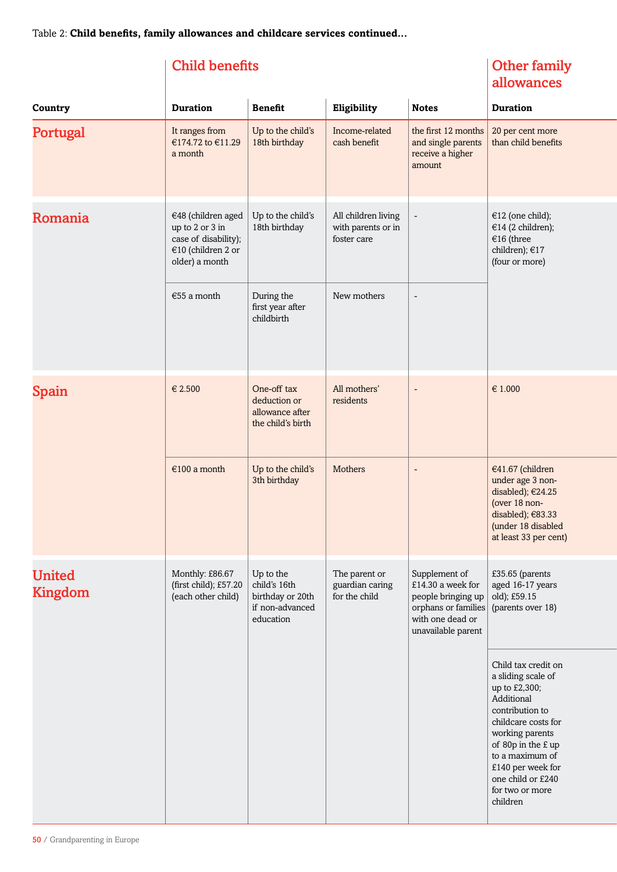# Child benefits

# Other family allowances

| Country                         | <b>Duration</b>                                                                                       | <b>Benefit</b>                                                                | Eligibility                                              | <b>Notes</b>                                                                                                              | <b>Duration</b>                                                                                                                                                                                                                                         |
|---------------------------------|-------------------------------------------------------------------------------------------------------|-------------------------------------------------------------------------------|----------------------------------------------------------|---------------------------------------------------------------------------------------------------------------------------|---------------------------------------------------------------------------------------------------------------------------------------------------------------------------------------------------------------------------------------------------------|
| Portugal                        | It ranges from<br>€174.72 to €11.29<br>a month                                                        | Up to the child's<br>18th birthday                                            | Income-related<br>cash benefit                           | the first 12 months<br>and single parents<br>receive a higher<br>amount                                                   | 20 per cent more<br>than child benefits                                                                                                                                                                                                                 |
| Romania                         | €48 (children aged<br>up to 2 or 3 in<br>case of disability);<br>€10 (children 2 or<br>older) a month | Up to the child's<br>18th birthday                                            | All children living<br>with parents or in<br>foster care | $\blacksquare$                                                                                                            | €12 (one child);<br>€14 (2 children);<br>€16 (three<br>children); €17<br>(four or more)                                                                                                                                                                 |
|                                 | €55 a month                                                                                           | During the<br>first year after<br>childbirth                                  | New mothers                                              | $\qquad \qquad \blacksquare$                                                                                              |                                                                                                                                                                                                                                                         |
| Spain                           | € 2.500                                                                                               | One-off tax<br>deduction or<br>allowance after<br>the child's birth           | All mothers'<br>residents                                | $\overline{\phantom{a}}$                                                                                                  | € 1.000                                                                                                                                                                                                                                                 |
|                                 | €100 a month                                                                                          | Up to the child's<br>3th birthday                                             | <b>Mothers</b>                                           | $\overline{\phantom{a}}$                                                                                                  | €41.67 (children<br>under age 3 non-<br>disabled); €24.25<br>(over 18 non-<br>disabled); €83.33<br>(under 18 disabled<br>at least 33 per cent)                                                                                                          |
| <b>United</b><br><b>Kingdom</b> | Monthly: £86.67<br>(first child); £57.20<br>(each other child)                                        | Up to the<br>child's 16th<br>birthday or 20th<br>if non-advanced<br>education | The parent or<br>guardian caring<br>for the child        | Supplement of<br>£14.30 a week for<br>people bringing up<br>orphans or families<br>with one dead or<br>unavailable parent | £35.65 (parents<br>aged 16-17 years<br>old); £59.15<br>(parents over 18)                                                                                                                                                                                |
|                                 |                                                                                                       |                                                                               |                                                          |                                                                                                                           | Child tax credit on<br>a sliding scale of<br>up to £2,300;<br>Additional<br>contribution to<br>childcare costs for<br>working parents<br>of 80p in the £ up<br>to a maximum of<br>£140 per week for<br>one child or £240<br>for two or more<br>children |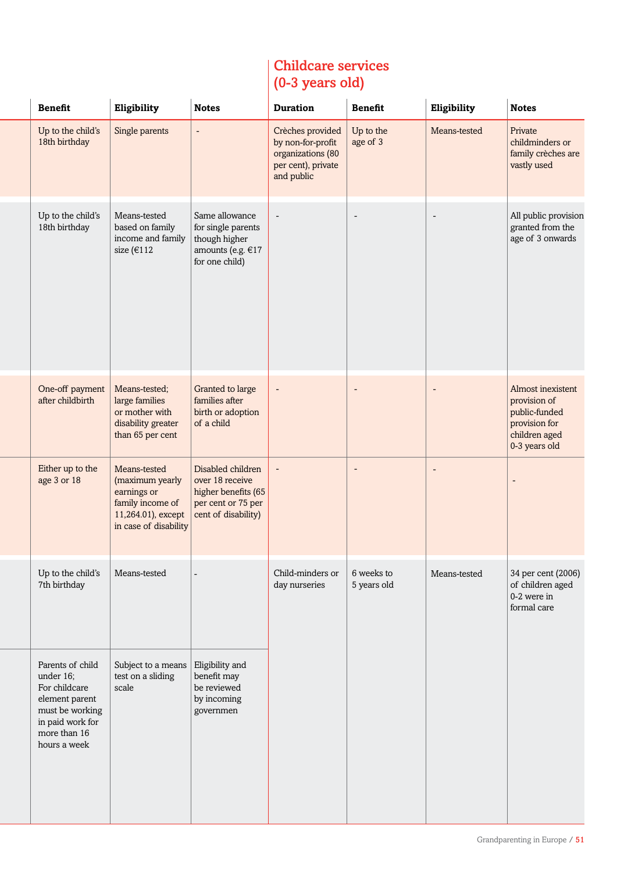# Childcare services (0-3 years old)

| <b>Benefit</b>                                                                                                                          | Eligibility                                                                                                       | <b>Notes</b>                                                                                             | <b>Duration</b>                                                                                | <b>Benefit</b>            | Eligibility              | <b>Notes</b>                                                                                          |
|-----------------------------------------------------------------------------------------------------------------------------------------|-------------------------------------------------------------------------------------------------------------------|----------------------------------------------------------------------------------------------------------|------------------------------------------------------------------------------------------------|---------------------------|--------------------------|-------------------------------------------------------------------------------------------------------|
| Up to the child's<br>18th birthday                                                                                                      | Single parents                                                                                                    | $\blacksquare$                                                                                           | Crèches provided<br>by non-for-profit<br>organizations (80<br>per cent), private<br>and public | Up to the<br>age of 3     | Means-tested             | Private<br>childminders or<br>family crèches are<br>vastly used                                       |
| Up to the child's<br>18th birthday                                                                                                      | Means-tested<br>based on family<br>income and family<br>size (€112                                                | Same allowance<br>for single parents<br>though higher<br>amounts (e.g. €17<br>for one child)             | $\overline{\phantom{a}}$                                                                       | $\overline{\phantom{a}}$  | $\overline{\phantom{a}}$ | All public provision<br>granted from the<br>age of 3 onwards                                          |
| One-off payment<br>after childbirth                                                                                                     | Means-tested;<br>large families<br>or mother with<br>disability greater<br>than 65 per cent                       | Granted to large<br>families after<br>birth or adoption<br>of a child                                    | $\overline{a}$                                                                                 |                           | $\overline{\phantom{a}}$ | Almost inexistent<br>provision of<br>public-funded<br>provision for<br>children aged<br>0-3 years old |
| Either up to the<br>age 3 or 18                                                                                                         | Means-tested<br>(maximum yearly<br>earnings or<br>family income of<br>11,264.01), except<br>in case of disability | Disabled children<br>over 18 receive<br>higher benefits (65<br>per cent or 75 per<br>cent of disability) |                                                                                                |                           |                          |                                                                                                       |
| Up to the child's<br>7th birthday                                                                                                       | Means-tested                                                                                                      |                                                                                                          | Child-minders or<br>day nurseries                                                              | 6 weeks to<br>5 years old | Means-tested             | 34 per cent (2006)<br>of children aged<br>0-2 were in<br>formal care                                  |
| Parents of child<br>under 16;<br>For childcare<br>element parent<br>must be working<br>in paid work for<br>more than 16<br>hours a week | Subject to a means<br>test on a sliding<br>scale                                                                  | Eligibility and<br>benefit may<br>be reviewed<br>by incoming<br>governmen                                |                                                                                                |                           |                          |                                                                                                       |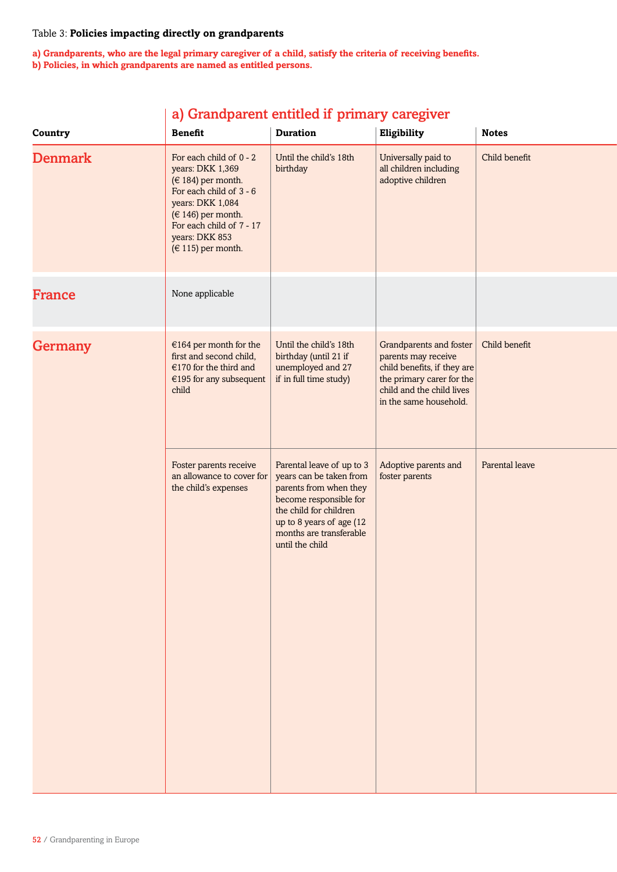# Table 3: **Policies impacting directly on grandparents**

**a) Grandparents, who are the legal primary caregiver of a child, satisfy the criteria of receiving benefits. b) Policies, in which grandparents are named as entitled persons.**

|                |                                                                                                                                                                                                                           |                                                                                                                                                                                                              | a) Grandparent entitied if primary caregiver                                                                                                                      |                |  |
|----------------|---------------------------------------------------------------------------------------------------------------------------------------------------------------------------------------------------------------------------|--------------------------------------------------------------------------------------------------------------------------------------------------------------------------------------------------------------|-------------------------------------------------------------------------------------------------------------------------------------------------------------------|----------------|--|
| Country        | <b>Benefit</b>                                                                                                                                                                                                            | <b>Duration</b>                                                                                                                                                                                              | Eligibility                                                                                                                                                       | <b>Notes</b>   |  |
| <b>Denmark</b> | For each child of 0 - 2<br>years: DKK 1,369<br>( $\in$ 184) per month.<br>For each child of 3 - 6<br>years: DKK 1,084<br>( $\in$ 146) per month.<br>For each child of 7 - 17<br>years: DKK 853<br>( $\in$ 115) per month. | Until the child's 18th<br>birthday                                                                                                                                                                           | Universally paid to<br>all children including<br>adoptive children                                                                                                | Child benefit  |  |
| <b>France</b>  | None applicable                                                                                                                                                                                                           |                                                                                                                                                                                                              |                                                                                                                                                                   |                |  |
| <b>Germany</b> | $€164$ per month for the<br>first and second child,<br>€170 for the third and<br>$€195$ for any subsequent<br>child                                                                                                       | Until the child's 18th<br>birthday (until 21 if<br>unemployed and 27<br>if in full time study)                                                                                                               | Grandparents and foster<br>parents may receive<br>child benefits, if they are<br>the primary carer for the<br>child and the child lives<br>in the same household. | Child benefit  |  |
|                | Foster parents receive<br>an allowance to cover for<br>the child's expenses                                                                                                                                               | Parental leave of up to 3<br>years can be taken from<br>parents from when they<br>become responsible for<br>the child for children<br>up to 8 years of age (12<br>months are transferable<br>until the child | Adoptive parents and<br>foster parents                                                                                                                            | Parental leave |  |

# a) Grandparent entitled if primary caregiver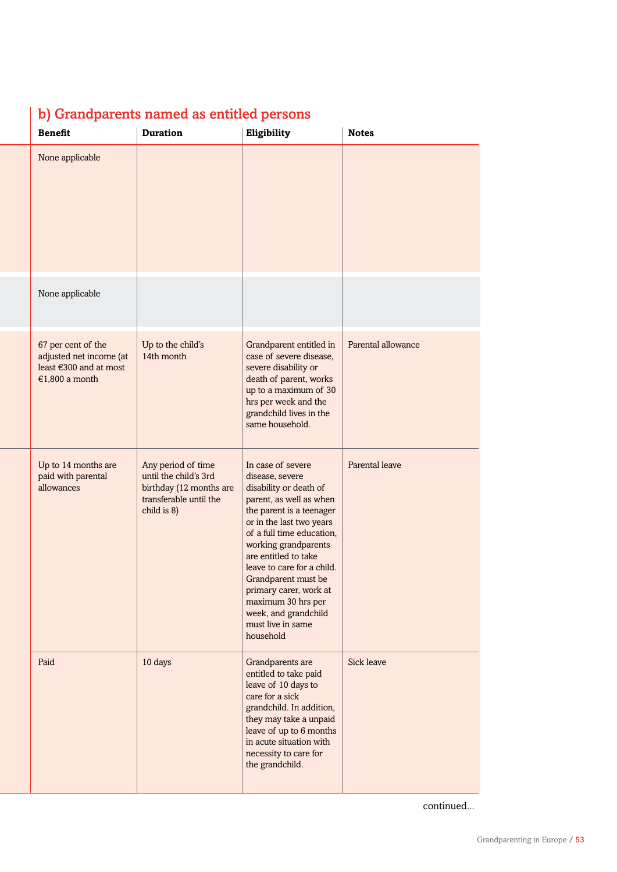# b) Grandparents named as entitled persons

| <b>Benefit</b>                                                                            | <b>Duration</b>                                                                                                 | Eligibility                                                                                                                                                                                                                                                                                                                                                                                   | <b>Notes</b>       |
|-------------------------------------------------------------------------------------------|-----------------------------------------------------------------------------------------------------------------|-----------------------------------------------------------------------------------------------------------------------------------------------------------------------------------------------------------------------------------------------------------------------------------------------------------------------------------------------------------------------------------------------|--------------------|
| None applicable                                                                           |                                                                                                                 |                                                                                                                                                                                                                                                                                                                                                                                               |                    |
| None applicable                                                                           |                                                                                                                 |                                                                                                                                                                                                                                                                                                                                                                                               |                    |
| 67 per cent of the<br>adjusted net income (at<br>least €300 and at most<br>€1,800 a month | Up to the child's<br>14th month                                                                                 | Grandparent entitled in<br>case of severe disease,<br>severe disability or<br>death of parent, works<br>up to a maximum of 30<br>hrs per week and the<br>grandchild lives in the<br>same household.                                                                                                                                                                                           | Parental allowance |
| Up to 14 months are<br>paid with parental<br>allowances                                   | Any period of time<br>until the child's 3rd<br>birthday (12 months are<br>transferable until the<br>child is 8) | In case of severe<br>disease, severe<br>disability or death of<br>parent, as well as when<br>the parent is a teenager<br>or in the last two years<br>of a full time education,<br>working grandparents<br>are entitled to take<br>leave to care for a child.<br>Grandparent must be<br>primary carer, work at<br>maximum 30 hrs per<br>week, and grandchild<br>must live in same<br>household | Parental leave     |
| Paid                                                                                      | 10 days                                                                                                         | Grandparents are<br>entitled to take paid<br>leave of 10 days to<br>care for a sick<br>grandchild. In addition,<br>they may take a unpaid<br>leave of up to 6 months<br>in acute situation with<br>necessity to care for<br>the grandchild.                                                                                                                                                   | Sick leave         |

continued...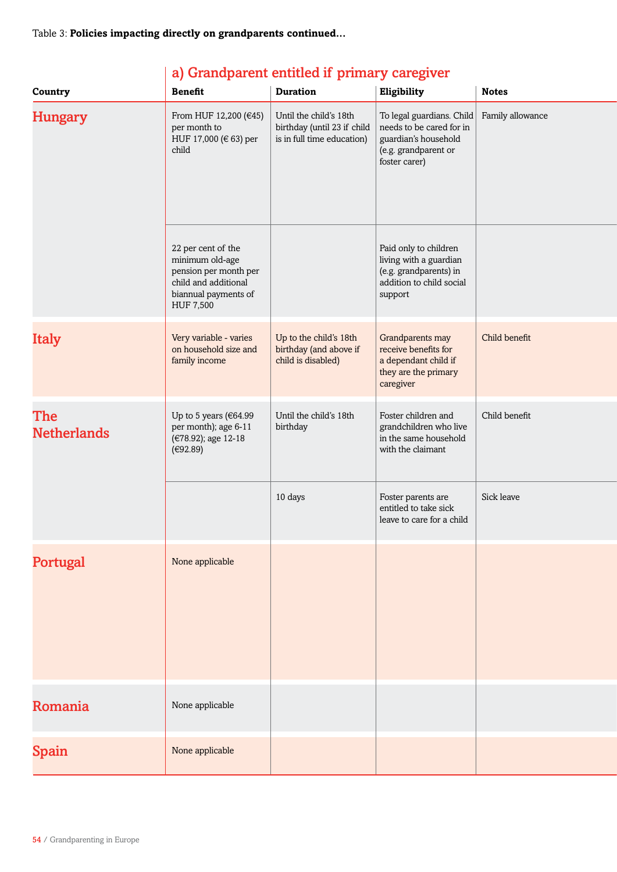| Country                   | <b>Benefit</b>                                                                                                                     | <b>Duration</b>                                                                     | Eligibility                                                                                                            | <b>Notes</b>     |
|---------------------------|------------------------------------------------------------------------------------------------------------------------------------|-------------------------------------------------------------------------------------|------------------------------------------------------------------------------------------------------------------------|------------------|
| <b>Hungary</b>            | From HUF 12,200 (€45)<br>per month to<br>HUF 17,000 (€ 63) per<br>child                                                            | Until the child's 18th<br>birthday (until 23 if child<br>is in full time education) | To legal guardians. Child<br>needs to be cared for in<br>guardian's household<br>(e.g. grandparent or<br>foster carer) | Family allowance |
|                           | 22 per cent of the<br>minimum old-age<br>pension per month per<br>child and additional<br>biannual payments of<br><b>HUF 7,500</b> |                                                                                     | Paid only to children<br>living with a guardian<br>(e.g. grandparents) in<br>addition to child social<br>support       |                  |
| <b>Italy</b>              | Very variable - varies<br>on household size and<br>family income                                                                   | Up to the child's 18th<br>birthday (and above if<br>child is disabled)              | Grandparents may<br>receive benefits for<br>a dependant child if<br>they are the primary<br>caregiver                  | Child benefit    |
| The<br><b>Netherlands</b> | Up to 5 years ( $€64.99$<br>per month); age 6-11<br>(€78.92); age 12-18<br>(€92.89)                                                | Until the child's 18th<br>birthday                                                  | Foster children and<br>grandchildren who live<br>in the same household<br>with the claimant                            | Child benefit    |
|                           |                                                                                                                                    | 10 days                                                                             | Foster parents are<br>entitled to take sick<br>leave to care for a child                                               | Sick leave       |
| Portugal                  | None applicable                                                                                                                    |                                                                                     |                                                                                                                        |                  |
| Romania                   | None applicable                                                                                                                    |                                                                                     |                                                                                                                        |                  |
| Spain                     | None applicable                                                                                                                    |                                                                                     |                                                                                                                        |                  |

# a) Grandparent entitled if primary caregiver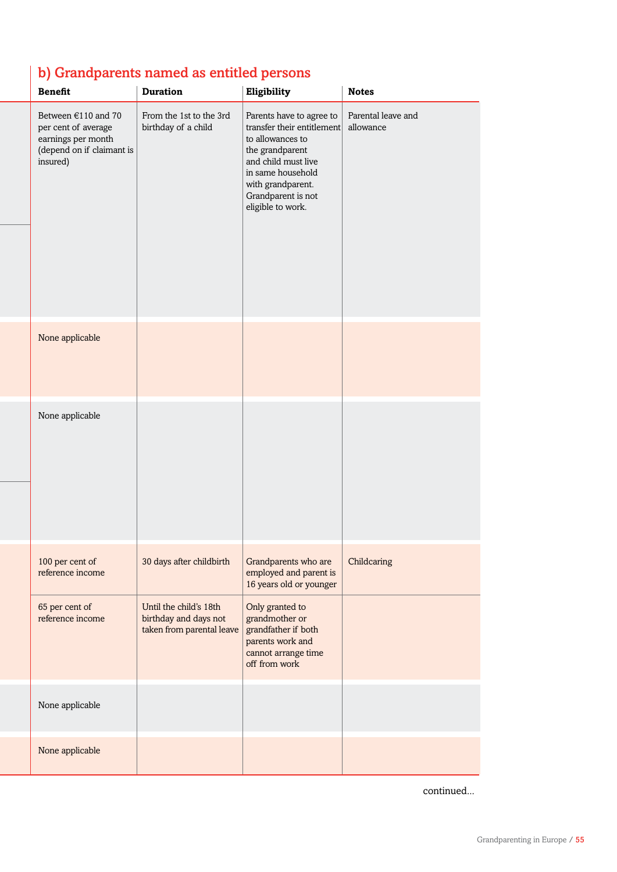# b) Grandparents named as entitled persons

| <b>Benefit</b>                                                                                            | <b>Duration</b>                                                              | Eligibility                                                                                                                                                                                               | <b>Notes</b>                    |
|-----------------------------------------------------------------------------------------------------------|------------------------------------------------------------------------------|-----------------------------------------------------------------------------------------------------------------------------------------------------------------------------------------------------------|---------------------------------|
| Between €110 and 70<br>per cent of average<br>earnings per month<br>(depend on if claimant is<br>insured) | From the 1st to the 3rd<br>birthday of a child                               | Parents have to agree to<br>transfer their entitlement<br>to allowances to<br>the grandparent<br>and child must live<br>in same household<br>with grandparent.<br>Grandparent is not<br>eligible to work. | Parental leave and<br>allowance |
|                                                                                                           |                                                                              |                                                                                                                                                                                                           |                                 |
| None applicable                                                                                           |                                                                              |                                                                                                                                                                                                           |                                 |
| None applicable                                                                                           |                                                                              |                                                                                                                                                                                                           |                                 |
| 100 per cent of<br>reference income                                                                       | 30 days after childbirth                                                     | Grandparents who are<br>employed and parent is<br>16 years old or younger                                                                                                                                 | Childcaring                     |
| 65 per cent of<br>reference income                                                                        | Until the child's 18th<br>birthday and days not<br>taken from parental leave | Only granted to<br>grandmother or<br>grandfather if both<br>parents work and<br>cannot arrange time<br>off from work                                                                                      |                                 |
| None applicable                                                                                           |                                                                              |                                                                                                                                                                                                           |                                 |
| None applicable                                                                                           |                                                                              |                                                                                                                                                                                                           |                                 |

continued...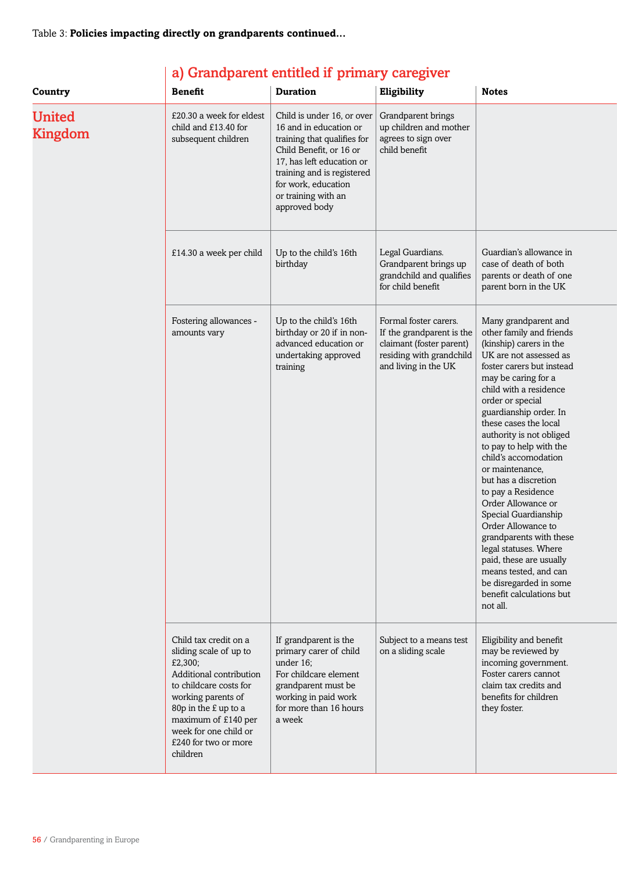| Country                         | <b>Benefit</b>                                                                                                                                                                                                                                    | <b>Duration</b>                                                                                                                                                                                                                          | Eligibility                                                                                                                        | <b>Notes</b>                                                                                                                                                                                                                                                                                                                                                                                                                                                                                                                                                                                                                                             |
|---------------------------------|---------------------------------------------------------------------------------------------------------------------------------------------------------------------------------------------------------------------------------------------------|------------------------------------------------------------------------------------------------------------------------------------------------------------------------------------------------------------------------------------------|------------------------------------------------------------------------------------------------------------------------------------|----------------------------------------------------------------------------------------------------------------------------------------------------------------------------------------------------------------------------------------------------------------------------------------------------------------------------------------------------------------------------------------------------------------------------------------------------------------------------------------------------------------------------------------------------------------------------------------------------------------------------------------------------------|
| <b>United</b><br><b>Kingdom</b> | £20.30 a week for eldest<br>child and £13.40 for<br>subsequent children                                                                                                                                                                           | Child is under 16, or over<br>16 and in education or<br>training that qualifies for<br>Child Benefit, or 16 or<br>17, has left education or<br>training and is registered<br>for work, education<br>or training with an<br>approved body | Grandparent brings<br>up children and mother<br>agrees to sign over<br>child benefit                                               |                                                                                                                                                                                                                                                                                                                                                                                                                                                                                                                                                                                                                                                          |
|                                 | £14.30 a week per child                                                                                                                                                                                                                           | Up to the child's 16th<br>birthday                                                                                                                                                                                                       | Legal Guardians.<br>Grandparent brings up<br>grandchild and qualifies<br>for child benefit                                         | Guardian's allowance in<br>case of death of both<br>parents or death of one<br>parent born in the UK                                                                                                                                                                                                                                                                                                                                                                                                                                                                                                                                                     |
|                                 | Fostering allowances -<br>amounts vary                                                                                                                                                                                                            | Up to the child's 16th<br>birthday or 20 if in non-<br>advanced education or<br>undertaking approved<br>training                                                                                                                         | Formal foster carers.<br>If the grandparent is the<br>claimant (foster parent)<br>residing with grandchild<br>and living in the UK | Many grandparent and<br>other family and friends<br>(kinship) carers in the<br>UK are not assessed as<br>foster carers but instead<br>may be caring for a<br>child with a residence<br>order or special<br>guardianship order. In<br>these cases the local<br>authority is not obliged<br>to pay to help with the<br>child's accomodation<br>or maintenance,<br>but has a discretion<br>to pay a Residence<br>Order Allowance or<br>Special Guardianship<br>Order Allowance to<br>grandparents with these<br>legal statuses. Where<br>paid, these are usually<br>means tested, and can<br>be disregarded in some<br>benefit calculations but<br>not all. |
|                                 | Child tax credit on a<br>sliding scale of up to<br>£2,300;<br>Additional contribution<br>to childcare costs for<br>working parents of<br>80p in the £ up to a<br>maximum of £140 per<br>week for one child or<br>£240 for two or more<br>children | If grandparent is the<br>primary carer of child<br>under 16;<br>For childcare element<br>grandparent must be<br>working in paid work<br>for more than 16 hours<br>a week                                                                 | Subject to a means test<br>on a sliding scale                                                                                      | Eligibility and benefit<br>may be reviewed by<br>incoming government.<br>Foster carers cannot<br>claim tax credits and<br>benefits for children<br>they foster.                                                                                                                                                                                                                                                                                                                                                                                                                                                                                          |

# a) Grandparent entitled if primary caregiver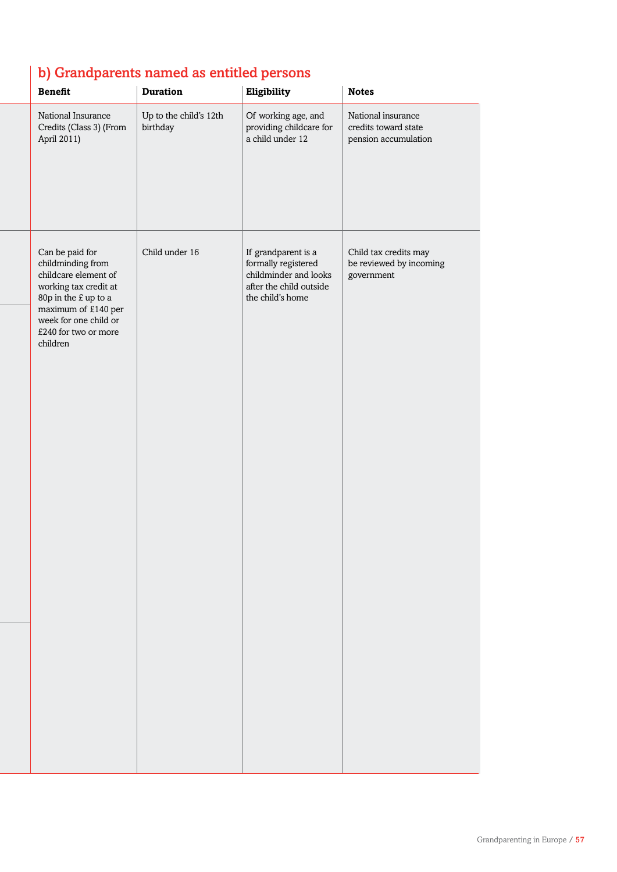# b) Grandparents named as entitled persons

| <b>Benefit</b>                                                                                                                                                                                    | <b>Duration</b>                    | Eligibility                                                                                                        | <b>Notes</b>                                                       |
|---------------------------------------------------------------------------------------------------------------------------------------------------------------------------------------------------|------------------------------------|--------------------------------------------------------------------------------------------------------------------|--------------------------------------------------------------------|
| National Insurance<br>Credits (Class 3) (From<br>April 2011)                                                                                                                                      | Up to the child's 12th<br>birthday | Of working age, and<br>providing childcare for<br>a child under 12                                                 | National insurance<br>credits toward state<br>pension accumulation |
| Can be paid for<br>childminding from<br>childcare element of<br>working tax credit at<br>80p in the £ up to a<br>maximum of £140 per<br>week for one child or<br>£240 for two or more<br>children | Child under 16                     | If grandparent is a<br>formally registered<br>childminder and looks<br>after the child outside<br>the child's home | Child tax credits may<br>be reviewed by incoming<br>government     |
|                                                                                                                                                                                                   |                                    |                                                                                                                    |                                                                    |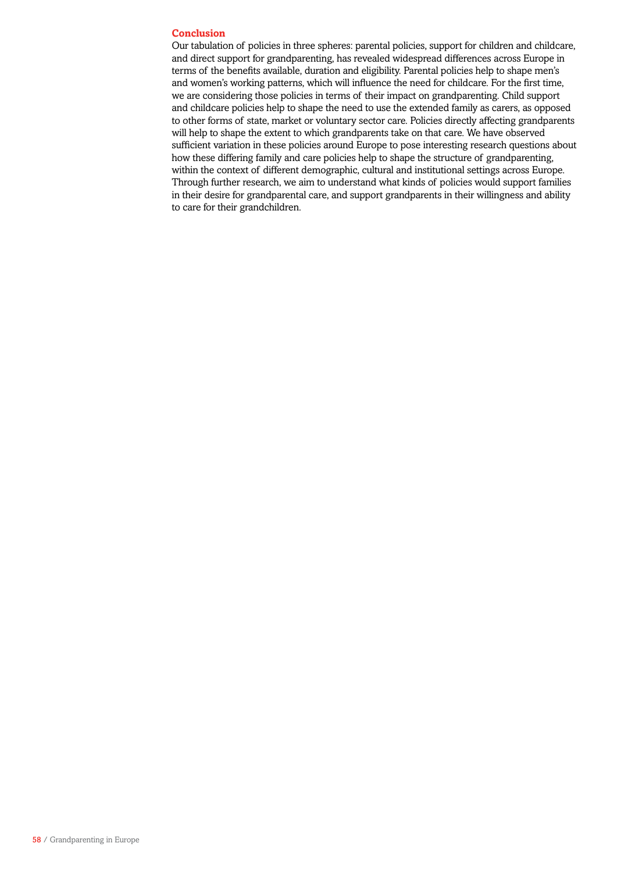## **Conclusion**

Our tabulation of policies in three spheres: parental policies, support for children and childcare, and direct support for grandparenting, has revealed widespread differences across Europe in terms of the benefits available, duration and eligibility. Parental policies help to shape men's and women's working patterns, which will influence the need for childcare. For the first time, we are considering those policies in terms of their impact on grandparenting. Child support and childcare policies help to shape the need to use the extended family as carers, as opposed to other forms of state, market or voluntary sector care. Policies directly affecting grandparents will help to shape the extent to which grandparents take on that care. We have observed sufficient variation in these policies around Europe to pose interesting research questions about how these differing family and care policies help to shape the structure of grandparenting, within the context of different demographic, cultural and institutional settings across Europe. Through further research, we aim to understand what kinds of policies would support families in their desire for grandparental care, and support grandparents in their willingness and ability to care for their grandchildren.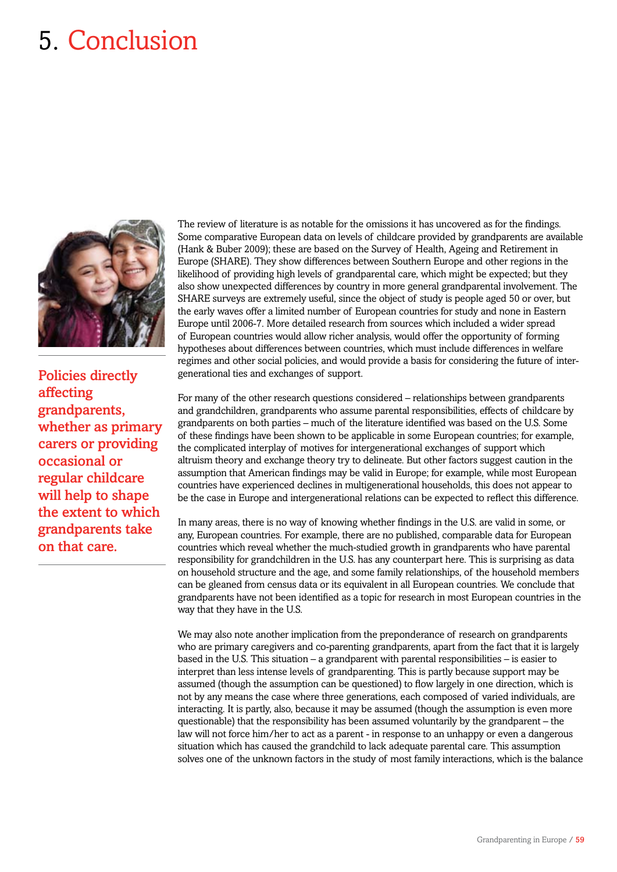# 5. Conclusion



Policies directly affecting grandparents, whether as primary carers or providing occasional or regular childcare will help to shape the extent to which grandparents take on that care.

The review of literature is as notable for the omissions it has uncovered as for the findings. Some comparative European data on levels of childcare provided by grandparents are available (Hank & Buber 2009); these are based on the Survey of Health, Ageing and Retirement in Europe (SHARE). They show differences between Southern Europe and other regions in the likelihood of providing high levels of grandparental care, which might be expected; but they also show unexpected differences by country in more general grandparental involvement. The SHARE surveys are extremely useful, since the object of study is people aged 50 or over, but the early waves offer a limited number of European countries for study and none in Eastern Europe until 2006-7. More detailed research from sources which included a wider spread of European countries would allow richer analysis, would offer the opportunity of forming hypotheses about differences between countries, which must include differences in welfare regimes and other social policies, and would provide a basis for considering the future of intergenerational ties and exchanges of support.

For many of the other research questions considered – relationships between grandparents and grandchildren, grandparents who assume parental responsibilities, effects of childcare by grandparents on both parties – much of the literature identified was based on the U.S. Some of these findings have been shown to be applicable in some European countries; for example, the complicated interplay of motives for intergenerational exchanges of support which altruism theory and exchange theory try to delineate. But other factors suggest caution in the assumption that American findings may be valid in Europe; for example, while most European countries have experienced declines in multigenerational households, this does not appear to be the case in Europe and intergenerational relations can be expected to reflect this difference.

In many areas, there is no way of knowing whether findings in the U.S. are valid in some, or any, European countries. For example, there are no published, comparable data for European countries which reveal whether the much-studied growth in grandparents who have parental responsibility for grandchildren in the U.S. has any counterpart here. This is surprising as data on household structure and the age, and some family relationships, of the household members can be gleaned from census data or its equivalent in all European countries. We conclude that grandparents have not been identified as a topic for research in most European countries in the way that they have in the U.S.

We may also note another implication from the preponderance of research on grandparents who are primary caregivers and co-parenting grandparents, apart from the fact that it is largely based in the U.S. This situation – a grandparent with parental responsibilities – is easier to interpret than less intense levels of grandparenting. This is partly because support may be assumed (though the assumption can be questioned) to flow largely in one direction, which is not by any means the case where three generations, each composed of varied individuals, are interacting. It is partly, also, because it may be assumed (though the assumption is even more questionable) that the responsibility has been assumed voluntarily by the grandparent – the law will not force him/her to act as a parent - in response to an unhappy or even a dangerous situation which has caused the grandchild to lack adequate parental care. This assumption solves one of the unknown factors in the study of most family interactions, which is the balance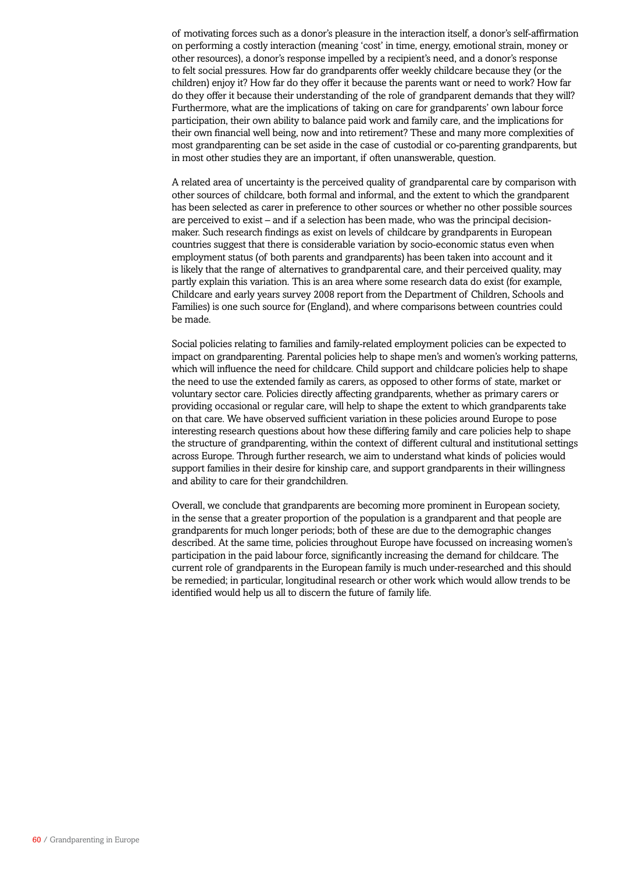of motivating forces such as a donor's pleasure in the interaction itself, a donor's self-affirmation on performing a costly interaction (meaning 'cost' in time, energy, emotional strain, money or other resources), a donor's response impelled by a recipient's need, and a donor's response to felt social pressures. How far do grandparents offer weekly childcare because they (or the children) enjoy it? How far do they offer it because the parents want or need to work? How far do they offer it because their understanding of the role of grandparent demands that they will? Furthermore, what are the implications of taking on care for grandparents' own labour force participation, their own ability to balance paid work and family care, and the implications for their own financial well being, now and into retirement? These and many more complexities of most grandparenting can be set aside in the case of custodial or co-parenting grandparents, but in most other studies they are an important, if often unanswerable, question.

A related area of uncertainty is the perceived quality of grandparental care by comparison with other sources of childcare, both formal and informal, and the extent to which the grandparent has been selected as carer in preference to other sources or whether no other possible sources are perceived to exist – and if a selection has been made, who was the principal decisionmaker. Such research findings as exist on levels of childcare by grandparents in European countries suggest that there is considerable variation by socio-economic status even when employment status (of both parents and grandparents) has been taken into account and it is likely that the range of alternatives to grandparental care, and their perceived quality, may partly explain this variation. This is an area where some research data do exist (for example, Childcare and early years survey 2008 report from the Department of Children, Schools and Families) is one such source for (England), and where comparisons between countries could be made.

Social policies relating to families and family-related employment policies can be expected to impact on grandparenting. Parental policies help to shape men's and women's working patterns, which will influence the need for childcare. Child support and childcare policies help to shape the need to use the extended family as carers, as opposed to other forms of state, market or voluntary sector care. Policies directly affecting grandparents, whether as primary carers or providing occasional or regular care, will help to shape the extent to which grandparents take on that care. We have observed sufficient variation in these policies around Europe to pose interesting research questions about how these differing family and care policies help to shape the structure of grandparenting, within the context of different cultural and institutional settings across Europe. Through further research, we aim to understand what kinds of policies would support families in their desire for kinship care, and support grandparents in their willingness and ability to care for their grandchildren.

Overall, we conclude that grandparents are becoming more prominent in European society, in the sense that a greater proportion of the population is a grandparent and that people are grandparents for much longer periods; both of these are due to the demographic changes described. At the same time, policies throughout Europe have focussed on increasing women's participation in the paid labour force, significantly increasing the demand for childcare. The current role of grandparents in the European family is much under-researched and this should be remedied; in particular, longitudinal research or other work which would allow trends to be identified would help us all to discern the future of family life.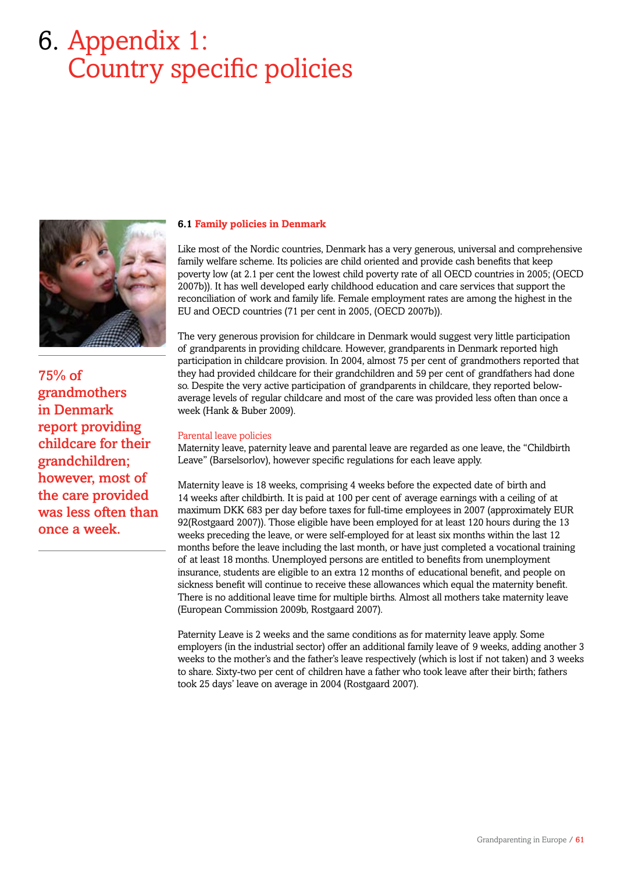# 6. Appendix 1: Country specific policies



75% of grandmothers in Denmark report providing childcare for their grandchildren; however, most of the care provided was less often than once a week.

# **6.1 Family policies in Denmark**

Like most of the Nordic countries, Denmark has a very generous, universal and comprehensive family welfare scheme. Its policies are child oriented and provide cash benefits that keep poverty low (at 2.1 per cent the lowest child poverty rate of all OECD countries in 2005; (OECD 2007b)). It has well developed early childhood education and care services that support the reconciliation of work and family life. Female employment rates are among the highest in the EU and OECD countries (71 per cent in 2005, (OECD 2007b)).

The very generous provision for childcare in Denmark would suggest very little participation of grandparents in providing childcare. However, grandparents in Denmark reported high participation in childcare provision. In 2004, almost 75 per cent of grandmothers reported that they had provided childcare for their grandchildren and 59 per cent of grandfathers had done so. Despite the very active participation of grandparents in childcare, they reported belowaverage levels of regular childcare and most of the care was provided less often than once a week (Hank & Buber 2009).

## Parental leave policies

Maternity leave, paternity leave and parental leave are regarded as one leave, the "Childbirth Leave" (Barselsorlov), however specific regulations for each leave apply.

Maternity leave is 18 weeks, comprising 4 weeks before the expected date of birth and 14 weeks after childbirth. It is paid at 100 per cent of average earnings with a ceiling of at maximum DKK 683 per day before taxes for full-time employees in 2007 (approximately EUR 92(Rostgaard 2007)). Those eligible have been employed for at least 120 hours during the 13 weeks preceding the leave, or were self-employed for at least six months within the last 12 months before the leave including the last month, or have just completed a vocational training of at least 18 months. Unemployed persons are entitled to benefits from unemployment insurance, students are eligible to an extra 12 months of educational benefit, and people on sickness benefit will continue to receive these allowances which equal the maternity benefit. There is no additional leave time for multiple births. Almost all mothers take maternity leave (European Commission 2009b, Rostgaard 2007).

Paternity Leave is 2 weeks and the same conditions as for maternity leave apply. Some employers (in the industrial sector) offer an additional family leave of 9 weeks, adding another 3 weeks to the mother's and the father's leave respectively (which is lost if not taken) and 3 weeks to share. Sixty-two per cent of children have a father who took leave after their birth; fathers took 25 days' leave on average in 2004 (Rostgaard 2007).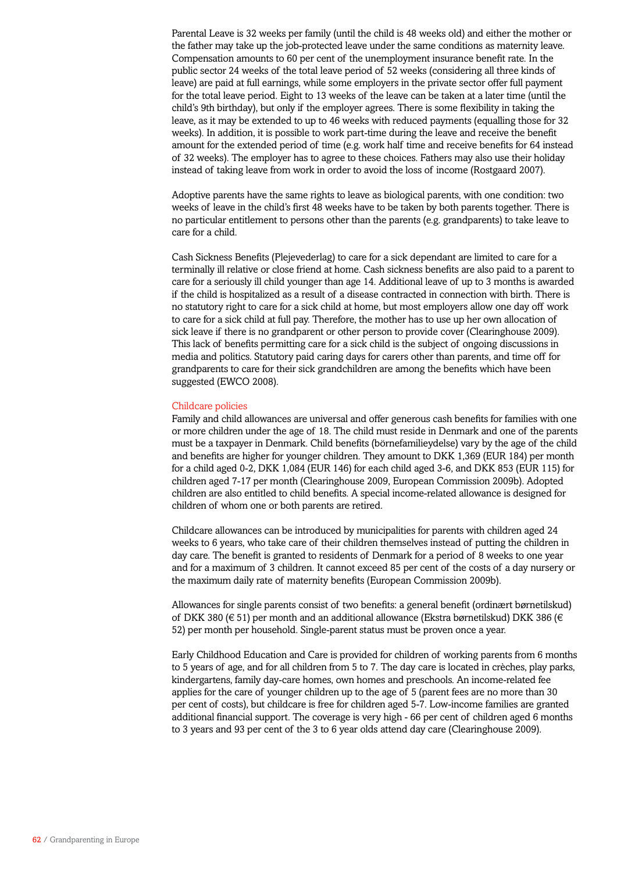Parental Leave is 32 weeks per family (until the child is 48 weeks old) and either the mother or the father may take up the job-protected leave under the same conditions as maternity leave. Compensation amounts to 60 per cent of the unemployment insurance benefit rate. In the public sector 24 weeks of the total leave period of 52 weeks (considering all three kinds of leave) are paid at full earnings, while some employers in the private sector offer full payment for the total leave period. Eight to 13 weeks of the leave can be taken at a later time (until the child's 9th birthday), but only if the employer agrees. There is some flexibility in taking the leave, as it may be extended to up to 46 weeks with reduced payments (equalling those for 32 weeks). In addition, it is possible to work part-time during the leave and receive the benefit amount for the extended period of time (e.g. work half time and receive benefits for 64 instead of 32 weeks). The employer has to agree to these choices. Fathers may also use their holiday instead of taking leave from work in order to avoid the loss of income (Rostgaard 2007).

Adoptive parents have the same rights to leave as biological parents, with one condition: two weeks of leave in the child's first 48 weeks have to be taken by both parents together. There is no particular entitlement to persons other than the parents (e.g. grandparents) to take leave to care for a child.

Cash Sickness Benefits (Plejevederlag) to care for a sick dependant are limited to care for a terminally ill relative or close friend at home. Cash sickness benefits are also paid to a parent to care for a seriously ill child younger than age 14. Additional leave of up to 3 months is awarded if the child is hospitalized as a result of a disease contracted in connection with birth. There is no statutory right to care for a sick child at home, but most employers allow one day off work to care for a sick child at full pay. Therefore, the mother has to use up her own allocation of sick leave if there is no grandparent or other person to provide cover (Clearinghouse 2009). This lack of benefits permitting care for a sick child is the subject of ongoing discussions in media and politics. Statutory paid caring days for carers other than parents, and time off for grandparents to care for their sick grandchildren are among the benefits which have been suggested (EWCO 2008).

#### Childcare policies

Family and child allowances are universal and offer generous cash benefits for families with one or more children under the age of 18. The child must reside in Denmark and one of the parents must be a taxpayer in Denmark. Child benefits (börnefamilieydelse) vary by the age of the child and benefits are higher for younger children. They amount to DKK 1,369 (EUR 184) per month for a child aged 0-2, DKK 1,084 (EUR 146) for each child aged 3-6, and DKK 853 (EUR 115) for children aged 7-17 per month (Clearinghouse 2009, European Commission 2009b). Adopted children are also entitled to child benefits. A special income-related allowance is designed for children of whom one or both parents are retired.

Childcare allowances can be introduced by municipalities for parents with children aged 24 weeks to 6 years, who take care of their children themselves instead of putting the children in day care. The benefit is granted to residents of Denmark for a period of 8 weeks to one year and for a maximum of 3 children. It cannot exceed 85 per cent of the costs of a day nursery or the maximum daily rate of maternity benefits (European Commission 2009b).

Allowances for single parents consist of two benefits: a general benefit (ordinært børnetilskud) of DKK 380 ( $\in$  51) per month and an additional allowance (Ekstra børnetilskud) DKK 386 ( $\in$ 52) per month per household. Single-parent status must be proven once a year.

Early Childhood Education and Care is provided for children of working parents from 6 months to 5 years of age, and for all children from 5 to 7. The day care is located in crèches, play parks, kindergartens, family day-care homes, own homes and preschools. An income-related fee applies for the care of younger children up to the age of 5 (parent fees are no more than 30 per cent of costs), but childcare is free for children aged 5-7. Low-income families are granted additional financial support. The coverage is very high - 66 per cent of children aged 6 months to 3 years and 93 per cent of the 3 to 6 year olds attend day care (Clearinghouse 2009).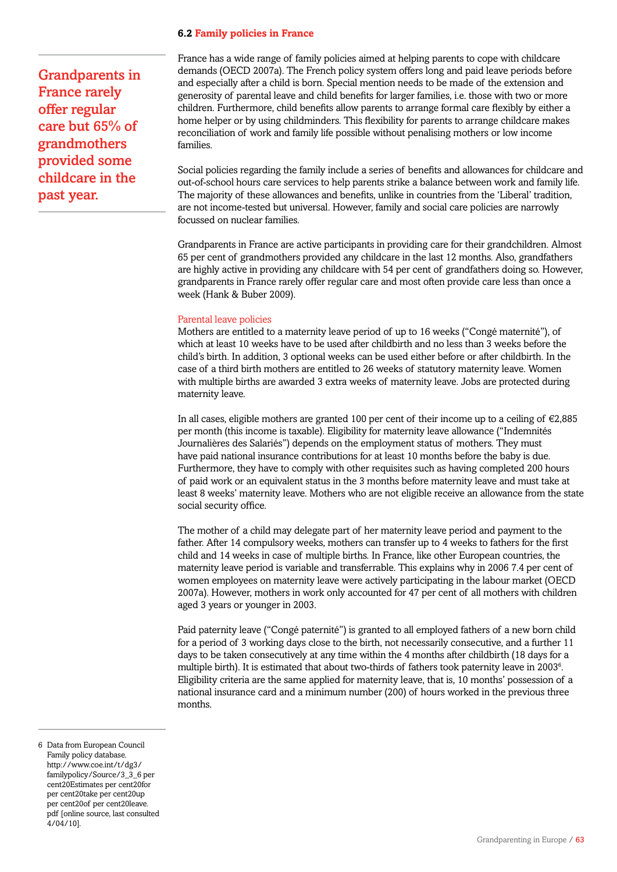### **6.2 Family policies in France**

Grandparents in France rarely offer regular care but 65% of grandmothers provided some childcare in the past year.

France has a wide range of family policies aimed at helping parents to cope with childcare demands (OECD 2007a). The French policy system offers long and paid leave periods before and especially after a child is born. Special mention needs to be made of the extension and generosity of parental leave and child benefits for larger families, i.e. those with two or more children. Furthermore, child benefits allow parents to arrange formal care flexibly by either a home helper or by using childminders. This flexibility for parents to arrange childcare makes reconciliation of work and family life possible without penalising mothers or low income families.

Social policies regarding the family include a series of benefits and allowances for childcare and out-of-school hours care services to help parents strike a balance between work and family life. The majority of these allowances and benefits, unlike in countries from the 'Liberal' tradition, are not income-tested but universal. However, family and social care policies are narrowly focussed on nuclear families.

Grandparents in France are active participants in providing care for their grandchildren. Almost 65 per cent of grandmothers provided any childcare in the last 12 months. Also, grandfathers are highly active in providing any childcare with 54 per cent of grandfathers doing so. However, grandparents in France rarely offer regular care and most often provide care less than once a week (Hank & Buber 2009).

#### Parental leave policies

Mothers are entitled to a maternity leave period of up to 16 weeks ("Congé maternité"), of which at least 10 weeks have to be used after childbirth and no less than 3 weeks before the child's birth. In addition, 3 optional weeks can be used either before or after childbirth. In the case of a third birth mothers are entitled to 26 weeks of statutory maternity leave. Women with multiple births are awarded 3 extra weeks of maternity leave. Jobs are protected during maternity leave.

In all cases, eligible mothers are granted 100 per cent of their income up to a ceiling of €2,885 per month (this income is taxable). Eligibility for maternity leave allowance ("Indemnités Journalières des Salariés") depends on the employment status of mothers. They must have paid national insurance contributions for at least 10 months before the baby is due. Furthermore, they have to comply with other requisites such as having completed 200 hours of paid work or an equivalent status in the 3 months before maternity leave and must take at least 8 weeks' maternity leave. Mothers who are not eligible receive an allowance from the state social security office.

The mother of a child may delegate part of her maternity leave period and payment to the father. After 14 compulsory weeks, mothers can transfer up to 4 weeks to fathers for the first child and 14 weeks in case of multiple births. In France, like other European countries, the maternity leave period is variable and transferrable. This explains why in 2006 7.4 per cent of women employees on maternity leave were actively participating in the labour market (OECD 2007a). However, mothers in work only accounted for 47 per cent of all mothers with children aged 3 years or younger in 2003.

Paid paternity leave ("Congé paternité") is granted to all employed fathers of a new born child for a period of 3 working days close to the birth, not necessarily consecutive, and a further 11 days to be taken consecutively at any time within the 4 months after childbirth (18 days for a multiple birth). It is estimated that about two-thirds of fathers took paternity leave in 2003<sup>6</sup>. Eligibility criteria are the same applied for maternity leave, that is, 10 months' possession of a national insurance card and a minimum number (200) of hours worked in the previous three months.

<sup>6</sup> Data from European Council Family policy database. http://www.coe.int/t/dg3/ familypolicy/Source/3\_3\_6 per cent20Estimates per cent20for per cent20take per cent20up per cent20of per cent20leave. pdf [online source, last consulted 4/04/10].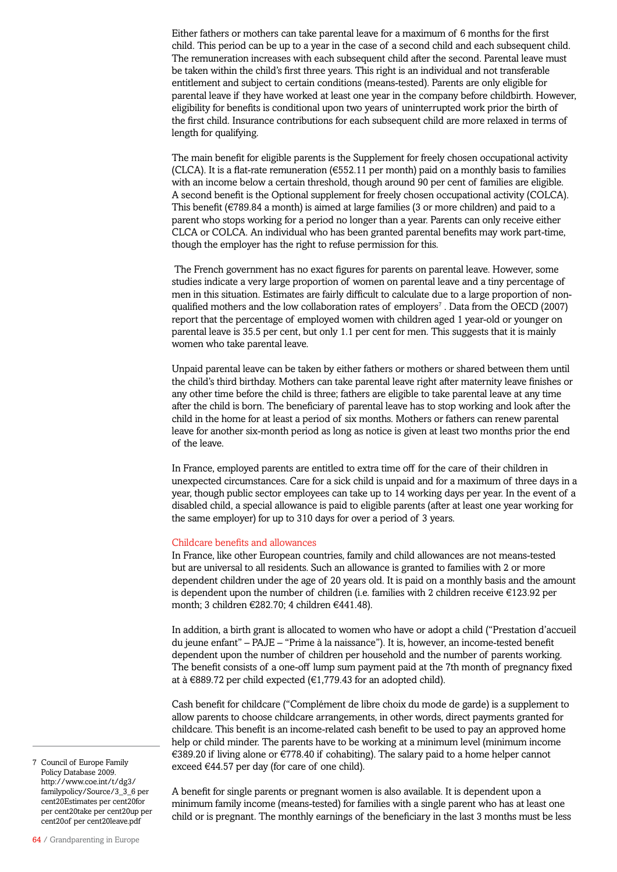Either fathers or mothers can take parental leave for a maximum of 6 months for the first child. This period can be up to a year in the case of a second child and each subsequent child. The remuneration increases with each subsequent child after the second. Parental leave must be taken within the child's first three years. This right is an individual and not transferable entitlement and subject to certain conditions (means-tested). Parents are only eligible for parental leave if they have worked at least one year in the company before childbirth. However, eligibility for benefits is conditional upon two years of uninterrupted work prior the birth of the first child. Insurance contributions for each subsequent child are more relaxed in terms of length for qualifying.

The main benefit for eligible parents is the Supplement for freely chosen occupational activity (CLCA). It is a flat-rate remuneration ( $\epsilon$ 552.11 per month) paid on a monthly basis to families with an income below a certain threshold, though around 90 per cent of families are eligible. A second benefit is the Optional supplement for freely chosen occupational activity (COLCA). This benefit (€789.84 a month) is aimed at large families (3 or more children) and paid to a parent who stops working for a period no longer than a year. Parents can only receive either CLCA or COLCA. An individual who has been granted parental benefits may work part-time, though the employer has the right to refuse permission for this.

 The French government has no exact figures for parents on parental leave. However, some studies indicate a very large proportion of women on parental leave and a tiny percentage of men in this situation. Estimates are fairly difficult to calculate due to a large proportion of nonqualified mothers and the low collaboration rates of employers<sup>7</sup>. Data from the OECD (2007) report that the percentage of employed women with children aged 1 year-old or younger on parental leave is 35.5 per cent, but only 1.1 per cent for men. This suggests that it is mainly women who take parental leave.

Unpaid parental leave can be taken by either fathers or mothers or shared between them until the child's third birthday. Mothers can take parental leave right after maternity leave finishes or any other time before the child is three; fathers are eligible to take parental leave at any time after the child is born. The beneficiary of parental leave has to stop working and look after the child in the home for at least a period of six months. Mothers or fathers can renew parental leave for another six-month period as long as notice is given at least two months prior the end of the leave.

In France, employed parents are entitled to extra time off for the care of their children in unexpected circumstances. Care for a sick child is unpaid and for a maximum of three days in a year, though public sector employees can take up to 14 working days per year. In the event of a disabled child, a special allowance is paid to eligible parents (after at least one year working for the same employer) for up to 310 days for over a period of 3 years.

### Childcare benefits and allowances

In France, like other European countries, family and child allowances are not means-tested but are universal to all residents. Such an allowance is granted to families with 2 or more dependent children under the age of 20 years old. It is paid on a monthly basis and the amount is dependent upon the number of children (i.e. families with 2 children receive €123.92 per month; 3 children €282.70; 4 children €441.48).

In addition, a birth grant is allocated to women who have or adopt a child ("Prestation d'accueil du jeune enfant" – PAJE – "Prime à la naissance"). It is, however, an income-tested benefit dependent upon the number of children per household and the number of parents working. The benefit consists of a one-off lump sum payment paid at the 7th month of pregnancy fixed at à €889.72 per child expected (€1,779.43 for an adopted child).

Cash benefit for childcare ("Complément de libre choix du mode de garde) is a supplement to allow parents to choose childcare arrangements, in other words, direct payments granted for childcare. This benefit is an income-related cash benefit to be used to pay an approved home help or child minder. The parents have to be working at a minimum level (minimum income €389.20 if living alone or €778.40 if cohabiting). The salary paid to a home helper cannot exceed €44.57 per day (for care of one child).

A benefit for single parents or pregnant women is also available. It is dependent upon a minimum family income (means-tested) for families with a single parent who has at least one child or is pregnant. The monthly earnings of the beneficiary in the last 3 months must be less

7 Council of Europe Family Policy Database 2009. http://www.coe.int/t/dg3/ familypolicy/Source/3\_3\_6 per cent20Estimates per cent20for per cent20take per cent20up per cent20of per cent20leave.pdf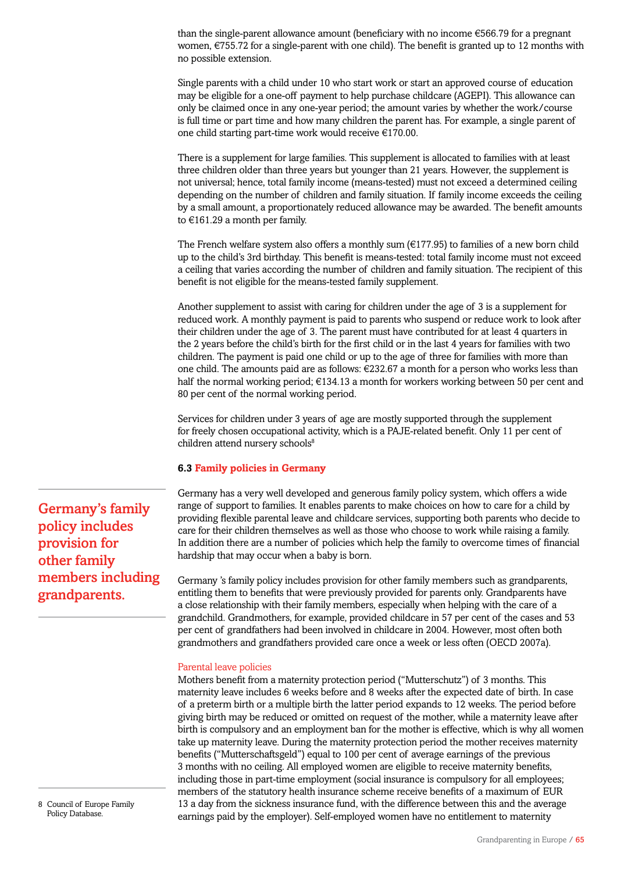than the single-parent allowance amount (beneficiary with no income €566.79 for a pregnant women,  $\epsilon$ 755.72 for a single-parent with one child). The benefit is granted up to 12 months with no possible extension.

Single parents with a child under 10 who start work or start an approved course of education may be eligible for a one-off payment to help purchase childcare (AGEPI). This allowance can only be claimed once in any one-year period; the amount varies by whether the work/course is full time or part time and how many children the parent has. For example, a single parent of one child starting part-time work would receive €170.00.

There is a supplement for large families. This supplement is allocated to families with at least three children older than three years but younger than 21 years. However, the supplement is not universal; hence, total family income (means-tested) must not exceed a determined ceiling depending on the number of children and family situation. If family income exceeds the ceiling by a small amount, a proportionately reduced allowance may be awarded. The benefit amounts to €161.29 a month per family.

The French welfare system also offers a monthly sum  $(\epsilon$ 177.95) to families of a new born child up to the child's 3rd birthday. This benefit is means-tested: total family income must not exceed a ceiling that varies according the number of children and family situation. The recipient of this benefit is not eligible for the means-tested family supplement.

Another supplement to assist with caring for children under the age of 3 is a supplement for reduced work. A monthly payment is paid to parents who suspend or reduce work to look after their children under the age of 3. The parent must have contributed for at least 4 quarters in the 2 years before the child's birth for the first child or in the last 4 years for families with two children. The payment is paid one child or up to the age of three for families with more than one child. The amounts paid are as follows: €232.67 a month for a person who works less than half the normal working period; €134.13 a month for workers working between 50 per cent and 80 per cent of the normal working period.

Services for children under 3 years of age are mostly supported through the supplement for freely chosen occupational activity, which is a PAJE-related benefit. Only 11 per cent of children attend nursery schools<sup>8</sup>

# **6.3 Family policies in Germany**

Germany has a very well developed and generous family policy system, which offers a wide range of support to families. It enables parents to make choices on how to care for a child by providing flexible parental leave and childcare services, supporting both parents who decide to care for their children themselves as well as those who choose to work while raising a family. In addition there are a number of policies which help the family to overcome times of financial hardship that may occur when a baby is born.

Germany 's family policy includes provision for other family members such as grandparents, entitling them to benefits that were previously provided for parents only. Grandparents have a close relationship with their family members, especially when helping with the care of a grandchild. Grandmothers, for example, provided childcare in 57 per cent of the cases and 53 per cent of grandfathers had been involved in childcare in 2004. However, most often both grandmothers and grandfathers provided care once a week or less often (OECD 2007a).

### Parental leave policies

Mothers benefit from a maternity protection period ("Mutterschutz") of 3 months. This maternity leave includes 6 weeks before and 8 weeks after the expected date of birth. In case of a preterm birth or a multiple birth the latter period expands to 12 weeks. The period before giving birth may be reduced or omitted on request of the mother, while a maternity leave after birth is compulsory and an employment ban for the mother is effective, which is why all women take up maternity leave. During the maternity protection period the mother receives maternity benefits ("Mutterschaftsgeld") equal to 100 per cent of average earnings of the previous 3 months with no ceiling. All employed women are eligible to receive maternity benefits, including those in part-time employment (social insurance is compulsory for all employees; members of the statutory health insurance scheme receive benefits of a maximum of EUR 13 a day from the sickness insurance fund, with the difference between this and the average earnings paid by the employer). Self-employed women have no entitlement to maternity

Germany's family policy includes provision for other family members including grandparents.

<sup>8</sup> Council of Europe Family Policy Database.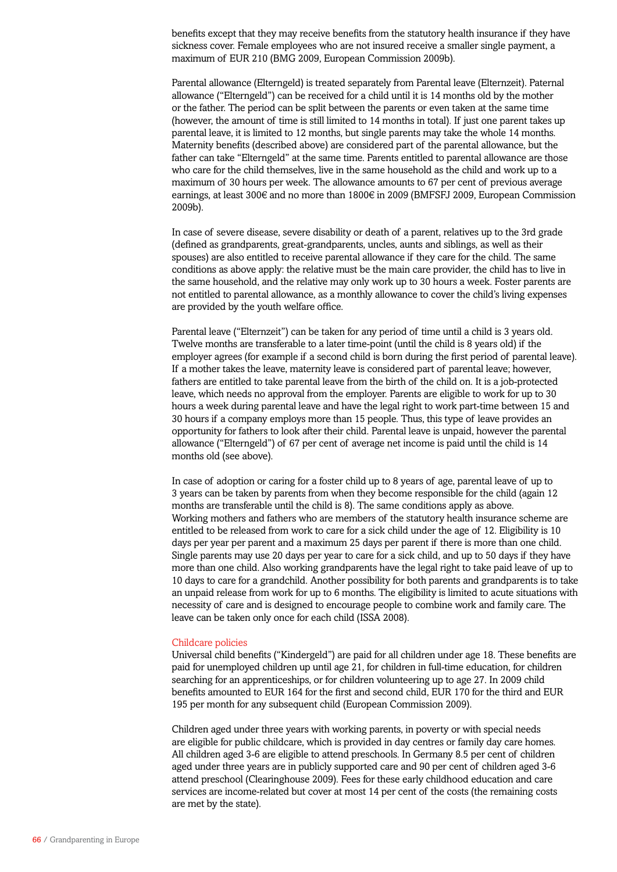benefits except that they may receive benefits from the statutory health insurance if they have sickness cover. Female employees who are not insured receive a smaller single payment, a maximum of EUR 210 (BMG 2009, European Commission 2009b).

Parental allowance (Elterngeld) is treated separately from Parental leave (Elternzeit). Paternal allowance ("Elterngeld") can be received for a child until it is 14 months old by the mother or the father. The period can be split between the parents or even taken at the same time (however, the amount of time is still limited to 14 months in total). If just one parent takes up parental leave, it is limited to 12 months, but single parents may take the whole 14 months. Maternity benefits (described above) are considered part of the parental allowance, but the father can take "Elterngeld" at the same time. Parents entitled to parental allowance are those who care for the child themselves, live in the same household as the child and work up to a maximum of 30 hours per week. The allowance amounts to 67 per cent of previous average earnings, at least 300€ and no more than 1800€ in 2009 (BMFSFJ 2009, European Commission 2009b).

In case of severe disease, severe disability or death of a parent, relatives up to the 3rd grade (defined as grandparents, great-grandparents, uncles, aunts and siblings, as well as their spouses) are also entitled to receive parental allowance if they care for the child. The same conditions as above apply: the relative must be the main care provider, the child has to live in the same household, and the relative may only work up to 30 hours a week. Foster parents are not entitled to parental allowance, as a monthly allowance to cover the child's living expenses are provided by the youth welfare office.

Parental leave ("Elternzeit") can be taken for any period of time until a child is 3 years old. Twelve months are transferable to a later time-point (until the child is 8 years old) if the employer agrees (for example if a second child is born during the first period of parental leave). If a mother takes the leave, maternity leave is considered part of parental leave; however, fathers are entitled to take parental leave from the birth of the child on. It is a job-protected leave, which needs no approval from the employer. Parents are eligible to work for up to 30 hours a week during parental leave and have the legal right to work part-time between 15 and 30 hours if a company employs more than 15 people. Thus, this type of leave provides an opportunity for fathers to look after their child. Parental leave is unpaid, however the parental allowance ("Elterngeld") of 67 per cent of average net income is paid until the child is 14 months old (see above).

In case of adoption or caring for a foster child up to 8 years of age, parental leave of up to 3 years can be taken by parents from when they become responsible for the child (again 12 months are transferable until the child is 8). The same conditions apply as above. Working mothers and fathers who are members of the statutory health insurance scheme are entitled to be released from work to care for a sick child under the age of 12. Eligibility is 10 days per year per parent and a maximum 25 days per parent if there is more than one child. Single parents may use 20 days per year to care for a sick child, and up to 50 days if they have more than one child. Also working grandparents have the legal right to take paid leave of up to 10 days to care for a grandchild. Another possibility for both parents and grandparents is to take an unpaid release from work for up to 6 months. The eligibility is limited to acute situations with necessity of care and is designed to encourage people to combine work and family care. The leave can be taken only once for each child (ISSA 2008).

#### Childcare policies

Universal child benefits ("Kindergeld") are paid for all children under age 18. These benefits are paid for unemployed children up until age 21, for children in full-time education, for children searching for an apprenticeships, or for children volunteering up to age 27. In 2009 child benefits amounted to EUR 164 for the first and second child, EUR 170 for the third and EUR 195 per month for any subsequent child (European Commission 2009).

Children aged under three years with working parents, in poverty or with special needs are eligible for public childcare, which is provided in day centres or family day care homes. All children aged 3-6 are eligible to attend preschools. In Germany 8.5 per cent of children aged under three years are in publicly supported care and 90 per cent of children aged 3-6 attend preschool (Clearinghouse 2009). Fees for these early childhood education and care services are income-related but cover at most 14 per cent of the costs (the remaining costs are met by the state).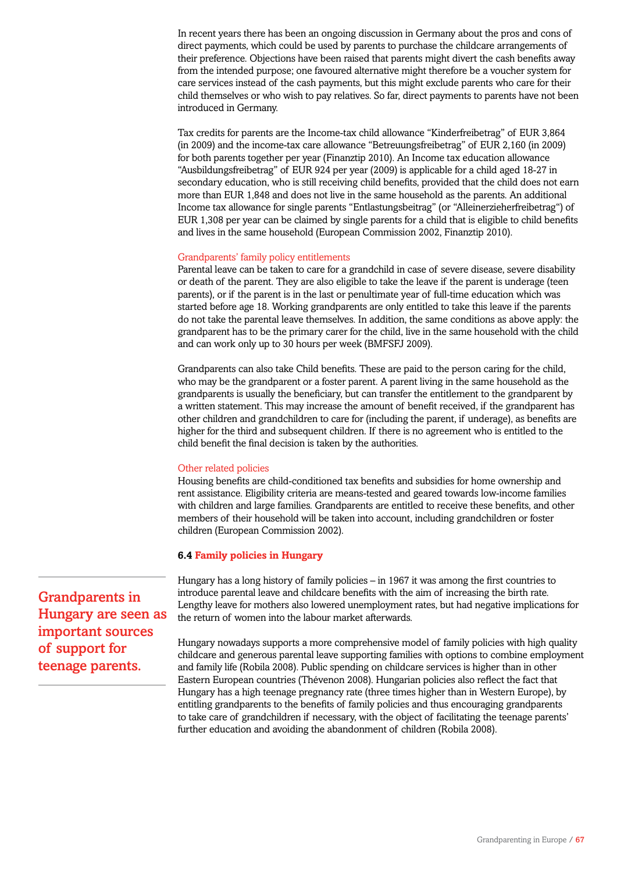In recent years there has been an ongoing discussion in Germany about the pros and cons of direct payments, which could be used by parents to purchase the childcare arrangements of their preference. Objections have been raised that parents might divert the cash benefits away from the intended purpose; one favoured alternative might therefore be a voucher system for care services instead of the cash payments, but this might exclude parents who care for their child themselves or who wish to pay relatives. So far, direct payments to parents have not been introduced in Germany.

Tax credits for parents are the Income-tax child allowance "Kinderfreibetrag" of EUR 3,864 (in 2009) and the income-tax care allowance "Betreuungsfreibetrag" of EUR 2,160 (in 2009) for both parents together per year (Finanztip 2010). An Income tax education allowance "Ausbildungsfreibetrag" of EUR 924 per year (2009) is applicable for a child aged 18-27 in secondary education, who is still receiving child benefits, provided that the child does not earn more than EUR 1,848 and does not live in the same household as the parents. An additional Income tax allowance for single parents "Entlastungsbeitrag" (or "Alleinerzieherfreibetrag") of EUR 1,308 per year can be claimed by single parents for a child that is eligible to child benefits and lives in the same household (European Commission 2002, Finanztip 2010).

### Grandparents' family policy entitlements

Parental leave can be taken to care for a grandchild in case of severe disease, severe disability or death of the parent. They are also eligible to take the leave if the parent is underage (teen parents), or if the parent is in the last or penultimate year of full-time education which was started before age 18. Working grandparents are only entitled to take this leave if the parents do not take the parental leave themselves. In addition, the same conditions as above apply: the grandparent has to be the primary carer for the child, live in the same household with the child and can work only up to 30 hours per week (BMFSFJ 2009).

Grandparents can also take Child benefits. These are paid to the person caring for the child, who may be the grandparent or a foster parent. A parent living in the same household as the grandparents is usually the beneficiary, but can transfer the entitlement to the grandparent by a written statement. This may increase the amount of benefit received, if the grandparent has other children and grandchildren to care for (including the parent, if underage), as benefits are higher for the third and subsequent children. If there is no agreement who is entitled to the child benefit the final decision is taken by the authorities.

### Other related policies

Housing benefits are child-conditioned tax benefits and subsidies for home ownership and rent assistance. Eligibility criteria are means-tested and geared towards low-income families with children and large families. Grandparents are entitled to receive these benefits, and other members of their household will be taken into account, including grandchildren or foster children (European Commission 2002).

### **6.4 Family policies in Hungary**

Hungary has a long history of family policies – in 1967 it was among the first countries to introduce parental leave and childcare benefits with the aim of increasing the birth rate. Lengthy leave for mothers also lowered unemployment rates, but had negative implications for the return of women into the labour market afterwards.

Hungary nowadays supports a more comprehensive model of family policies with high quality childcare and generous parental leave supporting families with options to combine employment and family life (Robila 2008). Public spending on childcare services is higher than in other Eastern European countries (Thévenon 2008). Hungarian policies also reflect the fact that Hungary has a high teenage pregnancy rate (three times higher than in Western Europe), by entitling grandparents to the benefits of family policies and thus encouraging grandparents to take care of grandchildren if necessary, with the object of facilitating the teenage parents' further education and avoiding the abandonment of children (Robila 2008).

Grandparents in Hungary are seen as important sources of support for teenage parents.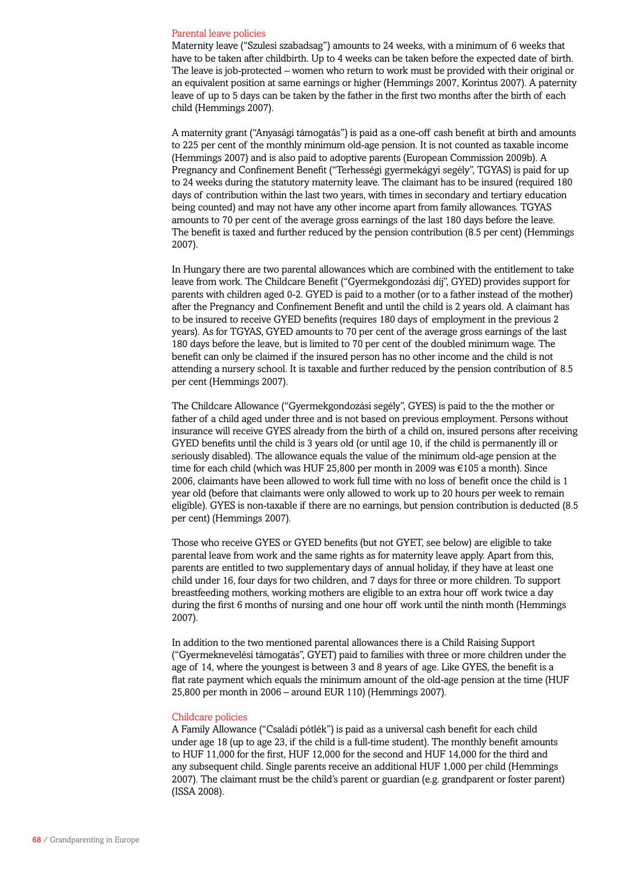#### Parental leave policies

Maternity leave ("Szulesi szabadsag") amounts to 24 weeks, with a minimum of 6 weeks that have to be taken after childbirth. Up to 4 weeks can be taken before the expected date of birth. The leave is job-protected – women who return to work must be provided with their original or an equivalent position at same earnings or higher (Hemmings 2007, Korintus 2007). A paternity leave of up to 5 days can be taken by the father in the first two months after the birth of each child (Hemmings 2007).

A maternity grant ("Anyasági támogatás") is paid as a one-off cash benefit at birth and amounts to 225 per cent of the monthly minimum old-age pension. It is not counted as taxable income (Hemmings 2007) and is also paid to adoptive parents (European Commission 2009b). A Pregnancy and Confinement Benefit ("Terhességi gyermekágyi segély", TGYAS) is paid for up to 24 weeks during the statutory maternity leave. The claimant has to be insured (required 180 days of contribution within the last two years, with times in secondary and tertiary education being counted) and may not have any other income apart from family allowances. TGYAS amounts to 70 per cent of the average gross earnings of the last 180 days before the leave. The benefit is taxed and further reduced by the pension contribution (8.5 per cent) (Hemmings 2007).

In Hungary there are two parental allowances which are combined with the entitlement to take leave from work. The Childcare Benefit ("Gyermekgondozási díj", GYED) provides support for parents with children aged 0-2. GYED is paid to a mother (or to a father instead of the mother) after the Pregnancy and Confinement Benefit and until the child is 2 years old. A claimant has to be insured to receive GYED benefits (requires 180 days of employment in the previous 2 years). As for TGYAS, GYED amounts to 70 per cent of the average gross earnings of the last 180 days before the leave, but is limited to 70 per cent of the doubled minimum wage. The benefit can only be claimed if the insured person has no other income and the child is not attending a nursery school. It is taxable and further reduced by the pension contribution of 8.5 per cent (Hemmings 2007).

The Childcare Allowance ("Gyermekgondozási segély", GYES) is paid to the the mother or father of a child aged under three and is not based on previous employment. Persons without insurance will receive GYES already from the birth of a child on, insured persons after receiving GYED benefits until the child is 3 years old (or until age 10, if the child is permanently ill or seriously disabled). The allowance equals the value of the minimum old-age pension at the time for each child (which was HUF 25,800 per month in 2009 was €105 a month). Since 2006, claimants have been allowed to work full time with no loss of benefit once the child is 1 year old (before that claimants were only allowed to work up to 20 hours per week to remain eligible). GYES is non-taxable if there are no earnings, but pension contribution is deducted (8.5 per cent) (Hemmings 2007).

Those who receive GYES or GYED benefits (but not GYET, see below) are eligible to take parental leave from work and the same rights as for maternity leave apply. Apart from this, parents are entitled to two supplementary days of annual holiday, if they have at least one child under 16, four days for two children, and 7 days for three or more children. To support breastfeeding mothers, working mothers are eligible to an extra hour off work twice a day during the first 6 months of nursing and one hour off work until the ninth month (Hemmings 2007).

In addition to the two mentioned parental allowances there is a Child Raising Support ("Gyermeknevelési támogatás", GYET) paid to families with three or more children under the age of 14, where the youngest is between 3 and 8 years of age. Like GYES, the benefit is a flat rate payment which equals the minimum amount of the old-age pension at the time (HUF 25,800 per month in 2006 – around EUR 110) (Hemmings 2007).

#### Childcare policies

A Family Allowance ("Családi pótlék") is paid as a universal cash benefit for each child under age 18 (up to age 23, if the child is a full-time student). The monthly benefit amounts to HUF 11,000 for the first, HUF 12,000 for the second and HUF 14,000 for the third and any subsequent child. Single parents receive an additional HUF 1,000 per child (Hemmings 2007). The claimant must be the child's parent or guardian (e.g. grandparent or foster parent) (ISSA 2008).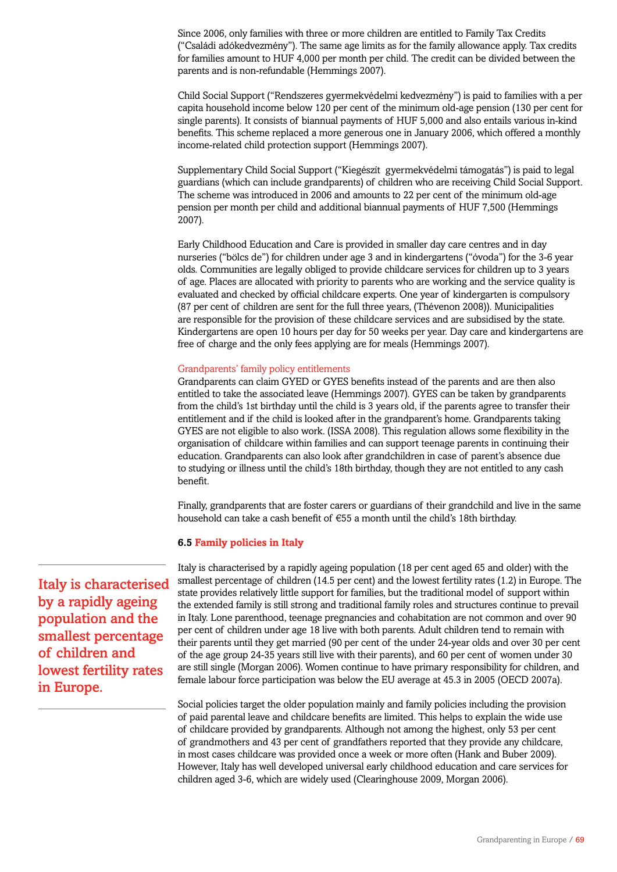Since 2006, only families with three or more children are entitled to Family Tax Credits ("Családi adókedvezmény"). The same age limits as for the family allowance apply. Tax credits for families amount to HUF 4,000 per month per child. The credit can be divided between the parents and is non-refundable (Hemmings 2007).

Child Social Support ("Rendszeres gyermekvédelmi kedvezmény") is paid to families with a per capita household income below 120 per cent of the minimum old-age pension (130 per cent for single parents). It consists of biannual payments of HUF 5,000 and also entails various in-kind benefits. This scheme replaced a more generous one in January 2006, which offered a monthly income-related child protection support (Hemmings 2007).

Supplementary Child Social Support ("Kiegészít gyermekvédelmi támogatás") is paid to legal guardians (which can include grandparents) of children who are receiving Child Social Support. The scheme was introduced in 2006 and amounts to 22 per cent of the minimum old-age pension per month per child and additional biannual payments of HUF 7,500 (Hemmings 2007).

Early Childhood Education and Care is provided in smaller day care centres and in day nurseries ("bölcs de") for children under age 3 and in kindergartens ("óvoda") for the 3-6 year olds. Communities are legally obliged to provide childcare services for children up to 3 years of age. Places are allocated with priority to parents who are working and the service quality is evaluated and checked by official childcare experts. One year of kindergarten is compulsory (87 per cent of children are sent for the full three years, (Thévenon 2008)). Municipalities are responsible for the provision of these childcare services and are subsidised by the state. Kindergartens are open 10 hours per day for 50 weeks per year. Day care and kindergartens are free of charge and the only fees applying are for meals (Hemmings 2007).

## Grandparents' family policy entitlements

Grandparents can claim GYED or GYES benefits instead of the parents and are then also entitled to take the associated leave (Hemmings 2007). GYES can be taken by grandparents from the child's 1st birthday until the child is 3 years old, if the parents agree to transfer their entitlement and if the child is looked after in the grandparent's home. Grandparents taking GYES are not eligible to also work. (ISSA 2008). This regulation allows some flexibility in the organisation of childcare within families and can support teenage parents in continuing their education. Grandparents can also look after grandchildren in case of parent's absence due to studying or illness until the child's 18th birthday, though they are not entitled to any cash benefit.

Finally, grandparents that are foster carers or guardians of their grandchild and live in the same household can take a cash benefit of €55 a month until the child's 18th birthday.

## **6.5 Family policies in Italy**

Italy is characterised by a rapidly ageing population (18 per cent aged 65 and older) with the smallest percentage of children (14.5 per cent) and the lowest fertility rates (1.2) in Europe. The state provides relatively little support for families, but the traditional model of support within the extended family is still strong and traditional family roles and structures continue to prevail in Italy. Lone parenthood, teenage pregnancies and cohabitation are not common and over 90 per cent of children under age 18 live with both parents. Adult children tend to remain with their parents until they get married (90 per cent of the under 24-year olds and over 30 per cent of the age group 24-35 years still live with their parents), and 60 per cent of women under 30 are still single (Morgan 2006). Women continue to have primary responsibility for children, and female labour force participation was below the EU average at 45.3 in 2005 (OECD 2007a).

Social policies target the older population mainly and family policies including the provision of paid parental leave and childcare benefits are limited. This helps to explain the wide use of childcare provided by grandparents. Although not among the highest, only 53 per cent of grandmothers and 43 per cent of grandfathers reported that they provide any childcare, in most cases childcare was provided once a week or more often (Hank and Buber 2009). However, Italy has well developed universal early childhood education and care services for children aged 3-6, which are widely used (Clearinghouse 2009, Morgan 2006).

Italy is characterised by a rapidly ageing population and the smallest percentage of children and lowest fertility rates in Europe.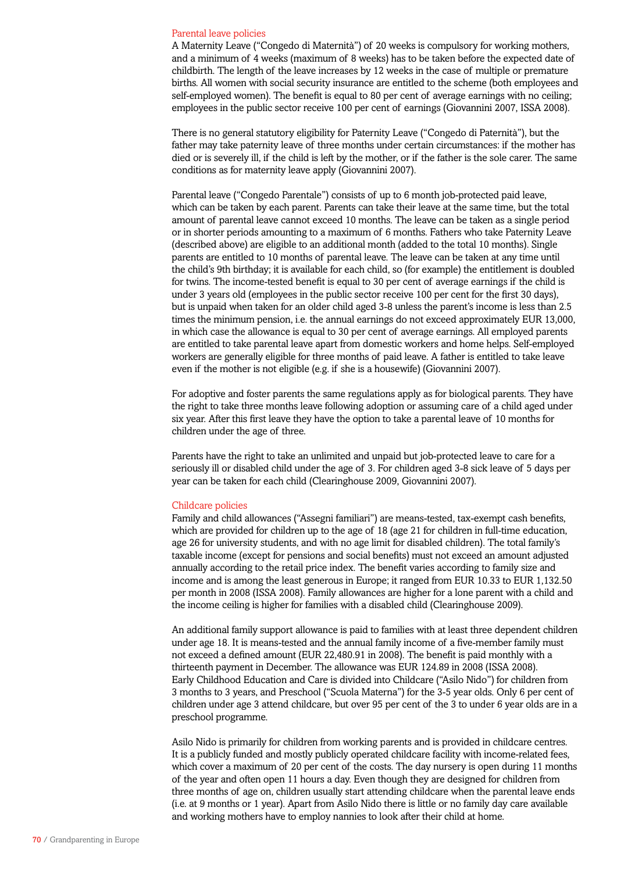#### Parental leave policies

A Maternity Leave ("Congedo di Maternità") of 20 weeks is compulsory for working mothers, and a minimum of 4 weeks (maximum of 8 weeks) has to be taken before the expected date of childbirth. The length of the leave increases by 12 weeks in the case of multiple or premature births. All women with social security insurance are entitled to the scheme (both employees and self-employed women). The benefit is equal to 80 per cent of average earnings with no ceiling; employees in the public sector receive 100 per cent of earnings (Giovannini 2007, ISSA 2008).

There is no general statutory eligibility for Paternity Leave ("Congedo di Paternità"), but the father may take paternity leave of three months under certain circumstances: if the mother has died or is severely ill, if the child is left by the mother, or if the father is the sole carer. The same conditions as for maternity leave apply (Giovannini 2007).

Parental leave ("Congedo Parentale") consists of up to 6 month job-protected paid leave, which can be taken by each parent. Parents can take their leave at the same time, but the total amount of parental leave cannot exceed 10 months. The leave can be taken as a single period or in shorter periods amounting to a maximum of 6 months. Fathers who take Paternity Leave (described above) are eligible to an additional month (added to the total 10 months). Single parents are entitled to 10 months of parental leave. The leave can be taken at any time until the child's 9th birthday; it is available for each child, so (for example) the entitlement is doubled for twins. The income-tested benefit is equal to 30 per cent of average earnings if the child is under 3 years old (employees in the public sector receive 100 per cent for the first 30 days), but is unpaid when taken for an older child aged 3-8 unless the parent's income is less than 2.5 times the minimum pension, i.e. the annual earnings do not exceed approximately EUR 13,000, in which case the allowance is equal to 30 per cent of average earnings. All employed parents are entitled to take parental leave apart from domestic workers and home helps. Self-employed workers are generally eligible for three months of paid leave. A father is entitled to take leave even if the mother is not eligible (e.g. if she is a housewife) (Giovannini 2007).

For adoptive and foster parents the same regulations apply as for biological parents. They have the right to take three months leave following adoption or assuming care of a child aged under six year. After this first leave they have the option to take a parental leave of 10 months for children under the age of three.

Parents have the right to take an unlimited and unpaid but job-protected leave to care for a seriously ill or disabled child under the age of 3. For children aged 3-8 sick leave of 5 days per year can be taken for each child (Clearinghouse 2009, Giovannini 2007).

#### Childcare policies

Family and child allowances ("Assegni familiari") are means-tested, tax-exempt cash benefits, which are provided for children up to the age of 18 (age 21 for children in full-time education, age 26 for university students, and with no age limit for disabled children). The total family's taxable income (except for pensions and social benefits) must not exceed an amount adjusted annually according to the retail price index. The benefit varies according to family size and income and is among the least generous in Europe; it ranged from EUR 10.33 to EUR 1,132.50 per month in 2008 (ISSA 2008). Family allowances are higher for a lone parent with a child and the income ceiling is higher for families with a disabled child (Clearinghouse 2009).

An additional family support allowance is paid to families with at least three dependent children under age 18. It is means-tested and the annual family income of a five-member family must not exceed a defined amount (EUR 22,480.91 in 2008). The benefit is paid monthly with a thirteenth payment in December. The allowance was EUR 124.89 in 2008 (ISSA 2008). Early Childhood Education and Care is divided into Childcare ("Asilo Nido") for children from 3 months to 3 years, and Preschool ("Scuola Materna") for the 3-5 year olds. Only 6 per cent of children under age 3 attend childcare, but over 95 per cent of the 3 to under 6 year olds are in a preschool programme.

Asilo Nido is primarily for children from working parents and is provided in childcare centres. It is a publicly funded and mostly publicly operated childcare facility with income-related fees, which cover a maximum of 20 per cent of the costs. The day nursery is open during 11 months of the year and often open 11 hours a day. Even though they are designed for children from three months of age on, children usually start attending childcare when the parental leave ends (i.e. at 9 months or 1 year). Apart from Asilo Nido there is little or no family day care available and working mothers have to employ nannies to look after their child at home.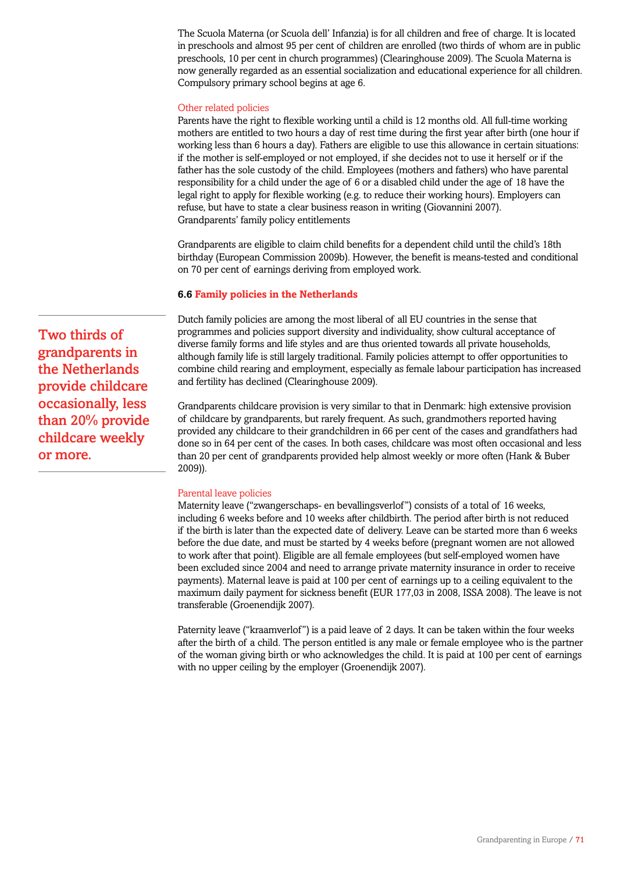The Scuola Materna (or Scuola dell' Infanzia) is for all children and free of charge. It is located in preschools and almost 95 per cent of children are enrolled (two thirds of whom are in public preschools, 10 per cent in church programmes) (Clearinghouse 2009). The Scuola Materna is now generally regarded as an essential socialization and educational experience for all children. Compulsory primary school begins at age 6.

## Other related policies

Parents have the right to flexible working until a child is 12 months old. All full-time working mothers are entitled to two hours a day of rest time during the first year after birth (one hour if working less than 6 hours a day). Fathers are eligible to use this allowance in certain situations: if the mother is self-employed or not employed, if she decides not to use it herself or if the father has the sole custody of the child. Employees (mothers and fathers) who have parental responsibility for a child under the age of 6 or a disabled child under the age of 18 have the legal right to apply for flexible working (e.g. to reduce their working hours). Employers can refuse, but have to state a clear business reason in writing (Giovannini 2007). Grandparents' family policy entitlements

Grandparents are eligible to claim child benefits for a dependent child until the child's 18th birthday (European Commission 2009b). However, the benefit is means-tested and conditional on 70 per cent of earnings deriving from employed work.

## **6.6 Family policies in the Netherlands**

Dutch family policies are among the most liberal of all EU countries in the sense that programmes and policies support diversity and individuality, show cultural acceptance of diverse family forms and life styles and are thus oriented towards all private households, although family life is still largely traditional. Family policies attempt to offer opportunities to combine child rearing and employment, especially as female labour participation has increased and fertility has declined (Clearinghouse 2009).

Grandparents childcare provision is very similar to that in Denmark: high extensive provision of childcare by grandparents, but rarely frequent. As such, grandmothers reported having provided any childcare to their grandchildren in 66 per cent of the cases and grandfathers had done so in 64 per cent of the cases. In both cases, childcare was most often occasional and less than 20 per cent of grandparents provided help almost weekly or more often (Hank & Buber 2009)).

### Parental leave policies

Maternity leave ("zwangerschaps- en bevallingsverlof") consists of a total of 16 weeks, including 6 weeks before and 10 weeks after childbirth. The period after birth is not reduced if the birth is later than the expected date of delivery. Leave can be started more than 6 weeks before the due date, and must be started by 4 weeks before (pregnant women are not allowed to work after that point). Eligible are all female employees (but self-employed women have been excluded since 2004 and need to arrange private maternity insurance in order to receive payments). Maternal leave is paid at 100 per cent of earnings up to a ceiling equivalent to the maximum daily payment for sickness benefit (EUR 177,03 in 2008, ISSA 2008). The leave is not transferable (Groenendijk 2007).

Paternity leave ("kraamverlof") is a paid leave of 2 days. It can be taken within the four weeks after the birth of a child. The person entitled is any male or female employee who is the partner of the woman giving birth or who acknowledges the child. It is paid at 100 per cent of earnings with no upper ceiling by the employer (Groenendijk 2007).

Two thirds of grandparents in the Netherlands provide childcare occasionally, less than 20% provide childcare weekly or more.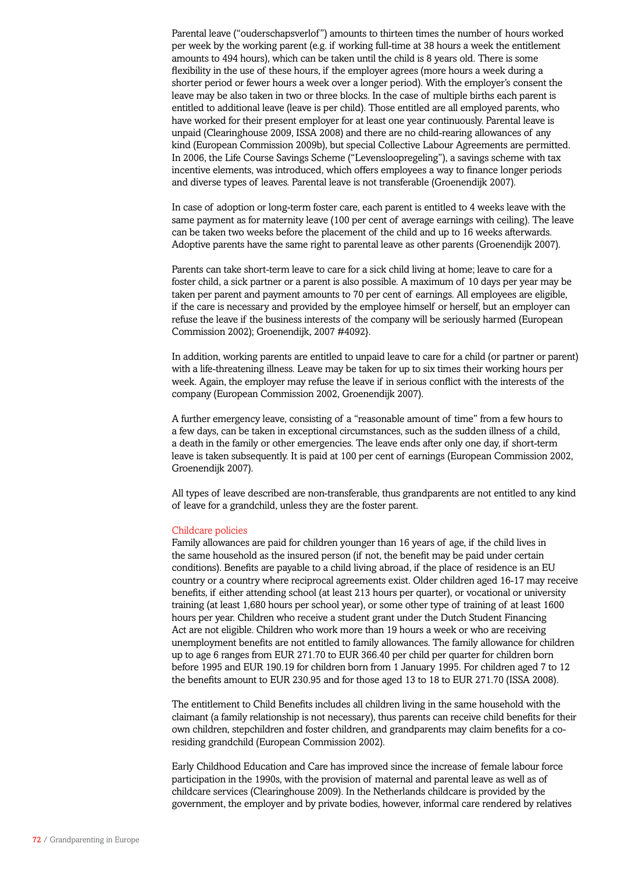Parental leave ("ouderschapsverlof") amounts to thirteen times the number of hours worked per week by the working parent (e.g. if working full-time at 38 hours a week the entitlement amounts to 494 hours), which can be taken until the child is 8 years old. There is some flexibility in the use of these hours, if the employer agrees (more hours a week during a shorter period or fewer hours a week over a longer period). With the employer's consent the leave may be also taken in two or three blocks. In the case of multiple births each parent is entitled to additional leave (leave is per child). Those entitled are all employed parents, who have worked for their present employer for at least one year continuously. Parental leave is unpaid (Clearinghouse 2009, ISSA 2008) and there are no child-rearing allowances of any kind (European Commission 2009b), but special Collective Labour Agreements are permitted. In 2006, the Life Course Savings Scheme ("Levensloopregeling"), a savings scheme with tax incentive elements, was introduced, which offers employees a way to finance longer periods and diverse types of leaves. Parental leave is not transferable (Groenendijk 2007).

In case of adoption or long-term foster care, each parent is entitled to 4 weeks leave with the same payment as for maternity leave (100 per cent of average earnings with ceiling). The leave can be taken two weeks before the placement of the child and up to 16 weeks afterwards. Adoptive parents have the same right to parental leave as other parents (Groenendijk 2007).

Parents can take short-term leave to care for a sick child living at home; leave to care for a foster child, a sick partner or a parent is also possible. A maximum of 10 days per year may be taken per parent and payment amounts to 70 per cent of earnings. All employees are eligible, if the care is necessary and provided by the employee himself or herself, but an employer can refuse the leave if the business interests of the company will be seriously harmed (European Commission 2002); Groenendijk, 2007 #4092}.

In addition, working parents are entitled to unpaid leave to care for a child (or partner or parent) with a life-threatening illness. Leave may be taken for up to six times their working hours per week. Again, the employer may refuse the leave if in serious conflict with the interests of the company (European Commission 2002, Groenendijk 2007).

A further emergency leave, consisting of a "reasonable amount of time" from a few hours to a few days, can be taken in exceptional circumstances, such as the sudden illness of a child, a death in the family or other emergencies. The leave ends after only one day, if short-term leave is taken subsequently. It is paid at 100 per cent of earnings (European Commission 2002, Groenendijk 2007).

All types of leave described are non-transferable, thus grandparents are not entitled to any kind of leave for a grandchild, unless they are the foster parent.

### Childcare policies

Family allowances are paid for children younger than 16 years of age, if the child lives in the same household as the insured person (if not, the benefit may be paid under certain conditions). Benefits are payable to a child living abroad, if the place of residence is an EU country or a country where reciprocal agreements exist. Older children aged 16-17 may receive benefits, if either attending school (at least 213 hours per quarter), or vocational or university training (at least 1,680 hours per school year), or some other type of training of at least 1600 hours per year. Children who receive a student grant under the Dutch Student Financing Act are not eligible. Children who work more than 19 hours a week or who are receiving unemployment benefits are not entitled to family allowances. The family allowance for children up to age 6 ranges from EUR 271.70 to EUR 366.40 per child per quarter for children born before 1995 and EUR 190.19 for children born from 1 January 1995. For children aged 7 to 12 the benefits amount to EUR 230.95 and for those aged 13 to 18 to EUR 271.70 (ISSA 2008).

The entitlement to Child Benefits includes all children living in the same household with the claimant (a family relationship is not necessary), thus parents can receive child benefits for their own children, stepchildren and foster children, and grandparents may claim benefits for a coresiding grandchild (European Commission 2002).

Early Childhood Education and Care has improved since the increase of female labour force participation in the 1990s, with the provision of maternal and parental leave as well as of childcare services (Clearinghouse 2009). In the Netherlands childcare is provided by the government, the employer and by private bodies, however, informal care rendered by relatives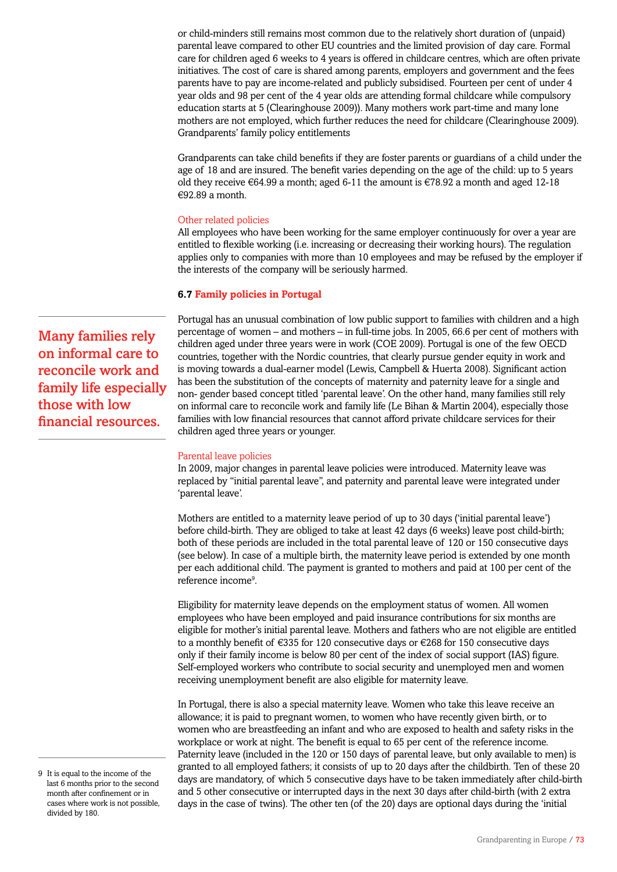or child-minders still remains most common due to the relatively short duration of (unpaid) parental leave compared to other EU countries and the limited provision of day care. Formal care for children aged 6 weeks to 4 years is offered in childcare centres, which are often private initiatives. The cost of care is shared among parents, employers and government and the fees parents have to pay are income-related and publicly subsidised. Fourteen per cent of under 4 year olds and 98 per cent of the 4 year olds are attending formal childcare while compulsory education starts at 5 (Clearinghouse 2009)). Many mothers work part-time and many lone mothers are not employed, which further reduces the need for childcare (Clearinghouse 2009). Grandparents' family policy entitlements

Grandparents can take child benefits if they are foster parents or guardians of a child under the age of 18 and are insured. The benefit varies depending on the age of the child: up to 5 years old they receive  $\epsilon$ 64.99 a month; aged 6-11 the amount is  $\epsilon$ 78.92 a month and aged 12-18 €92.89 a month.

## Other related policies

All employees who have been working for the same employer continuously for over a year are entitled to flexible working (i.e. increasing or decreasing their working hours). The regulation applies only to companies with more than 10 employees and may be refused by the employer if the interests of the company will be seriously harmed.

# **6.7 Family policies in Portugal**

Portugal has an unusual combination of low public support to families with children and a high percentage of women – and mothers – in full-time jobs. In 2005, 66.6 per cent of mothers with children aged under three years were in work (COE 2009). Portugal is one of the few OECD countries, together with the Nordic countries, that clearly pursue gender equity in work and is moving towards a dual-earner model (Lewis, Campbell & Huerta 2008). Significant action has been the substitution of the concepts of maternity and paternity leave for a single and non- gender based concept titled 'parental leave'. On the other hand, many families still rely on informal care to reconcile work and family life (Le Bihan & Martin 2004), especially those families with low financial resources that cannot afford private childcare services for their children aged three years or younger.

## Parental leave policies

In 2009, major changes in parental leave policies were introduced. Maternity leave was replaced by "initial parental leave", and paternity and parental leave were integrated under 'parental leave'.

Mothers are entitled to a maternity leave period of up to 30 days ('initial parental leave') before child-birth. They are obliged to take at least 42 days (6 weeks) leave post child-birth; both of these periods are included in the total parental leave of 120 or 150 consecutive days (see below). In case of a multiple birth, the maternity leave period is extended by one month per each additional child. The payment is granted to mothers and paid at 100 per cent of the reference income9 .

Eligibility for maternity leave depends on the employment status of women. All women employees who have been employed and paid insurance contributions for six months are eligible for mother's initial parental leave. Mothers and fathers who are not eligible are entitled to a monthly benefit of  $\epsilon$ 335 for 120 consecutive days or  $\epsilon$ 268 for 150 consecutive days only if their family income is below 80 per cent of the index of social support (IAS) figure. Self-employed workers who contribute to social security and unemployed men and women receiving unemployment benefit are also eligible for maternity leave.

In Portugal, there is also a special maternity leave. Women who take this leave receive an allowance; it is paid to pregnant women, to women who have recently given birth, or to women who are breastfeeding an infant and who are exposed to health and safety risks in the workplace or work at night. The benefit is equal to 65 per cent of the reference income. Paternity leave (included in the 120 or 150 days of parental leave, but only available to men) is granted to all employed fathers; it consists of up to 20 days after the childbirth. Ten of these 20 days are mandatory, of which 5 consecutive days have to be taken immediately after child-birth and 5 other consecutive or interrupted days in the next 30 days after child-birth (with 2 extra days in the case of twins). The other ten (of the 20) days are optional days during the 'initial

Many families rely on informal care to reconcile work and family life especially those with low financial resources.

<sup>9</sup> It is equal to the income of the last 6 months prior to the second month after confinement or in cases where work is not possible, divided by 180.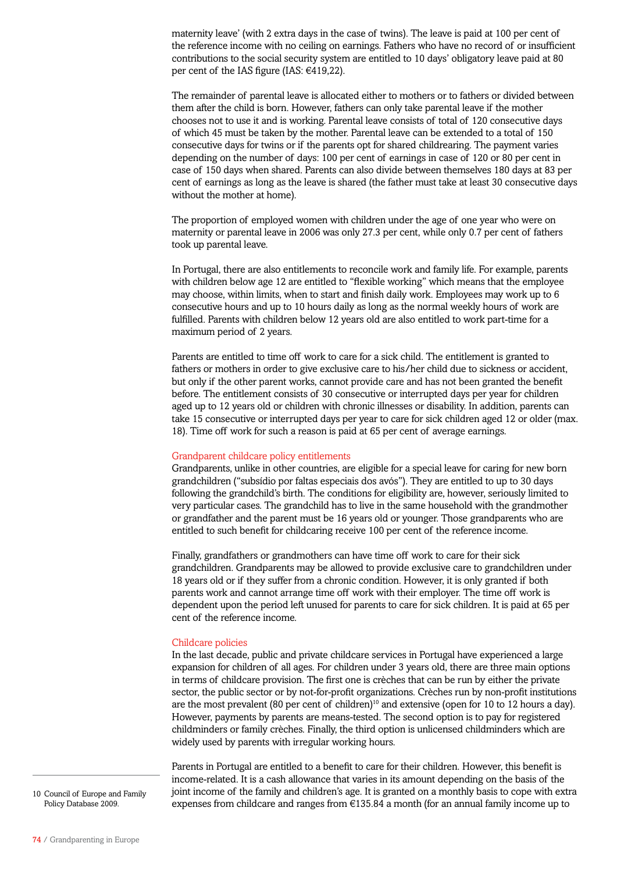maternity leave' (with 2 extra days in the case of twins). The leave is paid at 100 per cent of the reference income with no ceiling on earnings. Fathers who have no record of or insufficient contributions to the social security system are entitled to 10 days' obligatory leave paid at 80 per cent of the IAS figure (IAS: €419,22).

The remainder of parental leave is allocated either to mothers or to fathers or divided between them after the child is born. However, fathers can only take parental leave if the mother chooses not to use it and is working. Parental leave consists of total of 120 consecutive days of which 45 must be taken by the mother. Parental leave can be extended to a total of 150 consecutive days for twins or if the parents opt for shared childrearing. The payment varies depending on the number of days: 100 per cent of earnings in case of 120 or 80 per cent in case of 150 days when shared. Parents can also divide between themselves 180 days at 83 per cent of earnings as long as the leave is shared (the father must take at least 30 consecutive days without the mother at home).

The proportion of employed women with children under the age of one year who were on maternity or parental leave in 2006 was only 27.3 per cent, while only 0.7 per cent of fathers took up parental leave.

In Portugal, there are also entitlements to reconcile work and family life. For example, parents with children below age 12 are entitled to "flexible working" which means that the employee may choose, within limits, when to start and finish daily work. Employees may work up to 6 consecutive hours and up to 10 hours daily as long as the normal weekly hours of work are fulfilled. Parents with children below 12 years old are also entitled to work part-time for a maximum period of 2 years.

Parents are entitled to time off work to care for a sick child. The entitlement is granted to fathers or mothers in order to give exclusive care to his/her child due to sickness or accident, but only if the other parent works, cannot provide care and has not been granted the benefit before. The entitlement consists of 30 consecutive or interrupted days per year for children aged up to 12 years old or children with chronic illnesses or disability. In addition, parents can take 15 consecutive or interrupted days per year to care for sick children aged 12 or older (max. 18). Time off work for such a reason is paid at 65 per cent of average earnings.

### Grandparent childcare policy entitlements

Grandparents, unlike in other countries, are eligible for a special leave for caring for new born grandchildren ("subsídio por faltas especiais dos avós"). They are entitled to up to 30 days following the grandchild's birth. The conditions for eligibility are, however, seriously limited to very particular cases. The grandchild has to live in the same household with the grandmother or grandfather and the parent must be 16 years old or younger. Those grandparents who are entitled to such benefit for childcaring receive 100 per cent of the reference income.

Finally, grandfathers or grandmothers can have time off work to care for their sick grandchildren. Grandparents may be allowed to provide exclusive care to grandchildren under 18 years old or if they suffer from a chronic condition. However, it is only granted if both parents work and cannot arrange time off work with their employer. The time off work is dependent upon the period left unused for parents to care for sick children. It is paid at 65 per cent of the reference income.

#### Childcare policies

In the last decade, public and private childcare services in Portugal have experienced a large expansion for children of all ages. For children under 3 years old, there are three main options in terms of childcare provision. The first one is crèches that can be run by either the private sector, the public sector or by not-for-profit organizations. Crèches run by non-profit institutions are the most prevalent (80 per cent of children)<sup>10</sup> and extensive (open for 10 to 12 hours a day). However, payments by parents are means-tested. The second option is to pay for registered childminders or family crèches. Finally, the third option is unlicensed childminders which are widely used by parents with irregular working hours.

Parents in Portugal are entitled to a benefit to care for their children. However, this benefit is income-related. It is a cash allowance that varies in its amount depending on the basis of the joint income of the family and children's age. It is granted on a monthly basis to cope with extra expenses from childcare and ranges from €135.84 a month (for an annual family income up to

10 Council of Europe and Family Policy Database 2009.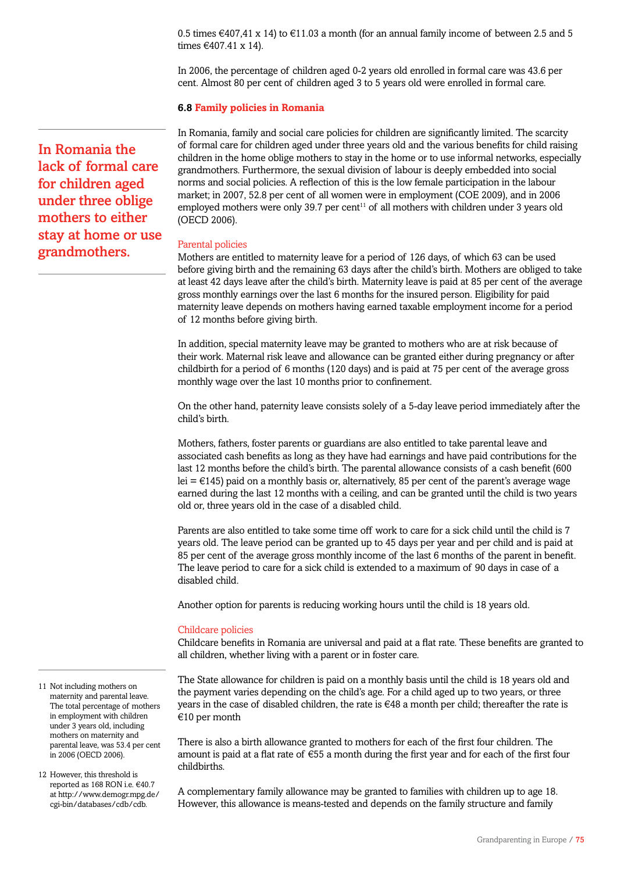0.5 times  $\in$ 407,41 x 14) to  $\in$ 11.03 a month (for an annual family income of between 2.5 and 5 times €407.41 x 14).

In 2006, the percentage of children aged 0-2 years old enrolled in formal care was 43.6 per cent. Almost 80 per cent of children aged 3 to 5 years old were enrolled in formal care.

## **6.8 Family policies in Romania**

In Romania, family and social care policies for children are significantly limited. The scarcity of formal care for children aged under three years old and the various benefits for child raising children in the home oblige mothers to stay in the home or to use informal networks, especially grandmothers. Furthermore, the sexual division of labour is deeply embedded into social norms and social policies. A reflection of this is the low female participation in the labour market; in 2007, 52.8 per cent of all women were in employment (COE 2009), and in 2006 employed mothers were only 39.7 per cent $11$  of all mothers with children under 3 years old (OECD 2006).

### Parental policies

Mothers are entitled to maternity leave for a period of 126 days, of which 63 can be used before giving birth and the remaining 63 days after the child's birth. Mothers are obliged to take at least 42 days leave after the child's birth. Maternity leave is paid at 85 per cent of the average gross monthly earnings over the last 6 months for the insured person. Eligibility for paid maternity leave depends on mothers having earned taxable employment income for a period of 12 months before giving birth.

In addition, special maternity leave may be granted to mothers who are at risk because of their work. Maternal risk leave and allowance can be granted either during pregnancy or after childbirth for a period of 6 months (120 days) and is paid at 75 per cent of the average gross monthly wage over the last 10 months prior to confinement.

On the other hand, paternity leave consists solely of a 5-day leave period immediately after the child's birth.

Mothers, fathers, foster parents or guardians are also entitled to take parental leave and associated cash benefits as long as they have had earnings and have paid contributions for the last 12 months before the child's birth. The parental allowance consists of a cash benefit (600 lei =  $E$ 145) paid on a monthly basis or, alternatively, 85 per cent of the parent's average wage earned during the last 12 months with a ceiling, and can be granted until the child is two years old or, three years old in the case of a disabled child.

Parents are also entitled to take some time off work to care for a sick child until the child is 7 years old. The leave period can be granted up to 45 days per year and per child and is paid at 85 per cent of the average gross monthly income of the last 6 months of the parent in benefit. The leave period to care for a sick child is extended to a maximum of 90 days in case of a disabled child.

Another option for parents is reducing working hours until the child is 18 years old.

#### Childcare policies

Childcare benefits in Romania are universal and paid at a flat rate. These benefits are granted to all children, whether living with a parent or in foster care.

The State allowance for children is paid on a monthly basis until the child is 18 years old and the payment varies depending on the child's age. For a child aged up to two years, or three years in the case of disabled children, the rate is  $\epsilon$ 48 a month per child; thereafter the rate is €10 per month

There is also a birth allowance granted to mothers for each of the first four children. The amount is paid at a flat rate of €55 a month during the first year and for each of the first four childbirths.

A complementary family allowance may be granted to families with children up to age 18. However, this allowance is means-tested and depends on the family structure and family

In Romania the lack of formal care for children aged under three oblige mothers to either stay at home or use grandmothers.

11 Not including mothers on maternity and parental leave. The total percentage of mothers in employment with children under 3 years old, including mothers on maternity and parental leave, was 53.4 per cent in 2006 (OECD 2006).

12 However, this threshold is reported as 168 RON i.e. €40.7 at http://www.demogr.mpg.de/ cgi-bin/databases/cdb/cdb.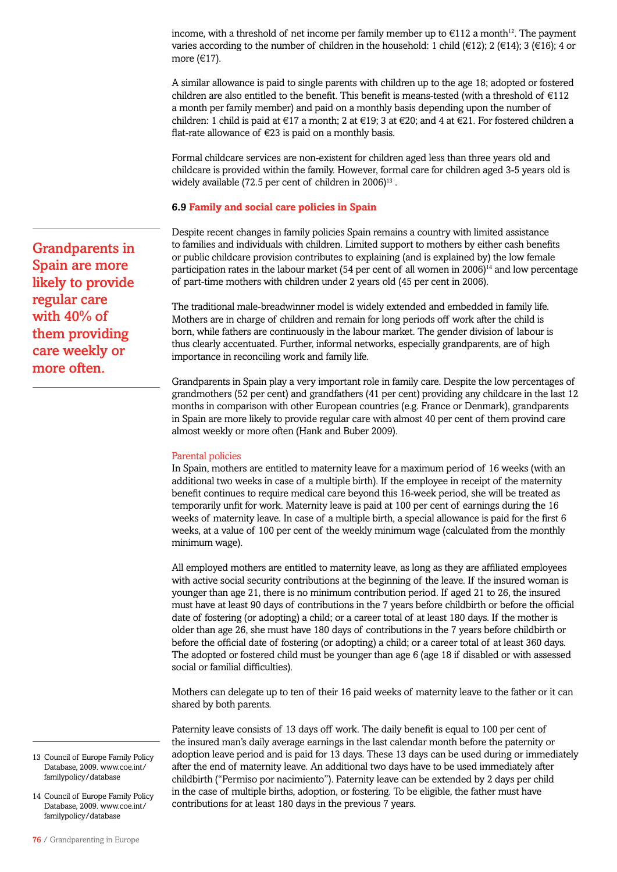income, with a threshold of net income per family member up to  $\epsilon$ 112 a month<sup>12</sup>. The payment varies according to the number of children in the household: 1 child ( $\in$ 12); 2 ( $\in$ 14); 3 ( $\in$ 16); 4 or more (€17).

A similar allowance is paid to single parents with children up to the age 18; adopted or fostered children are also entitled to the benefit. This benefit is means-tested (with a threshold of  $E112$ a month per family member) and paid on a monthly basis depending upon the number of children: 1 child is paid at  $\in$ 17 a month; 2 at  $\in$ 19; 3 at  $\in$ 20; and 4 at  $\in$ 21. For fostered children a flat-rate allowance of  $\epsilon$ 23 is paid on a monthly basis.

Formal childcare services are non-existent for children aged less than three years old and childcare is provided within the family. However, formal care for children aged 3-5 years old is widely available (72.5 per cent of children in 2006)<sup>13</sup>.

### **6.9 Family and social care policies in Spain**

Despite recent changes in family policies Spain remains a country with limited assistance to families and individuals with children. Limited support to mothers by either cash benefits or public childcare provision contributes to explaining (and is explained by) the low female participation rates in the labour market (54 per cent of all women in  $2006$ )<sup>14</sup> and low percentage of part-time mothers with children under 2 years old (45 per cent in 2006).

The traditional male-breadwinner model is widely extended and embedded in family life. Mothers are in charge of children and remain for long periods off work after the child is born, while fathers are continuously in the labour market. The gender division of labour is thus clearly accentuated. Further, informal networks, especially grandparents, are of high importance in reconciling work and family life.

Grandparents in Spain play a very important role in family care. Despite the low percentages of grandmothers (52 per cent) and grandfathers (41 per cent) providing any childcare in the last 12 months in comparison with other European countries (e.g. France or Denmark), grandparents in Spain are more likely to provide regular care with almost 40 per cent of them provind care almost weekly or more often (Hank and Buber 2009).

## Parental policies

In Spain, mothers are entitled to maternity leave for a maximum period of 16 weeks (with an additional two weeks in case of a multiple birth). If the employee in receipt of the maternity benefit continues to require medical care beyond this 16-week period, she will be treated as temporarily unfit for work. Maternity leave is paid at 100 per cent of earnings during the 16 weeks of maternity leave. In case of a multiple birth, a special allowance is paid for the first 6 weeks, at a value of 100 per cent of the weekly minimum wage (calculated from the monthly minimum wage).

All employed mothers are entitled to maternity leave, as long as they are affiliated employees with active social security contributions at the beginning of the leave. If the insured woman is younger than age 21, there is no minimum contribution period. If aged 21 to 26, the insured must have at least 90 days of contributions in the 7 years before childbirth or before the official date of fostering (or adopting) a child; or a career total of at least 180 days. If the mother is older than age 26, she must have 180 days of contributions in the 7 years before childbirth or before the official date of fostering (or adopting) a child; or a career total of at least 360 days. The adopted or fostered child must be younger than age 6 (age 18 if disabled or with assessed social or familial difficulties).

Mothers can delegate up to ten of their 16 paid weeks of maternity leave to the father or it can shared by both parents.

Paternity leave consists of 13 days off work. The daily benefit is equal to 100 per cent of the insured man's daily average earnings in the last calendar month before the paternity or adoption leave period and is paid for 13 days. These 13 days can be used during or immediately after the end of maternity leave. An additional two days have to be used immediately after childbirth ("Permiso por nacimiento"). Paternity leave can be extended by 2 days per child in the case of multiple births, adoption, or fostering. To be eligible, the father must have contributions for at least 180 days in the previous 7 years.

Grandparents in Spain are more likely to provide regular care with 40% of them providing care weekly or more often.

- 13 Council of Europe Family Policy Database, 2009. www.coe.int/ familypolicy/database
- 14 Council of Europe Family Policy Database, 2009. www.coe.int/ familypolicy/database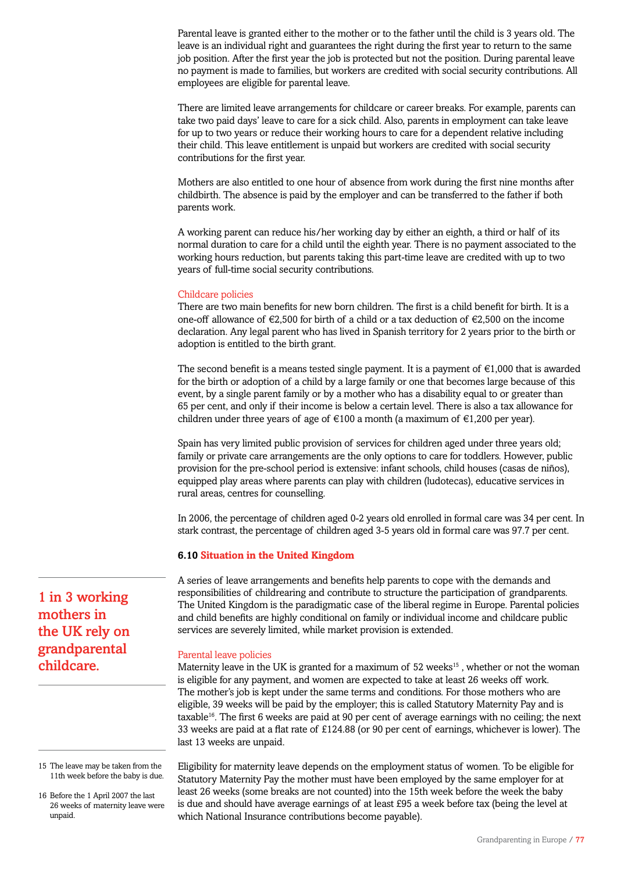Parental leave is granted either to the mother or to the father until the child is 3 years old. The leave is an individual right and guarantees the right during the first year to return to the same job position. After the first year the job is protected but not the position. During parental leave no payment is made to families, but workers are credited with social security contributions. All employees are eligible for parental leave.

There are limited leave arrangements for childcare or career breaks. For example, parents can take two paid days' leave to care for a sick child. Also, parents in employment can take leave for up to two years or reduce their working hours to care for a dependent relative including their child. This leave entitlement is unpaid but workers are credited with social security contributions for the first year.

Mothers are also entitled to one hour of absence from work during the first nine months after childbirth. The absence is paid by the employer and can be transferred to the father if both parents work.

A working parent can reduce his/her working day by either an eighth, a third or half of its normal duration to care for a child until the eighth year. There is no payment associated to the working hours reduction, but parents taking this part-time leave are credited with up to two years of full-time social security contributions.

## Childcare policies

There are two main benefits for new born children. The first is a child benefit for birth. It is a one-off allowance of  $\epsilon$ 2,500 for birth of a child or a tax deduction of  $\epsilon$ 2,500 on the income declaration. Any legal parent who has lived in Spanish territory for 2 years prior to the birth or adoption is entitled to the birth grant.

The second benefit is a means tested single payment. It is a payment of  $\epsilon$ 1,000 that is awarded for the birth or adoption of a child by a large family or one that becomes large because of this event, by a single parent family or by a mother who has a disability equal to or greater than 65 per cent, and only if their income is below a certain level. There is also a tax allowance for children under three years of age of  $\epsilon$ 100 a month (a maximum of  $\epsilon$ 1,200 per year).

Spain has very limited public provision of services for children aged under three years old; family or private care arrangements are the only options to care for toddlers. However, public provision for the pre-school period is extensive: infant schools, child houses (casas de niños), equipped play areas where parents can play with children (ludotecas), educative services in rural areas, centres for counselling.

In 2006, the percentage of children aged 0-2 years old enrolled in formal care was 34 per cent. In stark contrast, the percentage of children aged 3-5 years old in formal care was 97.7 per cent.

## **6.10 Situation in the United Kingdom**

A series of leave arrangements and benefits help parents to cope with the demands and responsibilities of childrearing and contribute to structure the participation of grandparents. The United Kingdom is the paradigmatic case of the liberal regime in Europe. Parental policies and child benefits are highly conditional on family or individual income and childcare public services are severely limited, while market provision is extended.

## Parental leave policies

Maternity leave in the UK is granted for a maximum of  $52$  weeks<sup>15</sup>, whether or not the woman is eligible for any payment, and women are expected to take at least 26 weeks off work. The mother's job is kept under the same terms and conditions. For those mothers who are eligible, 39 weeks will be paid by the employer; this is called Statutory Maternity Pay and is taxable<sup>16</sup>. The first 6 weeks are paid at 90 per cent of average earnings with no ceiling; the next 33 weeks are paid at a flat rate of £124.88 (or 90 per cent of earnings, whichever is lower). The last 13 weeks are unpaid.

Eligibility for maternity leave depends on the employment status of women. To be eligible for Statutory Maternity Pay the mother must have been employed by the same employer for at least 26 weeks (some breaks are not counted) into the 15th week before the week the baby is due and should have average earnings of at least £95 a week before tax (being the level at which National Insurance contributions become payable).

1 in 3 working mothers in the UK rely on grandparental childcare.

<sup>15</sup> The leave may be taken from the 11th week before the baby is due.

<sup>16</sup> Before the 1 April 2007 the last 26 weeks of maternity leave were unpaid.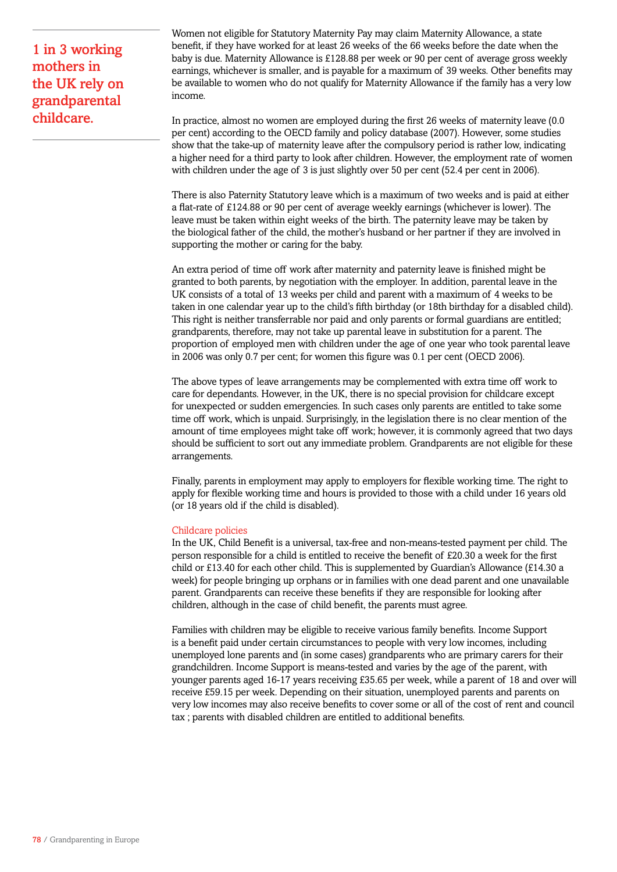1 in 3 working mothers in the UK rely on grandparental childcare.

Women not eligible for Statutory Maternity Pay may claim Maternity Allowance, a state benefit, if they have worked for at least 26 weeks of the 66 weeks before the date when the baby is due. Maternity Allowance is £128.88 per week or 90 per cent of average gross weekly earnings, whichever is smaller, and is payable for a maximum of 39 weeks. Other benefits may be available to women who do not qualify for Maternity Allowance if the family has a very low income.

In practice, almost no women are employed during the first 26 weeks of maternity leave (0.0 per cent) according to the OECD family and policy database (2007). However, some studies show that the take-up of maternity leave after the compulsory period is rather low, indicating a higher need for a third party to look after children. However, the employment rate of women with children under the age of 3 is just slightly over 50 per cent (52.4 per cent in 2006).

There is also Paternity Statutory leave which is a maximum of two weeks and is paid at either a flat-rate of £124.88 or 90 per cent of average weekly earnings (whichever is lower). The leave must be taken within eight weeks of the birth. The paternity leave may be taken by the biological father of the child, the mother's husband or her partner if they are involved in supporting the mother or caring for the baby.

An extra period of time off work after maternity and paternity leave is finished might be granted to both parents, by negotiation with the employer. In addition, parental leave in the UK consists of a total of 13 weeks per child and parent with a maximum of 4 weeks to be taken in one calendar year up to the child's fifth birthday (or 18th birthday for a disabled child). This right is neither transferrable nor paid and only parents or formal guardians are entitled; grandparents, therefore, may not take up parental leave in substitution for a parent. The proportion of employed men with children under the age of one year who took parental leave in 2006 was only 0.7 per cent; for women this figure was 0.1 per cent (OECD 2006).

The above types of leave arrangements may be complemented with extra time off work to care for dependants. However, in the UK, there is no special provision for childcare except for unexpected or sudden emergencies. In such cases only parents are entitled to take some time off work, which is unpaid. Surprisingly, in the legislation there is no clear mention of the amount of time employees might take off work; however, it is commonly agreed that two days should be sufficient to sort out any immediate problem. Grandparents are not eligible for these arrangements.

Finally, parents in employment may apply to employers for flexible working time. The right to apply for flexible working time and hours is provided to those with a child under 16 years old (or 18 years old if the child is disabled).

### Childcare policies

In the UK, Child Benefit is a universal, tax-free and non-means-tested payment per child. The person responsible for a child is entitled to receive the benefit of £20.30 a week for the first child or £13.40 for each other child. This is supplemented by Guardian's Allowance (£14.30 a week) for people bringing up orphans or in families with one dead parent and one unavailable parent. Grandparents can receive these benefits if they are responsible for looking after children, although in the case of child benefit, the parents must agree.

Families with children may be eligible to receive various family benefits. Income Support is a benefit paid under certain circumstances to people with very low incomes, including unemployed lone parents and (in some cases) grandparents who are primary carers for their grandchildren. Income Support is means-tested and varies by the age of the parent, with younger parents aged 16-17 years receiving £35.65 per week, while a parent of 18 and over will receive £59.15 per week. Depending on their situation, unemployed parents and parents on very low incomes may also receive benefits to cover some or all of the cost of rent and council tax ; parents with disabled children are entitled to additional benefits.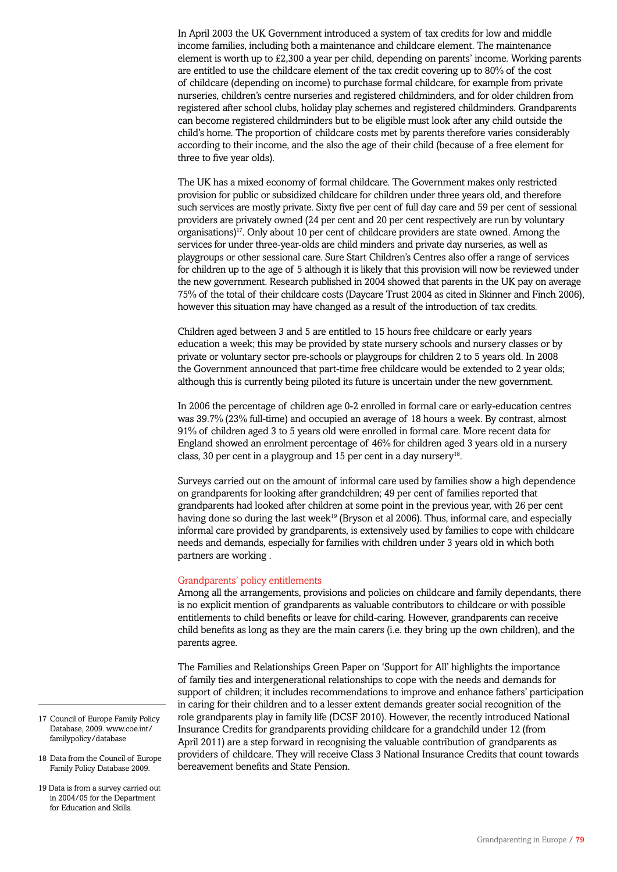In April 2003 the UK Government introduced a system of tax credits for low and middle income families, including both a maintenance and childcare element. The maintenance element is worth up to £2,300 a year per child, depending on parents' income. Working parents are entitled to use the childcare element of the tax credit covering up to 80% of the cost of childcare (depending on income) to purchase formal childcare, for example from private nurseries, children's centre nurseries and registered childminders, and for older children from registered after school clubs, holiday play schemes and registered childminders. Grandparents can become registered childminders but to be eligible must look after any child outside the child's home. The proportion of childcare costs met by parents therefore varies considerably according to their income, and the also the age of their child (because of a free element for three to five year olds).

The UK has a mixed economy of formal childcare. The Government makes only restricted provision for public or subsidized childcare for children under three years old, and therefore such services are mostly private. Sixty five per cent of full day care and 59 per cent of sessional providers are privately owned (24 per cent and 20 per cent respectively are run by voluntary organisations)17. Only about 10 per cent of childcare providers are state owned. Among the services for under three-year-olds are child minders and private day nurseries, as well as playgroups or other sessional care. Sure Start Children's Centres also offer a range of services for children up to the age of 5 although it is likely that this provision will now be reviewed under the new government. Research published in 2004 showed that parents in the UK pay on average 75% of the total of their childcare costs (Daycare Trust 2004 as cited in Skinner and Finch 2006), however this situation may have changed as a result of the introduction of tax credits.

Children aged between 3 and 5 are entitled to 15 hours free childcare or early years education a week; this may be provided by state nursery schools and nursery classes or by private or voluntary sector pre-schools or playgroups for children 2 to 5 years old. In 2008 the Government announced that part-time free childcare would be extended to 2 year olds; although this is currently being piloted its future is uncertain under the new government.

In 2006 the percentage of children age 0-2 enrolled in formal care or early-education centres was 39.7% (23% full-time) and occupied an average of 18 hours a week. By contrast, almost 91% of children aged 3 to 5 years old were enrolled in formal care. More recent data for England showed an enrolment percentage of 46% for children aged 3 years old in a nursery class, 30 per cent in a playgroup and 15 per cent in a day nursery<sup>18</sup>.

Surveys carried out on the amount of informal care used by families show a high dependence on grandparents for looking after grandchildren; 49 per cent of families reported that grandparents had looked after children at some point in the previous year, with 26 per cent having done so during the last week<sup>19</sup> (Bryson et al 2006). Thus, informal care, and especially informal care provided by grandparents, is extensively used by families to cope with childcare needs and demands, especially for families with children under 3 years old in which both partners are working .

### Grandparents' policy entitlements

Among all the arrangements, provisions and policies on childcare and family dependants, there is no explicit mention of grandparents as valuable contributors to childcare or with possible entitlements to child benefits or leave for child-caring. However, grandparents can receive child benefits as long as they are the main carers (i.e. they bring up the own children), and the parents agree.

The Families and Relationships Green Paper on 'Support for All' highlights the importance of family ties and intergenerational relationships to cope with the needs and demands for support of children; it includes recommendations to improve and enhance fathers' participation in caring for their children and to a lesser extent demands greater social recognition of the role grandparents play in family life (DCSF 2010). However, the recently introduced National Insurance Credits for grandparents providing childcare for a grandchild under 12 (from April 2011) are a step forward in recognising the valuable contribution of grandparents as providers of childcare. They will receive Class 3 National Insurance Credits that count towards bereavement benefits and State Pension.

- 17 Council of Europe Family Policy Database, 2009. www.coe.int/ familypolicy/database
- 18 Data from the Council of Europe Family Policy Database 2009.
- 19 Data is from a survey carried out in 2004/05 for the Department for Education and Skills.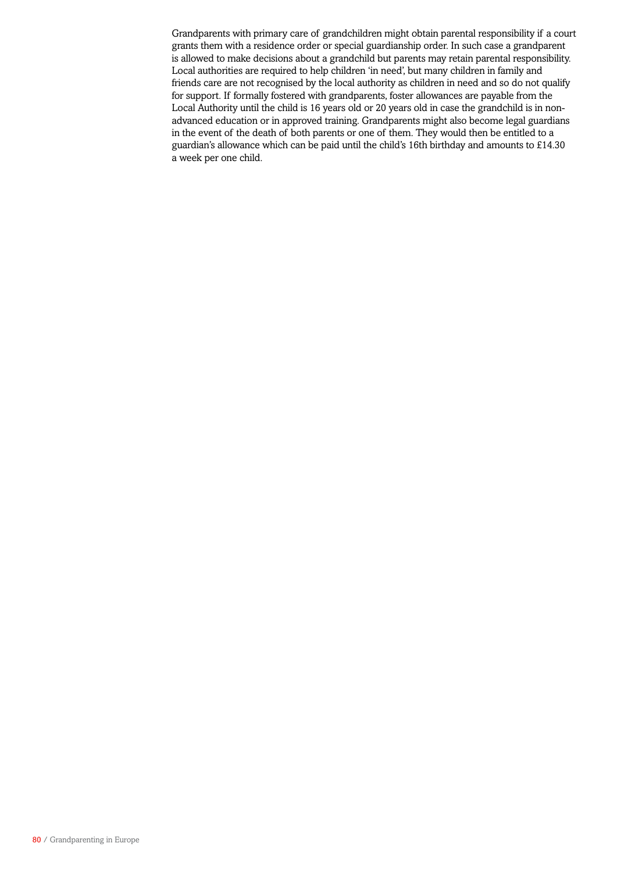Grandparents with primary care of grandchildren might obtain parental responsibility if a court grants them with a residence order or special guardianship order. In such case a grandparent is allowed to make decisions about a grandchild but parents may retain parental responsibility. Local authorities are required to help children 'in need', but many children in family and friends care are not recognised by the local authority as children in need and so do not qualify for support. If formally fostered with grandparents, foster allowances are payable from the Local Authority until the child is 16 years old or 20 years old in case the grandchild is in nonadvanced education or in approved training. Grandparents might also become legal guardians in the event of the death of both parents or one of them. They would then be entitled to a guardian's allowance which can be paid until the child's 16th birthday and amounts to £14.30 a week per one child.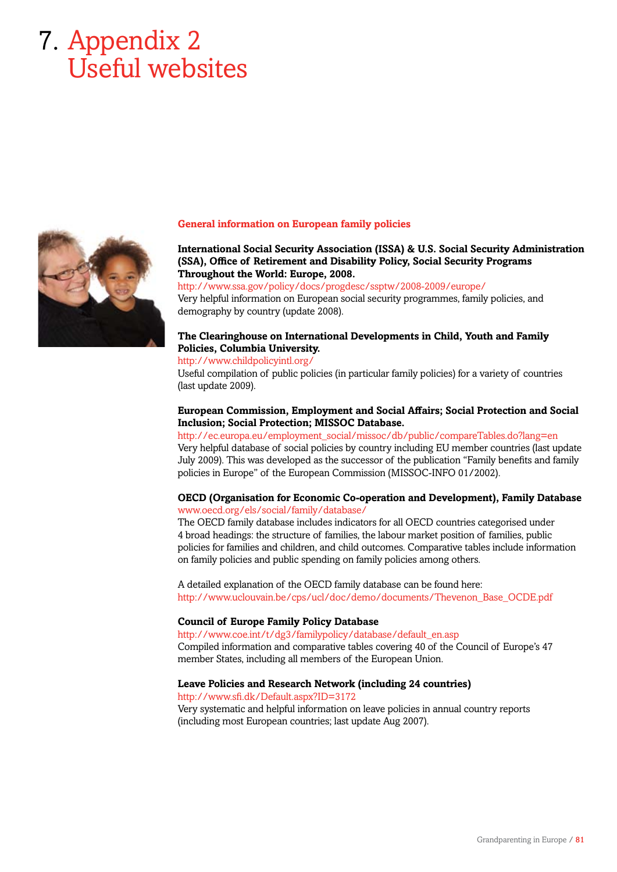# 7. Appendix 2 Useful websites



### **General information on European family policies**

## **International Social Security Association (ISSA) & U.S. Social Security Administration (SSA), Office of Retirement and Disability Policy, Social Security Programs Throughout the World: Europe, 2008.**

http://www.ssa.gov/policy/docs/progdesc/ssptw/2008-2009/europe/ Very helpful information on European social security programmes, family policies, and demography by country (update 2008).

# **The Clearinghouse on International Developments in Child, Youth and Family Policies, Columbia University.**

# http://www.childpolicyintl.org/

Useful compilation of public policies (in particular family policies) for a variety of countries (last update 2009).

## **European Commission, Employment and Social Affairs; Social Protection and Social Inclusion; Social Protection; MISSOC Database.**

# http://ec.europa.eu/employment\_social/missoc/db/public/compareTables.do?lang=en Very helpful database of social policies by country including EU member countries (last update July 2009). This was developed as the successor of the publication "Family benefits and family

policies in Europe" of the European Commission (MISSOC-INFO 01/2002).

## **OECD (Organisation for Economic Co-operation and Development), Family Database** www.oecd.org/els/social/family/database/

The OECD family database includes indicators for all OECD countries categorised under 4 broad headings: the structure of families, the labour market position of families, public policies for families and children, and child outcomes. Comparative tables include information on family policies and public spending on family policies among others.

A detailed explanation of the OECD family database can be found here: http://www.uclouvain.be/cps/ucl/doc/demo/documents/Thevenon\_Base\_OCDE.pdf

### **Council of Europe Family Policy Database**

http://www.coe.int/t/dg3/familypolicy/database/default\_en.asp Compiled information and comparative tables covering 40 of the Council of Europe's 47 member States, including all members of the European Union.

### **Leave Policies and Research Network (including 24 countries)**

http://www.sfi.dk/Default.aspx?ID=3172 Very systematic and helpful information on leave policies in annual country reports (including most European countries; last update Aug 2007).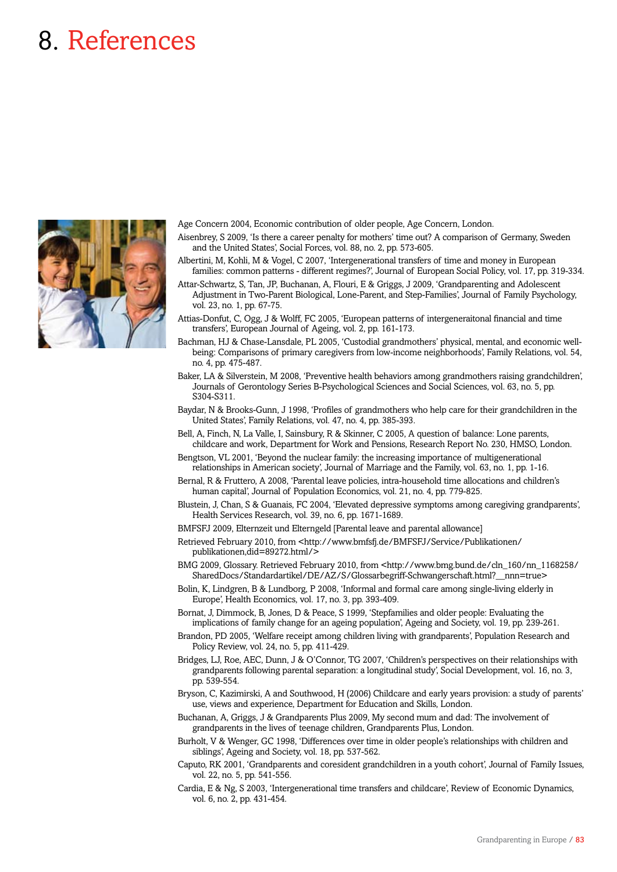# 8. References



Age Concern 2004, Economic contribution of older people, Age Concern, London.

Aisenbrey, S 2009, 'Is there a career penalty for mothers' time out? A comparison of Germany, Sweden and the United States', Social Forces, vol. 88, no. 2, pp. 573-605.

Albertini, M, Kohli, M & Vogel, C 2007, 'Intergenerational transfers of time and money in European families: common patterns - different regimes?', Journal of European Social Policy, vol. 17, pp. 319-334.

Attar-Schwartz, S, Tan, JP, Buchanan, A, Flouri, E & Griggs, J 2009, 'Grandparenting and Adolescent Adjustment in Two-Parent Biological, Lone-Parent, and Step-Families', Journal of Family Psychology, vol. 23, no. 1, pp. 67-75.

Attias-Donfut, C, Ogg, J & Wolff, FC 2005, 'European patterns of intergeneraitonal financial and time transfers', European Journal of Ageing, vol. 2, pp. 161-173.

Bachman, HJ & Chase-Lansdale, PL 2005, 'Custodial grandmothers' physical, mental, and economic wellbeing: Comparisons of primary caregivers from low-income neighborhoods', Family Relations, vol. 54, no. 4, pp. 475-487.

Baker, LA & Silverstein, M 2008, 'Preventive health behaviors among grandmothers raising grandchildren', Journals of Gerontology Series B-Psychological Sciences and Social Sciences, vol. 63, no. 5, pp. S304-S311.

Baydar, N & Brooks-Gunn, J 1998, 'Profiles of grandmothers who help care for their grandchildren in the United States', Family Relations, vol. 47, no. 4, pp. 385-393.

Bell, A, Finch, N, La Valle, I, Sainsbury, R & Skinner, C 2005, A question of balance: Lone parents, childcare and work, Department for Work and Pensions, Research Report No. 230, HMSO, London.

Bengtson, VL 2001, 'Beyond the nuclear family: the increasing importance of multigenerational relationships in American society', Journal of Marriage and the Family, vol. 63, no. 1, pp. 1-16.

Bernal, R & Fruttero, A 2008, 'Parental leave policies, intra-household time allocations and children's human capital', Journal of Population Economics, vol. 21, no. 4, pp. 779-825.

Blustein, J, Chan, S & Guanais, FC 2004, 'Elevated depressive symptoms among caregiving grandparents', Health Services Research, vol. 39, no. 6, pp. 1671-1689.

BMFSFJ 2009, Elternzeit und Elterngeld [Parental leave and parental allowance]

Retrieved February 2010, from <http://www.bmfsfj.de/BMFSFJ/Service/Publikationen/ publikationen,did=89272.html/>

BMG 2009, Glossary. Retrieved February 2010, from <http://www.bmg.bund.de/cln\_160/nn\_1168258/ SharedDocs/Standardartikel/DE/AZ/S/Glossarbegriff-Schwangerschaft.html?\_\_nnn=true>

Bolin, K, Lindgren, B & Lundborg, P 2008, 'Informal and formal care among single-living elderly in Europe', Health Economics, vol. 17, no. 3, pp. 393-409.

Bornat, J, Dimmock, B, Jones, D & Peace, S 1999, 'Stepfamilies and older people: Evaluating the implications of family change for an ageing population', Ageing and Society, vol. 19, pp. 239-261.

Brandon, PD 2005, 'Welfare receipt among children living with grandparents', Population Research and Policy Review, vol. 24, no. 5, pp. 411-429.

Bridges, LJ, Roe, AEC, Dunn, J & O'Connor, TG 2007, 'Children's perspectives on their relationships with grandparents following parental separation: a longitudinal study', Social Development, vol. 16, no. 3, pp. 539-554.

Bryson, C, Kazimirski, A and Southwood, H (2006) Childcare and early years provision: a study of parents' use, views and experience, Department for Education and Skills, London.

Buchanan, A, Griggs, J & Grandparents Plus 2009, My second mum and dad: The involvement of grandparents in the lives of teenage children, Grandparents Plus, London.

Burholt, V & Wenger, GC 1998, 'Differences over time in older people's relationships with children and siblings', Ageing and Society, vol. 18, pp. 537-562.

Caputo, RK 2001, 'Grandparents and coresident grandchildren in a youth cohort', Journal of Family Issues, vol. 22, no. 5, pp. 541-556.

Cardia, E & Ng, S 2003, 'Intergenerational time transfers and childcare', Review of Economic Dynamics, vol. 6, no. 2, pp. 431-454.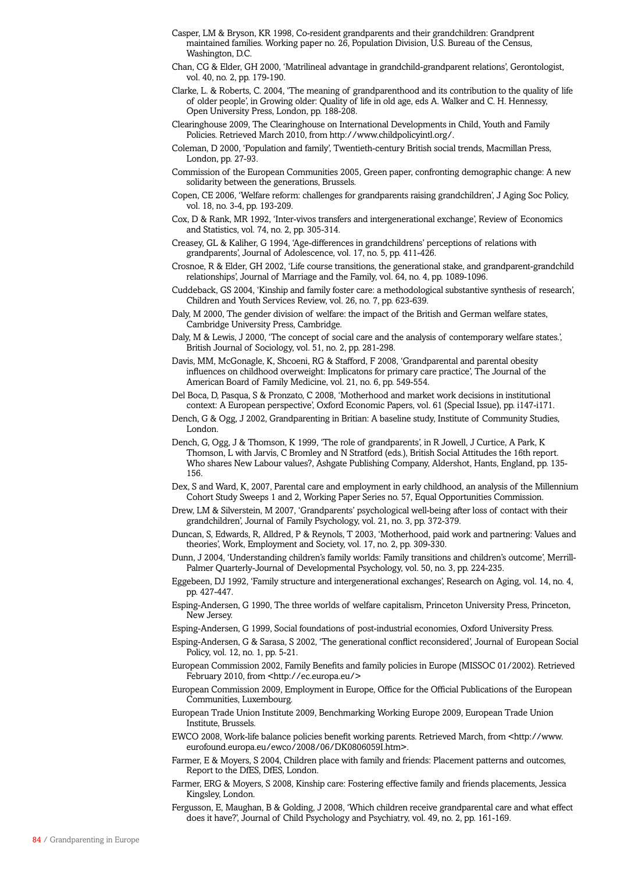- Casper, LM & Bryson, KR 1998, Co-resident grandparents and their grandchildren: Grandprent maintained families. Working paper no. 26, Population Division, U.S. Bureau of the Census, Washington, D.C.
- Chan, CG & Elder, GH 2000, 'Matrilineal advantage in grandchild-grandparent relations', Gerontologist, vol. 40, no. 2, pp. 179-190.
- Clarke, L. & Roberts, C. 2004, 'The meaning of grandparenthood and its contribution to the quality of life of older people', in Growing older: Quality of life in old age, eds A. Walker and C. H. Hennessy, Open University Press, London, pp. 188-208.
- Clearinghouse 2009, The Clearinghouse on International Developments in Child, Youth and Family Policies. Retrieved March 2010, from http://www.childpolicyintl.org/.

Coleman, D 2000, 'Population and family', Twentieth-century British social trends, Macmillan Press, London, pp. 27-93.

- Commission of the European Communities 2005, Green paper, confronting demographic change: A new solidarity between the generations, Brussels.
- Copen, CE 2006, 'Welfare reform: challenges for grandparents raising grandchildren', J Aging Soc Policy, vol. 18, no. 3-4, pp. 193-209.
- Cox, D & Rank, MR 1992, 'Inter-vivos transfers and intergenerational exchange', Review of Economics and Statistics, vol. 74, no. 2, pp. 305-314.
- Creasey, GL & Kaliher, G 1994, 'Age-differences in grandchildrens' perceptions of relations with grandparents', Journal of Adolescence, vol. 17, no. 5, pp. 411-426.
- Crosnoe, R & Elder, GH 2002, 'Life course transitions, the generational stake, and grandparent-grandchild relationships', Journal of Marriage and the Family, vol. 64, no. 4, pp. 1089-1096.
- Cuddeback, GS 2004, 'Kinship and family foster care: a methodological substantive synthesis of research', Children and Youth Services Review, vol. 26, no. 7, pp. 623-639.
- Daly, M 2000, The gender division of welfare: the impact of the British and German welfare states, Cambridge University Press, Cambridge.
- Daly, M & Lewis, J 2000, 'The concept of social care and the analysis of contemporary welfare states.', British Journal of Sociology, vol. 51, no. 2, pp. 281-298.
- Davis, MM, McGonagle, K, Shcoeni, RG & Stafford, F 2008, 'Grandparental and parental obesity influences on childhood overweight: Implicatons for primary care practice', The Journal of the American Board of Family Medicine, vol. 21, no. 6, pp. 549-554.
- Del Boca, D, Pasqua, S & Pronzato, C 2008, 'Motherhood and market work decisions in institutional context: A European perspective', Oxford Economic Papers, vol. 61 (Special Issue), pp. i147-i171.
- Dench, G & Ogg, J 2002, Grandparenting in Britian: A baseline study, Institute of Community Studies, London.
- Dench, G, Ogg, J & Thomson, K 1999, 'The role of grandparents', in R Jowell, J Curtice, A Park, K Thomson, L with Jarvis, C Bromley and N Stratford (eds.), British Social Attitudes the 16th report. Who shares New Labour values?, Ashgate Publishing Company, Aldershot, Hants, England, pp. 135- 156.
- Dex, S and Ward, K, 2007, Parental care and employment in early childhood, an analysis of the Millennium Cohort Study Sweeps 1 and 2, Working Paper Series no. 57, Equal Opportunities Commission.
- Drew, LM & Silverstein, M 2007, 'Grandparents' psychological well-being after loss of contact with their grandchildren', Journal of Family Psychology, vol. 21, no. 3, pp. 372-379.
- Duncan, S, Edwards, R, Alldred, P & Reynols, T 2003, 'Motherhood, paid work and partnering: Values and theories', Work, Employment and Society, vol. 17, no. 2, pp. 309-330.
- Dunn, J 2004, 'Understanding children's family worlds: Family transitions and children's outcome', Merrill-Palmer Quarterly-Journal of Developmental Psychology, vol. 50, no. 3, pp. 224-235.
- Eggebeen, DJ 1992, 'Family structure and intergenerational exchanges', Research on Aging, vol. 14, no. 4, pp. 427-447.
- Esping-Andersen, G 1990, The three worlds of welfare capitalism, Princeton University Press, Princeton, New Jersey.
- Esping-Andersen, G 1999, Social foundations of post-industrial economies, Oxford University Press.
- Esping-Andersen, G & Sarasa, S 2002, 'The generational conflict reconsidered', Journal of European Social Policy, vol. 12, no. 1, pp. 5-21.
- European Commission 2002, Family Benefits and family policies in Europe (MISSOC 01/2002). Retrieved February 2010, from <http://ec.europa.eu/>
- European Commission 2009, Employment in Europe, Office for the Official Publications of the European Communities, Luxembourg.
- European Trade Union Institute 2009, Benchmarking Working Europe 2009, European Trade Union Institute, Brussels.
- EWCO 2008, Work-life balance policies benefit working parents. Retrieved March, from <http://www. eurofound.europa.eu/ewco/2008/06/DK0806059I.htm>.
- Farmer, E & Moyers, S 2004, Children place with family and friends: Placement patterns and outcomes, Report to the DfES, DfES, London.
- Farmer, ERG & Moyers, S 2008, Kinship care: Fostering effective family and friends placements, Jessica Kingsley, London.
- Fergusson, E, Maughan, B & Golding, J 2008, 'Which children receive grandparental care and what effect does it have?', Journal of Child Psychology and Psychiatry, vol. 49, no. 2, pp. 161-169.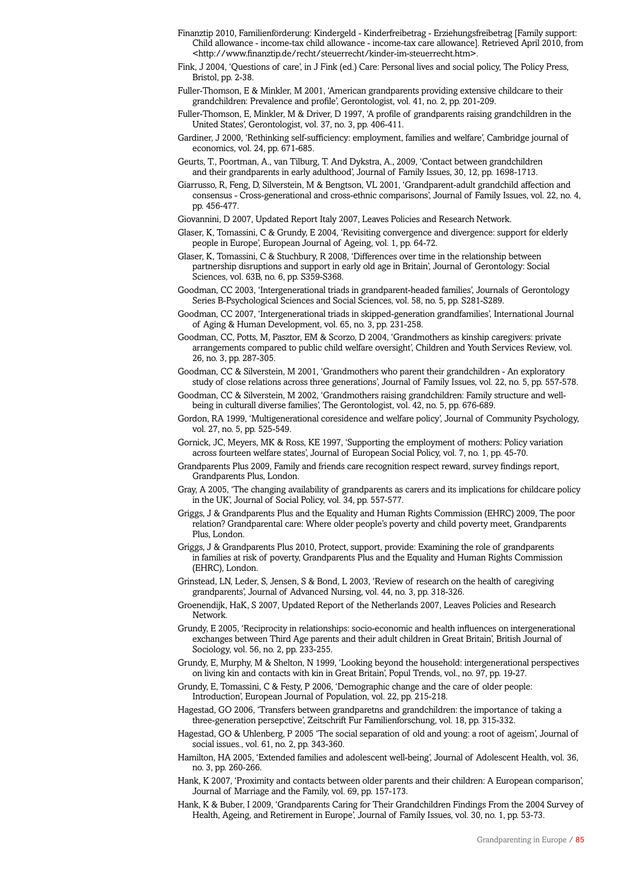- Finanztip 2010, Familienförderung: Kindergeld Kinderfreibetrag Erziehungsfreibetrag [Family support: Child allowance - income-tax child allowance - income-tax care allowance]. Retrieved April 2010, from <http://www.finanztip.de/recht/steuerrecht/kinder-im-steuerrecht.htm>.
- Fink, J 2004, 'Questions of care', in J Fink (ed.) Care: Personal lives and social policy, The Policy Press, Bristol, pp. 2-38.
- Fuller-Thomson, E & Minkler, M 2001, 'American grandparents providing extensive childcare to their grandchildren: Prevalence and profile', Gerontologist, vol. 41, no. 2, pp. 201-209.
- Fuller-Thomson, E, Minkler, M & Driver, D 1997, 'A profile of grandparents raising grandchildren in the United States', Gerontologist, vol. 37, no. 3, pp. 406-411.
- Gardiner, J 2000, 'Rethinking self-sufficiency: employment, families and welfare', Cambridge journal of economics, vol. 24, pp. 671-685.
- Geurts, T., Poortman, A., van Tilburg, T. And Dykstra, A., 2009, 'Contact between grandchildren and their grandparents in early adulthood', Journal of Family Issues, 30, 12, pp. 1698-1713.
- Giarrusso, R, Feng, D, Silverstein, M & Bengtson, VL 2001, 'Grandparent-adult grandchild affection and consensus - Cross-generational and cross-ethnic comparisons', Journal of Family Issues, vol. 22, no. 4, pp. 456-477.
- Giovannini, D 2007, Updated Report Italy 2007, Leaves Policies and Research Network.
- Glaser, K, Tomassini, C & Grundy, E 2004, 'Revisiting convergence and divergence: support for elderly people in Europe', European Journal of Ageing, vol. 1, pp. 64-72.
- Glaser, K, Tomassini, C & Stuchbury, R 2008, 'Differences over time in the relationship between partnership disruptions and support in early old age in Britain', Journal of Gerontology: Social Sciences, vol. 63B, no. 6, pp. S359-S368.
- Goodman, CC 2003, 'Intergenerational triads in grandparent-headed families', Journals of Gerontology Series B-Psychological Sciences and Social Sciences, vol. 58, no. 5, pp. S281-S289.
- Goodman, CC 2007, 'Intergenerational triads in skipped-generation grandfamilies', International Journal of Aging & Human Development, vol. 65, no. 3, pp. 231-258.
- Goodman, CC, Potts, M, Pasztor, EM & Scorzo, D 2004, 'Grandmothers as kinship caregivers: private arrangements compared to public child welfare oversight', Children and Youth Services Review, vol. 26, no. 3, pp. 287-305.
- Goodman, CC & Silverstein, M 2001, 'Grandmothers who parent their grandchildren An exploratory study of close relations across three generations', Journal of Family Issues, vol. 22, no. 5, pp. 557-578.
- Goodman, CC & Silverstein, M 2002, 'Grandmothers raising grandchildren: Family structure and wellbeing in culturall diverse families', The Gerontologist, vol. 42, no. 5, pp. 676-689.
- Gordon, RA 1999, 'Multigenerational coresidence and welfare policy', Journal of Community Psychology, vol. 27, no. 5, pp. 525-549.
- Gornick, JC, Meyers, MK & Ross, KE 1997, 'Supporting the employment of mothers: Policy variation across fourteen welfare states', Journal of European Social Policy, vol. 7, no. 1, pp. 45-70.
- Grandparents Plus 2009, Family and friends care recognition respect reward, survey findings report, Grandparents Plus, London.
- Gray, A 2005, 'The changing availability of grandparents as carers and its implications for childcare policy in the UK', Journal of Social Policy, vol. 34, pp. 557-577.
- Griggs, J & Grandparents Plus and the Equality and Human Rights Commission (EHRC) 2009, The poor relation? Grandparental care: Where older people's poverty and child poverty meet, Grandparents Plus, London.
- Griggs, J & Grandparents Plus 2010, Protect, support, provide: Examining the role of grandparents in families at risk of poverty, Grandparents Plus and the Equality and Human Rights Commission (EHRC), London.
- Grinstead, LN, Leder, S, Jensen, S & Bond, L 2003, 'Review of research on the health of caregiving grandparents', Journal of Advanced Nursing, vol. 44, no. 3, pp. 318-326.
- Groenendijk, HaK, S 2007, Updated Report of the Netherlands 2007, Leaves Policies and Research Network.
- Grundy, E 2005, 'Reciprocity in relationships: socio-economic and health influences on intergenerational exchanges between Third Age parents and their adult children in Great Britain', British Journal of Sociology, vol. 56, no. 2, pp. 233-255.
- Grundy, E, Murphy, M & Shelton, N 1999, 'Looking beyond the household: intergenerational perspectives on living kin and contacts with kin in Great Britain', Popul Trends, vol., no. 97, pp. 19-27.
- Grundy, E, Tomassini, C & Festy, P 2006, 'Demographic change and the care of older people: Introduction', European Journal of Population, vol. 22, pp. 215-218.
- Hagestad, GO 2006, 'Transfers between grandparetns and grandchildren: the importance of taking a three-generation persepctive', Zeitschrift Fur Familienforschung, vol. 18, pp. 315-332.
- Hagestad, GO & Uhlenberg, P 2005 'The social separation of old and young: a root of ageism', Journal of social issues., vol. 61, no. 2, pp. 343-360.
- Hamilton, HA 2005, 'Extended families and adolescent well-being', Journal of Adolescent Health, vol. 36, no. 3, pp. 260-266.
- Hank, K 2007, 'Proximity and contacts between older parents and their children: A European comparison', Journal of Marriage and the Family, vol. 69, pp. 157-173.
- Hank, K & Buber, I 2009, 'Grandparents Caring for Their Grandchildren Findings From the 2004 Survey of Health, Ageing, and Retirement in Europe', Journal of Family Issues, vol. 30, no. 1, pp. 53-73.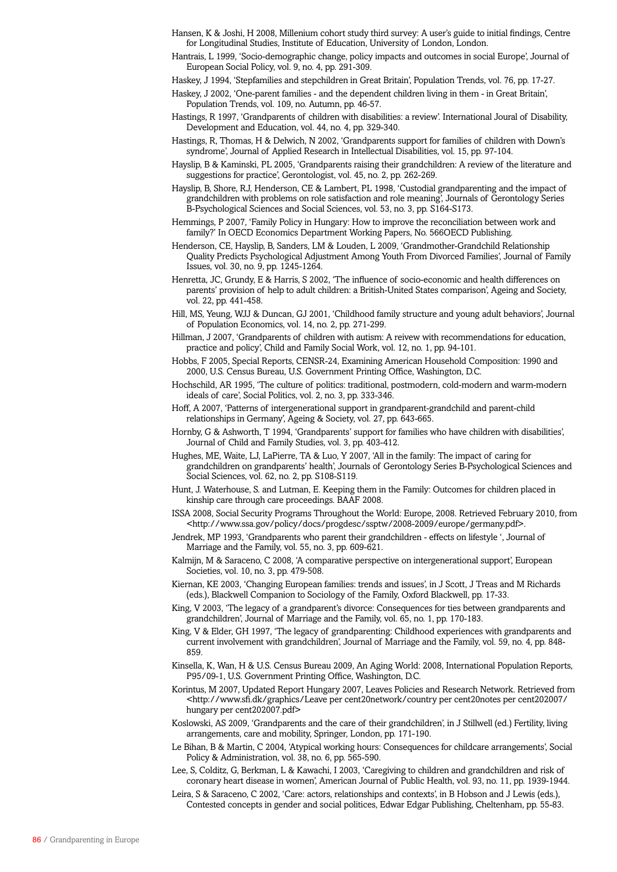- Hansen, K & Joshi, H 2008, Millenium cohort study third survey: A user's guide to initial findings, Centre for Longitudinal Studies, Institute of Education, University of London, London.
- Hantrais, L 1999, 'Socio-demographic change, policy impacts and outcomes in social Europe', Journal of European Social Policy, vol. 9, no. 4, pp. 291-309.
- Haskey, J 1994, 'Stepfamilies and stepchildren in Great Britain', Population Trends, vol. 76, pp. 17-27.

Haskey, J 2002, 'One-parent families - and the dependent children living in them - in Great Britain', Population Trends, vol. 109, no. Autumn, pp. 46-57.

- Hastings, R 1997, 'Grandparents of children with disabilities: a review'. International Joural of Disability, Development and Education, vol. 44, no. 4, pp. 329-340.
- Hastings, R, Thomas, H & Delwich, N 2002, 'Grandparents support for families of children with Down's syndrome', Journal of Applied Research in Intellectual Disabilities, vol. 15, pp. 97-104.
- Hayslip, B & Kaminski, PL 2005, 'Grandparents raising their grandchildren: A review of the literature and suggestions for practice', Gerontologist, vol. 45, no. 2, pp. 262-269.
- Hayslip, B, Shore, RJ, Henderson, CE & Lambert, PL 1998, 'Custodial grandparenting and the impact of grandchildren with problems on role satisfaction and role meaning', Journals of Gerontology Series B-Psychological Sciences and Social Sciences, vol. 53, no. 3, pp. S164-S173.
- Hemmings, P 2007, 'Family Policy in Hungary: How to improve the reconciliation between work and family?' In OECD Economics Department Working Papers, No. 566OECD Publishing.
- Henderson, CE, Hayslip, B, Sanders, LM & Louden, L 2009, 'Grandmother-Grandchild Relationship Quality Predicts Psychological Adjustment Among Youth From Divorced Families', Journal of Family Issues, vol. 30, no. 9, pp. 1245-1264.
- Henretta, JC, Grundy, E & Harris, S 2002, 'The influence of socio-economic and health differences on parents' provision of help to adult children: a British-United States comparison', Ageing and Society, vol. 22, pp. 441-458.
- Hill, MS, Yeung, WJJ & Duncan, GJ 2001, 'Childhood family structure and young adult behaviors', Journal of Population Economics, vol. 14, no. 2, pp. 271-299.
- Hillman, J 2007, 'Grandparents of children with autism: A reivew with recommendations for education, practice and policy', Child and Family Social Work, vol. 12, no. 1, pp. 94-101.
- Hobbs, F 2005, Special Reports, CENSR-24, Examining American Household Composition: 1990 and 2000, U.S. Census Bureau, U.S. Government Printing Office, Washington, D.C.
- Hochschild, AR 1995, 'The culture of politics: traditional, postmodern, cold-modern and warm-modern ideals of care', Social Politics, vol. 2, no. 3, pp. 333-346.
- Hoff, A 2007, 'Patterns of intergenerational support in grandparent-grandchild and parent-child relationships in Germany', Ageing & Society, vol. 27, pp. 643-665.
- Hornby, G & Ashworth, T 1994, 'Grandparents' support for families who have children with disabilities', Journal of Child and Family Studies, vol. 3, pp. 403-412.
- Hughes, ME, Waite, LJ, LaPierre, TA & Luo, Y 2007, 'All in the family: The impact of caring for grandchildren on grandparents' health', Journals of Gerontology Series B-Psychological Sciences and Social Sciences, vol. 62, no. 2, pp. S108-S119.
- Hunt, J. Waterhouse, S. and Lutman, E. Keeping them in the Family: Outcomes for children placed in kinship care through care proceedings. BAAF 2008.
- ISSA 2008, Social Security Programs Throughout the World: Europe, 2008. Retrieved February 2010, from <http://www.ssa.gov/policy/docs/progdesc/ssptw/2008-2009/europe/germany.pdf>.
- Jendrek, MP 1993, 'Grandparents who parent their grandchildren effects on lifestyle ', Journal of Marriage and the Family, vol. 55, no. 3, pp. 609-621.
- Kalmijn, M & Saraceno, C 2008, 'A comparative perspective on intergenerational support', European Societies, vol. 10, no. 3, pp. 479-508.
- Kiernan, KE 2003, 'Changing European families: trends and issues', in J Scott, J Treas and M Richards (eds.), Blackwell Companion to Sociology of the Family, Oxford Blackwell, pp. 17-33.
- King, V 2003, 'The legacy of a grandparent's divorce: Consequences for ties between grandparents and grandchildren', Journal of Marriage and the Family, vol. 65, no. 1, pp. 170-183.
- King, V & Elder, GH 1997, 'The legacy of grandparenting: Childhood experiences with grandparents and current involvement with grandchildren', Journal of Marriage and the Family, vol. 59, no. 4, pp. 848- 859.
- Kinsella, K, Wan, H & U.S. Census Bureau 2009, An Aging World: 2008, International Population Reports, P95/09-1, U.S. Government Printing Office, Washington, D.C.
- Korintus, M 2007, Updated Report Hungary 2007, Leaves Policies and Research Network. Retrieved from <http://www.sfi.dk/graphics/Leave per cent20network/country per cent20notes per cent202007/ hungary per cent202007.pdf>
- Koslowski, AS 2009, 'Grandparents and the care of their grandchildren', in J Stillwell (ed.) Fertility, living arrangements, care and mobility, Springer, London, pp. 171-190.
- Le Bihan, B & Martin, C 2004, 'Atypical working hours: Consequences for childcare arrangements', Social Policy & Administration, vol. 38, no. 6, pp. 565-590.
- Lee, S, Colditz, G, Berkman, L & Kawachi, I 2003, 'Caregiving to children and grandchildren and risk of coronary heart disease in women', American Journal of Public Health, vol. 93, no. 11, pp. 1939-1944.
- Leira, S & Saraceno, C 2002, 'Care: actors, relationships and contexts', in B Hobson and J Lewis (eds.), Contested concepts in gender and social politices, Edwar Edgar Publishing, Cheltenham, pp. 55-83.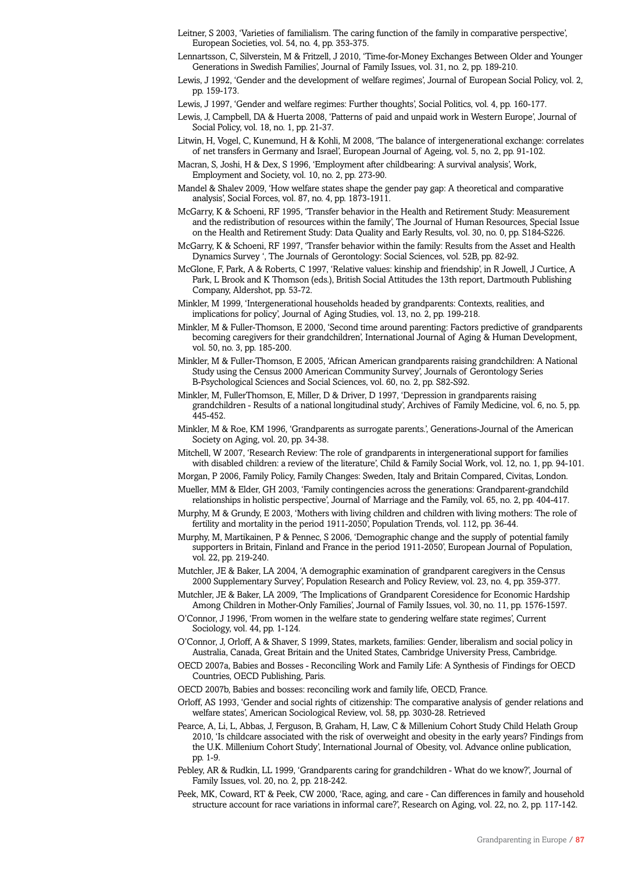- Leitner, S 2003, 'Varieties of familialism. The caring function of the family in comparative perspective', European Societies, vol. 54, no. 4, pp. 353-375.
- Lennartsson, C, Silverstein, M & Fritzell, J 2010, 'Time-for-Money Exchanges Between Older and Younger Generations in Swedish Families', Journal of Family Issues, vol. 31, no. 2, pp. 189-210.
- Lewis, J 1992, 'Gender and the development of welfare regimes', Journal of European Social Policy, vol. 2, pp. 159-173.
- Lewis, J 1997, 'Gender and welfare regimes: Further thoughts', Social Politics, vol. 4, pp. 160-177.
- Lewis, J, Campbell, DA & Huerta 2008, 'Patterns of paid and unpaid work in Western Europe', Journal of Social Policy, vol. 18, no. 1, pp. 21-37.
- Litwin, H, Vogel, C, Kunemund, H & Kohli, M 2008, 'The balance of intergenerational exchange: correlates of net transfers in Germany and Israel', European Journal of Ageing, vol. 5, no. 2, pp. 91-102.
- Macran, S, Joshi, H & Dex, S 1996, 'Employment after childbearing: A survival analysis', Work, Employment and Society, vol. 10, no. 2, pp. 273-90.
- Mandel & Shalev 2009, 'How welfare states shape the gender pay gap: A theoretical and comparative analysis', Social Forces, vol. 87, no. 4, pp. 1873-1911.
- McGarry, K & Schoeni, RF 1995, 'Transfer behavior in the Health and Retirement Study: Measurement and the redistribution of resources within the family', The Journal of Human Resources, Special Issue on the Health and Retirement Study: Data Quality and Early Results, vol. 30, no. 0, pp. S184-S226.
- McGarry, K & Schoeni, RF 1997, 'Transfer behavior within the family: Results from the Asset and Health Dynamics Survey ', The Journals of Gerontology: Social Sciences, vol. 52B, pp. 82-92.
- McGlone, F, Park, A & Roberts, C 1997, 'Relative values: kinship and friendship', in R Jowell, J Curtice, A Park, L Brook and K Thomson (eds.), British Social Attitudes the 13th report, Dartmouth Publishing Company, Aldershot, pp. 53-72.
- Minkler, M 1999, 'Intergenerational households headed by grandparents: Contexts, realities, and implications for policy', Journal of Aging Studies, vol. 13, no. 2, pp. 199-218.
- Minkler, M & Fuller-Thomson, E 2000, 'Second time around parenting: Factors predictive of grandparents becoming caregivers for their grandchildren', International Journal of Aging & Human Development, vol. 50, no. 3, pp. 185-200.
- Minkler, M & Fuller-Thomson, E 2005, 'African American grandparents raising grandchildren: A National Study using the Census 2000 American Community Survey', Journals of Gerontology Series B-Psychological Sciences and Social Sciences, vol. 60, no. 2, pp. S82-S92.
- Minkler, M, FullerThomson, E, Miller, D & Driver, D 1997, 'Depression in grandparents raising grandchildren - Results of a national longitudinal study', Archives of Family Medicine, vol. 6, no. 5, pp. 445-452.
- Minkler, M & Roe, KM 1996, 'Grandparents as surrogate parents.', Generations-Journal of the American Society on Aging, vol. 20, pp. 34-38.
- Mitchell, W 2007, 'Research Review: The role of grandparents in intergenerational support for families with disabled children: a review of the literature', Child & Family Social Work, vol. 12, no. 1, pp. 94-101.
- Morgan, P 2006, Family Policy, Family Changes: Sweden, Italy and Britain Compared, Civitas, London.
- Mueller, MM & Elder, GH 2003, 'Family contingencies across the generations: Grandparent-grandchild relationships in holistic perspective', Journal of Marriage and the Family, vol. 65, no. 2, pp. 404-417.
- Murphy, M & Grundy, E 2003, 'Mothers with living children and children with living mothers: The role of fertility and mortality in the period 1911-2050', Population Trends, vol. 112, pp. 36-44.
- Murphy, M, Martikainen, P & Pennec, S 2006, 'Demographic change and the supply of potential family supporters in Britain, Finland and France in the period 1911-2050', European Journal of Population, vol. 22, pp. 219-240.
- Mutchler, JE & Baker, LA 2004, 'A demographic examination of grandparent caregivers in the Census 2000 Supplementary Survey', Population Research and Policy Review, vol. 23, no. 4, pp. 359-377.
- Mutchler, JE & Baker, LA 2009, 'The Implications of Grandparent Coresidence for Economic Hardship Among Children in Mother-Only Families', Journal of Family Issues, vol. 30, no. 11, pp. 1576-1597.
- O'Connor, J 1996, 'From women in the welfare state to gendering welfare state regimes', Current Sociology, vol. 44, pp. 1-124.
- O'Connor, J, Orloff, A & Shaver, S 1999, States, markets, families: Gender, liberalism and social policy in Australia, Canada, Great Britain and the United States, Cambridge University Press, Cambridge.
- OECD 2007a, Babies and Bosses Reconciling Work and Family Life: A Synthesis of Findings for OECD Countries, OECD Publishing, Paris.
- OECD 2007b, Babies and bosses: reconciling work and family life, OECD, France.
- Orloff, AS 1993, 'Gender and social rights of citizenship: The comparative analysis of gender relations and welfare states', American Sociological Review, vol. 58, pp. 3030-28. Retrieved
- Pearce, A, Li, L, Abbas, J, Ferguson, B, Graham, H, Law, C & Millenium Cohort Study Child Helath Group 2010, 'Is childcare associated with the risk of overweight and obesity in the early years? Findings from the U.K. Millenium Cohort Study', International Journal of Obesity, vol. Advance online publication, pp. 1-9.
- Pebley, AR & Rudkin, LL 1999, 'Grandparents caring for grandchildren What do we know?', Journal of Family Issues, vol. 20, no. 2, pp. 218-242.
- Peek, MK, Coward, RT & Peek, CW 2000, 'Race, aging, and care Can differences in family and household structure account for race variations in informal care?', Research on Aging, vol. 22, no. 2, pp. 117-142.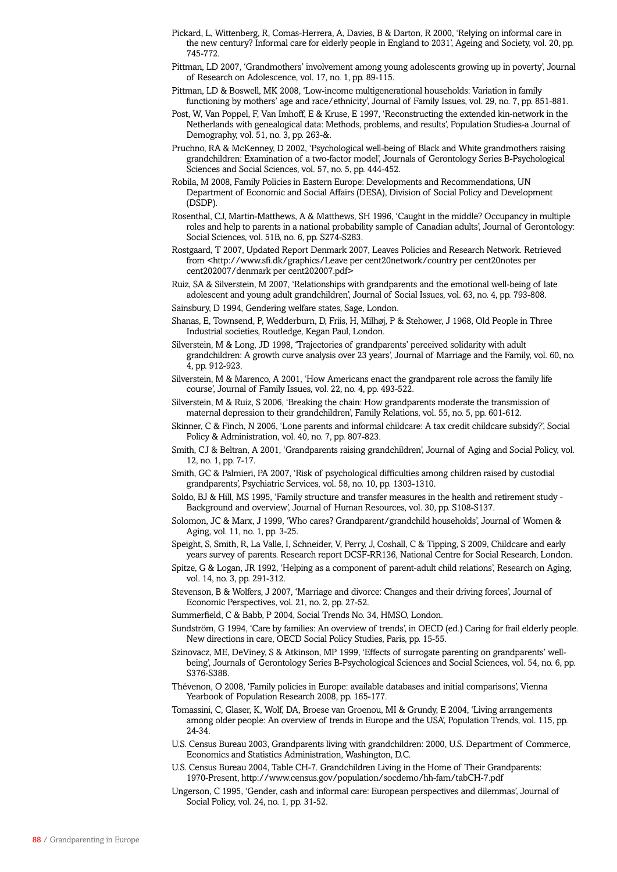- Pickard, L, Wittenberg, R, Comas-Herrera, A, Davies, B & Darton, R 2000, 'Relying on informal care in the new century? Informal care for elderly people in England to 2031', Ageing and Society, vol. 20, pp. 745-772.
- Pittman, LD 2007, 'Grandmothers' involvement among young adolescents growing up in poverty', Journal of Research on Adolescence, vol. 17, no. 1, pp. 89-115.
- Pittman, LD & Boswell, MK 2008, 'Low-income multigenerational households: Variation in family functioning by mothers' age and race/ethnicity', Journal of Family Issues, vol. 29, no. 7, pp. 851-881.
- Post, W, Van Poppel, F, Van Imhoff, E & Kruse, E 1997, 'Reconstructing the extended kin-network in the Netherlands with genealogical data: Methods, problems, and results', Population Studies-a Journal of Demography, vol. 51, no. 3, pp. 263-&.
- Pruchno, RA & McKenney, D 2002, 'Psychological well-being of Black and White grandmothers raising grandchildren: Examination of a two-factor model', Journals of Gerontology Series B-Psychological Sciences and Social Sciences, vol. 57, no. 5, pp. 444-452.
- Robila, M 2008, Family Policies in Eastern Europe: Developments and Recommendations, UN Department of Economic and Social Affairs (DESA), Division of Social Policy and Development (DSDP).
- Rosenthal, CJ, Martin-Matthews, A & Matthews, SH 1996, 'Caught in the middle? Occupancy in multiple roles and help to parents in a national probability sample of Canadian adults', Journal of Gerontology: Social Sciences, vol. 51B, no. 6, pp. S274-S283.
- Rostgaard, T 2007, Updated Report Denmark 2007, Leaves Policies and Research Network. Retrieved from <http://www.sfi.dk/graphics/Leave per cent20network/country per cent20notes per cent202007/denmark per cent202007.pdf>
- Ruiz, SA & Silverstein, M 2007, 'Relationships with grandparents and the emotional well-being of late adolescent and young adult grandchildren', Journal of Social Issues, vol. 63, no. 4, pp. 793-808.
- Sainsbury, D 1994, Gendering welfare states, Sage, London.
- Shanas, E, Townsend, P, Wedderburn, D, Friis, H, Milhøj, P & Stehower, J 1968, Old People in Three Industrial societies, Routledge, Kegan Paul, London.
- Silverstein, M & Long, JD 1998, 'Trajectories of grandparents' perceived solidarity with adult grandchildren: A growth curve analysis over 23 years', Journal of Marriage and the Family, vol. 60, no. 4, pp. 912-923.
- Silverstein, M & Marenco, A 2001, 'How Americans enact the grandparent role across the family life course', Journal of Family Issues, vol. 22, no. 4, pp. 493-522.
- Silverstein, M & Ruiz, S 2006, 'Breaking the chain: How grandparents moderate the transmission of maternal depression to their grandchildren', Family Relations, vol. 55, no. 5, pp. 601-612.
- Skinner, C & Finch, N 2006, 'Lone parents and informal childcare: A tax credit childcare subsidy?', Social Policy & Administration, vol. 40, no. 7, pp. 807-823.
- Smith, CJ & Beltran, A 2001, 'Grandparents raising grandchildren', Journal of Aging and Social Policy, vol. 12, no. 1, pp. 7-17.
- Smith, GC & Palmieri, PA 2007, 'Risk of psychological difficulties among children raised by custodial grandparents', Psychiatric Services, vol. 58, no. 10, pp. 1303-1310.
- Soldo, BJ & Hill, MS 1995, 'Family structure and transfer measures in the health and retirement study Background and overview', Journal of Human Resources, vol. 30, pp. S108-S137.
- Solomon, JC & Marx, J 1999, 'Who cares? Grandparent/grandchild households', Journal of Women & Aging, vol. 11, no. 1, pp. 3-25.
- Speight, S, Smith, R, La Valle, I, Schneider, V, Perry, J, Coshall, C & Tipping, S 2009, Childcare and early years survey of parents. Research report DCSF-RR136, National Centre for Social Research, London.
- Spitze, G & Logan, JR 1992, 'Helping as a component of parent-adult child relations', Research on Aging, vol. 14, no. 3, pp. 291-312.
- Stevenson, B & Wolfers, J 2007, 'Marriage and divorce: Changes and their driving forces', Journal of Economic Perspectives, vol. 21, no. 2, pp. 27-52.
- Summerfield, C & Babb, P 2004, Social Trends No. 34, HMSO, London.
- Sundström, G 1994, 'Care by families: An overview of trends', in OECD (ed.) Caring for frail elderly people. New directions in care, OECD Social Policy Studies, Paris, pp. 15-55.
- Szinovacz, ME, DeViney, S & Atkinson, MP 1999, 'Effects of surrogate parenting on grandparents' wellbeing', Journals of Gerontology Series B-Psychological Sciences and Social Sciences, vol. 54, no. 6, pp. S376-S388.
- Thévenon, O 2008, 'Family policies in Europe: available databases and initial comparisons', Vienna Yearbook of Population Research 2008, pp. 165-177.
- Tomassini, C, Glaser, K, Wolf, DA, Broese van Groenou, MI & Grundy, E 2004, 'Living arrangements among older people: An overview of trends in Europe and the USA', Population Trends, vol. 115, pp. 24-34.
- U.S. Census Bureau 2003, Grandparents living with grandchildren: 2000, U.S. Department of Commerce, Economics and Statistics Administration, Washington, D.C.
- U.S. Census Bureau 2004, Table CH-7. Grandchildren Living in the Home of Their Grandparents: 1970-Present, http://www.census.gov/population/socdemo/hh-fam/tabCH-7.pdf
- Ungerson, C 1995, 'Gender, cash and informal care: European perspectives and dilemmas', Journal of Social Policy, vol. 24, no. 1, pp. 31-52.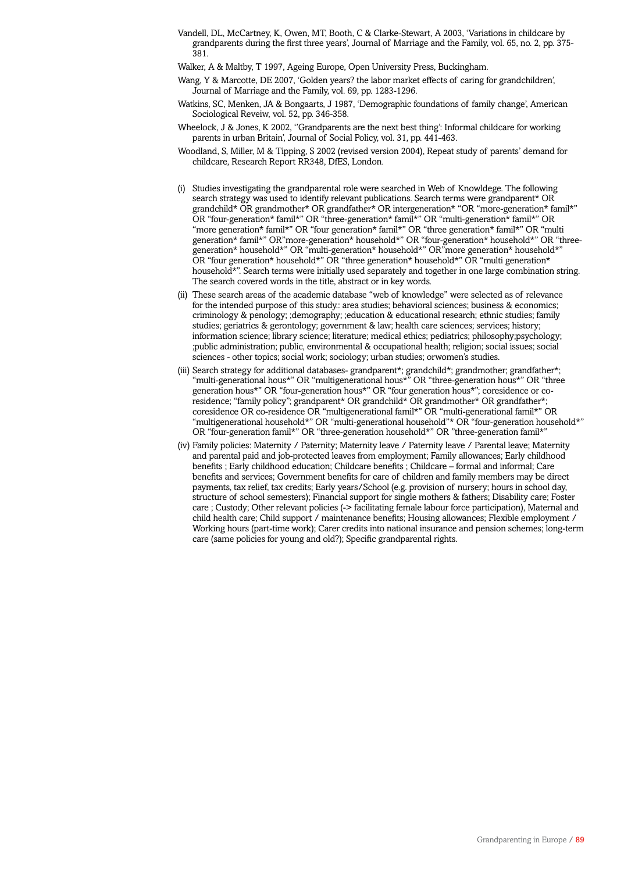Vandell, DL, McCartney, K, Owen, MT, Booth, C & Clarke-Stewart, A 2003, 'Variations in childcare by grandparents during the first three years', Journal of Marriage and the Family, vol. 65, no. 2, pp. 375- 381.

Walker, A & Maltby, T 1997, Ageing Europe, Open University Press, Buckingham.

- Wang, Y & Marcotte, DE 2007, 'Golden years? the labor market effects of caring for grandchildren', Journal of Marriage and the Family, vol. 69, pp. 1283-1296.
- Watkins, SC, Menken, JA & Bongaarts, J 1987, 'Demographic foundations of family change', American Sociological Reveiw, vol. 52, pp. 346-358.
- Wheelock, J & Jones, K 2002, ''Grandparents are the next best thing': Informal childcare for working parents in urban Britain', Journal of Social Policy, vol. 31, pp. 441-463.
- Woodland, S, Miller, M & Tipping, S 2002 (revised version 2004), Repeat study of parents' demand for childcare, Research Report RR348, DfES, London.
- (i) Studies investigating the grandparental role were searched in Web of Knowldege. The following search strategy was used to identify relevant publications. Search terms were grandparent\* OR grandchild\* OR grandmother\* OR grandfather\* OR intergeneration\* "OR "more-generation\* famil\*" OR "four-generation\* famil\*" OR "three-generation\* famil\*" OR "multi-generation\* famil\*" OR "more generation\* famil\*" OR "four generation\* famil\*" OR "three generation\* famil\*" OR "multi generation\* famil\*" OR"more-generation\* household\*" OR "four-generation\* household\*" OR "threegeneration\* household\*" OR "multi-generation\* household\*" OR"more generation\* household\*" OR "four generation\* household\*" OR "three generation\* household\*" OR "multi generation\* household\*". Search terms were initially used separately and together in one large combination string. The search covered words in the title, abstract or in key words.
- (ii) These search areas of the academic database "web of knowledge" were selected as of relevance for the intended purpose of this study.: area studies; behavioral sciences; business & economics; criminology & penology; ;demography; ;education & educational research; ethnic studies; family studies; geriatrics & gerontology; government & law; health care sciences; services; history; information science; library science; literature; medical ethics; pediatrics; philosophy;psychology; ;public administration; public, environmental & occupational health; religion; social issues; social sciences - other topics; social work; sociology; urban studies; orwomen's studies.
- (iii) Search strategy for additional databases- grandparent\*; grandchild\*; grandmother; grandfather\*; "multi-generational hous\*" OR "multigenerational hous\*" OR "three-generation hous\*" OR "three generation hous\*" OR "four-generation hous\*" OR "four generation hous\*"; coresidence or coresidence; "family policy"; grandparent\* OR grandchild\* OR grandmother\* OR grandfather\* coresidence OR co-residence OR "multigenerational famil\*" OR "multi-generational famil\*" OR "multigenerational household\*" OR "multi-generational household"\* OR "four-generation household\*" OR "four-generation famil\*" OR "three-generation household\*" OR "three-generation famil\*"
- (iv) Family policies: Maternity / Paternity; Maternity leave / Paternity leave / Parental leave; Maternity and parental paid and job-protected leaves from employment; Family allowances; Early childhood benefits ; Early childhood education; Childcare benefits ; Childcare – formal and informal; Care benefits and services; Government benefits for care of children and family members may be direct payments, tax relief, tax credits; Early years/School (e.g. provision of nursery; hours in school day, structure of school semesters); Financial support for single mothers & fathers; Disability care; Foster care ; Custody; Other relevant policies (-> facilitating female labour force participation), Maternal and child health care; Child support / maintenance benefits; Housing allowances; Flexible employment / Working hours (part-time work); Carer credits into national insurance and pension schemes; long-term care (same policies for young and old?); Specific grandparental rights.